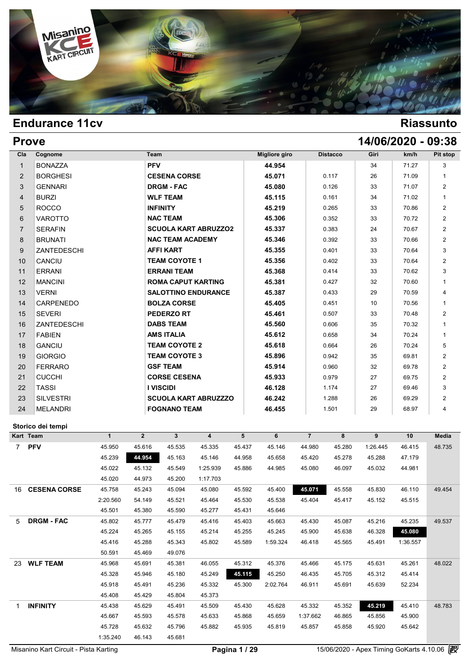

| <b>Prove</b>   |                    |                             |                      |                 |      | 14/06/2020 - 09:38 |                |
|----------------|--------------------|-----------------------------|----------------------|-----------------|------|--------------------|----------------|
| Cla            | Cognome            | Team                        | <b>Migliore giro</b> | <b>Distacco</b> | Giri | km/h               | Pit stop       |
| $\mathbf{1}$   | <b>BONAZZA</b>     | <b>PFV</b>                  | 44.954               |                 | 34   | 71.27              | 3              |
| $\overline{2}$ | <b>BORGHESI</b>    | <b>CESENA CORSE</b>         | 45.071               | 0.117           | 26   | 71.09              | 1              |
| 3              | <b>GENNARI</b>     | <b>DRGM - FAC</b>           | 45.080               | 0.126           | 33   | 71.07              | $\overline{2}$ |
| 4              | <b>BURZI</b>       | <b>WLF TEAM</b>             | 45.115               | 0.161           | 34   | 71.02              | $\mathbf{1}$   |
| 5              | <b>ROCCO</b>       | <b>INFINITY</b>             | 45.219               | 0.265           | 33   | 70.86              | $\overline{2}$ |
| 6              | <b>VAROTTO</b>     | <b>NAC TEAM</b>             | 45.306               | 0.352           | 33   | 70.72              | $\overline{2}$ |
| $\overline{7}$ | <b>SERAFIN</b>     | <b>SCUOLA KART ABRUZZO2</b> | 45.337               | 0.383           | 24   | 70.67              | $\overline{2}$ |
| 8              | <b>BRUNATI</b>     | <b>NAC TEAM ACADEMY</b>     | 45.346               | 0.392           | 33   | 70.66              | $\overline{2}$ |
| 9              | ZANTEDESCHI        | <b>AFFI KART</b>            | 45.355               | 0.401           | 33   | 70.64              | 3              |
| 10             | CANCIU             | <b>TEAM COYOTE 1</b>        | 45.356               | 0.402           | 33   | 70.64              | $\overline{2}$ |
| 11             | <b>ERRANI</b>      | <b>ERRANI TEAM</b>          | 45.368               | 0.414           | 33   | 70.62              | 3              |
| 12             | <b>MANCINI</b>     | <b>ROMA CAPUT KARTING</b>   | 45.381               | 0.427           | 32   | 70.60              | 1              |
| 13             | <b>VERNI</b>       | <b>SALOTTINO ENDURANCE</b>  | 45.387               | 0.433           | 29   | 70.59              | 4              |
| 14             | CARPENEDO          | <b>BOLZA CORSE</b>          | 45.405               | 0.451           | 10   | 70.56              | $\mathbf{1}$   |
| 15             | <b>SEVERI</b>      | <b>PEDERZORT</b>            | 45.461               | 0.507           | 33   | 70.48              | $\overline{2}$ |
| 16             | <b>ZANTEDESCHI</b> | <b>DABS TEAM</b>            | 45.560               | 0.606           | 35   | 70.32              | $\mathbf{1}$   |
| 17             | <b>FABIEN</b>      | <b>AMS ITALIA</b>           | 45.612               | 0.658           | 34   | 70.24              | $\mathbf{1}$   |
| 18             | <b>GANCIU</b>      | <b>TEAM COYOTE 2</b>        | 45.618               | 0.664           | 26   | 70.24              | 5              |
| 19             | <b>GIORGIO</b>     | <b>TEAM COYOTE 3</b>        | 45.896               | 0.942           | 35   | 69.81              | $\overline{2}$ |
| 20             | <b>FERRARO</b>     | <b>GSF TEAM</b>             | 45.914               | 0.960           | 32   | 69.78              | $\overline{2}$ |
| 21             | <b>CUCCHI</b>      | <b>CORSE CESENA</b>         | 45.933               | 0.979           | 27   | 69.75              | $\overline{2}$ |
| 22             | <b>TASSI</b>       | <b>I VISCIDI</b>            | 46.128               | 1.174           | 27   | 69.46              | 3              |
| 23             | <b>SILVESTRI</b>   | <b>SCUOLA KART ABRUZZZO</b> | 46.242               | 1.288           | 26   | 69.29              | $\overline{2}$ |
| 24             | <b>MELANDRI</b>    | <b>FOGNANO TEAM</b>         | 46.455               | 1.501           | 29   | 68.97              | 4              |

### **Storico dei tempi**

|    | Kart Team           | $\mathbf 1$ | $\overline{2}$ | $\mathbf{3}$ | $\overline{\mathbf{4}}$ | 5      | 6        | $\overline{7}$ | 8      | 9        | 10       | Media  |
|----|---------------------|-------------|----------------|--------------|-------------------------|--------|----------|----------------|--------|----------|----------|--------|
| 7  | <b>PFV</b>          | 45.950      | 45.616         | 45.535       | 45.335                  | 45.437 | 45.146   | 44.980         | 45.280 | 1:26.445 | 46.415   | 48.735 |
|    |                     | 45.239      | 44.954         | 45.163       | 45.146                  | 44.958 | 45.658   | 45.420         | 45.278 | 45.288   | 47.179   |        |
|    |                     | 45.022      | 45.132         | 45.549       | 1:25.939                | 45.886 | 44.985   | 45.080         | 46.097 | 45.032   | 44.981   |        |
|    |                     | 45.020      | 44.973         | 45.200       | 1:17.703                |        |          |                |        |          |          |        |
| 16 | <b>CESENA CORSE</b> | 45.758      | 45.243         | 45.094       | 45.080                  | 45.592 | 45.400   | 45.071         | 45.558 | 45.830   | 46.110   | 49.454 |
|    |                     | 2:20.560    | 54.149         | 45.521       | 45.464                  | 45.530 | 45.538   | 45.404         | 45.417 | 45.152   | 45.515   |        |
|    |                     | 45.501      | 45.380         | 45.590       | 45.277                  | 45.431 | 45.646   |                |        |          |          |        |
| 5  | <b>DRGM - FAC</b>   | 45.802      | 45.777         | 45.479       | 45.416                  | 45.403 | 45.663   | 45.430         | 45.087 | 45.216   | 45.235   | 49.537 |
|    |                     | 45.224      | 45.265         | 45.155       | 45.214                  | 45.255 | 45.245   | 45.900         | 45.638 | 46.328   | 45.080   |        |
|    |                     | 45.416      | 45.288         | 45.343       | 45.802                  | 45.589 | 1:59.324 | 46.418         | 45.565 | 45.491   | 1:36.557 |        |
|    |                     | 50.591      | 45.469         | 49.076       |                         |        |          |                |        |          |          |        |
| 23 | <b>WLF TEAM</b>     | 45.968      | 45.691         | 45.381       | 46.055                  | 45.312 | 45.376   | 45.466         | 45.175 | 45.631   | 45.261   | 48.022 |
|    |                     | 45.328      | 45.946         | 45.180       | 45.249                  | 45.115 | 45.250   | 46.435         | 45.705 | 45.312   | 45.414   |        |
|    |                     | 45.918      | 45.491         | 45.236       | 45.332                  | 45.300 | 2:02.764 | 46.911         | 45.691 | 45.639   | 52.234   |        |
|    |                     | 45.408      | 45.429         | 45.804       | 45.373                  |        |          |                |        |          |          |        |
| 1  | <b>INFINITY</b>     | 45.438      | 45.629         | 45.491       | 45.509                  | 45.430 | 45.628   | 45.332         | 45.352 | 45.219   | 45.410   | 48.783 |
|    |                     | 45.667      | 45.593         | 45.578       | 45.633                  | 45.868 | 45.659   | 1:37.662       | 46.865 | 45.856   | 45.900   |        |
|    |                     | 45.728      | 45.632         | 45.796       | 45.882                  | 45.935 | 45.819   | 45.857         | 45.858 | 45.920   | 45.642   |        |
|    |                     | 1:35.240    | 46.143         | 45.681       |                         |        |          |                |        |          |          |        |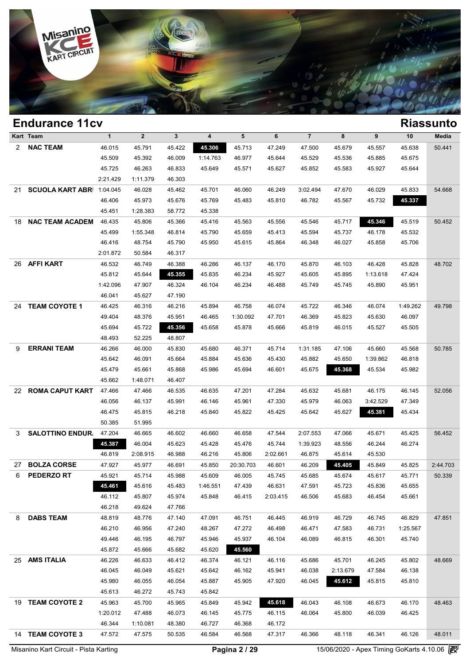

|    | <b>Endurance 11cv</b>     |                  |                  |              |          |           |          |                |          |          |          | <b>Riassunto</b> |
|----|---------------------------|------------------|------------------|--------------|----------|-----------|----------|----------------|----------|----------|----------|------------------|
|    | Kart Team                 | $\mathbf{1}$     | $\mathbf 2$      | $\mathbf{3}$ | 4        | 5         | 6        | $\overline{7}$ | 8        | 9        | 10       | Media            |
| 2  | <b>NAC TEAM</b>           | 46.015           | 45.791           | 45.422       | 45.306   | 45.713    | 47.249   | 47.500         | 45.679   | 45.557   | 45.638   | 50.441           |
|    |                           | 45.509           | 45.392           | 46.009       | 1:14.763 | 46.977    | 45.644   | 45.529         | 45.536   | 45.885   | 45.675   |                  |
|    |                           | 45.725           | 46.263           | 46.833       | 45.649   | 45.571    | 45.627   | 45.852         | 45.583   | 45.927   | 45.644   |                  |
|    |                           | 2:21.429         | 1:11.379         | 46.303       |          |           |          |                |          |          |          |                  |
| 21 | SCUOLA KART ABRI 1:04.045 |                  | 46.028           | 45.462       | 45.701   | 46.060    | 46.249   | 3:02.494       | 47.670   | 46.029   | 45.833   | 54.668           |
|    |                           | 46.406           | 45.973           | 45.676       | 45.769   | 45.483    | 45.810   | 46.782         | 45.567   | 45.732   | 45.337   |                  |
|    |                           | 45.451           | 1:28.383         | 58.772       | 45.338   |           |          |                |          |          |          |                  |
| 18 | <b>NAC TEAM ACADEM</b>    | 46.435           | 45.806           | 45.366       | 45.416   | 45.563    | 45.556   | 45.546         | 45.717   | 45.346   | 45.519   | 50.452           |
|    |                           | 45.499           | 1:55.348         | 46.814       | 45.790   | 45.659    | 45.413   | 45.594         | 45.737   | 46.178   | 45.532   |                  |
|    |                           | 46.416           | 48.754           | 45.790       | 45.950   | 45.615    | 45.864   | 46.348         | 46.027   | 45.858   | 45.706   |                  |
|    |                           | 2:01.872         | 50.584           | 46.317       |          |           |          |                |          |          |          |                  |
| 26 | <b>AFFI KART</b>          | 46.532           | 46.749           | 46.388       | 46.286   | 46.137    | 46.170   | 45.870         | 46.103   | 46.428   | 45.828   | 48.702           |
|    |                           | 45.812           | 45.644           | 45.355       | 45.835   | 46.234    | 45.927   | 45.605         | 45.895   | 1:13.618 | 47.424   |                  |
|    |                           | 1:42.096         | 47.907           | 46.324       | 46.104   | 46.234    | 46.488   | 45.749         | 45.745   | 45.890   | 45.951   |                  |
|    |                           | 46.041           | 45.627           | 47.190       |          |           |          |                |          |          |          |                  |
| 24 | <b>TEAM COYOTE 1</b>      | 46.425           | 46.316           | 46.216       | 45.894   | 46.758    | 46.074   | 45.722         | 46.346   | 46.074   | 1:49.262 | 49.798           |
|    |                           | 49.404           | 48.376           | 45.951       | 46.465   | 1:30.092  | 47.701   | 46.369         | 45.823   | 45.630   | 46.097   |                  |
|    |                           | 45.694           | 45.722           | 45.356       | 45.658   | 45.878    | 45.666   | 45.819         | 46.015   | 45.527   | 45.505   |                  |
|    |                           | 48.493           | 52.225           | 48.807       |          |           |          |                |          |          |          |                  |
| 9  | <b>ERRANI TEAM</b>        | 46.266           | 46.000           | 45.830       | 45.680   | 46.371    | 45.714   | 1:31.185       | 47.106   | 45.660   | 45.568   | 50.785           |
|    |                           | 45.642           | 46.091           | 45.664       | 45.884   | 45.636    | 45.430   | 45.882         | 45.650   | 1:39.862 | 46.818   |                  |
|    |                           | 45.479           | 45.661           | 45.868       | 45.986   | 45.694    | 46.601   | 45.675         | 45.368   | 45.534   | 45.982   |                  |
|    |                           | 45.662           | 1:48.071         | 46.407       |          |           |          |                |          |          |          |                  |
| 22 | <b>ROMA CAPUT KART</b>    | 47.466           | 47.466           | 46.535       | 46.635   | 47.201    | 47.284   | 45.632         | 45.681   | 46.175   | 46.145   | 52.056           |
|    |                           | 46.056           | 46.137           | 45.991       | 46.146   | 45.961    | 47.330   | 45.979         | 46.063   | 3:42.529 | 47.349   |                  |
|    |                           |                  |                  |              |          |           |          |                |          | 45.381   |          |                  |
|    |                           | 46.475<br>50.385 | 45.815<br>51.995 | 46.218       | 45.840   | 45.822    | 45.425   | 45.642         | 45.627   |          | 45.434   |                  |
|    | <b>SALOTTINO ENDUR.</b>   |                  |                  |              |          |           |          |                |          |          |          |                  |
| 3  |                           | 47.204           | 46.665           | 46.602       | 46.660   | 46.658    | 47.544   | 2:07.553       | 47.066   | 45.671   | 45.425   | 56.452           |
|    |                           | 45.387           | 46.004           | 45.623       | 45.428   | 45.476    | 45.744   | 1:39.923       | 48.556   | 46.244   | 46.274   |                  |
|    |                           | 46.819           | 2:08.915         | 46.988       | 46.216   | 45.806    | 2:02.661 | 46.875         | 45.614   | 45.530   |          |                  |
|    | 27 BOLZA CORSE            | 47.927           | 45.977           | 46.691       | 45.850   | 20:30.703 | 46.601   | 46.209         | 45.405   | 45.849   | 45.825   | 2:44.703         |
| 6  | <b>PEDERZO RT</b>         | 45.921           | 45.714           | 45.988       | 45.609   | 46.005    | 45.745   | 45.685         | 45.674   | 45.617   | 45.771   | 50.339           |
|    |                           | 45.461           | 45.616           | 45.483       | 1:46.551 | 47.439    | 46.631   | 47.591         | 45.723   | 45.836   | 45.655   |                  |
|    |                           | 46.112           | 45.807           | 45.974       | 45.848   | 46.415    | 2:03.415 | 46.506         | 45.683   | 46.454   | 45.661   |                  |
|    |                           | 46.218           | 49.624           | 47.766       |          |           |          |                |          |          |          |                  |
| 8  | <b>DABS TEAM</b>          | 48.819           | 48.776           | 47.140       | 47.091   | 46.751    | 46.445   | 46.919         | 46.729   | 46.745   | 46.829   | 47.851           |
|    |                           | 46.210           | 46.956           | 47.240       | 48.267   | 47.272    | 46.498   | 46.471         | 47.583   | 46.731   | 1:25.567 |                  |
|    |                           | 49.446           | 46.195           | 46.797       | 45.946   | 45.937    | 46.104   | 46.089         | 46.815   | 46.301   | 45.740   |                  |
|    |                           | 45.872           | 45.666           | 45.682       | 45.620   | 45.560    |          |                |          |          |          |                  |
| 25 | <b>AMS ITALIA</b>         | 46.226           | 46.633           | 46.412       | 46.374   | 46.121    | 46.116   | 45.686         | 45.701   | 46.245   | 45.802   | 48.669           |
|    |                           | 46.045           | 46.049           | 45.621       | 45.642   | 46.162    | 45.941   | 46.038         | 2:13.679 | 47.584   | 46.138   |                  |
|    |                           | 45.980           | 46.055           | 46.054       | 45.887   | 45.905    | 47.920   | 46.045         | 45.612   | 45.815   | 45.810   |                  |
|    |                           | 45.613           | 46.272           | 45.743       | 45.842   |           |          |                |          |          |          |                  |
|    | 19 TEAM COYOTE 2          | 45.963           | 45.700           | 45.965       | 45.849   | 45.942    | 45.618   | 46.043         | 46.108   | 46.673   | 46.170   | 48.463           |
|    |                           | 1:20.012         | 47.488           | 46.073       | 46.145   | 45.775    | 46.115   | 46.064         | 45.800   | 46.039   | 46.425   |                  |
|    |                           | 46.344           | 1:10.081         | 48.380       | 46.727   | 46.368    | 46.172   |                |          |          |          |                  |
|    | 14 TEAM COYOTE 3          | 47.572           | 47.575           | 50.535       | 46.584   | 46.568    | 47.317   | 46.366         | 48.118   | 46.341   | 46.126   | 48.011           |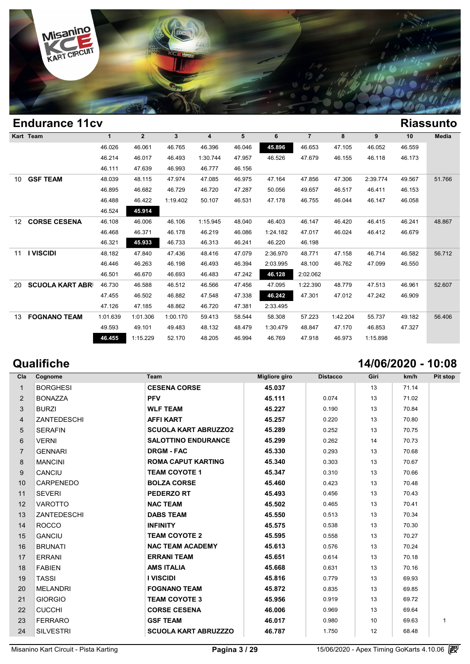

|                   | <b>Endurance 11cv</b>   |              |                |          |          |        |          |                |          |          |        | <b>Riassunto</b> |
|-------------------|-------------------------|--------------|----------------|----------|----------|--------|----------|----------------|----------|----------|--------|------------------|
|                   | <b>Kart Team</b>        | $\mathbf{1}$ | $\overline{2}$ | 3        | 4        | 5      | 6        | $\overline{7}$ | 8        | 9        | 10     | <b>Media</b>     |
|                   |                         | 46.026       | 46.061         | 46.765   | 46.396   | 46.046 | 45.896   | 46.653         | 47.105   | 46.052   | 46.559 |                  |
|                   |                         | 46.214       | 46.017         | 46.493   | 1:30.744 | 47.957 | 46.526   | 47.679         | 46.155   | 46.118   | 46.173 |                  |
|                   |                         | 46.111       | 47.639         | 46.993   | 46.777   | 46.156 |          |                |          |          |        |                  |
| 10                | <b>GSF TEAM</b>         | 48.039       | 48.115         | 47.974   | 47.085   | 46.975 | 47.164   | 47.856         | 47.306   | 2:39.774 | 49.567 | 51.766           |
|                   |                         | 46.895       | 46.682         | 46.729   | 46.720   | 47.287 | 50.056   | 49.657         | 46.517   | 46.411   | 46.153 |                  |
|                   |                         | 46.488       | 46.422         | 1:19.402 | 50.107   | 46.531 | 47.178   | 46.755         | 46.044   | 46.147   | 46.058 |                  |
|                   |                         | 46.524       | 45.914         |          |          |        |          |                |          |          |        |                  |
| $12 \overline{ }$ | <b>CORSE CESENA</b>     | 46.108       | 46.006         | 46.106   | 1:15.945 | 48.040 | 46.403   | 46.147         | 46.420   | 46.415   | 46.241 | 48.867           |
|                   |                         | 46.468       | 46.371         | 46.178   | 46.219   | 46.086 | 1:24.182 | 47.017         | 46.024   | 46.412   | 46.679 |                  |
|                   |                         | 46.321       | 45.933         | 46.733   | 46.313   | 46.241 | 46.220   | 46.198         |          |          |        |                  |
| 11                | <b>I VISCIDI</b>        | 48.182       | 47.840         | 47.436   | 48.416   | 47.079 | 2:36.970 | 48.771         | 47.158   | 46.714   | 46.582 | 56.712           |
|                   |                         | 46.446       | 46.263         | 46.198   | 46.493   | 46.394 | 2:03.995 | 48.100         | 46.762   | 47.099   | 46.550 |                  |
|                   |                         | 46.501       | 46.670         | 46.693   | 46.483   | 47.242 | 46.128   | 2:02.062       |          |          |        |                  |
| 20                | <b>SCUOLA KART ABRI</b> | 46.730       | 46.588         | 46.512   | 46.566   | 47.456 | 47.095   | 1:22.390       | 48.779   | 47.513   | 46.961 | 52.607           |
|                   |                         | 47.455       | 46.502         | 46.882   | 47.548   | 47.338 | 46.242   | 47.301         | 47.012   | 47.242   | 46.909 |                  |
|                   |                         | 47.126       | 47.185         | 48.862   | 46.720   | 47.381 | 2:33.495 |                |          |          |        |                  |
| 13                | <b>FOGNANO TEAM</b>     | 1:01.639     | 1:01.306       | 1:00.170 | 59.413   | 58.544 | 58.308   | 57.223         | 1:42.204 | 55.737   | 49.182 | 56.406           |
|                   |                         | 49.593       | 49.101         | 49.483   | 48.132   | 48.479 | 1:30.479 | 48.847         | 47.170   | 46.853   | 47.327 |                  |
|                   |                         | 46.455       | 1:15.229       | 52.170   | 48.205   | 46.994 | 46.769   | 47.918         | 46.973   | 1:15.898 |        |                  |
|                   |                         |              |                |          |          |        |          |                |          |          |        |                  |

# **Qualifiche 14/06/2020 - 10:08**

| Cla            | Cognome          | Team                        | Migliore giro | <b>Distacco</b> | Giri | km/h  | Pit stop     |
|----------------|------------------|-----------------------------|---------------|-----------------|------|-------|--------------|
| $\mathbf{1}$   | <b>BORGHESI</b>  | <b>CESENA CORSE</b>         | 45.037        |                 | 13   | 71.14 |              |
| $\overline{2}$ | <b>BONAZZA</b>   | <b>PFV</b>                  | 45.111        | 0.074           | 13   | 71.02 |              |
| 3              | <b>BURZI</b>     | <b>WLF TEAM</b>             | 45.227        | 0.190           | 13   | 70.84 |              |
| $\overline{4}$ | ZANTEDESCHI      | <b>AFFI KART</b>            | 45.257        | 0.220           | 13   | 70.80 |              |
| 5              | <b>SERAFIN</b>   | <b>SCUOLA KART ABRUZZO2</b> | 45.289        | 0.252           | 13   | 70.75 |              |
| 6              | <b>VERNI</b>     | <b>SALOTTINO ENDURANCE</b>  | 45.299        | 0.262           | 14   | 70.73 |              |
| $\overline{7}$ | <b>GENNARI</b>   | <b>DRGM - FAC</b>           | 45.330        | 0.293           | 13   | 70.68 |              |
| 8              | <b>MANCINI</b>   | <b>ROMA CAPUT KARTING</b>   | 45.340        | 0.303           | 13   | 70.67 |              |
| 9              | CANCIU           | <b>TEAM COYOTE 1</b>        | 45.347        | 0.310           | 13   | 70.66 |              |
| 10             | CARPENEDO        | <b>BOLZA CORSE</b>          | 45.460        | 0.423           | 13   | 70.48 |              |
| 11             | <b>SEVERI</b>    | <b>PEDERZORT</b>            | 45.493        | 0.456           | 13   | 70.43 |              |
| 12             | <b>VAROTTO</b>   | <b>NAC TEAM</b>             | 45.502        | 0.465           | 13   | 70.41 |              |
| 13             | ZANTEDESCHI      | <b>DABS TEAM</b>            | 45.550        | 0.513           | 13   | 70.34 |              |
| 14             | <b>ROCCO</b>     | <b>INFINITY</b>             | 45.575        | 0.538           | 13   | 70.30 |              |
| 15             | <b>GANCIU</b>    | <b>TEAM COYOTE 2</b>        | 45.595        | 0.558           | 13   | 70.27 |              |
| 16             | <b>BRUNATI</b>   | <b>NAC TEAM ACADEMY</b>     | 45.613        | 0.576           | 13   | 70.24 |              |
| 17             | <b>ERRANI</b>    | <b>ERRANI TEAM</b>          | 45.651        | 0.614           | 13   | 70.18 |              |
| 18             | <b>FABIEN</b>    | <b>AMS ITALIA</b>           | 45.668        | 0.631           | 13   | 70.16 |              |
| 19             | <b>TASSI</b>     | <b>I VISCIDI</b>            | 45.816        | 0.779           | 13   | 69.93 |              |
| 20             | <b>MELANDRI</b>  | <b>FOGNANO TEAM</b>         | 45.872        | 0.835           | 13   | 69.85 |              |
| 21             | <b>GIORGIO</b>   | <b>TEAM COYOTE 3</b>        | 45.956        | 0.919           | 13   | 69.72 |              |
| 22             | <b>CUCCHI</b>    | <b>CORSE CESENA</b>         | 46.006        | 0.969           | 13   | 69.64 |              |
| 23             | <b>FERRARO</b>   | <b>GSF TEAM</b>             | 46.017        | 0.980           | 10   | 69.63 | $\mathbf{1}$ |
| 24             | <b>SILVESTRI</b> | <b>SCUOLA KART ABRUZZZO</b> | 46.787        | 1.750           | 12   | 68.48 |              |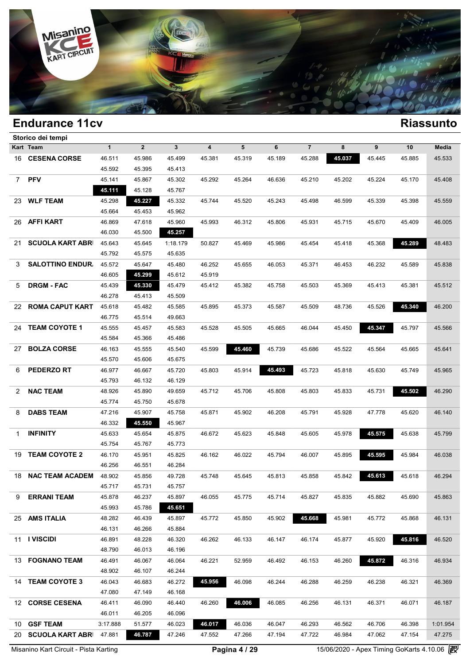

|                | LIIUUI AIIU II IUV      |              |                |          |        |        |        |                |        |        |        | Niassulllu |
|----------------|-------------------------|--------------|----------------|----------|--------|--------|--------|----------------|--------|--------|--------|------------|
|                | Storico dei tempi       |              |                |          |        |        |        |                |        |        |        |            |
|                | Kart Team               | $\mathbf{1}$ | $\overline{2}$ | 3        | 4      | 5      | 6      | $\overline{7}$ | 8      | 9      | 10     | Media      |
| 16             | <b>CESENA CORSE</b>     | 46.511       | 45.986         | 45.499   | 45.381 | 45.319 | 45.189 | 45.288         | 45.037 | 45.445 | 45.885 | 45.533     |
|                |                         | 45.592       | 45.395         | 45.413   |        |        |        |                |        |        |        |            |
| $7\phantom{.}$ | <b>PFV</b>              | 45.141       | 45.867         | 45.302   | 45.292 | 45.264 | 46.636 | 45.210         | 45.202 | 45.224 | 45.170 | 45.408     |
|                |                         | 45.111       | 45.128         | 45.767   |        |        |        |                |        |        |        |            |
| 23             | <b>WLF TEAM</b>         | 45.298       | 45.227         | 45.332   | 45.744 | 45.520 | 45.243 | 45.498         | 46.599 | 45.339 | 45.398 | 45.559     |
|                |                         | 45.664       | 45.453         | 45.962   |        |        |        |                |        |        |        |            |
| 26             | <b>AFFI KART</b>        | 46.869       | 47.618         | 45.960   | 45.993 | 46.312 | 45.806 | 45.931         | 45.715 | 45.670 | 45.409 | 46.005     |
|                |                         | 46.030       | 45.500         | 45.257   |        |        |        |                |        |        |        |            |
| 21             | <b>SCUOLA KART ABRI</b> | 45.643       | 45.645         | 1:18.179 | 50.827 | 45.469 | 45.986 | 45.454         | 45.418 | 45.368 | 45.289 | 48.483     |
|                |                         | 45.792       | 45.575         | 45.635   |        |        |        |                |        |        |        |            |
| 3              | <b>SALOTTINO ENDUR.</b> | 45.572       | 45.647         | 45.480   | 46.252 | 45.655 | 46.053 | 45.371         | 46.453 | 46.232 | 45.589 | 45.838     |
|                |                         | 46.605       | 45.299         | 45.612   | 45.919 |        |        |                |        |        |        |            |
| 5              | <b>DRGM - FAC</b>       | 45.439       | 45.330         | 45.479   | 45.412 | 45.382 | 45.758 | 45.503         | 45.369 | 45.413 | 45.381 | 45.512     |
|                |                         | 46.278       | 45.413         | 45.509   |        |        |        |                |        |        |        |            |
| 22             | <b>ROMA CAPUT KART</b>  | 45.618       | 45.482         | 45.585   | 45.895 | 45.373 | 45.587 | 45.509         | 48.736 | 45.526 | 45.340 | 46.200     |
|                |                         | 46.775       | 45.514         | 49.663   |        |        |        |                |        |        |        |            |
| 24             | <b>TEAM COYOTE 1</b>    | 45.555       | 45.457         | 45.583   | 45.528 | 45.505 | 45.665 | 46.044         | 45.450 | 45.347 | 45.797 | 45.566     |
|                |                         | 45.584       | 45.366         | 45.486   |        |        |        |                |        |        |        |            |
| 27             | <b>BOLZA CORSE</b>      | 46.163       | 45.555         | 45.540   | 45.599 | 45.460 | 45.739 | 45.686         | 45.522 | 45.564 | 45.665 | 45.641     |
|                |                         | 45.570       | 45.606         | 45.675   |        |        |        |                |        |        |        |            |
| 6              | <b>PEDERZORT</b>        | 46.977       | 46.667         | 45.720   | 45.803 | 45.914 | 45.493 | 45.723         | 45.818 | 45.630 | 45.749 | 45.965     |
|                |                         | 45.793       | 46.132         | 46.129   |        |        |        |                |        |        |        |            |
|                | <b>NAC TEAM</b>         |              |                |          |        |        |        |                |        |        | 45.502 |            |
| 2              |                         | 48.926       | 45.890         | 49.659   | 45.712 | 45.706 | 45.808 | 45.803         | 45.833 | 45.731 |        | 46.290     |
|                |                         | 45.774       | 45.750         | 45.678   |        |        |        |                |        |        |        |            |
| 8              | <b>DABS TEAM</b>        | 47.216       | 45.907         | 45.758   | 45.871 | 45.902 | 46.208 | 45.791         | 45.928 | 47.778 | 45.620 | 46.140     |
|                |                         | 46.332       | 45.550         | 45.967   |        |        |        |                |        |        |        |            |
| 1              | <b>INFINITY</b>         | 45.633       | 45.654         | 45.875   | 46.672 | 45.623 | 45.848 | 45.605         | 45.978 | 45.575 | 45.638 | 45.799     |
|                |                         | 45.754       | 45.767         | 45.773   |        |        |        |                |        |        |        |            |
| 19             | <b>TEAM COYOTE 2</b>    | 46.170       | 45.951         | 45.825   | 46.162 | 46.022 | 45.794 | 46.007         | 45.895 | 45.595 | 45.984 | 46.038     |
|                |                         | 46.256       | 46.551         | 46.284   |        |        |        |                |        |        |        |            |
|                | 18 NAC TEAM ACADEM      | 48.902       | 45.856         | 49.728   | 45.748 | 45.645 | 45.813 | 45.858         | 45.842 | 45.613 | 45.618 | 46.294     |
|                |                         | 45.717       | 45.731         | 45.757   |        |        |        |                |        |        |        |            |
| 9              | <b>ERRANI TEAM</b>      | 45.878       | 46.237         | 45.897   | 46.055 | 45.775 | 45.714 | 45.827         | 45.835 | 45.882 | 45.690 | 45.863     |
|                |                         | 45.993       | 45.786         | 45.651   |        |        |        |                |        |        |        |            |
|                | 25 AMS ITALIA           | 48.282       | 46.439         | 45.897   | 45.772 | 45.850 | 45.902 | 45.668         | 45.981 | 45.772 | 45.868 | 46.131     |
|                |                         | 46.131       | 46.266         | 45.884   |        |        |        |                |        |        |        |            |
|                | 11 I VISCIDI            | 46.891       | 48.228         | 46.320   | 46.262 | 46.133 | 46.147 | 46.174         | 45.877 | 45.920 | 45.816 | 46.520     |
|                |                         | 48.790       | 46.013         | 46.196   |        |        |        |                |        |        |        |            |
|                | 13 FOGNANO TEAM         | 46.491       | 46.067         | 46.064   | 46.221 | 52.959 | 46.492 | 46.153         | 46.260 | 45.872 | 46.316 | 46.934     |
|                |                         | 48.902       | 46.107         | 46.244   |        |        |        |                |        |        |        |            |
|                | 14 TEAM COYOTE 3        | 46.043       | 46.683         | 46.272   | 45.956 | 46.098 | 46.244 | 46.288         | 46.259 | 46.238 | 46.321 | 46.369     |
|                |                         | 47.080       | 47.149         | 46.168   |        |        |        |                |        |        |        |            |
|                | 12 CORSE CESENA         | 46.411       | 46.090         | 46.440   | 46.260 | 46.006 | 46.085 | 46.256         | 46.131 | 46.371 | 46.071 | 46.187     |
|                |                         | 46.011       | 46.205         | 46.096   |        |        |        |                |        |        |        |            |
| 10             | <b>GSF TEAM</b>         | 3:17.888     | 51.577         | 46.023   | 46.017 | 46.036 | 46.047 | 46.293         | 46.562 | 46.706 | 46.398 | 1:01.954   |
|                | 20 SCUOLA KART ABRI     | 47.881       | 46.787         | 47.246   | 47.552 | 47.266 | 47.194 | 47.722         | 46.984 | 47.062 | 47.154 | 47.275     |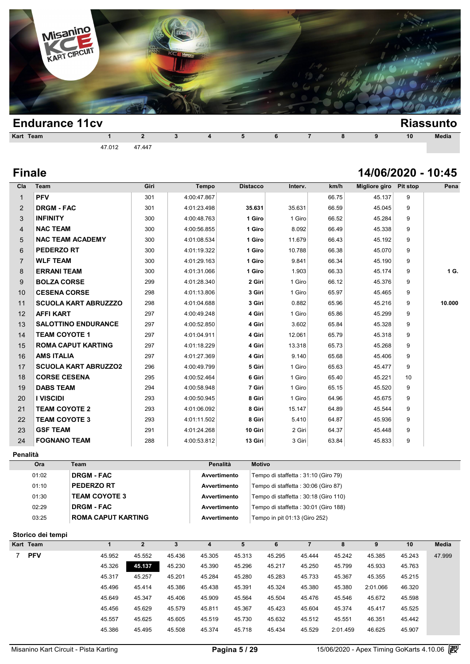

| <b>Endurance 11cv</b><br><b>Riassunto</b> |        |        |  |   |  |  |  |   |  |    |              |  |  |
|-------------------------------------------|--------|--------|--|---|--|--|--|---|--|----|--------------|--|--|
| Kart Team                                 |        |        |  | 4 |  |  |  | 8 |  | 10 | <b>Media</b> |  |  |
|                                           | 47.012 | 47.447 |  |   |  |  |  |   |  |    |              |  |  |

| <b>Finale</b>  |                             |      |              |                 |         |       | 14/06/2020 - 10:45     |    |        |
|----------------|-----------------------------|------|--------------|-----------------|---------|-------|------------------------|----|--------|
| Cla            | <b>Team</b>                 | Giri | <b>Tempo</b> | <b>Distacco</b> | Interv. | km/h  | Migliore giro Pit stop |    | Pena   |
| $\mathbf{1}$   | <b>PFV</b>                  | 301  | 4:00:47.867  |                 |         | 66.75 | 45.137                 | 9  |        |
| 2              | <b>DRGM - FAC</b>           | 301  | 4:01:23.498  | 35.631          | 35.631  | 66.59 | 45.045                 | 9  |        |
| 3              | <b>INFINITY</b>             | 300  | 4:00:48.763  | 1 Giro          | 1 Giro  | 66.52 | 45.284                 | 9  |        |
| 4              | <b>NAC TEAM</b>             | 300  | 4:00:56.855  | 1 Giro          | 8.092   | 66.49 | 45.338                 | 9  |        |
| 5              | <b>NAC TEAM ACADEMY</b>     | 300  | 4:01:08.534  | 1 Giro          | 11.679  | 66.43 | 45.192                 | 9  |        |
| 6              | <b>PEDERZORT</b>            | 300  | 4:01:19.322  | 1 Giro          | 10.788  | 66.38 | 45.070                 | 9  |        |
| $\overline{7}$ | <b>WLF TEAM</b>             | 300  | 4:01:29.163  | 1 Giro          | 9.841   | 66.34 | 45.190                 | 9  |        |
| 8              | <b>ERRANI TEAM</b>          | 300  | 4:01:31.066  | 1 Giro          | 1.903   | 66.33 | 45.174                 | 9  | 1 G.   |
| 9              | <b>BOLZA CORSE</b>          | 299  | 4:01:28.340  | 2 Giri          | 1 Giro  | 66.12 | 45.376                 | 9  |        |
| 10             | <b>CESENA CORSE</b>         | 298  | 4:01:13.806  | 3 Giri          | 1 Giro  | 65.97 | 45.465                 | 9  |        |
| 11             | <b>SCUOLA KART ABRUZZZO</b> | 298  | 4:01:04.688  | 3 Giri          | 0.882   | 65.96 | 45.216                 | 9  | 10.000 |
| 12             | <b>AFFI KART</b>            | 297  | 4:00:49.248  | 4 Giri          | 1 Giro  | 65.86 | 45.299                 | 9  |        |
| 13             | <b>SALOTTINO ENDURANCE</b>  | 297  | 4:00:52.850  | 4 Giri          | 3.602   | 65.84 | 45.328                 | 9  |        |
| 14             | <b>TEAM COYOTE 1</b>        | 297  | 4:01:04.911  | 4 Giri          | 12.061  | 65.79 | 45.318                 | 9  |        |
| 15             | <b>ROMA CAPUT KARTING</b>   | 297  | 4:01:18.229  | 4 Giri          | 13.318  | 65.73 | 45.268                 | 9  |        |
| 16             | <b>AMS ITALIA</b>           | 297  | 4:01:27.369  | 4 Giri          | 9.140   | 65.68 | 45.406                 | 9  |        |
| 17             | <b>SCUOLA KART ABRUZZO2</b> | 296  | 4:00:49.799  | 5 Giri          | 1 Giro  | 65.63 | 45.477                 | 9  |        |
| 18             | <b>CORSE CESENA</b>         | 295  | 4:00:52.464  | 6 Giri          | 1 Giro  | 65.40 | 45.221                 | 10 |        |
| 19             | <b>DABS TEAM</b>            | 294  | 4:00:58.948  | 7 Giri          | 1 Giro  | 65.15 | 45.520                 | 9  |        |
| 20             | <b>I VISCIDI</b>            | 293  | 4:00:50.945  | 8 Giri          | 1 Giro  | 64.96 | 45.675                 | 9  |        |
| 21             | <b>TEAM COYOTE 2</b>        | 293  | 4:01:06.092  | 8 Giri          | 15.147  | 64.89 | 45.544                 | 9  |        |
| 22             | <b>TEAM COYOTE 3</b>        | 293  | 4:01:11.502  | 8 Giri          | 5.410   | 64.87 | 45.936                 | 9  |        |
| 23             | <b>GSF TEAM</b>             | 291  | 4:01:24.268  | 10 Giri         | 2 Giri  | 64.37 | 45.448                 | 9  |        |
| 24             | <b>FOGNANO TEAM</b>         | 288  | 4:00:53.812  | 13 Giri         | 3 Giri  | 63.84 | 45.833                 | 9  |        |

### **Penalità**

| Ora   | Team                      | Penalità     | <b>Motivo</b>                         |
|-------|---------------------------|--------------|---------------------------------------|
| 01:02 | <b>DRGM - FAC</b>         | Avvertimento | Tempo di staffetta : 31:10 (Giro 79)  |
| 01:10 | <b>PEDERZO RT</b>         | Avvertimento | Tempo di staffetta: 30:06 (Giro 87)   |
| 01:30 | <b>TEAM COYOTE 3</b>      | Avvertimento | Tempo di staffetta : 30:18 (Giro 110) |
| 02:29 | <b>DRGM - FAC</b>         | Avvertimento | Tempo di staffetta : 30:01 (Giro 188) |
| 03:25 | <b>ROMA CAPUT KARTING</b> | Avvertimento | Tempo in pit 01:13 (Giro 252)         |

### **Storico dei tempi**

| Storico dei tempi |        |                |        |        |        |        |        |          |          |        |        |
|-------------------|--------|----------------|--------|--------|--------|--------|--------|----------|----------|--------|--------|
| Kart Team         |        | $\overline{2}$ | 3      | 4      | 5      | 6      |        | 8        | 9        | 10     | Media  |
| <b>PFV</b><br>7   | 45.952 | 45.552         | 45.436 | 45.305 | 45.313 | 45.295 | 45.444 | 45.242   | 45.385   | 45.243 | 47.999 |
|                   | 45.326 | 45.137         | 45.230 | 45.390 | 45.296 | 45.217 | 45.250 | 45.799   | 45.933   | 45.763 |        |
|                   | 45.317 | 45.257         | 45.201 | 45.284 | 45.280 | 45.283 | 45.733 | 45.367   | 45.355   | 45.215 |        |
|                   | 45.496 | 45.414         | 45.386 | 45.438 | 45.391 | 45.324 | 45.380 | 45.380   | 2:01.066 | 46.320 |        |
|                   | 45.649 | 45.347         | 45.406 | 45.909 | 45.564 | 45.504 | 45.476 | 45.546   | 45.672   | 45.598 |        |
|                   | 45.456 | 45.629         | 45.579 | 45.811 | 45.367 | 45.423 | 45.604 | 45.374   | 45.417   | 45.525 |        |
|                   | 45.557 | 45.625         | 45.605 | 45.519 | 45.730 | 45.632 | 45.512 | 45.551   | 46.351   | 45.442 |        |
|                   | 45.386 | 45.495         | 45.508 | 45.374 | 45.718 | 45.434 | 45.529 | 2:01.459 | 46.625   | 45.907 |        |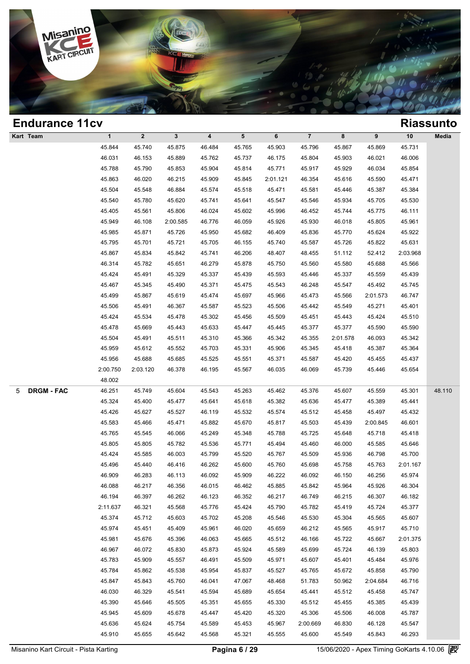

| <b>Endurance 11cv</b>  |              |              |              |                         |           |          |                |          |          |          | <b>Riassunto</b> |
|------------------------|--------------|--------------|--------------|-------------------------|-----------|----------|----------------|----------|----------|----------|------------------|
| Kart Team              | $\mathbf{1}$ | $\mathbf{2}$ | $\mathbf{3}$ | $\overline{\mathbf{4}}$ | ${\bf 5}$ | 6        | $\overline{7}$ | 8        | 9        | $10$     | Media            |
|                        | 45.844       | 45.740       | 45.875       | 46.484                  | 45.765    | 45.903   | 45.796         | 45.867   | 45.869   | 45.731   |                  |
|                        | 46.031       | 46.153       | 45.889       | 45.762                  | 45.737    | 46.175   | 45.804         | 45.903   | 46.021   | 46.006   |                  |
|                        | 45.788       | 45.790       | 45.853       | 45.904                  | 45.814    | 45.771   | 45.917         | 45.929   | 46.034   | 45.854   |                  |
|                        | 45.863       | 46.020       | 46.215       | 45.909                  | 45.845    | 2:01.121 | 46.354         | 45.616   | 45.590   | 45.471   |                  |
|                        | 45.504       | 45.548       | 46.884       | 45.574                  | 45.518    | 45.471   | 45.581         | 45.446   | 45.387   | 45.384   |                  |
|                        | 45.540       | 45.780       | 45.620       | 45.741                  | 45.641    | 45.547   | 45.546         | 45.934   | 45.705   | 45.530   |                  |
|                        | 45.405       | 45.561       | 45.806       | 46.024                  | 45.602    | 45.996   | 46.452         | 45.744   | 45.775   | 46.111   |                  |
|                        | 45.949       | 46.108       | 2:00.585     | 46.776                  | 46.059    | 45.926   | 45.930         | 46.018   | 45.805   | 45.961   |                  |
|                        | 45.985       | 45.871       | 45.726       | 45.950                  | 45.682    | 46.409   | 45.836         | 45.770   | 45.624   | 45.922   |                  |
|                        | 45.795       | 45.701       | 45.721       | 45.705                  | 46.155    | 45.740   | 45.587         | 45.726   | 45.822   | 45.631   |                  |
|                        | 45.867       | 45.834       | 45.842       | 45.741                  | 46.206    | 48.407   | 48.455         | 51.112   | 52.412   | 2:03.968 |                  |
|                        | 46.314       | 45.782       | 45.651       | 46.279                  | 45.878    | 45.750   | 45.560         | 45.580   | 45.688   | 45.566   |                  |
|                        | 45.424       | 45.491       | 45.329       | 45.337                  | 45.439    | 45.593   | 45.446         | 45.337   | 45.559   | 45.439   |                  |
|                        | 45.467       | 45.345       | 45.490       | 45.371                  | 45.475    | 45.543   | 46.248         | 45.547   | 45.492   | 45.745   |                  |
|                        | 45.499       | 45.867       | 45.619       | 45.474                  | 45.697    | 45.966   | 45.473         | 45.566   | 2:01.573 | 46.747   |                  |
|                        | 45.506       | 45.491       | 46.367       | 45.587                  | 45.523    | 45.506   | 45.442         | 45.549   | 45.271   | 45.401   |                  |
|                        | 45.424       | 45.534       | 45.478       | 45.302                  | 45.456    | 45.509   | 45.451         | 45.443   | 45.424   | 45.510   |                  |
|                        | 45.478       | 45.669       | 45.443       | 45.633                  | 45.447    | 45.445   | 45.377         | 45.377   | 45.590   | 45.590   |                  |
|                        | 45.504       | 45.491       | 45.511       | 45.310                  | 45.366    | 45.342   | 45.355         | 2:01.578 | 46.093   | 45.342   |                  |
|                        | 45.959       | 45.612       | 45.552       | 45.703                  | 45.331    | 45.906   | 45.345         | 45.418   | 45.387   | 45.364   |                  |
|                        | 45.956       | 45.688       | 45.685       | 45.525                  | 45.551    | 45.371   | 45.587         | 45.420   | 45.455   | 45.437   |                  |
|                        | 2:00.750     | 2:03.120     | 46.378       | 46.195                  | 45.567    | 46.035   | 46.069         | 45.739   | 45.446   | 45.654   |                  |
|                        | 48.002       |              |              |                         |           |          |                |          |          |          |                  |
| <b>DRGM - FAC</b><br>5 | 46.251       | 45.749       | 45.604       | 45.543                  | 45.263    | 45.462   | 45.376         | 45.607   | 45.559   | 45.301   | 48.110           |
|                        | 45.324       | 45.400       | 45.477       | 45.641                  | 45.618    | 45.382   | 45.636         | 45.477   | 45.389   | 45.441   |                  |
|                        | 45.426       | 45.627       | 45.527       | 46.119                  | 45.532    | 45.574   | 45.512         | 45.458   | 45.497   | 45.432   |                  |
|                        | 45.583       | 45.466       | 45.471       | 45.882                  | 45.670    | 45.817   | 45.503         | 45.439   | 2:00.845 | 46.601   |                  |
|                        | 45.765       | 45.545       | 46.066       | 45.249                  | 45.348    | 45.788   | 45.725         | 45.648   | 45.718   | 45.418   |                  |
|                        | 45.805       | 45.805       | 45.782       | 45.536                  | 45.771    | 45.494   | 45.460         | 46.000   | 45.585   | 45.646   |                  |
|                        | 45.424       | 45.585       | 46.003       | 45.799                  | 45.520    | 45.767   | 45.509         | 45.936   | 46.798   | 45.700   |                  |
|                        | 45.496       | 45.440       | 46.416       | 46.262                  | 45.600    | 45.760   | 45.698         | 45.758   | 45.763   | 2:01.167 |                  |
|                        | 46.909       | 46.283       | 46.113       | 46.092                  | 45.909    | 46.222   | 46.092         | 46.150   | 46.256   | 45.974   |                  |
|                        | 46.088       | 46.217       | 46.356       | 46.015                  | 46.462    | 45.885   | 45.842         | 45.964   | 45.926   | 46.304   |                  |
|                        | 46.194       | 46.397       | 46.262       | 46.123                  | 46.352    | 46.217   | 46.749         | 46.215   | 46.307   | 46.182   |                  |
|                        | 2:11.637     | 46.321       | 45.568       | 45.776                  | 45.424    | 45.790   | 45.782         | 45.419   | 45.724   | 45.377   |                  |
|                        | 45.374       | 45.712       | 45.603       | 45.702                  | 45.208    | 45.546   | 45.530         | 45.304   | 45.565   | 45.607   |                  |
|                        | 45.974       | 45.451       | 45.409       | 45.961                  | 46.020    | 45.659   | 46.212         | 45.565   | 45.917   | 45.710   |                  |
|                        | 45.981       | 45.676       | 45.396       | 46.063                  | 45.665    | 45.512   | 46.166         | 45.722   | 45.667   | 2:01.375 |                  |
|                        | 46.967       | 46.072       | 45.830       | 45.873                  | 45.924    | 45.589   | 45.699         | 45.724   | 46.139   | 45.803   |                  |
|                        | 45.783       | 45.909       | 45.557       | 46.491                  | 45.509    | 45.971   | 45.607         | 45.401   | 45.484   | 45.976   |                  |
|                        | 45.784       | 45.862       | 45.538       | 45.954                  | 45.837    | 45.527   | 45.765         | 45.672   | 45.858   | 45.790   |                  |
|                        | 45.847       | 45.843       | 45.760       | 46.041                  | 47.067    | 48.468   | 51.783         | 50.962   | 2:04.684 | 46.716   |                  |
|                        | 46.030       | 46.329       | 45.541       | 45.594                  | 45.689    | 45.654   | 45.441         | 45.512   | 45.458   | 45.747   |                  |
|                        | 45.390       | 45.646       | 45.505       | 45.351                  | 45.655    | 45.330   | 45.512         | 45.455   | 45.385   | 45.439   |                  |
|                        | 45.945       | 45.609       | 45.678       | 45.447                  | 45.420    | 45.320   | 45.306         | 45.506   | 46.008   | 45.787   |                  |
|                        | 45.636       | 45.624       | 45.754       | 45.589                  | 45.453    | 45.967   | 2:00.669       | 46.830   | 46.128   | 45.547   |                  |
|                        | 45.910       | 45.655       | 45.642       | 45.568                  | 45.321    | 45.555   | 45.600         | 45.549   | 45.843   | 46.293   |                  |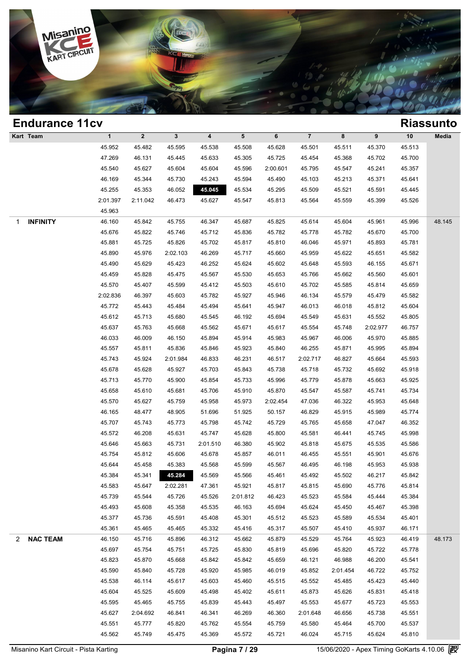

| <b>Endurance 11cv</b> |              |              |              |          |                 |          |                |          |          |        | <b>Riassunto</b> |
|-----------------------|--------------|--------------|--------------|----------|-----------------|----------|----------------|----------|----------|--------|------------------|
| Kart Team             | $\mathbf{1}$ | $\mathbf{2}$ | $\mathbf{3}$ | 4        | $5\phantom{.0}$ | 6        | $\overline{7}$ | 8        | 9        | 10     | Media            |
|                       | 45.952       | 45.482       | 45.595       | 45.538   | 45.508          | 45.628   | 45.501         | 45.511   | 45.370   | 45.513 |                  |
|                       | 47.269       | 46.131       | 45.445       | 45.633   | 45.305          | 45.725   | 45.454         | 45.368   | 45.702   | 45.700 |                  |
|                       | 45.540       | 45.627       | 45.604       | 45.604   | 45.596          | 2:00.601 | 45.795         | 45.547   | 45.241   | 45.357 |                  |
|                       | 46.169       | 45.344       | 45.730       | 45.243   | 45.594          | 45.490   | 45.103         | 45.213   | 45.371   | 45.641 |                  |
|                       | 45.255       | 45.353       | 46.052       | 45.045   | 45.534          | 45.295   | 45.509         | 45.521   | 45.591   | 45.445 |                  |
|                       | 2:01.397     | 2:11.042     | 46.473       | 45.627   | 45.547          | 45.813   | 45.564         | 45.559   | 45.399   | 45.526 |                  |
|                       | 45.963       |              |              |          |                 |          |                |          |          |        |                  |
| <b>INFINITY</b><br>-1 | 46.160       | 45.842       | 45.755       | 46.347   | 45.687          | 45.825   | 45.614         | 45.604   | 45.961   | 45.996 | 48.145           |
|                       | 45.676       | 45.822       | 45.746       | 45.712   | 45.836          | 45.782   | 45.778         | 45.782   | 45.670   | 45.700 |                  |
|                       | 45.881       | 45.725       | 45.826       | 45.702   | 45.817          | 45.810   | 46.046         | 45.971   | 45.893   | 45.781 |                  |
|                       | 45.890       | 45.976       | 2:02.103     | 46.269   | 45.717          | 45.660   | 45.959         | 45.622   | 45.651   | 45.582 |                  |
|                       | 45.490       | 45.629       | 45.423       | 46.252   | 45.624          | 45.602   | 45.648         | 45.593   | 46.155   | 45.671 |                  |
|                       | 45.459       | 45.828       | 45.475       | 45.567   | 45.530          | 45.653   | 45.766         | 45.662   | 45.560   | 45.601 |                  |
|                       | 45.570       | 45.407       | 45.599       | 45.412   | 45.503          | 45.610   | 45.702         | 45.585   | 45.814   | 45.659 |                  |
|                       | 2:02.836     | 46.397       | 45.603       | 45.782   | 45.927          | 45.946   | 46.134         | 45.579   | 45.479   | 45.582 |                  |
|                       | 45.772       | 45.443       | 45.484       | 45.494   | 45.641          | 45.947   | 46.013         | 46.018   | 45.812   | 45.604 |                  |
|                       | 45.612       | 45.713       | 45.680       | 45.545   | 46.192          | 45.694   | 45.549         | 45.631   | 45.552   | 45.805 |                  |
|                       | 45.637       | 45.763       | 45.668       | 45.562   | 45.671          | 45.617   | 45.554         | 45.748   | 2:02.977 | 46.757 |                  |
|                       | 46.033       | 46.009       | 46.150       | 45.894   | 45.914          | 45.983   | 45.967         | 46.006   | 45.970   | 45.885 |                  |
|                       | 45.557       | 45.811       | 45.836       | 45.846   | 45.923          | 45.840   | 46.255         | 45.871   | 45.995   | 45.894 |                  |
|                       | 45.743       | 45.924       | 2:01.984     | 46.833   | 46.231          | 46.517   | 2:02.717       | 46.827   | 45.664   | 45.593 |                  |
|                       | 45.678       | 45.628       | 45.927       | 45.703   | 45.843          | 45.738   | 45.718         | 45.732   | 45.692   | 45.918 |                  |
|                       | 45.713       | 45.770       | 45.900       | 45.854   | 45.733          | 45.996   | 45.779         | 45.878   | 45.663   | 45.925 |                  |
|                       | 45.658       | 45.610       | 45.681       | 45.706   | 45.910          | 45.870   | 45.547         | 45.587   | 45.741   | 45.734 |                  |
|                       | 45.570       | 45.627       | 45.759       | 45.958   | 45.973          | 2:02.454 | 47.036         | 46.322   | 45.953   | 45.648 |                  |
|                       | 46.165       | 48.477       | 48.905       | 51.696   | 51.925          | 50.157   | 46.829         | 45.915   | 45.989   | 45.774 |                  |
|                       | 45.707       | 45.743       | 45.773       | 45.798   | 45.742          | 45.729   | 45.765         | 45.658   | 47.047   | 46.352 |                  |
|                       | 45.572       | 46.208       | 45.631       | 45.747   | 45.628          | 45.800   | 45.581         | 46.441   | 45.745   | 45.998 |                  |
|                       | 45.646       | 45.663       | 45.731       | 2:01.510 | 46.380          | 45.902   | 45.818         | 45.675   | 45.535   | 45.586 |                  |
|                       | 45.754       | 45.812       | 45.606       | 45.678   | 45.857          | 46.011   | 46.455         | 45.551   | 45.901   | 45.676 |                  |
|                       | 45.644       | 45.458       | 45.383       | 45.568   | 45.599          | 45.567   | 46.495         | 46.198   | 45.953   | 45.938 |                  |
|                       | 45.384       | 45.341       | 45.284       | 45.569   | 45.566          | 45.461   | 45.492         | 45.502   | 46.217   | 45.842 |                  |
|                       | 45.583       | 45.647       | 2:02.281     | 47.361   | 45.921          | 45.817   | 45.815         | 45.690   | 45.776   | 45.814 |                  |
|                       | 45.739       | 45.544       | 45.726       | 45.526   | 2:01.812        | 46.423   | 45.523         | 45.584   | 45.444   | 45.384 |                  |
|                       | 45.493       | 45.608       | 45.358       | 45.535   | 46.163          | 45.694   | 45.624         | 45.450   | 45.467   | 45.398 |                  |
|                       | 45.377       | 45.736       | 45.591       | 45.408   | 45.301          | 45.512   | 45.523         | 45.589   | 45.534   | 45.401 |                  |
|                       | 45.361       | 45.465       | 45.465       | 45.332   | 45.416          | 45.317   | 45.507         | 45.410   | 45.937   | 46.171 |                  |
| <b>NAC TEAM</b><br>2  | 46.150       | 45.716       | 45.896       | 46.312   | 45.662          | 45.879   | 45.529         | 45.764   | 45.923   | 46.419 | 48.173           |
|                       | 45.697       | 45.754       | 45.751       | 45.725   | 45.830          | 45.819   | 45.696         | 45.820   | 45.722   | 45.778 |                  |
|                       | 45.823       | 45.870       | 45.668       | 45.842   | 45.842          | 45.659   | 46.121         | 46.988   | 46.200   | 45.541 |                  |
|                       | 45.590       | 45.840       | 45.728       | 45.920   | 45.985          | 46.019   | 45.852         | 2:01.454 | 46.722   | 45.752 |                  |
|                       | 45.538       | 46.114       | 45.617       | 45.603   | 45.460          | 45.515   | 45.552         | 45.485   | 45.423   | 45.440 |                  |
|                       | 45.604       | 45.525       | 45.609       | 45.498   | 45.402          | 45.611   | 45.873         | 45.626   | 45.831   | 45.418 |                  |
|                       | 45.595       | 45.465       | 45.755       | 45.839   | 45.443          | 45.497   | 45.553         | 45.677   | 45.723   | 45.553 |                  |
|                       | 45.627       | 2:04.692     | 46.841       | 46.341   | 46.269          | 46.360   | 2:01.648       | 46.656   | 45.738   | 45.551 |                  |
|                       | 45.551       | 45.777       | 45.820       | 45.762   | 45.554          | 45.759   | 45.580         | 45.464   | 45.700   | 45.537 |                  |
|                       |              |              |              |          |                 |          |                |          |          |        |                  |
|                       | 45.562       | 45.749       | 45.475       | 45.369   | 45.572          | 45.721   | 46.024         | 45.715   | 45.624   | 45.810 |                  |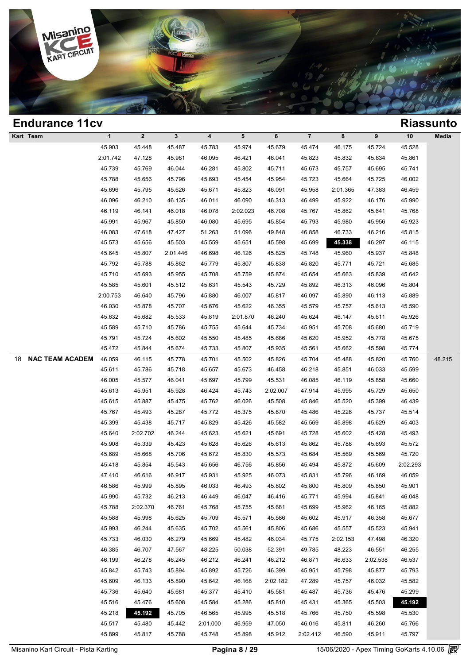

| <b>Endurance 11cv</b>        |              |                  |              |                         |          |          |                |          |          |          | <b>Riassunto</b> |
|------------------------------|--------------|------------------|--------------|-------------------------|----------|----------|----------------|----------|----------|----------|------------------|
| Kart Team                    | $\mathbf{1}$ | $\boldsymbol{2}$ | $\mathbf{3}$ | $\overline{\mathbf{4}}$ | 5        | 6        | $\overline{7}$ | 8        | 9        | 10       | Media            |
|                              | 45.903       | 45.448           | 45.487       | 45.783                  | 45.974   | 45.679   | 45.474         | 46.175   | 45.724   | 45.528   |                  |
|                              | 2:01.742     | 47.128           | 45.981       | 46.095                  | 46.421   | 46.041   | 45.823         | 45.832   | 45.834   | 45.861   |                  |
|                              | 45.739       | 45.769           | 46.044       | 46.281                  | 45.802   | 45.711   | 45.673         | 45.757   | 45.695   | 45.741   |                  |
|                              | 45.788       | 45.656           | 45.796       | 45.693                  | 45.454   | 45.954   | 45.723         | 45.664   | 45.725   | 46.002   |                  |
|                              | 45.696       | 45.795           | 45.626       | 45.671                  | 45.823   | 46.091   | 45.958         | 2:01.365 | 47.383   | 46.459   |                  |
|                              | 46.096       | 46.210           | 46.135       | 46.011                  | 46.090   | 46.313   | 46.499         | 45.922   | 46.176   | 45.990   |                  |
|                              | 46.119       | 46.141           | 46.018       | 46.078                  | 2:02.023 | 46.708   | 45.767         | 45.862   | 45.641   | 45.768   |                  |
|                              | 45.991       | 45.967           | 45.850       | 46.080                  | 45.695   | 45.854   | 45.793         | 45.980   | 45.956   | 45.923   |                  |
|                              | 46.083       | 47.618           | 47.427       | 51.263                  | 51.096   | 49.848   | 46.858         | 46.733   | 46.216   | 45.815   |                  |
|                              | 45.573       | 45.656           | 45.503       | 45.559                  | 45.651   | 45.598   | 45.699         | 45.338   | 46.297   | 46.115   |                  |
|                              | 45.645       | 45.807           | 2:01.446     | 46.698                  | 46.126   | 45.825   | 45.748         | 45.960   | 45.937   | 45.848   |                  |
|                              | 45.792       | 45.788           | 45.862       | 45.779                  | 45.807   | 45.838   | 45.820         | 45.771   | 45.721   | 45.685   |                  |
|                              | 45.710       | 45.693           | 45.955       | 45.708                  | 45.759   | 45.874   | 45.654         | 45.663   | 45.839   | 45.642   |                  |
|                              | 45.585       | 45.601           | 45.512       | 45.631                  | 45.543   | 45.729   | 45.892         | 46.313   | 46.096   | 45.804   |                  |
|                              | 2:00.753     | 46.640           | 45.796       | 45.880                  | 46.007   | 45.817   | 46.097         | 45.890   | 46.113   | 45.889   |                  |
|                              | 46.030       | 45.878           | 45.707       | 45.676                  | 45.622   | 46.355   | 45.579         | 45.757   | 45.613   | 45.590   |                  |
|                              | 45.632       | 45.682           | 45.533       | 45.819                  | 2:01.870 | 46.240   | 45.624         | 46.147   | 45.611   | 45.926   |                  |
|                              | 45.589       | 45.710           | 45.786       | 45.755                  | 45.644   | 45.734   | 45.951         | 45.708   | 45.680   | 45.719   |                  |
|                              | 45.791       | 45.724           | 45.602       | 45.550                  | 45.485   | 45.686   | 45.620         | 45.952   | 45.778   | 45.675   |                  |
|                              | 45.472       | 45.844           | 45.674       | 45.733                  | 45.807   | 45.935   | 45.561         | 45.662   | 45.598   | 45.774   |                  |
| <b>NAC TEAM ACADEM</b><br>18 | 46.059       | 46.115           | 45.778       | 45.701                  | 45.502   | 45.826   | 45.704         | 45.488   | 45.820   | 45.760   | 48.215           |
|                              | 45.611       | 45.786           | 45.718       | 45.657                  | 45.673   | 46.458   | 46.218         | 45.851   | 46.033   | 45.599   |                  |
|                              | 46.005       | 45.577           | 46.041       | 45.697                  | 45.799   | 45.531   | 46.085         | 46.119   | 45.858   | 45.660   |                  |
|                              | 45.613       | 45.951           | 45.928       | 46.424                  | 45.743   | 2:02.007 | 47.914         | 45.995   | 45.729   | 45.650   |                  |
|                              | 45.615       | 45.887           | 45.475       | 45.762                  | 46.026   | 45.508   | 45.846         | 45.520   | 45.399   | 46.439   |                  |
|                              | 45.767       | 45.493           | 45.287       | 45.772                  | 45.375   | 45.870   | 45.486         | 45.226   | 45.737   | 45.514   |                  |
|                              | 45.399       | 45.438           | 45.717       | 45.829                  | 45.426   | 45.582   | 45.569         | 45.898   | 45.629   | 45.403   |                  |
|                              | 45.640       | 2:02.702         | 46.244       | 45.623                  | 45.621   | 45.691   | 45.728         | 45.602   | 45.428   | 45.493   |                  |
|                              | 45.908       | 45.339           | 45.423       | 45.628                  | 45.626   | 45.613   | 45.862         | 45.788   | 45.693   | 45.572   |                  |
|                              | 45.689       | 45.668           | 45.706       | 45.672                  | 45.830   | 45.573   | 45.684         | 45.569   | 45.569   | 45.720   |                  |
|                              | 45.418       | 45.854           | 45.543       | 45.656                  | 46.756   | 45.856   | 45.494         | 45.872   | 45.609   | 2:02.293 |                  |
|                              | 47.410       | 46.616           | 46.917       | 45.931                  | 45.925   | 46.073   | 45.831         | 45.796   | 46.169   | 46.059   |                  |
|                              | 46.586       | 45.999           | 45.895       | 46.033                  | 46.493   | 45.802   | 45.800         | 45.809   | 45.850   | 45.901   |                  |
|                              | 45.990       | 45.732           | 46.213       | 46.449                  | 46.047   | 46.416   | 45.771         | 45.994   | 45.841   | 46.048   |                  |
|                              | 45.788       | 2:02.370         | 46.761       | 45.768                  | 45.755   | 45.681   | 45.699         | 45.962   | 46.165   | 45.882   |                  |
|                              | 45.588       | 45.998           | 45.625       | 45.709                  | 45.571   | 45.586   | 45.602         | 45.917   | 46.358   | 45.677   |                  |
|                              | 45.993       | 46.244           | 45.635       | 45.702                  | 45.561   | 45.806   | 45.686         | 45.557   | 45.523   | 45.941   |                  |
|                              | 45.733       | 46.030           | 46.279       | 45.669                  | 45.482   | 46.034   | 45.775         | 2:02.153 | 47.498   | 46.320   |                  |
|                              | 46.385       | 46.707           | 47.567       | 48.225                  | 50.038   | 52.391   | 49.785         | 48.223   | 46.551   | 46.255   |                  |
|                              |              |                  |              |                         |          |          |                |          |          |          |                  |
|                              | 46.199       | 46.278           | 46.245       | 46.212                  | 46.241   | 46.212   | 46.871         | 46.633   | 2:02.538 | 46.537   |                  |
|                              | 45.842       | 45.743           | 45.894       | 45.892                  | 45.726   | 46.399   | 45.951         | 45.798   | 45.877   | 45.793   |                  |
|                              | 45.609       | 46.133           | 45.890       | 45.642                  | 46.168   | 2:02.182 | 47.289         | 45.757   | 46.032   | 45.582   |                  |
|                              | 45.736       | 45.640           | 45.681       | 45.377                  | 45.410   | 45.581   | 45.487         | 45.736   | 45.476   | 45.299   |                  |
|                              | 45.516       | 45.476           | 45.608       | 45.584                  | 45.286   | 45.810   | 45.431         | 45.365   | 45.503   | 45.192   |                  |
|                              | 45.218       | 45.192           | 45.705       | 46.565                  | 45.995   | 45.518   | 45.766         | 45.750   | 45.598   | 45.530   |                  |
|                              | 45.517       | 45.480           | 45.442       | 2:01.000                | 46.959   | 47.050   | 46.016         | 45.811   | 46.260   | 45.766   |                  |
|                              | 45.899       | 45.817           | 45.788       | 45.748                  | 45.898   | 45.912   | 2:02.412       | 46.590   | 45.911   | 45.797   |                  |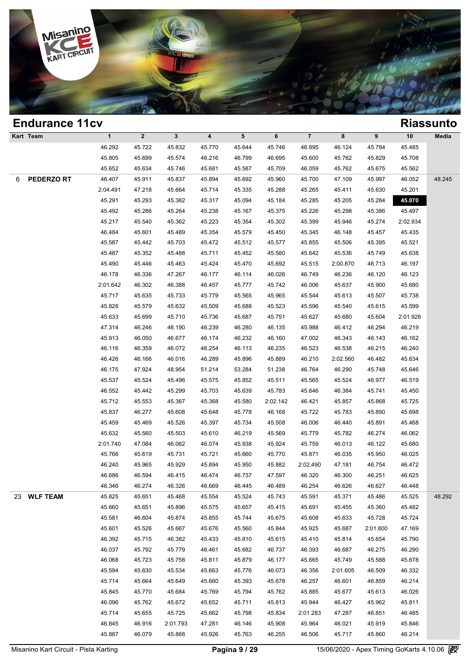

|   | <b>Endurance 11cv</b> |              |              |              |        |        |          |                |          |          |          | <b>Riassunto</b> |
|---|-----------------------|--------------|--------------|--------------|--------|--------|----------|----------------|----------|----------|----------|------------------|
|   | Kart Team             | $\mathbf{1}$ | $\mathbf{2}$ | $\mathbf{3}$ | 4      | 5      | 6        | $\overline{7}$ | 8        | 9        | 10       | Media            |
|   |                       | 46.292       | 45.722       | 45.832       | 45.770 | 45.644 | 45.746   | 46.895         | 46.124   | 45.784   | 45.485   |                  |
|   |                       | 45.805       | 45.699       | 45.574       | 46.216 | 46.799 | 46.695   | 45.600         | 45.762   | 45.829   | 45.708   |                  |
|   |                       | 45.652       | 45.634       | 45.746       | 45.681 | 45.587 | 45.709   | 46.059         | 45.762   | 45.675   | 45.562   |                  |
| 6 | PEDERZO RT            | 46.407       | 45.911       | 45.837       | 45.894 | 45.692 | 45.960   | 45.700         | 47.109   | 45.997   | 46.052   | 48.245           |
|   |                       | 2:04.491     | 47.218       | 45.664       | 45.714 | 45.335 | 45.288   | 45.265         | 45.411   | 45.630   | 45.201   |                  |
|   |                       | 45.291       | 45.293       | 45.382       | 45.317 | 45.094 | 45.184   | 45.285         | 45.205   | 45.284   | 45.070   |                  |
|   |                       | 45.492       | 45.286       | 45.264       | 45.238 | 45.167 | 45.375   | 45.226         | 45.298   | 45.386   | 45.497   |                  |
|   |                       | 45.217       | 45.540       | 45.362       | 45.223 | 45.354 | 45.302   | 45.399         | 45.946   | 45.274   | 2:02.934 |                  |
|   |                       | 46.484       | 45.601       | 45.489       | 45.354 | 45.579 | 45.450   | 45.345         | 46.148   | 45.457   | 45.435   |                  |
|   |                       | 45.587       | 45.442       | 45.703       | 45.472 | 45.512 | 45.577   | 45.855         | 45.506   | 45.395   | 45.521   |                  |
|   |                       | 45.487       | 45.352       | 45.488       | 45.711 | 45.452 | 45.580   | 45.642         | 45.536   | 45.749   | 45.638   |                  |
|   |                       | 45.490       | 45.446       | 45.463       | 45.424 | 45.470 | 45.692   | 45.515         | 2:00.870 | 46.713   | 46.197   |                  |
|   |                       | 46.178       | 46.336       | 47.267       | 46.177 | 46.114 | 46.026   | 46.749         | 46.236   | 46.120   | 46.123   |                  |
|   |                       | 2:01.642     | 46.302       | 46.388       | 46.457 | 45.777 | 45.742   | 46.006         | 45.637   | 45.900   | 45.680   |                  |
|   |                       | 45.717       | 45.635       | 45.733       | 45.779 | 45.565 | 45.965   | 45.544         | 45.613   | 45.507   | 45.738   |                  |
|   |                       | 45.828       | 45.579       | 45.632       | 45.509 | 45.688 | 45.523   | 45.596         | 45.540   | 45.615   | 45.599   |                  |
|   |                       | 45.633       | 45.699       | 45.710       | 45.736 | 45.687 | 45.751   | 45.627         | 45.680   | 45.604   | 2:01.926 |                  |
|   |                       | 47.314       | 46.246       | 46.190       | 46.239 | 46.280 | 46.135   | 45.988         | 46.412   | 46.294   | 46.219   |                  |
|   |                       | 45.913       | 46.050       | 46.677       | 46.174 | 46.232 | 46.160   | 47.002         | 46.343   | 46.143   | 46.162   |                  |
|   |                       | 46.116       | 46.359       | 46.072       | 46.254 | 46.113 | 46.235   | 46.523         | 46.538   | 46.215   | 46.240   |                  |
|   |                       | 46.426       | 46.166       | 46.016       | 46.289 | 45.896 | 45.889   | 46.210         | 2:02.560 | 46.482   | 45.634   |                  |
|   |                       | 46.175       | 47.924       | 48.954       | 51.214 | 53.284 | 51.238   | 46.764         | 46.290   | 45.748   | 45.646   |                  |
|   |                       | 45.537       | 45.524       | 45.496       | 45.575 | 45.852 | 45.511   | 45.565         | 45.524   | 46.977   | 46.519   |                  |
|   |                       | 46.552       | 45.442       | 45.299       | 45.703 | 45.639 | 45.783   | 45.646         | 46.384   | 45.741   | 45.450   |                  |
|   |                       | 45.712       | 45.553       | 45.367       | 45.368 | 45.580 | 2:02.142 | 46.421         | 45.857   | 45.868   | 45.725   |                  |
|   |                       | 45.837       | 46.277       | 45.608       | 45.648 | 45.778 | 46.168   | 45.722         | 45.783   | 45.890   | 45.698   |                  |
|   |                       | 45.459       | 45.469       | 45.526       | 45.397 | 45.734 | 45.508   | 46.006         | 46.440   | 45.891   | 45.468   |                  |
|   |                       | 45.632       | 45.560       | 45.503       | 45.610 | 46.219 | 45.569   | 45.779         | 45.782   | 46.274   | 46.062   |                  |
|   |                       | 2:01.740     | 47.084       | 46.062       | 46.074 | 45.938 | 45.924   | 45.759         | 46.013   | 46.122   | 45.680   |                  |
|   |                       | 45.766       | 45.619       | 45.731       | 45.721 | 45.660 | 45.770   | 45.871         | 46.035   | 45.950   | 46.025   |                  |
|   |                       | 46.240       | 45.965       | 45.929       | 45.894 | 45.950 | 45.882   | 2:02.490       | 47.181   | 46.754   | 46.472   |                  |
|   |                       | 46.686       | 46.594       | 46.415       | 46.474 | 46.737 | 47.597   | 46.320         | 46.300   | 46.251   | 46.625   |                  |
|   |                       | 46.346       | 46.274       | 46.326       | 46.669 | 46.445 | 46.489   | 46.254         | 46.626   | 46.627   | 46.448   |                  |
|   | 23 WLF TEAM           | 45.825       | 45.651       | 45.468       | 45.554 | 45.524 | 45.743   | 45.591         | 45.371   | 45.486   | 45.525   | 48.292           |
|   |                       | 45.660       | 45.651       | 45.896       | 45.575 | 45.657 | 45.415   | 45.691         | 45.455   | 45.360   | 45.482   |                  |
|   |                       | 45.581       | 46.604       | 45.874       | 45.855 | 45.744 | 45.675   | 45.608         | 45.633   | 45.728   | 45.724   |                  |
|   |                       | 45.601       | 45.526       | 45.667       | 45.676 | 45.560 | 45.844   | 45.925         | 45.687   | 2:01.800 | 47.169   |                  |
|   |                       | 46.392       | 45.715       | 46.382       | 45.433 | 45.810 | 45.615   | 45.410         | 45.814   | 45.654   | 45.790   |                  |
|   |                       | 46.037       | 45.792       | 45.779       | 46.461 | 45.682 | 46.737   | 46.393         | 46.687   | 46.275   | 46.290   |                  |
|   |                       | 46.068       | 45.723       | 45.758       | 45.811 | 45.879 | 46.177   | 45.665         | 45.749   | 45.588   | 45.678   |                  |
|   |                       | 45.594       | 45.630       | 45.534       | 45.663 | 45.776 | 46.073   | 46.356         | 2:01.605 | 46.509   | 46.332   |                  |
|   |                       | 45.714       | 45.664       | 45.649       | 45.660 | 45.393 | 45.678   | 46.257         | 46.601   | 46.859   | 46.214   |                  |
|   |                       | 45.845       | 45.770       | 45.684       | 45.769 | 45.794 | 45.762   | 45.885         | 45.677   | 45.613   | 46.026   |                  |
|   |                       | 46.096       | 45.762       | 45.672       | 45.652 | 45.711 | 45.813   | 45.944         | 46.427   | 45.962   | 45.811   |                  |
|   |                       | 45.714       | 45.655       | 45.725       | 45.662 | 45.798 | 45.834   | 2:01.283       | 47.287   | 46.851   | 46.485   |                  |
|   |                       | 46.845       | 46.916       | 2:01.793     | 47.281 | 46.146 | 45.908   | 45.964         | 46.021   | 45.919   | 45.846   |                  |
|   |                       | 45.887       | 46.079       | 45.868       | 45.926 | 45.763 | 46.255   | 46.506         | 45.717   | 45.860   | 46.214   |                  |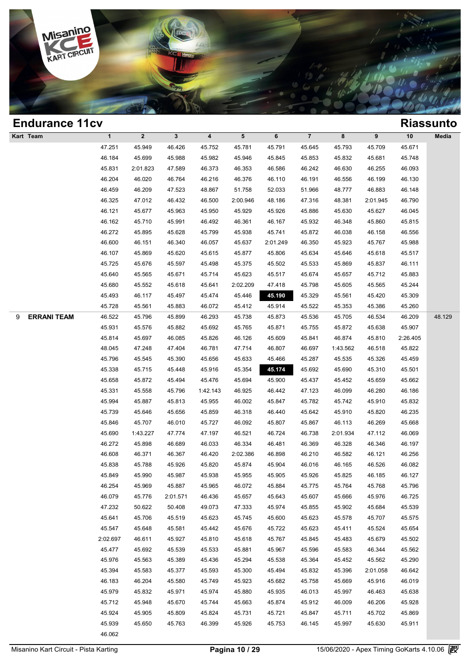

### **Endurance 11cv Riassunto Kart Team 1 2 3 4 5 6 7 8 9 10 Media 1**<br>
47.251 45.949 46.426 45.752 45.781 45.791 45.645 45.793 45.709 45.671<br>
46.424 45.699 45.992 45.992 45.945 45.945 45.952 45.932 45.691 45.749 1 2 3 4 5 6 7 8 9 10 Med<br>47.251 45.949 46.426 45.752 45.781 45.791 45.645 45.793 45.709 45.671<br>46.184 45.699 45.988 45.982 45.946 45.845 45.832 45.832 45.681 45.748<br>45.831 3:01.833 47.580 46.373 46.853 46.834 46.845 46.832 1 2 3 4 5 6 7 8 9 10 Med<br>47.251 45.949 46.426 45.752 45.781 45.791 45.645 45.793 45.709 45.671<br>46.184 45.699 45.988 45.982 45.946 45.845 45.853 45.832 45.681 45.748<br>45.831 2:01.823 47.589 46.373 46.353 46.586 46.242 46.630 46.184 45.949 46.426 45.752 45.781 45.791 45.645 45.793 45.709 45.671<br>46.184 45.699 45.988 45.982 45.946 45.845 45.853 45.832 45.681 45.748<br>45.831 2:01.823 47.589 46.373 46.353 46.586 46.242 46.630 46.255 46.093<br>46.204 46. 46.184 45.699 45.988 45.982 45.946 45.845 45.853 45.832 45.681 45.748<br>45.831 2:01.823 47.589 46.373 46.353 46.586 46.242 46.630 46.255 46.093<br>46.204 46.020 46.764 46.216 46.376 46.110 46.191 46.556 46.199 46.130<br>46.459 46. 46.204 46.020 47.589 46.373 46.353 46.586 46.242 46.630 46.255 46.093<br>46.204 46.020 46.764 46.216 46.376 46.110 46.191 46.556 46.199 46.130<br>46.459 46.209 47.523 48.867 51.758 52.033 51.966 48.777 46.883 46.148<br>46.325 47.01 46.204 46.020 46.764 46.216 46.376 46.110 46.191 46.556 46.199 46.130<br>46.459 46.209 47.523 48.867 51.758 52.033 51.966 48.777 46.883 46.148<br>46.325 47.012 46.432 46.500 2:00.946 48.186 47.316 48.381 2:01.945 46.790<br>46.121 4 46.459 46.209 47.523 48.867 51.758 52.033 51.966 48.777 46.883 46.148<br>46.325 47.012 46.432 46.500 2:00.946 48.186 47.316 48.381 2:01.945 46.790<br>46.121 45.677 45.963 45.950 45.929 45.926 45.886 45.630 45.627 46.045<br>46.162 4 46.325 47.012 46.432 46.500 2:00.946 48.186 47.316 48.381 2:01.945 46.790<br>46.121 45.677 45.963 45.950 45.929 45.926 45.886 45.630 45.627 46.045<br>46.162 45.710 45.991 46.492 46.361 46.167 45.932 46.348 45.860 45.815<br>46.272 45 46.121 45.677 45.963 45.950 45.929 45.926 45.886 45.630 45.627 46.045<br>46.162 45.710 45.991 46.492 46.361 46.167 45.932 46.348 45.860 45.815<br>46.272 45.895 45.628 45.799 45.938 45.741 45.872 46.038 46.158 46.556<br>46.600 46.15 46.162 45.710 45.991 46.492 46.361 46.167 45.932 46.348 45.860 45.815<br>46.272 45.895 45.628 45.799 45.938 45.741 45.872 46.038 46.158 46.556<br>46.600 46.151 46.340 46.057 45.637 2:01.249 46.350 45.923 45.767 45.988<br>46.107 45. 46.272 45.895 45.628 45.799 45.938 45.741 45.872 46.038 46.158 46.556<br>46.600 46.151 46.340 46.057 45.637 2:01.249 46.350 45.923 45.767 45.988<br>46.107 45.869 45.620 45.615 45.877 45.806 45.634 45.646 45.618 45.517<br>45.725 45. 46.600 46.151 46.340 46.057 45.637 2:01.249 46.350 45.923 45.767 45.988<br>46.107 45.869 45.620 45.615 45.877 45.806 45.634 45.646 45.618 45.517<br>45.725 45.676 45.597 45.498 45.375 45.502 45.533 45.869 45.837 46.111<br>45.640 45. 45.676 46.689 46.620 45.615 45.877 45.806 45.634 45.646 45.618 45.517<br>45.725 45.676 45.597 45.498 45.375 45.502 45.533 45.869 45.837 46.111<br>45.640 45.565 45.671 45.714 45.623 45.517 45.674 45.657 45.712 45.883<br>45.680 45.552 45.725 45.676 45.597 45.498 45.375 45.502 45.533 45.869 45.837 46.111<br>45.640 45.565 45.671 45.714 45.623 45.517 45.674 45.657 45.712 45.883<br>45.680 45.552 45.618 45.641 2:02.209 47.418 45.798 45.605 45.565 45.244<br>45.493 46. 45.640 45.565 45.671 45.714 45.623 45.517 45.674 45.657 45.712 45.883<br>45.680 45.552 45.618 45.641 2:02.209 47.418 45.798 45.605 45.565 45.244<br>45.493 46.117 45.497 45.474 45.446 45.121 45.329 45.561 45.420 45.309<br>45.728 45.5 9 **ERRANI TEAM** 46.522 45.796 45.899 46.293 45.738 45.873 45.536 45.705 46.534 46.209 48.129 45.493 46.117 45.497 45.474 45.446 45.190 45.329 45.561 45.420 45.309<br>45.728 45.561 45.883 46.072 45.412 45.914 45.522 45.353 45.386 45.260<br>46.522 45.796 45.899 46.293 45.738 45.873 45.536 45.705 46.534 46.209 48.1<br>45.931 4 46.728 45.561 45.883 46.072 45.412 45.914 45.522 45.353 45.386 45.260<br>46.522 45.796 45.899 46.293 45.738 45.873 45.536 45.705 46.534 46.209 48.<br>45.931 45.576 45.882 45.692 45.765 45.871 45.755 45.872 45.638 45.907<br>45.814 4 46.522 45.796 45.899 46.293 45.738 45.873 45.536 45.705 46.534 46.209 48.1<br>45.931 45.576 45.882 45.692 45.765 45.871 45.755 45.872 45.638 45.907<br>45.814 45.697 46.085 45.826 46.126 45.609 45.841 46.874 45.810 2:26.405<br>48.04 45.931 45.576 45.882 45.692 45.765 45.871 45.755 45.872 45.638 45.907<br>45.814 45.697 46.085 45.826 46.126 45.609 45.841 46.874 45.810 2:26.405<br>48.045 47.248 47.404 46.781 47.714 46.807 46.697 1:43.562 46.518 45.822<br>45.796 4 45.814 45.697 46.085 45.826 46.126 45.609 45.841 46.874 45.810 2:26.405<br>48.045 47.248 47.404 46.781 47.714 46.807 46.697 1:43.562 46.518 45.822<br>45.796 45.545 45.390 45.656 45.633 45.466 45.287 45.535 45.326 45.459<br>45.338 4 46.658 46.872 46.48 46.487 46.697 46.697 46.697 46.697 46.518 45.822<br>45.796 45.545 45.390 45.656 45.633 45.466 45.287 45.535 45.326 45.459<br>45.338 45.715 45.448 45.916 45.354 45.174 46.692 45.690 45.310 45.501<br>45.658 45.872 45.796 45.545 45.390 45.656 45.633 45.466 45.287 45.535 45.326 45.459<br>45.338 45.715 45.448 45.916 45.354 45.174 45.692 45.690 45.310 45.501<br>45.658 45.872 45.494 45.476 45.694 45.900 45.437 45.452 45.659 45.662<br>45.331 45.558 45.338 45.715 45.448 45.916 45.354 45.174 45.692 45.690 45.310 45.501<br>45.658 45.872 45.494 45.476 45.694 45.900 45.437 45.452 45.659 45.662<br>45.331 45.558 45.796 1:42.143 46.925 46.442 47.123 46.099 46.280 46.186<br>45.994 45.8 45.658 45.872 45.494 45.476 45.694 45.900 45.437 45.452 45.659 45.662<br>45.331 45.558 45.796 1:42.143 46.925 46.442 47.123 46.099 46.280 46.186<br>45.994 45.887 45.813 45.955 46.002 45.847 45.782 45.742 45.910 45.832<br>45.739 45. 45.331 45.558 45.796 1:42.143 46.925 46.442 47.123 46.099 46.280 46.186<br>45.994 45.887 45.813 45.955 46.002 45.847 45.782 45.742 45.910 45.832<br>45.739 45.646 45.656 45.859 46.318 46.440 45.642 45.910 45.820 46.235<br>45.846 45. 45.994 45.887 45.813 45.955 46.002 45.847 45.782 45.742 45.910 45.832<br>45.739 45.646 45.656 45.859 46.318 46.440 45.642 45.910 45.820 46.235<br>45.846 45.707 46.010 45.727 46.092 45.807 45.867 46.113 46.269 45.668<br>45.690 1:43. 46.272 46.036 46.889 46.328 46.328 46.328 46.328 46.328 46.328 46.328 46.328 46.328 46.328 46.328 46.328 46.328 46.328 46.328 46.328 46.328 46.328 46.328 46.328 46.328 46.328 46.328 46.328 46.328 46.328 46.328 46.328 46.328 46.846 45.707 46.010 45.727 46.092 45.807 45.867 46.113 46.269 45.668<br>45.690 1:43.227 47.774 47.197 46.521 46.724 46.738 2:01.934 47.112 46.069<br>46.272 45.898 46.689 46.033 46.334 46.481 46.369 46.328 46.346 46.197<br>46.608 46 46.838 46.889 46.889 46.928 46.821 46.824 46.738 2:01.934 47.112 46.069<br>46.272 45.898 46.689 46.033 46.334 46.481 46.369 46.328 46.346 46.197<br>46.608 46.371 46.367 46.420 2:02.386 46.898 46.210 46.582 46.121 46.256<br>45.838 4 46.272 45.898 46.689 46.033 46.334 46.481 46.369 46.328 46.346 46.197<br>46.608 46.371 46.367 46.420 2:02.386 46.898 46.210 46.582 46.121 46.256<br>45.838 45.788 45.926 45.820 45.874 45.904 46.016 46.165 46.526 46.082<br>45.849 45. 46.608 46.371 46.367 46.420 2:02.386 46.898 46.210 46.582 46.121 46.256<br>45.838 45.788 45.926 45.820 45.874 45.904 46.016 46.165 46.526 46.082<br>45.849 45.990 45.987 45.938 45.955 45.905 45.926 45.825 46.185 46.127<br>46.254 45. 46.079 46.622 45.922 46.436 46.072 46.657 46.657 46.666 46.976 46.623 46.079 46.623 46.082 46.079 46.776 2:01.571 46.436 45.657 45.643 45.695 45.987 45.987 46.072 45.884 45.775 45.764 45.768 46.725 46.079 45.776 2:01.571 46 45.849 45.990 45.987 45.938 45.955 45.905 45.926 45.825 46.185 46.127<br>46.254 45.969 45.887 45.965 46.072 45.884 45.775 45.764 45.768 45.796<br>46.079 45.776 2:01.571 46.436 45.657 45.643 45.607 45.666 45.976 46.725<br>47.232 50. 46.254 45.969 45.887 45.965 46.072 45.884 45.775 45.764 45.768 45.796<br>46.079 45.776 2:01.571 46.436 45.657 45.643 45.607 45.666 45.976 46.725<br>47.232 50.622 50.408 49.073 47.333 45.974 45.855 45.902 45.684 45.539<br>45.641 45. 46.079 45.776 2:01.571 46.436 45.657 45.643 45.607 45.666 45.976 46.725<br>47.232 50.622 50.408 49.073 47.333 45.974 45.855 45.902 45.684 45.539<br>45.641 45.706 45.519 45.623 45.745 45.600 45.623 45.578 45.707 45.575<br>45.547 45. 47.232 50.622 50.408 49.073 47.333 45.974 45.855 45.902 45.684 45.539<br>45.641 45.706 45.519 45.623 45.745 45.600 45.623 45.578 45.707 45.575<br>45.547 46.648 45.581 45.442 45.676 45.722 45.623 45.411 45.524 45.664<br>2:02.697 46. 45.641 45.706 45.519 45.623 45.745 45.600 45.623 45.578 45.707 45.575<br>45.547 45.648 45.581 45.442 45.676 45.722 45.623 45.411 45.524 45.654<br>1:02.697 46.611 45.927 45.810 45.618 45.767 45.845 45.483 45.679 45.502<br>45.477 45.6 45.547 45.648 45.581 45.442 45.676 45.722 45.623 45.411 45.524 45.654<br>
202.697 46.611 45.927 45.810 45.618 45.767 45.845 45.483 45.679 45.502<br>
45.477 45.692 45.539 45.533 45.881 45.967 45.596 45.583 46.344 45.562<br>
45.976 4 45.477 46.611 45.927 45.810 45.618 45.767 45.845 45.483 45.679 45.502<br>45.477 45.692 45.539 45.533 45.881 45.967 45.596 45.583 46.344 45.562<br>45.976 45.563 45.389 45.436 45.294 45.538 45.364 45.452 45.562 45.290<br>45.394 45.5 46.477 46.692 45.539 45.533 45.881 45.967 45.596 45.583 46.344 45.562<br>45.976 45.563 45.389 45.436 45.294 45.538 45.364 45.452 45.562 45.290<br>45.394 45.583 45.377 45.593 45.300 45.494 45.832 45.396 2:01.058 46.642<br>46.183 46. 45.976 45.563 45.389 45.436 45.294 45.538 45.364 45.452 45.562 45.290<br>45.394 45.583 45.377 45.593 45.300 45.494 45.832 45.396 2:01.058 46.642<br>46.183 46.204 45.580 45.749 45.923 45.682 45.758 45.669 45.916 46.019<br>45.979 45. 45.394 45.583 45.377 45.593 45.300 45.494 45.832 45.396 2:01.058 46.642<br>46.183 46.204 45.580 45.749 45.923 45.682 45.758 45.669 45.916 46.019<br>45.979 45.832 45.971 45.974 45.880 45.935 46.013 45.997 46.463 45.638<br>45.712 45. 46.183 46.204 45.580 45.749 45.923 45.682 45.758 45.669 45.916 46.019<br>45.979 45.832 45.971 45.974 45.880 45.935 46.013 45.997 46.463 45.638<br>45.712 45.948 45.670 45.744 45.663 45.874 45.912 46.009 46.206 45.928<br>45.924 45.90 45.979 45.832 45.971 45.974 45.880 45.935 46.013 45.997 46.463 45.638<br>45.712 45.948 45.670 45.744 45.663 45.874 45.912 46.009 46.206 45.928<br>45.924 45.905 45.809 45.824 45.731 45.721 45.847 45.711 45.702 45.869<br>45.939 45.65

46.062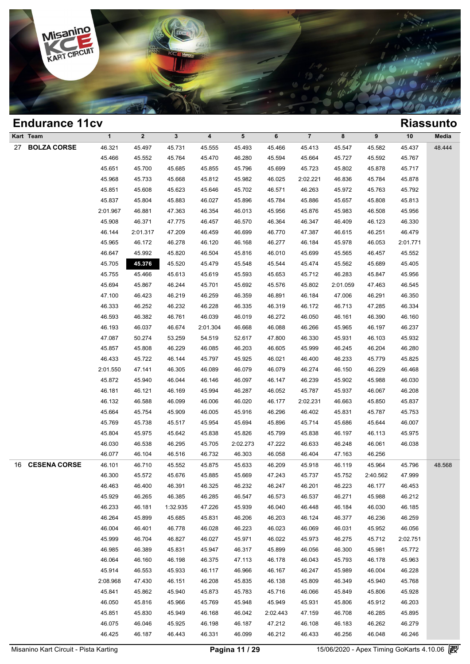

| <b>Eliuulalice Ticy</b>  |              |              |                |                         |          |          |                |          |          |          | NIASSUIILU |
|--------------------------|--------------|--------------|----------------|-------------------------|----------|----------|----------------|----------|----------|----------|------------|
| Kart Team                | $\mathbf{1}$ | $\mathbf{2}$ | 3 <sup>1</sup> | $\overline{\mathbf{4}}$ | 5        | 6        | $\overline{7}$ | 8        | 9        | 10       | Media      |
| <b>BOLZA CORSE</b><br>27 | 46.321       | 45.497       | 45.731         | 45.555                  | 45.493   | 45.466   | 45.413         | 45.547   | 45.582   | 45.437   | 48.444     |
|                          | 45.466       | 45.552       | 45.764         | 45.470                  | 46.280   | 45.594   | 45.664         | 45.727   | 45.592   | 45.767   |            |
|                          | 45.651       | 45.700       | 45.685         | 45.855                  | 45.796   | 45.699   | 45.723         | 45.802   | 45.878   | 45.717   |            |
|                          | 45.968       | 45.733       | 45.668         | 45.812                  | 45.982   | 46.025   | 2:02.221       | 46.836   | 45.784   | 45.878   |            |
|                          | 45.851       | 45.608       | 45.623         | 45.646                  | 45.702   | 46.571   | 46.263         | 45.972   | 45.763   | 45.792   |            |
|                          | 45.837       | 45.804       | 45.883         | 46.027                  | 45.896   | 45.784   | 45.886         | 45.657   | 45.808   | 45.813   |            |
|                          | 2:01.967     | 46.881       | 47.363         | 46.354                  | 46.013   | 45.956   | 45.876         | 45.983   | 46.508   | 45.956   |            |
|                          | 45.908       | 46.371       | 47.775         | 46.457                  | 46.570   | 46.364   | 46.347         | 46.409   | 46.123   | 46.330   |            |
|                          | 46.144       | 2:01.317     | 47.209         | 46.459                  | 46.699   | 46.770   | 47.387         | 46.615   | 46.251   | 46.479   |            |
|                          | 45.965       | 46.172       | 46.278         | 46.120                  | 46.168   | 46.277   | 46.184         | 45.978   | 46.053   | 2:01.771 |            |
|                          | 46.647       | 45.992       | 45.820         | 46.504                  | 45.816   | 46.010   | 45.699         | 45.565   | 46.457   | 45.552   |            |
|                          | 45.705       | 45.376       | 45.520         | 45.479                  | 45.548   | 45.544   | 45.474         | 45.562   | 45.689   | 45.405   |            |
|                          | 45.755       | 45.466       | 45.613         | 45.619                  | 45.593   | 45.653   | 45.712         | 46.283   | 45.847   | 45.956   |            |
|                          | 45.694       | 45.867       | 46.244         | 45.701                  | 45.692   | 45.576   | 45.802         | 2:01.059 | 47.463   | 46.545   |            |
|                          | 47.100       | 46.423       | 46.219         | 46.259                  | 46.359   | 46.891   | 46.184         | 47.006   | 46.291   | 46.350   |            |
|                          | 46.333       | 46.252       | 46.232         | 46.228                  | 46.335   | 46.319   | 46.172         | 46.713   | 47.285   | 46.334   |            |
|                          | 46.593       | 46.382       | 46.761         | 46.039                  | 46.019   | 46.272   | 46.050         | 46.161   | 46.390   | 46.160   |            |
|                          | 46.193       | 46.037       | 46.674         | 2:01.304                | 46.668   | 46.088   | 46.266         | 45.965   | 46.197   | 46.237   |            |
|                          | 47.087       | 50.274       | 53.259         | 54.519                  | 52.617   | 47.800   | 46.330         | 45.931   | 46.103   | 45.932   |            |
|                          | 45.857       | 45.808       | 46.229         | 46.085                  | 46.203   | 46.605   | 45.999         | 46.245   | 46.204   | 46.280   |            |
|                          | 46.433       | 45.722       | 46.144         | 45.797                  | 45.925   | 46.021   | 46.400         | 46.233   | 45.779   | 45.825   |            |
|                          | 2:01.550     | 47.141       | 46.305         | 46.089                  | 46.079   | 46.079   | 46.274         | 46.150   | 46.229   | 46.468   |            |
|                          | 45.872       | 45.940       | 46.044         | 46.146                  | 46.097   | 46.147   | 46.239         | 45.902   | 45.988   | 46.030   |            |
|                          | 46.181       | 46.121       | 46.169         | 45.994                  | 46.287   | 46.052   | 45.787         | 45.937   | 46.067   | 46.208   |            |
|                          | 46.132       | 46.588       | 46.099         | 46.006                  | 46.020   | 46.177   | 2:02.231       | 46.663   | 45.850   | 45.837   |            |
|                          | 45.664       | 45.754       | 45.909         | 46.005                  | 45.916   | 46.296   | 46.402         | 45.831   | 45.787   | 45.753   |            |
|                          | 45.769       | 45.738       | 45.517         | 45.954                  | 45.694   | 45.896   | 45.714         | 45.686   | 45.644   | 46.007   |            |
|                          | 45.804       | 45.975       | 45.642         | 45.838                  | 45.826   | 45.799   | 45.838         | 46.197   | 46.113   | 45.975   |            |
|                          | 46.030       | 46.538       | 46.295         | 45.705                  | 2:02.273 | 47.222   | 46.633         | 46.248   | 46.061   | 46.038   |            |
|                          | 46.077       | 46.104       | 46.516         | 46.732                  | 46.303   | 46.058   | 46.404         | 47.163   | 46.256   |          |            |
| 16 CESENA CORSE          | 46.101       | 46.710       | 45.552         | 45.875                  | 45.633   | 46.209   | 45.918         | 46.119   | 45.964   | 45.796   | 48.568     |
|                          | 46.300       | 45.572       | 45.676         | 45.885                  | 45.669   | 47.243   | 45.737         | 45.752   | 2:40.562 | 47.999   |            |
|                          | 46.463       | 46.400       | 46.391         | 46.325                  | 46.232   | 46.247   | 46.201         | 46.223   | 46.177   | 46.453   |            |
|                          | 45.929       | 46.265       | 46.385         | 46.285                  | 46.547   | 46.573   | 46.537         | 46.271   | 45.988   | 46.212   |            |
|                          | 46.233       | 46.181       | 1:32.935       | 47.226                  | 45.939   | 46.040   | 46.448         | 46.184   | 46.030   | 46.185   |            |
|                          | 46.264       | 45.899       | 45.685         | 45.831                  | 46.206   | 46.203   | 46.124         | 46.377   | 46.236   | 46.259   |            |
|                          | 46.004       | 46.401       | 46.778         | 46.028                  | 46.223   | 46.023   | 46.069         | 46.031   | 45.952   | 46.056   |            |
|                          | 45.999       | 46.704       | 46.827         | 46.027                  | 45.971   | 46.022   | 45.973         | 46.275   | 45.712   | 2:02.751 |            |
|                          | 46.985       | 46.389       | 45.831         | 45.947                  | 46.317   | 45.899   | 46.056         | 46.300   | 45.981   | 45.772   |            |
|                          | 46.064       | 46.160       | 46.198         | 46.375                  | 47.113   | 46.178   | 46.043         | 45.793   | 46.178   | 45.963   |            |
|                          | 45.914       | 46.553       | 45.933         | 46.117                  | 46.966   | 46.167   | 46.247         | 45.989   | 46.004   | 46.228   |            |
|                          | 2:08.968     | 47.430       | 46.151         | 46.208                  | 45.835   | 46.138   | 45.809         | 46.349   | 45.940   | 45.768   |            |
|                          | 45.841       | 45.862       | 45.940         | 45.873                  | 45.783   | 45.716   | 46.066         | 45.849   | 45.806   | 45.928   |            |
|                          | 46.050       | 45.816       | 45.966         | 45.769                  | 45.948   | 45.949   | 45.931         | 45.806   | 45.912   | 46.203   |            |
|                          | 45.851       | 45.830       | 45.949         | 46.168                  | 46.042   | 2:02.443 | 47.159         | 46.708   | 46.285   | 45.895   |            |
|                          | 46.075       | 46.046       | 45.925         | 46.198                  | 46.187   | 47.212   | 46.108         | 46.183   | 46.262   | 46.279   |            |
|                          | 46.425       | 46.187       | 46.443         | 46.331                  | 46.099   | 46.212   | 46.433         | 46.256   | 46.048   | 46.246   |            |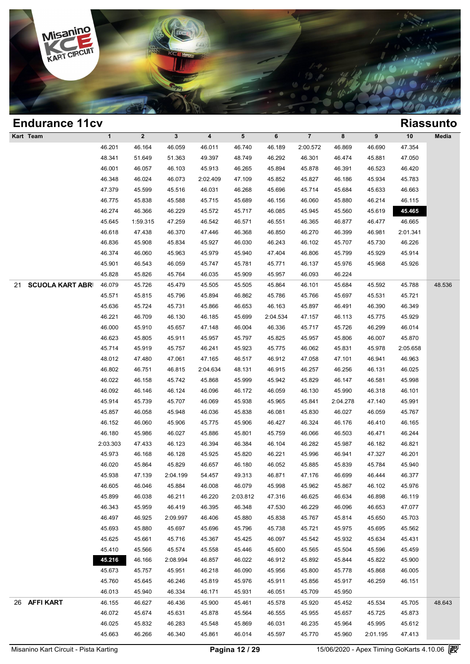

| <b>Endurance 11cv</b>         |                    |                  |                  |                         |                  |                  |                         |                  |                  |                  | <b>Riassunto</b> |
|-------------------------------|--------------------|------------------|------------------|-------------------------|------------------|------------------|-------------------------|------------------|------------------|------------------|------------------|
| Kart Team                     | $\mathbf{1}$       | $\overline{2}$   | $\mathbf{3}$     | $\overline{\mathbf{4}}$ | $5\phantom{.0}$  | 6                | $\overline{\mathbf{7}}$ | 8                | 9                | 10               | Media            |
|                               | 46.201             | 46.164           | 46.059           | 46.011                  | 46.740           | 46.189           | 2:00.572                | 46.869           | 46.690           | 47.354           |                  |
|                               | 48.341             | 51.649           | 51.363           | 49.397                  | 48.749           | 46.292           | 46.301                  | 46.474           | 45.881           | 47.050           |                  |
|                               | 46.001             | 46.057           | 46.103           | 45.913                  | 46.265           | 45.894           | 45.878                  | 46.391           | 46.523           | 46.420           |                  |
|                               | 46.348             | 46.024           | 46.073           | 2:02.409                | 47.109           | 45.852           | 45.827                  | 46.186           | 45.934           | 45.783           |                  |
|                               | 47.379             | 45.599           | 45.516           | 46.031                  | 46.268           | 45.696           | 45.714                  | 45.684           | 45.633           | 46.663           |                  |
|                               | 46.775             | 45.838           | 45.588           | 45.715                  | 45.689           | 46.156           | 46.060                  | 45.880           | 46.214           | 46.115           |                  |
|                               | 46.274             | 46.366           | 46.229           | 45.572                  | 45.717           | 46.085           | 45.945                  | 45.560           | 45.619           | 45.465           |                  |
|                               | 45.645             | 1:59.315         | 47.259           | 46.542                  | 46.571           | 46.551           | 46.365                  | 46.877           | 46.477           | 46.665           |                  |
|                               | 46.618             | 47.438           | 46.370           | 47.446                  | 46.368           | 46.850           | 46.270                  | 46.399           | 46.981           | 2:01.341         |                  |
|                               | 46.836             | 45.908           | 45.834           | 45.927                  | 46.030           | 46.243           | 46.102                  | 45.707           | 45.730           | 46.226           |                  |
|                               | 46.374             | 46.060           | 45.963           | 45.979                  | 45.940           | 47.404           | 46.806                  | 45.799           | 45.929           | 45.914           |                  |
|                               | 45.901             | 46.543           | 46.059           | 45.747                  | 45.781           | 45.771           | 46.137                  | 45.976           | 45.968           | 45.926           |                  |
|                               | 45.828             | 45.826           | 45.764           | 46.035                  | 45.909           | 45.957           | 46.093                  | 46.224           |                  |                  |                  |
| <b>SCUOLA KART ABRI</b><br>21 | 46.079             | 45.726           | 45.479           | 45.505                  | 45.505           | 45.864           | 46.101                  | 45.684           | 45.592           | 45.788           | 48.536           |
|                               | 45.571             | 45.815           | 45.796           | 45.894                  | 46.862           | 45.786           | 45.766                  | 45.697           | 45.531           | 45.721           |                  |
|                               | 45.636             | 45.724           | 45.731           | 45.866                  | 46.653           | 46.163           | 45.897                  | 46.491           | 46.390           | 46.349           |                  |
|                               | 46.221             | 46.709           | 46.130           | 46.185                  | 45.699           | 2:04.534         | 47.157                  | 46.113           | 45.775           | 45.929           |                  |
|                               | 46.000             | 45.910           | 45.657           | 47.148                  | 46.004           | 46.336           | 45.717                  | 45.726           | 46.299           | 46.014           |                  |
|                               | 46.623             | 45.805           | 45.911           | 45.957                  | 45.797           | 45.825           | 45.957                  | 45.806           | 46.007           | 45.870           |                  |
|                               | 45.714             | 45.919           | 45.757           | 46.241                  | 45.923           | 45.775           | 46.062                  | 45.831           | 45.978           | 2:05.658         |                  |
|                               | 48.012             | 47.480           | 47.061           | 47.165                  | 46.517           | 46.912           | 47.058                  | 47.101           | 46.941           | 46.963           |                  |
|                               | 46.802             | 46.751           | 46.815           | 2:04.634                | 48.131           | 46.915           | 46.257                  | 46.256           | 46.131           | 46.025           |                  |
|                               | 46.022             | 46.158           | 45.742           | 45.868                  | 45.999           | 45.942           | 45.829                  | 46.147           | 46.581           | 45.998           |                  |
|                               | 46.092             | 46.146           | 46.124           | 46.096                  | 46.172           | 46.059           | 46.130                  | 45.990           | 46.318           | 46.101           |                  |
|                               | 45.914             | 45.739           | 45.707           | 46.069                  | 45.938           | 45.965           | 45.841                  | 2:04.278         | 47.140           | 45.991           |                  |
|                               | 45.857<br>46.152   | 46.058           | 45.948           | 46.036                  | 45.838           | 46.081           | 45.830                  | 46.027<br>46.176 | 46.059           | 45.767           |                  |
|                               | 46.180             | 46.060<br>45.986 | 45.906           | 45.775<br>45.886        | 45.906<br>45.801 | 46.427           | 46.324                  | 46.503           | 46.410<br>46.471 | 46.165           |                  |
|                               |                    | 47.433           | 46.027           |                         | 46.384           | 45.759           | 46.066                  | 45.987           |                  | 46.244           |                  |
|                               | 2:03.303<br>45.973 | 46.168           | 46.123<br>46.128 | 46.394<br>45.925        | 45.820           | 46.104<br>46.221 | 46.282<br>45.996        | 46.941           | 46.182<br>47.327 | 46.821<br>46.201 |                  |
|                               | 46.020             | 45.864           | 45.829           | 46.657                  | 46.180           | 46.052           | 45.885                  | 45.839           | 45.784           | 45.940           |                  |
|                               | 45.938             | 47.139           | 2:04.199         | 54.457                  | 49.313           | 46.871           | 47.176                  | 46.699           | 46.444           | 46.377           |                  |
|                               | 46.605             | 46.046           | 45.884           | 46.008                  | 46.079           | 45.998           | 45.962                  | 45.867           | 46.102           | 45.976           |                  |
|                               | 45.899             | 46.038           | 46.211           | 46.220                  | 2:03.812         | 47.316           | 46.625                  | 46.634           | 46.898           | 46.119           |                  |
|                               | 46.343             | 45.959           | 46.419           | 46.395                  | 46.348           | 47.530           | 46.229                  | 46.096           | 46.653           | 47.077           |                  |
|                               | 46.497             | 46.925           | 2:09.997         | 46.406                  | 45.880           | 45.838           | 45.767                  | 45.814           | 45.650           | 45.703           |                  |
|                               | 45.693             | 45.880           | 45.697           | 45.696                  | 45.796           | 45.738           | 45.721                  | 45.975           | 45.695           | 45.562           |                  |
|                               | 45.625             | 45.661           | 45.716           | 45.367                  | 45.425           | 46.097           | 45.542                  | 45.932           | 45.634           | 45.431           |                  |
|                               | 45.410             | 45.566           | 45.574           | 45.558                  | 45.446           | 45.600           | 45.565                  | 45.504           | 45.596           | 45.459           |                  |
|                               | 45.216             | 46.166           | 2:08.994         | 46.857                  | 46.022           | 46.912           | 45.892                  | 45.844           | 45.822           | 45.900           |                  |
|                               | 45.673             | 45.757           | 45.951           | 46.218                  | 46.090           | 45.956           | 45.800                  | 45.778           | 45.868           | 46.005           |                  |
|                               | 45.760             | 45.645           | 46.246           | 45.819                  | 45.976           | 45.911           | 45.856                  | 45.917           | 46.259           | 46.151           |                  |
|                               | 46.013             | 45.940           | 46.334           | 46.171                  | 45.931           | 46.051           | 45.709                  | 45.950           |                  |                  |                  |
| 26 AFFI KART                  | 46.155             | 46.627           | 46.436           | 45.900                  | 45.461           | 45.578           | 45.920                  | 45.452           | 45.534           | 45.705           | 48.643           |
|                               | 46.072             | 45.674           | 45.631           | 45.878                  | 45.564           | 46.555           | 45.955                  | 45.657           | 45.725           | 45.873           |                  |
|                               | 46.025             | 45.832           | 46.283           | 45.548                  | 45.869           | 46.031           | 46.235                  | 45.964           | 45.995           | 45.612           |                  |
|                               | 45.663             | 46.266           | 46.340           | 45.861                  | 46.014           | 45.597           | 45.770                  | 45.960           | 2:01.195         | 47.413           |                  |
|                               |                    |                  |                  |                         |                  |                  |                         |                  |                  |                  |                  |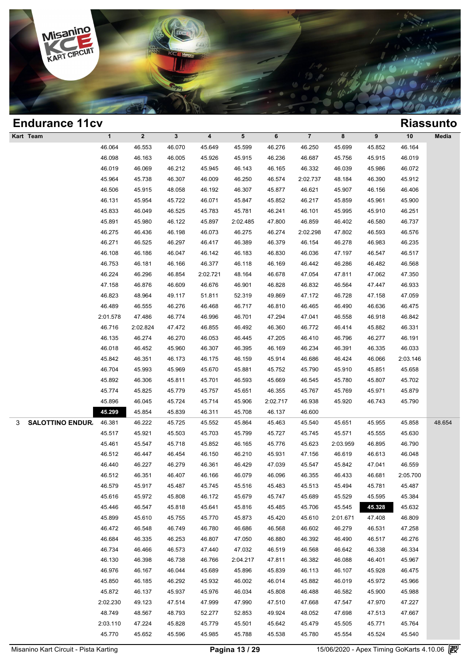

| <b>Endurance 11cv</b>        |             |                  |              |                         |          |          |                |          |        |          | <b>Riassunto</b> |
|------------------------------|-------------|------------------|--------------|-------------------------|----------|----------|----------------|----------|--------|----------|------------------|
| Kart Team                    | $\mathbf 1$ | $\boldsymbol{2}$ | $\mathbf{3}$ | $\overline{\mathbf{4}}$ | 5        | 6        | $\overline{7}$ | 8        | 9      | 10       | Media            |
|                              | 46.064      | 46.553           | 46.070       | 45.649                  | 45.599   | 46.276   | 46.250         | 45.699   | 45.852 | 46.164   |                  |
|                              | 46.098      | 46.163           | 46.005       | 45.926                  | 45.915   | 46.236   | 46.687         | 45.756   | 45.915 | 46.019   |                  |
|                              | 46.019      | 46.069           | 46.212       | 45.945                  | 46.143   | 46.165   | 46.332         | 46.039   | 45.986 | 46.072   |                  |
|                              | 45.964      | 45.738           | 46.307       | 46.009                  | 46.250   | 46.574   | 2:02.737       | 48.184   | 46.390 | 45.912   |                  |
|                              | 46.506      | 45.915           | 48.058       | 46.192                  | 46.307   | 45.877   | 46.621         | 45.907   | 46.156 | 46.406   |                  |
|                              | 46.131      | 45.954           | 45.722       | 46.071                  | 45.847   | 45.852   | 46.217         | 45.859   | 45.961 | 45.900   |                  |
|                              | 45.833      | 46.049           | 46.525       | 45.783                  | 45.781   | 46.241   | 46.101         | 45.995   | 45.910 | 46.251   |                  |
|                              | 45.891      | 45.980           | 46.122       | 45.897                  | 2:02.485 | 47.800   | 46.859         | 46.402   | 46.580 | 46.737   |                  |
|                              | 46.275      | 46.436           | 46.198       | 46.073                  | 46.275   | 46.274   | 2:02.298       | 47.802   | 46.593 | 46.576   |                  |
|                              | 46.271      | 46.525           | 46.297       | 46.417                  | 46.389   | 46.379   | 46.154         | 46.278   | 46.983 | 46.235   |                  |
|                              | 46.108      | 46.186           | 46.047       | 46.142                  | 46.183   | 46.830   | 46.036         | 47.197   | 46.547 | 46.517   |                  |
|                              | 46.753      | 46.181           | 46.166       | 46.377                  | 46.118   | 46.169   | 46.442         | 46.286   | 46.482 | 46.568   |                  |
|                              | 46.224      | 46.296           | 46.854       | 2:02.721                | 48.164   | 46.678   | 47.054         | 47.811   | 47.062 | 47.350   |                  |
|                              | 47.158      | 46.876           | 46.609       | 46.676                  | 46.901   | 46.828   | 46.832         | 46.564   | 47.447 | 46.933   |                  |
|                              | 46.823      | 48.964           | 49.117       | 51.811                  | 52.319   | 49.869   | 47.172         | 46.728   | 47.158 | 47.059   |                  |
|                              | 46.489      | 46.555           | 46.276       | 46.468                  | 46.717   | 46.810   | 46.465         | 46.490   | 46.636 | 46.475   |                  |
|                              | 2:01.578    | 47.486           | 46.774       | 46.996                  | 46.701   | 47.294   | 47.041         | 46.558   | 46.918 | 46.842   |                  |
|                              | 46.716      | 2:02.824         | 47.472       | 46.855                  | 46.492   | 46.360   | 46.772         | 46.414   | 45.882 | 46.331   |                  |
|                              | 46.135      | 46.274           | 46.270       | 46.053                  | 46.445   | 47.205   | 46.410         | 46.796   | 46.277 | 46.191   |                  |
|                              | 46.018      | 46.452           | 45.960       | 46.307                  | 46.395   | 46.169   | 46.234         | 46.391   | 46.335 | 46.033   |                  |
|                              | 45.842      | 46.351           | 46.173       | 46.175                  | 46.159   | 45.914   | 46.686         | 46.424   | 46.066 | 2:03.146 |                  |
|                              | 46.704      | 45.993           | 45.969       | 45.670                  | 45.881   | 45.752   | 45.790         | 45.910   | 45.851 | 45.658   |                  |
|                              | 45.892      | 46.306           | 45.811       | 45.701                  | 46.593   | 45.669   | 46.545         | 45.780   | 45.807 | 45.702   |                  |
|                              | 45.774      | 45.825           | 45.779       | 45.757                  | 45.651   | 46.355   | 45.767         | 45.769   | 45.971 | 45.879   |                  |
|                              | 45.896      | 46.045           | 45.724       | 45.714                  | 45.906   | 2:02.717 | 46.938         | 45.920   | 46.743 | 45.790   |                  |
|                              | 45.299      | 45.854           | 45.839       | 46.311                  | 45.708   | 46.137   | 46.600         |          |        |          |                  |
| <b>SALOTTINO ENDUR.</b><br>3 | 46.381      | 46.222           | 45.725       | 45.552                  | 45.864   | 45.463   | 45.540         | 45.651   | 45.955 | 45.858   | 48.654           |
|                              | 45.517      | 45.921           | 45.503       | 45.703                  | 45.799   | 45.727   | 45.745         | 45.571   | 45.555 | 45.630   |                  |
|                              | 45.461      | 45.547           | 45.718       | 45.852                  | 46.165   | 45.776   | 45.623         | 2:03.959 | 46.895 | 46.790   |                  |
|                              | 46.512      | 46.447           | 46.454       | 46.150                  | 46.210   | 45.931   | 47.156         | 46.619   | 46.613 | 46.048   |                  |
|                              | 46.440      | 46.227           | 46.279       | 46.361                  | 46.429   | 47.039   | 45.547         | 45.842   | 47.041 | 46.559   |                  |
|                              | 46.512      | 46.351           | 46.407       | 46.166                  | 46.079   | 46.096   | 46.355         | 46.433   | 46.681 | 2:05.700 |                  |
|                              | 46.579      | 45.917           | 45.487       | 45.745                  | 45.516   | 45.483   | 45.513         | 45.494   | 45.781 | 45.487   |                  |
|                              | 45.616      | 45.972           | 45.808       | 46.172                  | 45.679   | 45.747   | 45.689         | 45.529   | 45.595 | 45.384   |                  |
|                              | 45.446      | 46.547           | 45.818       | 45.641                  | 45.816   | 45.485   | 45.706         | 45.545   | 45.328 | 45.632   |                  |
|                              | 45.899      | 45.610           | 45.755       | 45.770                  | 45.873   | 45.420   | 45.610         | 2:01.671 | 47.408 | 46.809   |                  |
|                              | 46.472      | 46.548           | 46.749       | 46.780                  | 46.686   | 46.568   | 46.602         | 46.279   | 46.531 | 47.258   |                  |
|                              | 46.684      | 46.335           | 46.253       | 46.807                  | 47.050   | 46.880   | 46.392         | 46.490   | 46.517 | 46.276   |                  |
|                              | 46.734      | 46.466           | 46.573       | 47.440                  | 47.032   | 46.519   | 46.568         | 46.642   | 46.338 | 46.334   |                  |
|                              | 46.130      | 46.398           | 46.738       | 46.766                  | 2:04.217 | 47.811   | 46.382         | 46.088   | 46.401 | 45.967   |                  |
|                              | 46.976      | 46.167           | 46.044       | 45.689                  | 45.896   | 45.839   | 46.113         | 46.107   | 45.928 | 46.475   |                  |
|                              | 45.850      | 46.185           | 46.292       | 45.932                  | 46.002   | 46.014   | 45.882         | 46.019   | 45.972 | 45.966   |                  |
|                              | 45.872      | 46.137           | 45.937       | 45.976                  | 46.034   | 45.808   | 46.488         | 46.582   | 45.900 | 45.988   |                  |
|                              | 2:02.230    | 49.123           | 47.514       | 47.999                  | 47.990   | 47.510   | 47.668         | 47.547   | 47.970 | 47.227   |                  |
|                              | 48.749      | 48.567           | 48.793       | 52.277                  | 52.853   | 49.924   | 48.052         | 47.698   | 47.513 | 47.667   |                  |
|                              | 2:03.110    | 47.224           | 45.828       | 45.779                  | 45.501   | 45.642   | 45.479         | 45.505   | 45.771 | 45.764   |                  |
|                              | 45.770      | 45.652           | 45.596       | 45.985                  | 45.788   | 45.538   | 45.780         | 45.554   | 45.524 | 45.540   |                  |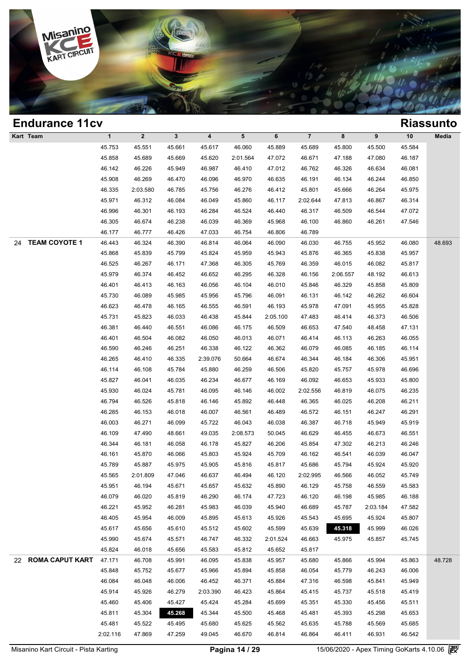

| <b>Endurance 11cv</b> |              |              |              |          |                 |          |                |          |          |        | <b>Riassunto</b> |
|-----------------------|--------------|--------------|--------------|----------|-----------------|----------|----------------|----------|----------|--------|------------------|
| Kart Team             | $\mathbf{1}$ | $\mathbf{2}$ | $\mathbf{3}$ | 4        | $5\phantom{.0}$ | 6        | $\overline{7}$ | 8        | 9        | 10     | Media            |
|                       | 45.753       | 45.551       | 45.661       | 45.617   | 46.060          | 45.889   | 45.689         | 45.800   | 45.500   | 45.584 |                  |
|                       | 45.858       | 45.689       | 45.669       | 45.620   | 2:01.564        | 47.072   | 46.671         | 47.188   | 47.080   | 46.187 |                  |
|                       | 46.142       | 46.226       | 45.949       | 46.987   | 46.410          | 47.012   | 46.762         | 46.326   | 46.634   | 46.081 |                  |
|                       | 45.908       | 46.269       | 46.470       | 46.096   | 46.970          | 46.635   | 46.191         | 46.134   | 46.244   | 46.850 |                  |
|                       | 46.335       | 2:03.580     | 46.785       | 45.756   | 46.276          | 46.412   | 45.801         | 45.666   | 46.264   | 45.975 |                  |
|                       | 45.971       | 46.312       | 46.084       | 46.049   | 45.860          | 46.117   | 2:02.644       | 47.813   | 46.867   | 46.314 |                  |
|                       | 46.996       | 46.301       | 46.193       | 46.284   | 46.524          | 46.440   | 46.317         | 46.509   | 46.544   | 47.072 |                  |
|                       | 46.305       | 46.674       | 46.238       | 46.039   | 46.369          | 45.968   | 46.100         | 46.860   | 46.261   | 47.546 |                  |
|                       | 46.177       | 46.777       | 46.426       | 47.033   | 46.754          | 46.806   | 46.789         |          |          |        |                  |
| 24 TEAM COYOTE 1      | 46.443       | 46.324       | 46.390       | 46.814   | 46.064          | 46.090   | 46.030         | 46.755   | 45.952   | 46.080 | 48.693           |
|                       | 45.868       | 45.839       | 45.799       | 45.824   | 45.959          | 45.943   | 45.876         | 46.365   | 45.838   | 45.957 |                  |
|                       | 46.525       | 46.267       | 46.171       | 47.368   | 46.305          | 45.769   | 46.359         | 46.015   | 46.082   | 45.817 |                  |
|                       | 45.979       | 46.374       | 46.452       | 46.652   | 46.295          | 46.328   | 46.156         | 2:06.557 | 48.192   | 46.613 |                  |
|                       | 46.401       | 46.413       | 46.163       | 46.056   | 46.104          | 46.010   | 45.846         | 46.329   | 45.858   | 45.809 |                  |
|                       | 45.730       | 46.089       | 45.985       | 45.956   | 45.796          | 46.091   | 46.131         | 46.142   | 46.262   | 46.604 |                  |
|                       | 46.623       | 46.478       | 46.165       | 46.555   | 46.591          | 46.193   | 45.978         | 47.091   | 45.955   | 45.828 |                  |
|                       | 45.731       | 45.823       | 46.033       | 46.438   | 45.844          | 2:05.100 | 47.483         | 46.414   | 46.373   | 46.506 |                  |
|                       | 46.381       | 46.440       | 46.551       | 46.086   | 46.175          | 46.509   | 46.653         | 47.540   | 48.458   | 47.131 |                  |
|                       | 46.401       | 46.504       | 46.082       | 46.050   | 46.013          | 46.071   | 46.414         | 46.113   | 46.263   | 46.055 |                  |
|                       | 46.590       | 46.246       | 46.251       | 46.338   | 46.122          | 46.362   | 46.079         | 46.085   | 46.185   | 46.114 |                  |
|                       | 46.265       | 46.410       | 46.335       | 2:39.076 | 50.664          | 46.674   | 46.344         | 46.184   | 46.306   | 45.951 |                  |
|                       | 46.114       | 46.108       | 45.784       | 45.880   | 46.259          | 46.506   | 45.820         | 45.757   | 45.978   | 46.696 |                  |
|                       | 45.827       | 46.041       | 46.035       | 46.234   | 46.677          | 46.169   | 46.092         | 46.653   | 45.933   | 45.800 |                  |
|                       | 45.930       | 46.024       | 45.781       | 46.095   | 46.146          | 46.002   | 2:02.556       | 46.819   | 46.075   | 46.235 |                  |
|                       | 46.794       | 46.526       | 45.818       | 46.146   | 45.892          | 46.448   | 46.365         | 46.025   | 46.208   | 46.211 |                  |
|                       | 46.285       | 46.153       | 46.018       | 46.007   | 46.561          | 46.489   | 46.572         | 46.151   | 46.247   | 46.291 |                  |
|                       | 46.003       | 46.271       | 46.099       | 45.722   | 46.043          | 46.038   | 46.387         | 46.718   | 45.949   | 45.919 |                  |
|                       | 46.109       | 47.490       | 48.661       | 49.035   | 2:08.573        | 50.045   | 46.629         | 46.455   | 46.673   | 46.551 |                  |
|                       | 46.344       | 46.181       | 46.058       | 46.178   | 45.827          | 46.206   | 45.854         | 47.302   | 46.213   | 46.246 |                  |
|                       | 46.161       | 45.870       | 46.066       | 45.803   | 45.924          | 45.709   | 46.162         | 46.541   | 46.039   | 46.047 |                  |
|                       | 45.789       | 45.887       | 45.975       | 45.905   | 45.816          | 45.817   | 45.686         | 45.794   | 45.924   | 45.920 |                  |
|                       | 45.565       | 2:01.809     | 47.046       | 46.637   | 46.494          | 46.120   | 2:02.995       | 46.566   | 46.052   | 45.749 |                  |
|                       | 45.951       | 46.194       | 45.671       | 45.657   | 45.632          | 45.890   | 46.129         | 45.758   | 46.559   | 45.583 |                  |
|                       | 46.079       | 46.020       | 45.819       | 46.290   | 46.174          | 47.723   | 46.120         | 46.198   | 45.985   | 46.188 |                  |
|                       | 46.221       | 45.952       | 46.281       | 45.983   | 46.039          | 45.940   | 46.689         | 45.787   | 2:03.184 | 47.582 |                  |
|                       | 46.405       | 45.954       | 46.009       | 45.895   | 45.613          | 45.926   | 45.543         | 45.695   | 45.924   | 45.807 |                  |
|                       | 45.617       | 45.656       | 45.610       | 45.512   | 45.602          | 45.599   | 45.639         | 45.318   | 45.999   | 46.026 |                  |
|                       | 45.990       | 45.674       | 45.571       | 46.747   | 46.332          | 2:01.524 | 46.663         | 45.975   | 45.857   | 45.745 |                  |
|                       | 45.824       | 46.018       | 45.656       | 45.583   | 45.812          | 45.652   | 45.817         |          |          |        |                  |
| 22 ROMA CAPUT KART    | 47.171       | 46.708       | 45.991       | 46.095   | 45.838          | 45.957   | 45.680         | 45.866   | 45.994   | 45.863 | 48.728           |
|                       | 45.848       | 45.752       | 45.677       | 45.966   | 45.894          | 45.858   | 46.054         | 45.779   | 46.243   | 46.006 |                  |
|                       | 46.084       | 46.048       | 46.006       | 46.452   | 46.371          | 45.884   | 47.316         | 46.598   | 45.841   | 45.949 |                  |
|                       | 45.914       | 45.926       | 46.279       | 2:03.390 | 46.423          | 45.864   | 45.415         | 45.737   | 45.518   | 45.419 |                  |
|                       | 45.460       | 45.406       | 45.427       | 45.424   | 45.284          | 45.699   | 45.351         | 45.330   | 45.456   | 45.511 |                  |
|                       | 45.811       | 45.304       | 45.268       | 45.344   | 45.500          | 45.468   | 45.481         | 45.393   | 45.298   | 45.653 |                  |
|                       | 45.481       | 45.522       | 45.495       | 45.680   | 45.625          | 45.562   | 45.635         | 45.788   | 45.569   | 45.685 |                  |
|                       | 2:02.116     | 47.869       | 47.259       | 49.045   | 46.670          | 46.814   | 46.864         | 46.411   | 46.931   | 46.542 |                  |
|                       |              |              |              |          |                 |          |                |          |          |        |                  |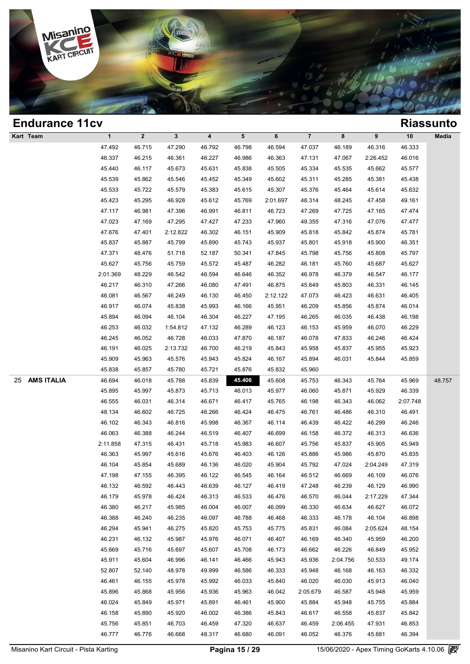

| <b>Endurance 11cv</b>   |              |              |              |        |                 |          |                |          |          |          | <b>Riassunto</b> |
|-------------------------|--------------|--------------|--------------|--------|-----------------|----------|----------------|----------|----------|----------|------------------|
| Kart Team               | $\mathbf{1}$ | $\mathbf{2}$ | $\mathbf{3}$ | 4      | $5\phantom{.0}$ | 6        | $\overline{7}$ | 8        | 9        | 10       | Media            |
|                         | 47.492       | 46.715       | 47.290       | 46.792 | 46.798          | 46.594   | 47.037         | 46.189   | 46.316   | 46.333   |                  |
|                         | 46.337       | 46.215       | 46.361       | 46.227 | 46.986          | 46.363   | 47.131         | 47.067   | 2:26.452 | 46.016   |                  |
|                         | 45.440       | 46.117       | 45.673       | 45.631 | 45.838          | 45.505   | 45.334         | 45.535   | 45.662   | 45.577   |                  |
|                         | 45.539       | 45.862       | 45.546       | 45.452 | 45.349          | 45.602   | 45.311         | 45.285   | 45.381   | 45.438   |                  |
|                         | 45.533       | 45.722       | 45.579       | 45.383 | 45.615          | 45.307   | 45.376         | 45.464   | 45.614   | 45.632   |                  |
|                         | 45.423       | 45.295       | 46.928       | 45.612 | 45.769          | 2:01.697 | 48.314         | 48.245   | 47.458   | 49.161   |                  |
|                         | 47.117       | 46.981       | 47.396       | 46.991 | 46.811          | 46.723   | 47.269         | 47.725   | 47.165   | 47.474   |                  |
|                         | 47.023       | 47.169       | 47.295       | 47.427 | 47.233          | 47.960   | 49.355         | 47.316   | 47.076   | 47.477   |                  |
|                         | 47.676       | 47.401       | 2:12.822     | 46.302 | 46.151          | 45.909   | 45.818         | 45.842   | 45.874   | 45.781   |                  |
|                         | 45.837       | 45.887       | 45.799       | 45.890 | 45.743          | 45.937   | 45.801         | 45.918   | 45.900   | 46.351   |                  |
|                         | 47.371       | 48.476       | 51.718       | 52.187 | 50.341          | 47.845   | 45.798         | 45.756   | 45.808   | 45.797   |                  |
|                         | 45.627       | 45.756       | 45.759       | 45.572 | 45.487          | 46.282   | 46.181         | 45.760   | 45.687   | 45.627   |                  |
|                         | 2:01.369     | 48.229       | 46.542       | 46.594 | 46.646          | 46.352   | 46.978         | 46.379   | 46.547   | 46.177   |                  |
|                         | 46.217       | 46.310       | 47.266       | 46.080 | 47.491          | 46.875   | 45.649         | 45.803   | 46.331   | 46.145   |                  |
|                         | 46.081       | 46.567       | 46.249       | 46.130 | 46.450          | 2:12.122 | 47.073         | 46.423   | 46.631   | 46.405   |                  |
|                         | 46.917       | 46.074       | 45.838       | 45.993 | 46.166          | 45.951   | 46.209         | 45.856   | 45.874   | 46.014   |                  |
|                         | 45.894       | 46.094       | 46.104       | 46.304 | 46.227          | 47.195   | 46.265         | 46.035   | 46.438   | 46.198   |                  |
|                         | 46.253       | 46.032       | 1:54.812     | 47.132 | 46.289          | 46.123   | 46.153         | 45.959   | 46.070   | 46.229   |                  |
|                         | 46.245       | 46.052       | 46.728       | 46.033 | 47.870          | 46.187   | 46.078         | 47.833   | 46.246   | 46.424   |                  |
|                         | 46.191       | 46.025       | 2:13.732     | 46.700 | 46.219          | 45.843   | 45.958         | 45.837   | 45.955   | 45.923   |                  |
|                         | 45.909       | 45.963       | 45.576       | 45.943 | 45.824          | 46.167   | 45.894         | 46.031   | 45.844   | 45.859   |                  |
|                         | 45.838       | 45.857       | 45.780       | 45.721 | 45.876          | 45.832   | 45.960         |          |          |          |                  |
| <b>AMS ITALIA</b><br>25 | 46.694       | 46.018       | 45.788       | 45.839 | 45.406          | 45.608   | 45.753         | 46.343   | 45.764   | 45.969   | 48.757           |
|                         | 45.895       | 45.997       | 45.873       | 45.713 | 46.013          | 45.977   | 46.060         | 45.871   | 45.929   | 46.339   |                  |
|                         | 46.555       | 46.031       | 46.314       | 46.671 | 46.417          | 45.765   | 46.198         | 46.343   | 46.062   | 2:07.748 |                  |
|                         | 48.134       | 46.602       | 46.725       | 46.266 | 46.424          | 46.475   | 46.761         | 46.486   | 46.310   | 46.491   |                  |
|                         | 46.102       | 46.343       | 46.816       | 45.998 | 46.367          | 46.114   | 46.439         | 46.422   | 46.299   | 46.246   |                  |
|                         | 46.063       | 46.388       | 46.244       | 46.519 | 46.407          | 46.699   | 46.158         | 46.372   | 46.313   | 46.636   |                  |
|                         | 2:11.858     | 47.315       | 46.431       | 45.718 | 45.983          | 46.607   | 45.756         | 45.837   | 45.905   | 45.949   |                  |
|                         | 46.363       | 45.997       | 45.616       | 45.676 | 46.403          | 46.126   | 45.886         | 45.986   | 45.870   | 45.835   |                  |
|                         | 46.104       | 45.854       | 45.689       | 46.136 | 46.020          | 45.904   | 45.792         | 47.024   | 2:04.249 | 47.319   |                  |
|                         | 47.198       | 47.155       | 46.395       | 46.122 | 46.545          | 46.164   | 46.512         | 46.669   | 46.109   | 46.076   |                  |
|                         | 46.132       | 46.592       | 46.443       | 46.639 | 46.127          | 46.419   | 47.248         | 46.239   | 46.129   | 46.990   |                  |
|                         | 46.179       | 45.978       | 46.424       | 46.313 | 46.533          | 46.476   | 46.570         | 46.044   | 2:17.229 | 47.344   |                  |
|                         | 46.380       | 46.217       | 45.985       | 46.004 | 46.007          | 46.099   | 46.330         | 46.634   | 46.627   | 46.072   |                  |
|                         | 46.388       | 46.240       | 46.235       | 46.097 | 46.788          | 46.468   | 46.333         | 46.178   | 46.104   | 46.898   |                  |
|                         | 46.294       | 45.941       | 46.275       | 45.820 | 45.753          | 45.775   | 45.831         | 46.084   | 2:05.624 | 48.154   |                  |
|                         | 46.231       | 46.132       | 45.987       | 45.976 | 46.071          | 46.407   | 46.169         | 46.340   | 45.959   | 46.200   |                  |
|                         | 45.669       | 45.716       | 45.697       | 45.607 | 45.708          | 46.173   | 46.662         | 46.226   | 46.849   | 45.952   |                  |
|                         | 45.911       | 45.604       | 46.996       | 46.141 | 46.466          | 45.943   | 45.936         | 2:04.756 | 50.533   | 49.174   |                  |
|                         | 52.807       | 52.140       | 48.978       | 49.999 | 46.586          | 46.333   | 45.948         | 46.168   | 46.163   | 46.332   |                  |
|                         | 46.461       | 46.155       | 45.978       | 45.992 | 46.033          | 45.840   | 46.020         | 46.030   | 45.913   | 46.040   |                  |
|                         | 45.896       | 45.868       | 45.956       | 45.936 | 45.963          | 46.042   | 2:05.679       | 46.587   | 45.948   | 45.959   |                  |
|                         | 46.024       | 45.849       | 45.971       | 45.891 | 46.461          | 45.900   | 45.884         | 45.948   | 45.755   | 45.884   |                  |
|                         | 46.158       | 45.890       | 45.920       | 46.002 | 46.386          | 45.843   | 46.617         | 46.558   | 45.837   | 45.842   |                  |
|                         | 45.756       | 45.851       | 46.703       | 46.459 | 47.320          | 46.637   | 46.459         | 2:06.455 | 47.931   | 46.853   |                  |
|                         |              |              |              |        |                 |          |                |          |          |          |                  |
|                         | 46.777       | 46.776       | 46.668       | 48.317 | 46.680          | 46.091   | 46.052         | 46.376   | 45.881   | 46.394   |                  |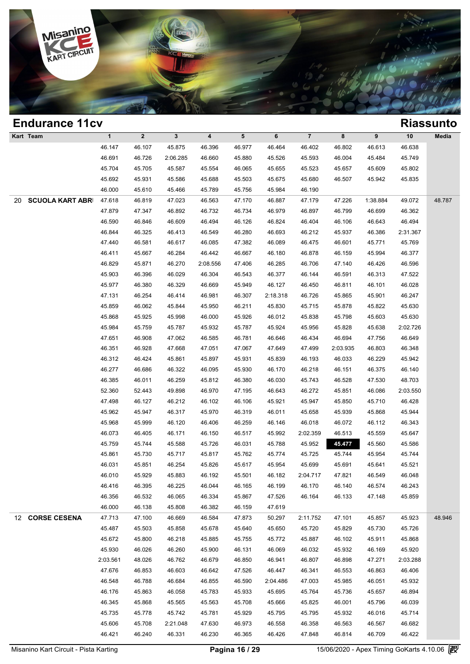

| <b>Endurance 11cv</b>         |              |              |              |                         |                 |          |                |          |          |          | <b>Riassunto</b> |
|-------------------------------|--------------|--------------|--------------|-------------------------|-----------------|----------|----------------|----------|----------|----------|------------------|
| Kart Team                     | $\mathbf{1}$ | $\mathbf{2}$ | $\mathbf{3}$ | $\overline{\mathbf{4}}$ | $5\phantom{.0}$ | 6        | $\overline{7}$ | 8        | 9        | 10       | Media            |
|                               | 46.147       | 46.107       | 45.875       | 46.396                  | 46.977          | 46.464   | 46.402         | 46.802   | 46.613   | 46.638   |                  |
|                               | 46.691       | 46.726       | 2:06.285     | 46.660                  | 45.880          | 45.526   | 45.593         | 46.004   | 45.484   | 45.749   |                  |
|                               | 45.704       | 45.705       | 45.587       | 45.554                  | 46.065          | 45.655   | 45.523         | 45.657   | 45.609   | 45.802   |                  |
|                               | 45.692       | 45.931       | 45.586       | 45.688                  | 45.503          | 45.675   | 45.680         | 46.507   | 45.942   | 45.835   |                  |
|                               | 46.000       | 45.610       | 45.466       | 45.789                  | 45.756          | 45.984   | 46.190         |          |          |          |                  |
| <b>SCUOLA KART ABRI</b><br>20 | 47.618       | 46.819       | 47.023       | 46.563                  | 47.170          | 46.887   | 47.179         | 47.226   | 1:38.884 | 49.072   | 48.787           |
|                               | 47.879       | 47.347       | 46.892       | 46.732                  | 46.734          | 46.979   | 46.897         | 46.799   | 46.699   | 46.362   |                  |
|                               | 46.590       | 46.846       | 46.609       | 46.494                  | 46.126          | 46.824   | 46.404         | 46.106   | 46.643   | 46.494   |                  |
|                               | 46.844       | 46.325       | 46.413       | 46.549                  | 46.280          | 46.693   | 46.212         | 45.937   | 46.386   | 2:31.367 |                  |
|                               | 47.440       | 46.581       | 46.617       | 46.085                  | 47.382          | 46.089   | 46.475         | 46.601   | 45.771   | 45.769   |                  |
|                               | 46.411       | 45.667       | 46.284       | 46.442                  | 46.667          | 46.180   | 46.878         | 46.159   | 45.994   | 46.377   |                  |
|                               | 46.829       | 45.871       | 46.270       | 2:08.556                | 47.406          | 46.285   | 46.706         | 47.140   | 46.426   | 46.596   |                  |
|                               | 45.903       | 46.396       | 46.029       | 46.304                  | 46.543          | 46.377   | 46.144         | 46.591   | 46.313   | 47.522   |                  |
|                               | 45.977       | 46.380       | 46.329       | 46.669                  | 45.949          | 46.127   | 46.450         | 46.811   | 46.101   | 46.028   |                  |
|                               | 47.131       | 46.254       | 46.414       | 46.981                  | 46.307          | 2:18.318 | 46.726         | 45.865   | 45.901   | 46.247   |                  |
|                               | 45.859       | 46.062       | 45.844       | 45.950                  | 46.211          | 45.830   | 45.715         | 45.878   | 45.822   | 45.630   |                  |
|                               | 45.868       | 45.925       | 45.998       | 46.000                  | 45.926          | 46.012   | 45.838         | 45.798   | 45.603   | 45.630   |                  |
|                               | 45.984       | 45.759       | 45.787       | 45.932                  | 45.787          | 45.924   | 45.956         | 45.828   | 45.638   | 2:02.726 |                  |
|                               | 47.651       | 46.908       | 47.062       | 46.585                  | 46.781          | 46.646   | 46.434         | 46.694   | 47.756   | 46.649   |                  |
|                               | 46.351       | 46.928       | 47.668       | 47.051                  | 47.067          | 47.649   | 47.499         | 2:03.935 | 46.803   | 46.348   |                  |
|                               | 46.312       | 46.424       | 45.861       | 45.897                  | 45.931          | 45.839   | 46.193         | 46.033   | 46.229   | 45.942   |                  |
|                               | 46.277       | 46.686       | 46.322       | 46.095                  | 45.930          | 46.170   | 46.218         | 46.151   | 46.375   | 46.140   |                  |
|                               | 46.385       | 46.011       | 46.259       | 45.812                  | 46.380          | 46.030   | 45.743         | 46.528   | 47.530   | 48.703   |                  |
|                               | 52.360       | 52.443       | 49.898       | 46.970                  | 47.195          | 46.643   | 46.272         | 45.851   | 46.086   | 2:03.550 |                  |
|                               | 47.498       | 46.127       | 46.212       | 46.102                  | 46.106          | 45.921   | 45.947         | 45.850   | 45.710   | 46.428   |                  |
|                               | 45.962       | 45.947       | 46.317       | 45.970                  | 46.319          | 46.011   | 45.658         | 45.939   | 45.868   | 45.944   |                  |
|                               | 45.968       | 45.999       | 46.120       | 46.406                  | 46.259          | 46.146   | 46.018         | 46.072   | 46.112   | 46.343   |                  |
|                               | 46.073       | 46.405       | 46.171       | 46.150                  | 46.517          | 45.992   | 2:02.359       | 46.513   | 45.559   | 45.647   |                  |
|                               | 45.759       | 45.744       | 45.588       | 45.726                  | 46.031          | 45.788   | 45.952         | 45.477   | 45.560   | 45.586   |                  |
|                               | 45.861       | 45.730       | 45.717       | 45.817                  | 45.762          | 45.774   | 45.725         | 45.744   | 45.954   | 45.744   |                  |
|                               | 46.031       | 45.851       | 46.254       | 45.826                  | 45.617          | 45.954   | 45.699         | 45.691   | 45.641   | 45.521   |                  |
|                               | 46.010       | 45.929       | 45.883       | 46.192                  | 45.501          | 46.182   | 2:04.717       | 47.821   | 46.549   | 46.048   |                  |
|                               | 46.416       | 46.395       | 46.225       | 46.044                  | 46.165          | 46.199   | 46.170         | 46.140   | 46.574   | 46.243   |                  |
|                               | 46.356       | 46.532       | 46.065       | 46.334                  | 45.867          | 47.526   | 46.164         | 46.133   | 47.148   | 45.859   |                  |
|                               | 46.000       | 46.138       | 45.808       | 46.382                  | 46.159          | 47.619   |                |          |          |          |                  |
| 12 CORSE CESENA               | 47.713       | 47.100       | 46.669       | 46.584                  | 47.873          | 50.297   | 2:11.752       | 47.101   | 45.857   | 45.923   | 48.946           |
|                               | 45.487       | 45.503       | 45.858       | 45.678                  | 45.640          | 45.650   | 45.720         | 45.829   | 45.730   | 45.726   |                  |
|                               | 45.672       | 45.800       | 46.218       | 45.885                  | 45.755          | 45.772   | 45.887         | 46.102   | 45.911   | 45.868   |                  |
|                               | 45.930       | 46.026       | 46.260       | 45.900                  | 46.131          | 46.069   | 46.032         | 45.932   | 46.169   | 45.920   |                  |
|                               | 2:03.561     | 48.026       | 46.762       | 46.679                  | 46.850          | 46.941   | 46.807         | 46.898   | 47.271   | 2:03.288 |                  |
|                               | 47.676       | 46.853       | 46.603       | 46.642                  | 47.526          | 46.447   | 46.341         | 46.553   | 46.863   | 46.406   |                  |
|                               | 46.548       | 46.788       | 46.684       | 46.855                  | 46.590          | 2:04.486 | 47.003         | 45.985   | 46.051   | 45.932   |                  |
|                               | 46.176       | 45.863       | 46.058       | 45.783                  | 45.933          | 45.695   | 45.764         | 45.736   | 45.657   | 46.894   |                  |
|                               | 46.345       | 45.868       | 45.565       | 45.563                  | 45.708          | 45.666   | 45.825         | 46.001   | 45.796   | 46.039   |                  |
|                               | 45.735       | 45.778       | 45.742       | 45.781                  | 45.929          | 45.795   | 45.795         | 45.932   | 46.016   | 45.714   |                  |
|                               | 45.606       | 45.708       | 2:21.048     | 47.630                  | 46.973          | 46.558   | 46.358         | 46.563   | 46.567   | 46.682   |                  |
|                               | 46.421       | 46.240       | 46.331       | 46.230                  | 46.365          | 46.426   | 47.848         | 46.814   | 46.709   | 46.422   |                  |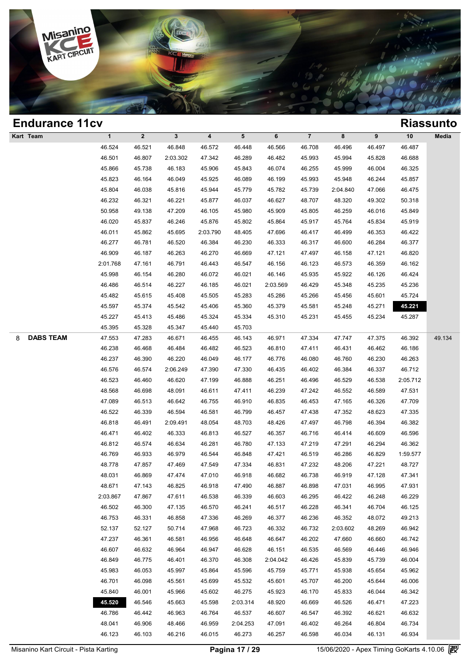

| <b>Endurance 11cv</b> |              |              |              |          |          |          |                |          |        |          | <b>Riassunto</b> |
|-----------------------|--------------|--------------|--------------|----------|----------|----------|----------------|----------|--------|----------|------------------|
| Kart Team             | $\mathbf{1}$ | $\mathbf{2}$ | $\mathbf{3}$ | 4        | 5        | 6        | $\overline{7}$ | 8        | 9      | $10$     | Media            |
|                       | 46.524       | 46.521       | 46.848       | 46.572   | 46.448   | 46.566   | 46.708         | 46.496   | 46.497 | 46.487   |                  |
|                       | 46.501       | 46.807       | 2:03.302     | 47.342   | 46.289   | 46.482   | 45.993         | 45.994   | 45.828 | 46.688   |                  |
|                       | 45.866       | 45.738       | 46.183       | 45.906   | 45.843   | 46.074   | 46.255         | 45.999   | 46.004 | 46.325   |                  |
|                       | 45.823       | 46.164       | 46.049       | 45.925   | 46.089   | 46.199   | 45.993         | 45.948   | 46.244 | 45.857   |                  |
|                       | 45.804       | 46.038       | 45.816       | 45.944   | 45.779   | 45.782   | 45.739         | 2:04.840 | 47.066 | 46.475   |                  |
|                       | 46.232       | 46.321       | 46.221       | 45.877   | 46.037   | 46.627   | 48.707         | 48.320   | 49.302 | 50.318   |                  |
|                       | 50.958       | 49.138       | 47.209       | 46.105   | 45.980   | 45.909   | 45.805         | 46.259   | 46.016 | 45.849   |                  |
|                       | 46.020       | 45.837       | 46.246       | 45.876   | 45.802   | 45.864   | 45.917         | 45.764   | 45.834 | 45.919   |                  |
|                       | 46.011       | 45.862       | 45.695       | 2:03.790 | 48.405   | 47.696   | 46.417         | 46.499   | 46.353 | 46.422   |                  |
|                       | 46.277       | 46.781       | 46.520       | 46.384   | 46.230   | 46.333   | 46.317         | 46.600   | 46.284 | 46.377   |                  |
|                       | 46.909       | 46.187       | 46.263       | 46.270   | 46.669   | 47.121   | 47.497         | 46.158   | 47.121 | 46.820   |                  |
|                       | 2:01.768     | 47.161       | 46.791       | 46.443   | 46.547   | 46.156   | 46.123         | 46.573   | 46.359 | 46.162   |                  |
|                       | 45.998       | 46.154       | 46.280       | 46.072   | 46.021   | 46.146   | 45.935         | 45.922   | 46.126 | 46.424   |                  |
|                       | 46.486       | 46.514       | 46.227       | 46.185   | 46.021   | 2:03.569 | 46.429         | 45.348   | 45.235 | 45.236   |                  |
|                       | 45.482       | 45.615       | 45.408       | 45.505   | 45.283   | 45.286   | 45.266         | 45.456   | 45.601 | 45.724   |                  |
|                       | 45.597       | 45.374       | 45.542       | 45.406   | 45.360   | 45.379   | 45.581         | 45.248   | 45.271 | 45.221   |                  |
|                       | 45.227       | 45.413       | 45.486       | 45.324   | 45.334   | 45.310   | 45.231         | 45.455   | 45.234 | 45.287   |                  |
|                       | 45.395       | 45.328       | 45.347       | 45.440   | 45.703   |          |                |          |        |          |                  |
| <b>DABS TEAM</b><br>8 | 47.553       | 47.283       | 46.671       | 46.455   | 46.143   | 46.971   | 47.334         | 47.747   | 47.375 | 46.392   | 49.134           |
|                       | 46.238       | 46.468       | 46.484       | 46.482   | 46.523   | 46.810   | 47.411         | 46.431   | 46.462 | 46.186   |                  |
|                       | 46.237       | 46.390       | 46.220       | 46.049   | 46.177   | 46.776   | 46.080         | 46.760   | 46.230 | 46.263   |                  |
|                       | 46.576       | 46.574       | 2:06.249     | 47.390   | 47.330   | 46.435   | 46.402         | 46.384   | 46.337 | 46.712   |                  |
|                       | 46.523       | 46.460       | 46.620       | 47.199   | 46.888   | 46.251   | 46.496         | 46.529   | 46.538 | 2:05.712 |                  |
|                       | 48.568       | 46.698       | 48.091       | 46.611   | 47.411   | 46.239   | 47.242         | 46.552   | 46.589 | 47.531   |                  |
|                       | 47.089       | 46.513       | 46.642       | 46.755   | 46.910   | 46.835   | 46.453         | 47.165   | 46.326 | 47.709   |                  |
|                       | 46.522       | 46.339       | 46.594       | 46.581   | 46.799   | 46.457   | 47.438         | 47.352   | 48.623 | 47.335   |                  |
|                       | 46.818       | 46.491       | 2:09.491     | 48.054   | 48.703   | 48.426   | 47.497         | 46.798   | 46.394 | 46.382   |                  |
|                       | 46.471       | 46.402       | 46.333       | 46.813   | 46.527   | 46.357   | 46.716         | 46.414   | 46.609 | 46.596   |                  |
|                       | 46.812       | 46.574       | 46.634       | 46.281   | 46.780   | 47.133   | 47.219         | 47.291   | 46.294 | 46.362   |                  |
|                       | 46.769       | 46.933       | 46.979       | 46.544   | 46.848   | 47.421   | 46.519         | 46.286   | 46.829 | 1:59.577 |                  |
|                       | 48.778       | 47.857       | 47.469       | 47.549   | 47.334   | 46.831   | 47.232         | 48.206   | 47.221 | 48.727   |                  |
|                       | 48.031       | 46.869       | 47.474       | 47.010   | 46.918   | 46.682   | 46.738         | 46.919   | 47.128 | 47.341   |                  |
|                       | 48.671       | 47.143       | 46.825       | 46.918   | 47.490   | 46.887   | 46.898         | 47.031   | 46.995 | 47.931   |                  |
|                       | 2:03.867     | 47.867       | 47.611       | 46.538   | 46.339   | 46.603   | 46.295         | 46.422   | 46.248 | 46.229   |                  |
|                       | 46.502       | 46.300       | 47.135       | 46.570   | 46.241   | 46.517   | 46.228         | 46.341   | 46.704 | 46.125   |                  |
|                       | 46.753       | 46.331       | 46.858       | 47.336   | 46.269   | 46.377   | 46.236         | 46.352   | 48.072 | 49.213   |                  |
|                       | 52.137       | 52.127       | 50.714       | 47.968   | 46.723   | 46.332   | 46.732         | 2:03.602 | 48.269 | 46.942   |                  |
|                       | 47.237       | 46.361       | 46.581       | 46.956   | 46.648   | 46.647   | 46.202         | 47.660   | 46.660 | 46.742   |                  |
|                       | 46.607       | 46.632       | 46.964       | 46.947   | 46.628   | 46.151   | 46.535         | 46.569   | 46.446 | 46.946   |                  |
|                       | 46.849       | 46.775       | 46.401       | 46.370   | 46.308   | 2:04.042 | 46.426         | 45.839   | 45.739 | 46.004   |                  |
|                       | 45.983       | 46.053       | 45.997       | 45.864   | 45.596   | 45.759   | 45.771         | 45.938   | 45.654 | 45.962   |                  |
|                       | 46.701       | 46.098       | 45.561       | 45.699   | 45.532   | 45.601   | 45.707         | 46.200   | 45.644 | 46.006   |                  |
|                       | 45.840       | 46.001       | 45.966       | 45.602   | 46.275   | 45.923   | 46.170         | 45.833   | 46.044 | 46.342   |                  |
|                       | 45.520       | 46.546       | 45.663       | 45.598   | 2:03.314 | 48.920   | 46.669         | 46.526   | 46.471 | 47.223   |                  |
|                       | 46.786       | 46.442       | 46.963       | 46.764   | 46.537   | 46.607   | 46.547         | 46.392   | 46.621 | 46.632   |                  |
|                       | 48.041       | 46.906       | 48.466       | 46.959   | 2:04.253 | 47.091   | 46.402         | 46.264   | 46.804 | 46.734   |                  |
|                       | 46.123       | 46.103       | 46.216       | 46.015   | 46.273   | 46.257   | 46.598         | 46.034   | 46.131 | 46.934   |                  |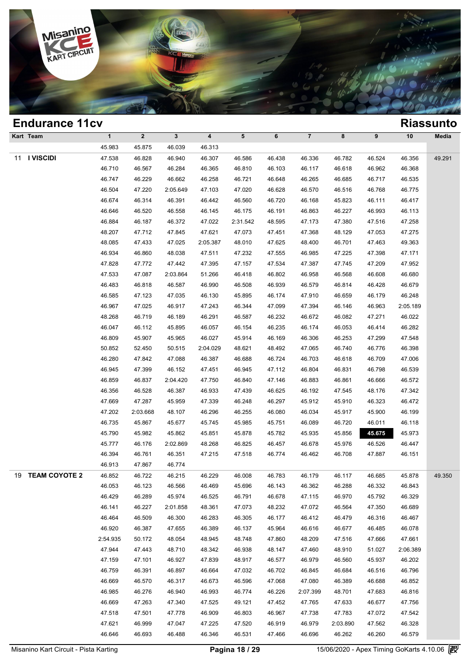

| <b>Endurance 11cv</b>      |              |                  |              |                         | <b>Riassunto</b> |        |                |          |        |          |        |
|----------------------------|--------------|------------------|--------------|-------------------------|------------------|--------|----------------|----------|--------|----------|--------|
| Kart Team                  | $\mathbf{1}$ | $\boldsymbol{2}$ | $\mathbf{3}$ | $\overline{\mathbf{4}}$ | 5                | 6      | $\overline{7}$ | 8        | 9      | 10       | Media  |
|                            | 45.983       | 45.875           | 46.039       | 46.313                  |                  |        |                |          |        |          |        |
| <b>I VISCIDI</b><br>11     | 47.538       | 46.828           | 46.940       | 46.307                  | 46.586           | 46.438 | 46.336         | 46.782   | 46.524 | 46.356   | 49.291 |
|                            | 46.710       | 46.567           | 46.284       | 46.365                  | 46.810           | 46.103 | 46.117         | 46.618   | 46.962 | 46.368   |        |
|                            | 46.747       | 46.229           | 46.662       | 46.258                  | 46.721           | 46.648 | 46.265         | 46.685   | 46.717 | 46.535   |        |
|                            | 46.504       | 47.220           | 2:05.649     | 47.103                  | 47.020           | 46.628 | 46.570         | 46.516   | 46.768 | 46.775   |        |
|                            | 46.674       | 46.314           | 46.391       | 46.442                  | 46.560           | 46.720 | 46.168         | 45.823   | 46.111 | 46.417   |        |
|                            | 46.646       | 46.520           | 46.558       | 46.145                  | 46.175           | 46.191 | 46.863         | 46.227   | 46.993 | 46.113   |        |
|                            | 46.884       | 46.187           | 46.372       | 47.022                  | 2:31.542         | 48.595 | 47.173         | 47.380   | 47.516 | 47.258   |        |
|                            | 48.207       | 47.712           | 47.845       | 47.621                  | 47.073           | 47.451 | 47.368         | 48.129   | 47.053 | 47.275   |        |
|                            | 48.085       | 47.433           | 47.025       | 2:05.387                | 48.010           | 47.625 | 48.400         | 46.701   | 47.463 | 49.363   |        |
|                            | 46.934       | 46.860           | 48.038       | 47.511                  | 47.232           | 47.555 | 46.985         | 47.225   | 47.398 | 47.171   |        |
|                            | 47.828       | 47.772           | 47.442       | 47.395                  | 47.157           | 47.534 | 47.387         | 47.745   | 47.209 | 47.952   |        |
|                            | 47.533       | 47.087           | 2:03.864     | 51.266                  | 46.418           | 46.802 | 46.958         | 46.568   | 46.608 | 46.680   |        |
|                            | 46.483       | 46.818           | 46.587       | 46.990                  | 46.508           | 46.939 | 46.579         | 46.814   | 46.428 | 46.679   |        |
|                            | 46.585       | 47.123           | 47.035       | 46.130                  | 45.895           | 46.174 | 47.910         | 46.659   | 46.179 | 46.248   |        |
|                            | 46.967       | 47.025           | 46.917       | 47.243                  | 46.344           | 47.099 | 47.394         | 46.146   | 46.963 | 2:05.189 |        |
|                            | 48.268       | 46.719           | 46.189       | 46.291                  | 46.587           | 46.232 | 46.672         | 46.082   | 47.271 | 46.022   |        |
|                            | 46.047       | 46.112           | 45.895       | 46.057                  | 46.154           | 46.235 | 46.174         | 46.053   | 46.414 | 46.282   |        |
|                            | 46.809       | 45.907           | 45.965       | 46.027                  | 45.914           | 46.169 | 46.306         | 46.253   | 47.299 | 47.548   |        |
|                            | 50.852       | 52.450           | 50.515       | 2:04.029                | 48.621           | 48.492 | 47.065         | 46.740   | 46.776 | 46.398   |        |
|                            | 46.280       | 47.842           | 47.088       | 46.387                  | 46.688           | 46.724 | 46.703         | 46.618   | 46.709 | 47.006   |        |
|                            | 46.945       | 47.399           | 46.152       | 47.451                  | 46.945           | 47.112 | 46.804         | 46.831   | 46.798 | 46.539   |        |
|                            | 46.859       | 46.837           | 2:04.420     | 47.750                  | 46.840           | 47.146 | 46.883         | 46.861   | 46.666 | 46.572   |        |
|                            | 46.356       | 46.528           | 46.387       | 46.933                  | 47.439           | 46.625 | 46.192         | 47.545   | 48.176 | 47.342   |        |
|                            | 47.669       | 47.287           | 45.959       | 47.339                  | 46.248           | 46.297 | 45.912         | 45.910   | 46.323 | 46.472   |        |
|                            | 47.202       | 2:03.668         | 48.107       | 46.296                  | 46.255           | 46.080 | 46.034         | 45.917   | 45.900 | 46.199   |        |
|                            | 46.735       | 45.867           | 45.677       | 45.745                  | 45.985           | 45.751 | 46.089         | 46.720   | 46.011 | 46.118   |        |
|                            | 45.790       | 45.982           | 45.862       | 45.851                  | 45.878           | 45.782 | 45.935         | 45.856   | 45.675 | 45.973   |        |
|                            | 45.777       | 46.176           | 2:02.869     | 48.268                  | 46.825           | 46.457 | 46.678         | 45.976   | 46.526 | 46.447   |        |
|                            | 46.394       | 46.761           | 46.351       | 47.215                  | 47.518           | 46.774 | 46.462         | 46.708   | 47.887 | 46.151   |        |
|                            | 46.913       | 47.867           | 46.774       |                         |                  |        |                |          |        |          |        |
| <b>TEAM COYOTE 2</b><br>19 | 46.852       | 46.722           | 46.215       | 46.229                  | 46.008           | 46.783 | 46.179         | 46.117   | 46.685 | 45.878   | 49.350 |
|                            | 46.053       | 46.123           | 46.566       | 46.469                  | 45.696           | 46.143 | 46.362         | 46.288   | 46.332 | 46.843   |        |
|                            | 46.429       | 46.289           | 45.974       | 46.525                  | 46.791           | 46.678 | 47.115         | 46.970   | 45.792 | 46.329   |        |
|                            | 46.141       | 46.227           | 2:01.858     | 48.361                  | 47.073           | 48.232 | 47.072         | 46.564   | 47.350 | 46.689   |        |
|                            | 46.464       | 46.509           | 46.300       | 46.283                  | 46.305           | 46.177 | 46.412         | 46.479   | 46.316 | 46.467   |        |
|                            | 46.920       | 46.387           | 47.655       | 46.389                  | 46.137           | 45.964 | 46.616         | 46.677   | 46.485 | 46.078   |        |
|                            | 2:54.935     | 50.172           | 48.054       | 48.945                  | 48.748           | 47.860 | 48.209         | 47.516   | 47.666 | 47.661   |        |
|                            | 47.944       | 47.443           | 48.710       | 48.342                  | 46.938           | 48.147 | 47.460         | 48.910   | 51.027 | 2:06.389 |        |
|                            | 47.159       | 47.101           | 46.927       | 47.839                  | 48.917           | 46.577 | 46.979         | 46.560   | 45.937 | 46.202   |        |
|                            | 46.759       | 46.391           | 46.897       | 46.664                  | 47.032           | 46.702 | 46.845         | 46.684   | 46.516 | 46.796   |        |
|                            | 46.669       | 46.570           | 46.317       | 46.673                  | 46.596           | 47.068 | 47.080         | 46.389   | 46.688 | 46.852   |        |
|                            | 46.985       | 46.276           | 46.940       | 46.993                  | 46.774           | 46.226 | 2:07.399       | 48.701   | 47.683 | 46.816   |        |
|                            | 46.669       | 47.263           | 47.340       | 47.525                  | 49.121           | 47.452 | 47.765         | 47.633   | 46.677 | 47.756   |        |
|                            | 47.518       | 47.501           | 47.778       | 46.909                  | 46.803           | 46.967 | 47.738         | 47.783   | 47.072 | 47.542   |        |
|                            | 47.621       | 46.999           | 47.047       | 47.225                  | 47.520           | 46.919 | 46.979         | 2:03.890 | 47.562 | 46.328   |        |
|                            | 46.646       |                  |              |                         |                  |        |                |          |        |          |        |
|                            |              | 46.693           | 46.488       | 46.346                  | 46.531           | 47.466 | 46.696         | 46.262   | 46.260 | 46.579   |        |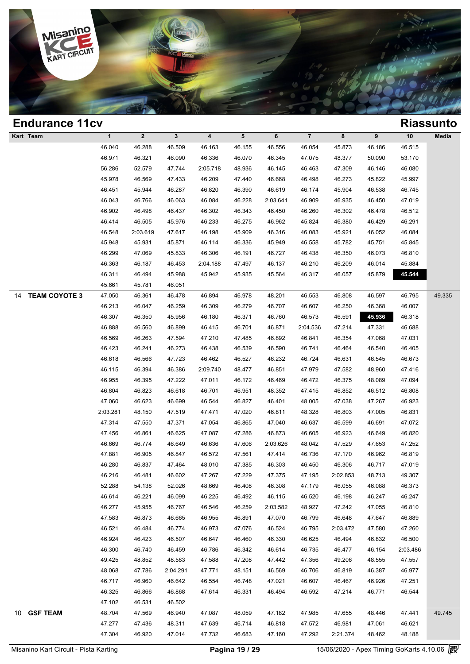

| <b>Endurance 11cv</b>      |              |              |              |          |        |          |                |          |        |          | <b>Riassunto</b> |
|----------------------------|--------------|--------------|--------------|----------|--------|----------|----------------|----------|--------|----------|------------------|
| Kart Team                  | $\mathbf{1}$ | $\mathbf{2}$ | $\mathbf{3}$ | 4        | 5      | 6        | $\overline{7}$ | 8        | 9      | 10       | Media            |
|                            | 46.040       | 46.288       | 46.509       | 46.163   | 46.155 | 46.556   | 46.054         | 45.873   | 46.186 | 46.515   |                  |
|                            | 46.971       | 46.321       | 46.090       | 46.336   | 46.070 | 46.345   | 47.075         | 48.377   | 50.090 | 53.170   |                  |
|                            | 56.286       | 52.579       | 47.744       | 2:05.718 | 48.936 | 46.145   | 46.463         | 47.309   | 46.146 | 46.080   |                  |
|                            | 45.978       | 46.569       | 47.433       | 46.209   | 47.440 | 46.668   | 46.498         | 46.273   | 45.822 | 45.997   |                  |
|                            | 46.451       | 45.944       | 46.287       | 46.820   | 46.390 | 46.619   | 46.174         | 45.904   | 46.538 | 46.745   |                  |
|                            | 46.043       | 46.766       | 46.063       | 46.084   | 46.228 | 2:03.641 | 46.909         | 46.935   | 46.450 | 47.019   |                  |
|                            | 46.902       | 46.498       | 46.437       | 46.302   | 46.343 | 46.450   | 46.260         | 46.302   | 46.478 | 46.512   |                  |
|                            | 46.414       | 46.505       | 45.976       | 46.233   | 46.275 | 46.962   | 45.824         | 46.380   | 46.429 | 46.291   |                  |
|                            | 46.548       | 2:03.619     | 47.617       | 46.198   | 45.909 | 46.316   | 46.083         | 45.921   | 46.052 | 46.084   |                  |
|                            | 45.948       | 45.931       | 45.871       | 46.114   | 46.336 | 45.949   | 46.558         | 45.782   | 45.751 | 45.845   |                  |
|                            | 46.299       | 47.069       | 45.833       | 46.306   | 46.191 | 46.727   | 46.438         | 46.350   | 46.073 | 46.810   |                  |
|                            | 46.363       | 46.187       | 46.453       | 2:04.188 | 47.497 | 46.137   | 46.210         | 46.209   | 46.014 | 45.884   |                  |
|                            | 46.311       | 46.494       | 45.988       | 45.942   | 45.935 | 45.564   | 46.317         | 46.057   | 45.879 | 45.544   |                  |
|                            | 45.661       | 45.781       | 46.051       |          |        |          |                |          |        |          |                  |
| <b>TEAM COYOTE 3</b><br>14 | 47.050       | 46.361       | 46.478       | 46.894   | 46.978 | 48.201   | 46.553         | 46.808   | 46.597 | 46.795   | 49.335           |
|                            | 46.213       | 46.047       | 46.259       | 46.309   | 46.279 | 46.707   | 46.607         | 46.250   | 46.368 | 46.007   |                  |
|                            | 46.307       | 46.350       | 45.956       | 46.180   | 46.371 | 46.760   | 46.573         | 46.591   | 45.936 | 46.318   |                  |
|                            | 46.888       | 46.560       | 46.899       | 46.415   | 46.701 | 46.871   | 2:04.536       | 47.214   | 47.331 | 46.688   |                  |
|                            | 46.569       | 46.263       | 47.594       | 47.210   | 47.485 | 46.892   | 46.841         | 46.354   | 47.068 | 47.031   |                  |
|                            | 46.423       | 46.241       | 46.273       | 46.438   | 46.539 | 46.590   | 46.741         | 46.464   | 46.540 | 46.405   |                  |
|                            | 46.618       | 46.566       | 47.723       | 46.462   | 46.527 | 46.232   | 46.724         | 46.631   | 46.545 | 46.673   |                  |
|                            | 46.115       | 46.394       | 46.386       | 2:09.740 | 48.477 | 46.851   | 47.979         | 47.582   | 48.960 | 47.416   |                  |
|                            | 46.955       | 46.395       | 47.222       | 47.011   | 46.172 | 46.469   | 46.472         | 46.375   | 48.089 | 47.094   |                  |
|                            | 46.804       | 46.823       | 46.618       | 46.701   | 46.951 | 48.352   | 47.415         | 46.852   | 46.512 | 46.808   |                  |
|                            | 47.060       | 46.623       | 46.699       | 46.544   | 46.827 | 46.401   | 48.005         | 47.038   | 47.267 | 46.923   |                  |
|                            | 2:03.281     | 48.150       | 47.519       | 47.471   | 47.020 | 46.811   | 48.328         | 46.803   | 47.005 | 46.831   |                  |
|                            | 47.314       | 47.550       | 47.371       | 47.054   | 46.865 | 47.040   | 46.637         | 46.599   | 46.691 | 47.072   |                  |
|                            | 47.456       | 46.861       | 46.625       | 47.087   | 47.286 | 46.873   | 46.605         | 46.923   | 46.649 | 46.820   |                  |
|                            | 46.669       | 46.774       | 46.649       | 46.636   | 47.606 | 2:03.626 | 48.042         | 47.529   | 47.653 | 47.252   |                  |
|                            | 47.881       | 46.905       | 46.847       | 46.572   | 47.561 | 47.414   | 46.736         | 47.170   | 46.962 | 46.819   |                  |
|                            | 46.280       | 46.837       | 47.464       | 48.010   | 47.385 | 46.303   | 46.450         | 46.306   | 46.717 | 47.019   |                  |
|                            | 46.216       | 46.481       | 46.602       | 47.267   | 47.229 | 47.375   | 47.195         | 2:02.853 | 48.713 | 49.307   |                  |
|                            | 52.288       | 54.138       | 52.026       | 48.669   | 46.408 | 46.308   | 47.179         | 46.055   | 46.088 | 46.373   |                  |
|                            | 46.614       | 46.221       | 46.099       | 46.225   | 46.492 | 46.115   | 46.520         | 46.198   | 46.247 | 46.247   |                  |
|                            | 46.277       | 45.955       | 46.767       | 46.546   | 46.259 | 2:03.582 | 48.927         | 47.242   | 47.055 | 46.810   |                  |
|                            | 47.583       | 46.873       | 46.665       | 46.955   | 46.891 | 47.070   | 46.799         | 46.648   | 47.647 | 46.889   |                  |
|                            | 46.521       | 46.484       | 46.774       | 46.973   | 47.076 | 46.524   | 46.795         | 2:03.472 | 47.580 | 47.260   |                  |
|                            | 46.924       | 46.423       | 46.507       | 46.647   | 46.460 | 46.330   | 46.625         | 46.494   | 46.832 | 46.500   |                  |
|                            | 46.300       | 46.740       | 46.459       | 46.786   | 46.342 | 46.614   | 46.735         | 46.477   | 46.154 | 2:03.486 |                  |
|                            | 49.425       | 48.852       | 48.583       | 47.588   | 47.208 | 47.442   | 47.356         | 49.206   | 48.555 | 47.557   |                  |
|                            | 48.068       | 47.786       | 2:04.291     | 47.771   | 48.151 | 46.569   | 46.706         | 46.819   | 46.387 | 46.977   |                  |
|                            | 46.717       | 46.960       | 46.642       | 46.554   | 46.748 | 47.021   | 46.607         | 46.467   | 46.926 | 47.251   |                  |
|                            | 46.325       | 46.866       | 46.868       | 47.614   | 46.331 | 46.494   | 46.592         | 47.214   | 46.771 | 46.544   |                  |
|                            | 47.102       | 46.531       | 46.502       |          |        |          |                |          |        |          |                  |
| 10 GSF TEAM                | 48.704       | 47.569       | 46.940       | 47.087   | 48.059 | 47.182   | 47.985         | 47.655   | 48.446 | 47.441   | 49.745           |
|                            | 47.277       | 47.436       | 48.311       | 47.639   | 46.714 | 46.818   | 47.572         | 46.981   | 47.061 | 46.621   |                  |
|                            | 47.304       | 46.920       | 47.014       | 47.732   | 46.683 | 47.160   | 47.292         | 2:21.374 | 48.462 | 48.188   |                  |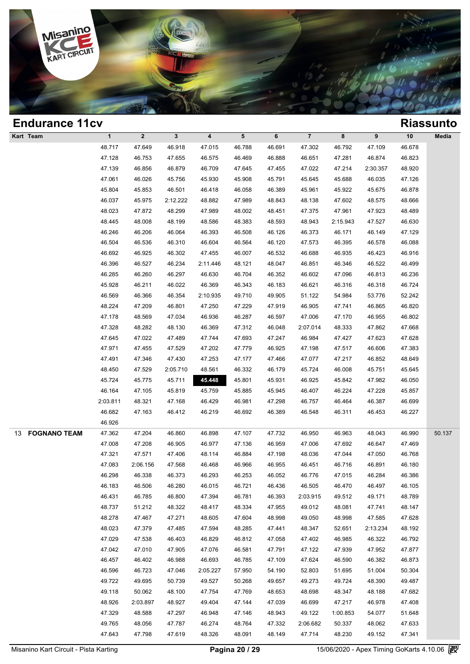

| <b>Endurance 11cv</b>     |              |              |              |                         |        |        |                |          |          |        | <b>Riassunto</b> |
|---------------------------|--------------|--------------|--------------|-------------------------|--------|--------|----------------|----------|----------|--------|------------------|
| Kart Team                 | $\mathbf{1}$ | $\mathbf{2}$ | $\mathbf{3}$ | $\overline{\mathbf{4}}$ | 5      | 6      | $\overline{7}$ | 8        | 9        | 10     | Media            |
|                           | 48.717       | 47.649       | 46.918       | 47.015                  | 46.788 | 46.691 | 47.302         | 46.792   | 47.109   | 46.678 |                  |
|                           | 47.128       | 46.753       | 47.655       | 46.575                  | 46.469 | 46.888 | 46.651         | 47.281   | 46.874   | 46.823 |                  |
|                           | 47.139       | 46.856       | 46.879       | 46.709                  | 47.645 | 47.455 | 47.022         | 47.214   | 2:30.357 | 48.920 |                  |
|                           | 47.061       | 46.026       | 45.756       | 45.930                  | 45.908 | 45.791 | 45.645         | 45.688   | 46.035   | 47.126 |                  |
|                           | 45.804       | 45.853       | 46.501       | 46.418                  | 46.058 | 46.389 | 45.961         | 45.922   | 45.675   | 46.878 |                  |
|                           | 46.037       | 45.975       | 2:12.222     | 48.882                  | 47.989 | 48.843 | 48.138         | 47.602   | 48.575   | 48.666 |                  |
|                           | 48.023       | 47.872       | 48.299       | 47.989                  | 48.002 | 48.451 | 47.375         | 47.961   | 47.923   | 48.489 |                  |
|                           | 48.445       | 48.008       | 48.199       | 48.586                  | 48.383 | 48.593 | 48.943         | 2:15.943 | 47.527   | 46.630 |                  |
|                           | 46.246       | 46.206       | 46.064       | 46.393                  | 46.508 | 46.126 | 46.373         | 46.171   | 46.149   | 47.129 |                  |
|                           | 46.504       | 46.536       | 46.310       | 46.604                  | 46.564 | 46.120 | 47.573         | 46.395   | 46.578   | 46.088 |                  |
|                           | 46.692       | 46.925       | 46.302       | 47.455                  | 46.007 | 46.532 | 46.688         | 46.935   | 46.423   | 46.916 |                  |
|                           | 46.396       | 46.527       | 46.234       | 2:11.446                | 48.121 | 48.047 | 46.851         | 46.346   | 46.522   | 46.499 |                  |
|                           | 46.285       | 46.260       | 46.297       | 46.630                  | 46.704 | 46.352 | 46.602         | 47.096   | 46.813   | 46.236 |                  |
|                           | 45.928       | 46.211       | 46.022       | 46.369                  | 46.343 | 46.183 | 46.621         | 46.316   | 46.318   | 46.724 |                  |
|                           | 46.569       | 46.366       | 46.354       | 2:10.935                | 49.710 | 49.905 | 51.122         | 54.984   | 53.776   | 52.242 |                  |
|                           | 48.224       | 47.209       | 46.801       | 47.250                  | 47.229 | 47.919 | 46.905         | 47.741   | 46.865   | 46.820 |                  |
|                           | 47.178       | 48.569       | 47.034       | 46.936                  | 46.287 | 46.597 | 47.006         | 47.170   | 46.955   | 46.802 |                  |
|                           | 47.328       | 48.282       | 48.130       | 46.369                  | 47.312 | 46.048 | 2:07.014       | 48.333   | 47.862   | 47.668 |                  |
|                           | 47.645       | 47.022       | 47.489       | 47.744                  | 47.693 | 47.247 | 46.984         | 47.427   | 47.623   | 47.628 |                  |
|                           | 47.971       | 47.455       | 47.529       | 47.202                  | 47.779 | 46.925 | 47.198         | 47.517   | 46.606   | 47.383 |                  |
|                           | 47.491       | 47.346       | 47.430       | 47.253                  | 47.177 | 47.466 | 47.077         | 47.217   | 46.852   | 48.649 |                  |
|                           | 48.450       | 47.529       | 2:05.710     | 48.561                  | 46.332 | 46.179 | 45.724         | 46.008   | 45.751   | 45.645 |                  |
|                           | 45.724       | 45.775       | 45.711       | 45.448                  | 45.801 | 45.931 | 46.925         | 45.842   | 47.982   | 46.050 |                  |
|                           | 46.164       | 47.105       | 45.819       | 45.759                  | 45.885 | 45.945 | 46.407         | 46.224   | 47.228   | 45.857 |                  |
|                           | 2:03.811     | 48.321       | 47.168       | 46.429                  | 46.981 | 47.298 | 46.757         | 46.464   | 46.387   | 46.699 |                  |
|                           | 46.682       | 47.163       | 46.412       | 46.219                  | 46.692 | 46.389 | 46.548         | 46.311   | 46.453   | 46.227 |                  |
|                           | 46.926       |              |              |                         |        |        |                |          |          |        |                  |
| <b>FOGNANO TEAM</b><br>13 | 47.362       | 47.204       | 46.860       | 46.898                  | 47.107 | 47.732 | 46.950         | 46.963   | 48.043   | 46.990 | 50.137           |
|                           | 47.008       | 47.208       | 46.905       | 46.977                  | 47.136 | 46.959 | 47.006         | 47.692   | 46.647   | 47.469 |                  |
|                           | 47.321       | 47.571       | 47.406       | 48.114                  | 46.884 | 47.198 | 48.036         | 47.044   | 47.050   | 46.768 |                  |
|                           | 47.083       | 2:06.156     | 47.568       | 46.468                  | 46.966 | 46.955 | 46.451         | 46.716   | 46.891   | 46.180 |                  |
|                           | 46.298       | 46.338       | 46.373       | 46.293                  | 46.253 | 46.052 | 46.776         | 47.015   | 46.284   | 46.386 |                  |
|                           | 46.183       | 46.506       | 46.280       | 46.015                  | 46.721 | 46.436 | 46.505         | 46.470   | 46.497   | 46.105 |                  |
|                           | 46.431       | 46.785       | 46.800       | 47.394                  | 46.781 | 46.393 | 2:03.915       | 49.512   | 49.171   | 48.789 |                  |
|                           | 48.737       | 51.212       | 48.322       | 48.417                  | 48.334 | 47.955 | 49.012         | 48.081   | 47.741   | 48.147 |                  |
|                           | 48.278       | 47.467       | 47.271       | 48.605                  | 47.604 | 48.998 | 49.050         | 48.998   | 47.585   | 47.628 |                  |
|                           | 48.023       | 47.379       | 47.485       | 47.594                  | 48.285 | 47.441 | 48.347         | 52.651   | 2:13.234 | 48.192 |                  |
|                           | 47.029       | 47.538       | 46.403       | 46.829                  | 46.812 | 47.058 | 47.402         | 46.985   | 46.322   | 46.792 |                  |
|                           | 47.042       | 47.010       | 47.905       | 47.076                  | 46.581 | 47.791 | 47.122         | 47.939   | 47.952   | 47.877 |                  |
|                           | 46.457       | 46.402       | 46.988       | 46.693                  | 46.785 | 47.109 | 47.624         | 46.590   | 46.382   | 46.873 |                  |
|                           | 46.596       | 46.723       | 47.046       | 2:05.227                | 57.950 | 54.190 | 52.803         | 51.695   | 51.004   | 50.304 |                  |
|                           | 49.722       | 49.695       | 50.739       | 49.527                  | 50.268 | 49.657 | 49.273         | 49.724   | 48.390   | 49.487 |                  |
|                           | 49.118       | 50.062       | 48.100       | 47.754                  | 47.769 | 48.653 | 48.698         | 48.347   | 48.188   | 47.682 |                  |
|                           | 48.926       | 2:03.897     | 48.927       | 49.404                  | 47.144 | 47.039 | 46.699         | 47.217   | 46.978   | 47.408 |                  |
|                           | 47.329       | 48.588       | 47.297       | 46.948                  | 47.146 | 48.943 | 49.122         | 1:00.853 | 54.077   | 51.648 |                  |
|                           | 49.765       | 48.056       | 47.787       | 46.274                  | 48.764 | 47.332 | 2:06.682       | 50.337   | 48.062   | 47.633 |                  |
|                           | 47.643       | 47.798       | 47.619       | 48.326                  | 48.091 | 48.149 | 47.714         | 48.230   | 49.152   | 47.341 |                  |
|                           |              |              |              |                         |        |        |                |          |          |        |                  |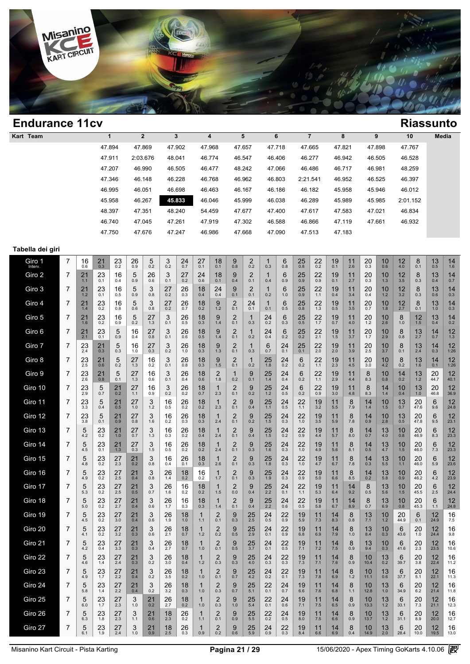

| <b>Endurance 11cv</b> |   |                     |                  |                  |               |                     |               |                  |                       |                       |                                |                       |                     |               |                  |                  |                  |            |                   |                  |             |                  | <b>Riassunto</b> |            |
|-----------------------|---|---------------------|------------------|------------------|---------------|---------------------|---------------|------------------|-----------------------|-----------------------|--------------------------------|-----------------------|---------------------|---------------|------------------|------------------|------------------|------------|-------------------|------------------|-------------|------------------|------------------|------------|
| Kart Team             |   |                     | $\mathbf{1}$     |                  |               | $\mathbf{2}$        |               | 3                |                       | 4                     |                                | 5                     | 6                   |               | $\overline{7}$   |                  | 8                |            |                   | 9                |             | 10               |                  | Media      |
|                       |   |                     | 47.894           |                  |               | 47.869              |               | 47.902           |                       | 47.968                |                                | 47.657                | 47.718              |               |                  | 47.665           | 47.821           |            | 47.898            |                  | 47.767      |                  |                  |            |
|                       |   |                     | 47.911<br>47.207 |                  |               | 2:03.676<br>46.990  |               | 48.041<br>46.505 |                       | 46.774                |                                | 46.547<br>48.242      | 46.406<br>47.066    |               | 46.486           | 46.277           | 46.942<br>46.717 |            | 46.505<br>46.981  |                  |             | 46.528           |                  |            |
|                       |   |                     | 47.346           |                  |               | 46.148              |               | 46.228           |                       | 46.477<br>46.768      |                                | 46.962                | 46.803              |               | 2:21.541         |                  | 46.952           |            | 46.525            |                  | 46.397      | 48.259           |                  |            |
|                       |   |                     | 46.995           |                  |               | 46.051              |               | 46.698           |                       | 46.463                |                                | 46.167                | 46.186              |               |                  | 46.182           | 45.958           |            | 45.946            |                  |             | 46.012           |                  |            |
|                       |   |                     | 45.958           |                  |               | 46.267              |               | 45.833           |                       | 46.046                |                                | 45.999                | 46.038              |               | 46.289           |                  | 45.989           |            | 45.985            |                  |             | 2:01.152         |                  |            |
|                       |   |                     | 48.397           |                  |               | 47.351              |               | 48.240           |                       | 54.459                |                                | 47.677                | 47.400              |               | 47.617           |                  | 47.583           |            | 47.021            |                  |             | 46.834           |                  |            |
|                       |   |                     | 46.740           |                  |               | 47.045              |               | 47.261           |                       | 47.919                |                                | 47.302                | 46.588              |               |                  | 46.866           | 47.119           |            | 47.661            |                  |             | 46.932           |                  |            |
|                       |   |                     | 47.750           |                  |               | 47.676              |               | 47.247           |                       | 46.986                |                                | 47.668                | 47.090              |               | 47.513           |                  | 47.183           |            |                   |                  |             |                  |                  |            |
| Tabella dei giri      |   |                     |                  |                  |               |                     |               |                  |                       |                       |                                |                       |                     |               |                  |                  |                  |            |                   |                  |             |                  |                  |            |
| Giro 1<br>Interv.     | 7 | 16<br>0.6           | 21<br>0.3        | 23<br>0.2        | 26<br>0.9     | 5<br>0.2            | 3<br>0.2      | 24<br>0.7        | 27<br>0.1             | 18<br>0.1             | 9<br>0.8                       | 2<br>0.2              | 1<br>0.3            | 6<br>0.8      | 25<br>0.8        | 22<br>0.2        | 19<br>0.1        | 11<br>2.6  | 20<br>0.3         | 10<br>0.6        | 12<br>4.0   | 8<br>0.1         | 13<br>0.5        | 14<br>1.6  |
| Giro 2                | 7 | 21<br>$1.1$         | 23<br>0.1        | 16<br>0.4        | 5<br>0.9      | 26<br>0.6           | 3<br>0.1      | 27<br>0.2        | 24<br>0.6             | 18<br>0.1             | 9<br>0.4                       | $\overline{2}$<br>0.1 | 1<br>0.4            | 6<br>0.9      | 25<br>0.9        | 22<br>0.9        | 19<br>0.1        | 11<br>2.7  | 20<br>0.3         | 10<br>1.3        | 12<br>3.5   | 8<br>0.3         | 13<br>0.4        | 14<br>0.7  |
| Giro 3                | 7 | 21<br>1.2           | 23<br>0.1        | 16<br>0.5        | 5<br>0.9      | 3<br>0.8            | 27<br>0.2     | 26<br>0.3        | 18<br>0.4             | 24<br>0.4             | 9<br>0.1                       | $\overline{2}$<br>0.1 | 1<br>0.2            | 6<br>1.0      | 25<br>0.9        | 22<br>1.1        | 19<br>0.4        | 11<br>3.4  | 20<br>0.4         | 10<br>1.2        | 12<br>3.2   | 8<br>0.3         | 13<br>0.6        | 14<br>0.3  |
| Giro 4                | 7 | 21<br>1.4           | 23<br>0.2        | 16<br>0.8        | 5<br>0.6      | 3<br>0.8            | 27<br>0.2     | 26<br>0.7        | 18<br>0.2             | 9<br>1.2              | 2<br>0.1                       | 24<br>0.1             | 1<br>0.1            | 6<br>0.5      | 25<br>0.8        | 22<br>1.3        | 19<br>0.5        | 11<br>3.5  | 20<br>0.7         | 10<br>1.8        | $12 \n2.7$  | 8<br>0.1         | 13<br>1.0        | 14<br>0.3  |
| Giro 5                | 7 | 21<br>1.6           | 23<br>0.2        | 16<br>0.9        | 5<br>0.2      | 27<br>1.3           | 3<br>0.1      | 26<br>0.5        | 18<br>0.3             | 9<br>1.4              | 2<br>0.1                       | 1<br>0.3              | 24<br>0.2           | 6<br>0.3      | 25<br>0.5        | 22<br>1.7        | 19<br>0.7        | 11<br>4.0  | 20<br>1.2         | 10<br>2.6        | 8<br>1.0    | 12<br>$1.5$      | 13<br>0.4        | 14<br>0.2  |
| Giro 6                | 7 | $21$ <sub>2.1</sub> | 23<br>0.1        | 5<br>0.9         | 16<br>0.4     | 27<br>0.8           | 3<br>0.1      | 26<br>0.6        | 18<br>0.5             | 9<br>1.4              | 2<br>0.1                       | 1<br>0.2              | 24<br>0.4           | 6<br>0.2      | 25<br>0.2        | 22<br>2.1        | 19<br>1.5        | 11<br>3.7  | 20<br>1.7         | 10<br>2.9        | 8<br>0.8    | $\frac{13}{2.7}$ | 14<br>0.7        | 12<br>1.3  |
| Giro 7                | 7 | 23<br>2.4           | 21<br>0.3        | 5<br>0.3         | 16<br>1.0     | 27<br>0.3           | 3<br>0.2      | 26<br>1.0        | 18<br>0.3             | 9<br>1.3              | $\overline{2}$<br>0.1          | 1<br>0.3              | 6<br>0.7            | 24<br>0.1     | 25<br>0.1        | 22<br>2.0        | 19<br>2.0        | 11<br>3.9  | 20<br>2.5         | 10<br>3.7        | 8<br>0.1    | 13<br>2.4        | 14<br>0.3        | 12<br>1:26 |
| Giro 8                | 7 | $^{23}_{2.5}$       | 21<br>0.6        | 5<br>0.2         | 27<br>1.3     | 16<br>0.2           | 3<br>0.1      | 26<br>0.8        | 18<br>0.3             | 9<br>1.5              | 2<br>0.1                       | 1<br>0.2              | 25<br>1.8           | 24<br>$0.2\,$ | 6<br>0.2         | 22<br>1.1        | 19<br>2.3        | 11<br>4.5  | 20<br>3.0         | 10<br>4.2        | 8<br>0.2    | 13<br>1.6        | 14<br>0.1        | 12<br>1:26 |
| Giro 9                | 7 | $^{23}_{2.6}$       | 21<br>0.8        | 5<br>0.1         | 27<br>1.3     | 16<br>0.6           | 3<br>0.1      | 26<br>0.4        | 18<br>0.6             | $\overline{2}$<br>1.8 | 1<br>0.2                       | 9<br>0.1              | 25<br>$1.4$         | 24<br>0.4     | 6<br>0.2         | 22<br>1.1        | 19<br>2.9        | 11<br>4.4  | 8<br>8.3          | 10<br>0.8        | 14<br>0.2   | $13 \atop 1.2$   | 20<br>44.7       | 12<br>40.1 |
| Giro 10               | 7 | 23<br>2.9           | 5<br>0.7         | 21<br>0.2        | 27<br>1.1     | 16<br>0.9           | 3<br>0.2      | 26<br>0.2        | 18<br>0.7             | 1<br>2.3              | $\overline{2}$<br>0.1          | 9<br>0.2              | 25<br>$1.2$         | 24<br>0.5     | 6<br>0.2         | 22<br>0.9        | 19<br>3.0        | 11<br>4.8  | 8<br>8.3          | 14<br>1.4        | 10<br>0.4   | 13<br>1.0        | 20<br>46.8       | 12<br>36.9 |
| Giro 11               | 7 | 23<br>3.3           | 5<br>0.4         | 21<br>0.5        | 27<br>1.0     | 3<br>$1.2$          | 16<br>0.5     | 26<br>0.2        | 18<br>0.2             | 1<br>2.3              | $\overline{2}$<br>0.1          | 9<br>0.4              | 25<br>$1.1$         | 24<br>0.5     | 22<br>1.1        | 19<br>3.2        | 11<br>5.5        | 8<br>7.9   | 14<br>1.4         | 10<br>1.5        | 13<br>0.7   | 20<br>47.6       | 6<br>9.6         | 12<br>24.8 |
| Giro 12               | 7 | 23<br>3.8           | 5<br>0.1         | 21<br>0.9        | 27<br>0.8     | 3<br>1.6            | 16<br>0.2     | 26<br>0.3        | 18<br>0.3             | 1<br>2.4              | $\overline{2}$<br>0.1          | 9<br>0.2              | 25<br>1.5           | 24<br>0.3     | 22<br>1.0        | 19<br>3.5        | 11<br>5.9        | 8<br>7.8   | 14<br>0.9         | 10<br>2.8        | 13<br>0.5   | 20<br>47.8       | 6<br>9.5         | 12<br>23.1 |
| Giro 13               | 7 | 5<br>4.2            | 23<br>0.2        | 21<br>1.0        | 27<br>0.7     | 3<br>1.3            | 16<br>0.3     | 26<br>0.2        | 18<br>0.4             | 1<br>2.4              | $\overline{2}$<br>0.1          | 9<br>0.4              | 25<br>1.5           | 24<br>0.2     | 22<br>0.9        | 19<br>4.4        | 11<br>5.7        | 8<br>8.0   | 14<br>0.7         | 13<br>4.0        | 10<br>0.8   | 20<br>46.9       | 6<br>8.3         | 12<br>23.3 |
| Giro 14               | 7 | 5<br>4.5            | 23<br>0.1        | 21<br>1.3        | 27<br>0.3     | 3<br>1.5            | 16<br>0.5     | 26<br>0.2        | 18<br>0.2             | 1<br>2.4              | 2<br>0.1                       | 9<br>0.3              | 25<br>1.6           | 24<br>0.3     | 22<br>1.0        | 19<br>4.9        | 11<br>5.6        | 8<br>8.1   | 14<br>0.5         | 13<br>4.7        | 10<br>1.5   | 20<br>46.0       | 6<br>7.3         | 12<br>23.3 |
| Giro 15               | 7 | 5<br>4.8            | 23<br>0.2        | 27<br>2.3        | 21<br>0.2     | 3<br>0.8            | 16<br>0.4     | 26<br>0.1        | 18<br>0.3             | 1<br>2.6              | 2<br>0.1                       | 9<br>0.3              | 25<br>1.8           | 24<br>0.3     | 22<br>1.0        | 19<br>4.7        | 11<br>6.7        | 8<br>7.8   | 14<br>0.3         | 13<br>5.5        | 10<br>1.1   | 20<br>46.0       | 6<br>5.9         | 12<br>23.6 |
| Giro 16               | 7 | 5<br>4.9            | 23<br>0.2        | 27<br>2.5        | 21<br>0.4     | 3<br>0.8            | 26<br>1.4     | 18<br>0.2        | 16<br>0.2             | 1<br>$1.7$            | $\overline{c}$<br>0.1          | 9<br>0.3              | $25$ <sub>1.9</sub> | 24<br>0.3     | 22<br>0.9        | 19<br>5.0        | 11<br>6.6        | 8<br>8.5   | 14<br>0.2         | 13<br>$5.8$      | 10<br>0.9   | 20<br>46.2       | 6<br>4.2         | 12<br>23.9 |
| Giro 17               | 7 | 5<br>5.3            | 23<br>0.2        | 27<br>2.5        | 21<br>0.5     | 3<br>0.7            | 26<br>1.6     | 16<br>0.2        | 18<br>0.2             | $\mathbf{1}$<br>$1.5$ | $\overline{c}$<br>$0.0\,$      | 9<br>0.4              | 25<br>2.2           | 24<br>0.1     | 22<br>1.1        | 19<br>5.3        | 11<br>6.4        | 14<br>9.2  | 8<br>0.5          | 13<br>5.6        | 10<br>$1.5$ | 20<br>45.5       | 6<br>2.5         | 12<br>24.4 |
| Giro 18               | 7 | 5<br>5.0            | 23<br>0.2        | 27<br>2.7        | $^{21}_{0.4}$ | 3<br>0.6            | 26<br>1.7     | 16<br>0.3        | 18<br>0.3             | $\mathbf{1}$<br>1.4   | $\overline{\mathbf{c}}$<br>0.1 | $^{9}_{0.4}$          | $25$ <sub>2.2</sub> | 24<br>$0.6\,$ | 22<br>0.5        | 19<br>5.8        | 11<br>6.7        | 14<br>8.9  | $8_{0.7}$         | $13 \n6.9$       | 10<br>0.8   | 20<br>45.3       | 6<br>1.1         | 12<br>24.8 |
| Giro 19               | 7 | 5<br>4.5            | 23<br>0.2        | 27<br>3.0        | $^{21}_{0.4}$ | 3<br>0.6            | 26<br>1.9     | $18 \atop 1.0$   | 1<br>1.1              | 2<br>0.1              | 9<br>0.3                       | $\frac{25}{2.5}$      | 24<br>0.5           | 22<br>0.9     | 19<br>5.9        | 11<br>7.3        | 14<br>8.3        | 8<br>0.8   | $13 \atop 7.1$    | 10<br>$1.2$      | 20<br>44.9  | 6<br>0.1         | 12<br>24.9       | 16<br>7.5  |
| Giro 20               | 7 | 5<br>4.1            | 23<br>0.2        | $27 \choose 3.2$ | $^{21}_{0.3}$ | 3<br>0.6            | 26<br>2.1     | $^{18}_{0.7}$    | $\mathbf{1}$<br>$1.2$ | $^{2}_{0.2}$          | $\underset{0.5}{9}$            | $\frac{25}{2.9}$      | 24<br>0.1           | 22<br>0.9     | 19<br>6.8        | 11<br>6.9        | $\frac{14}{7.9}$ | 8<br>$1.0$ | $\frac{13}{8.4}$  | 10<br>0.3        | 6<br>43.6   | 20<br>1.0        | 12<br>24.4       | 16<br>9.8  |
| Giro 21               | 7 | 5<br>$4.2\,$        | 23<br>0.4        | 27<br>3.3        | 21<br>0.3     | $\mathbf{3}$<br>0.4 | 26<br>2.7     | 18<br>0.7        | $\mathbf{1}$<br>$1.0$ | $\overline{2}$<br>0.1 | 9<br>$0.5\,$                   | 25<br>$3.7\,$         | 24<br>0.1           | 22<br>0.5     | 19<br>7.1        | 11<br>7.2        | 14<br>7.5        | 8<br>0.9   | 13<br>9.4         | 10<br>0.3        | 6<br>41.6   | 20<br>2.3        | 12<br>23.5       | 16<br>10.6 |
| Giro 22               | 7 | 5<br>4.6            | $^{23}_{1.4}$    | $^{27}_{2.4}$    | $^{21}_{0.3}$ | $3_{0.2}$           | $^{26}_{3.0}$ | $^{18}_{0.4}$    | 1<br>$1.2$            | $^{2}_{0.3}$          | 9<br>0.3                       | $^{25}_{4.0}$         | $^{24}_{0.3}$       | $^{22}_{0.3}$ | $\frac{19}{7.3}$ | $\frac{11}{7.1}$ | $\frac{14}{7.6}$ | 8<br>0.9   | $10\n10.4$        | $13_{0.2}$       | 6<br>39.7   | $^{20}_{3.8}$    | $12$<br>$22.4$   | 16<br>11.2 |
| Giro 23               | 7 | 5<br>4.9            | $^{23}_{1.7}$    | $27 \atop 2.2$   | $^{21}_{0.4}$ | $3_{0.2}$           | 26<br>3.5     | $18_{0.2}$       | 1<br>$1.0$            | $_{0.1}^{2}$          | 9<br>0.7                       | $25$ <sub>4.2</sub>   | $^{24}_{0.2}$       | $^{22}_{0.1}$ | 19<br>7.3        | 11<br>7.8        | 14<br>6.9        | $8_{1.2}$  | $\frac{10}{11.1}$ | $^{13}_{0.6}$    | 6<br>37.7   | $^{20}_{\,5.1}$  | 12<br>22.1       | 16<br>11.3 |
| Giro 24               | 7 | 5<br>5.8            | $^{23}_{1.4}$    | 27<br>2.2        | $^{21}_{0.4}$ | 3<br>$0.2\,$        | 26<br>3.2     | 18<br>0.3        | 1<br>1.0              | $\overline{2}$<br>0.3 | 9<br>0.7                       | $25$ <sub>5.1</sub>   | 22<br>0.1           | 24<br>0.7     | 19<br>6.6        | 11<br>7.6        | 14<br>6.8        | 8<br>1.1   | 10<br>12.8        | $13 \atop 1.0$   | 6<br>34.9   | 20<br>$6.2\,$    | 12<br>21.4       | 16<br>11.8 |
| Giro 25               | 7 | 5<br>6.0            | $^{23}_{1.7}$    | 27<br>2.3        | 3<br>1.0      | 21<br>0.2           | 26<br>2.7     | 18<br>0.2        | $\mathbf{1}$<br>1.0   | $\overline{2}$<br>0.3 | 9<br>1.0                       | $25$ <sub>5.4</sub>   | 22<br>0.1           | 24<br>0.6     | 19<br>7.1        | 11<br>7.5        | 14<br>6.5        | 8<br>0.9   | 10<br>13.3        | $13 \atop 1.2$   | 6<br>33.1   | 20<br>7.3        | 12<br>21.1       | 16<br>12.3 |
| Giro 26               | 7 | 5<br>6.3            | $^{23}_{1.8}$    | $^{27}_{2.3}$    | 3<br>1.1      | 21<br>0.6           | 18<br>2.3     | $^{26}_{0.2}$    | 1<br>1.1              | $^{2}_{0.1}$          | 9<br>0.9                       | $25$ <sub>5.5</sub>   | $^{22}_{0.2}$       | $^{24}_{0.5}$ | 19<br>8.0        | 11<br>7.5        | 14<br>6.6        | 8<br>0.9   | 10<br>13.7        | $13 \atop 1.2$   | 6<br>31.1   | $^{20}_{8.9}$    | 12<br>20.0       | 16<br>12.7 |
| Giro 27               | 7 | 5<br>6.1            | $^{23}_{1.9}$    | 27<br>2.4        | 3<br>$1.0\,$  | $^{21}_{0.9}$       | 18<br>$2.5\,$ | $^{26}_{0.3}$    | 1<br>0.9              | $^{2}_{0.2}$          | 9<br>$0.6\,$                   | $25$ <sub>5.9</sub>   | 24<br>0.9           | 22<br>$0.3\,$ | 19<br>8.4        | 11<br>6.6        | 14<br>6.9        | 8<br>0.4   | 10<br>14.9        | $\frac{13}{2.0}$ | 6<br>28.4   | 20<br>10.0       | 12<br>19.5       | 16<br>13.0 |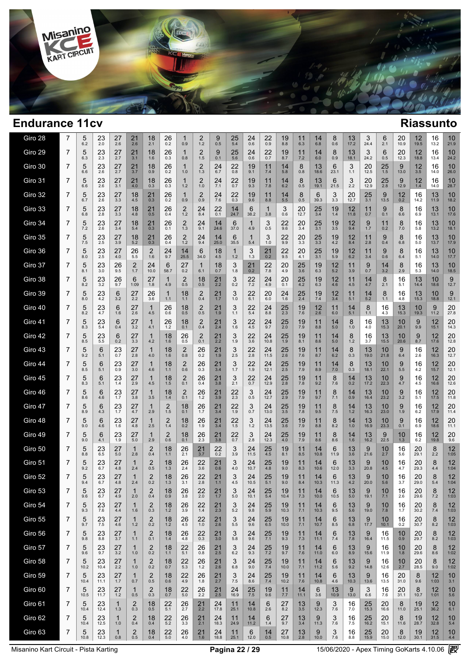

| Giro 28 | 7 | 5<br>6.2  | 23<br>2.0      | 27<br>2.6           | $^{21}_{2.6}$         | 18<br>2.1                      | 26<br>0.2     | 0.9                   | $^{2}_{1.2}$          | 9<br>0.5         | 25<br>5.4    | 24<br>0.6        | 22<br>0.9           | 19<br>8.8        | 11<br>6.3        | 14<br>6.8           | 8<br>0.6   | 13<br>17.2    | 3<br>24.4            | 6<br>2.1    | 20<br>10.9 | 12<br>19.5 | 16<br>13.2   | 10<br>21.9 |
|---------|---|-----------|----------------|---------------------|-----------------------|--------------------------------|---------------|-----------------------|-----------------------|------------------|--------------|------------------|---------------------|------------------|------------------|---------------------|------------|---------------|----------------------|-------------|------------|------------|--------------|------------|
| Giro 29 | 7 | 5<br>6.3  | 23<br>2.3      | 27<br>2.7           | 21<br>3.1             | 18<br>1.6                      | 26<br>0.3     | 1<br>0.8              | 2<br>1.5              | 9<br>0.1         | 25<br>5.6    | 24<br>0.6        | 22<br>0.7           | 19<br>8.7        | 11<br>7.2        | 14<br>6.0           | 8<br>0.9   | 13<br>18.1    | 3<br>24.2            | 6<br>0.5    | 20<br>12.3 | 12<br>18.8 | 16<br>13.4   | 10<br>24.2 |
| Giro 30 | 7 | 5<br>6.6  | 23<br>2.6      | 27<br>2.7           | 21<br>3.7             | 18<br>0.9                      | 26<br>0.2     | 1<br>1.0              | 2<br>1.3              | 24<br>6.7        | 22<br>0.8    | 19<br>9.1        | 11<br>7.4           | 14<br>5.8        | 8<br>0.8         | 13<br>18.6          | 6<br>23.1  | 3<br>1.1      | 20<br>12.5           | 25<br>1.5   | 9<br>13.0  | 12<br>3.5  | 16<br>14.0   | 10<br>26.0 |
| Giro 31 | 7 | 5<br>6.6  | 23<br>2.6      | 27<br>3.1           | 21<br>4.0             | 18<br>0.3                      | 26<br>0.3     | 1<br>$1.2$            | $\overline{2}$<br>1.0 | 24<br>7.1        | 22<br>0.7    | 19<br>9.3        | 11<br>7.8           | 14<br>6.2        | 8<br>0.5         | 13<br>19.1          | 6<br>21.5  | 3<br>2.2      | 20<br>12.9           | 25<br>2.8   | 9<br>12.9  | 12<br>1.4  | 16<br>14.0   | 10<br>28.7 |
| Giro 32 | 7 | 5<br>6.7  | 23<br>2.6      | 27<br>3.3           | 18<br>4.5             | $^{21}_{0.3}$                  | 26<br>0.2     | 1<br>0.9              | $\overline{2}$<br>0.9 | 24<br>7.6        | 22<br>0.3    | 19<br>9.6        | 11<br>8.8           | 14<br>5.5        | 8<br>0.5         | 6<br>39.3           | 3<br>3.3   | 20<br>12.7    | 25<br>3.1            | 9<br>13.5   | 12<br>0.2  | 16<br>14.2 | 13<br>11.9   | 10<br>18.2 |
| Giro 33 | 7 | 5<br>6.8  | $^{23}_{2.8}$  | $\frac{27}{3.3}$    | 18<br>4.8             | $^{21}_{0.5}$                  | $^{26}_{0.4}$ | $\overline{2}$<br>1.2 | $^{24}_{8.4}$         | 22<br>0.1        | 14<br>24.7   | 6<br>38.2        | -1<br>3.8           | 3<br>0.6         | 20<br>12.7       | 25<br>3.4           | 19<br>1.4  | 12<br>11.8    | 11<br>0.7            | 9<br>0.1    | 8<br>6.6   | 16<br>6.9  | 13<br>13.1   | 10<br>17.6 |
| Giro 34 | 7 | 5<br>7.2  | 23<br>2.6      | 27<br>3.4           | 18<br>5.4             | 21<br>0.3                      | 26<br>0.1     | $\overline{2}$<br>1.3 | 24<br>9.1             | 14<br>24.6       | 6<br>37.0    | 1<br>4.9         | 3<br>0.5            | 22<br>9.6        | 20<br>3.4        | 25<br>3.1           | 19<br>3.5  | 12<br>9.4     | 9<br>1.7             | 11<br>0.2   | 8<br>7.0   | 16<br>5.8  | 13<br>13.2   | 10<br>18.1 |
| Giro 35 | 7 | 5<br>7.5  | 23<br>2.5      | 27<br>3.9           | 18<br>5.2             | $^{21}_{0.3}$                  | 26<br>0.4     | 2<br>$1.2$            | 24<br>9.4             | 14<br>25.0       | 6<br>35.5    | $5.4$            | 3<br>1.0            | 22<br>9.9        | $^{20}_{3.3}$    | 25<br>3.3           | 19<br>4.2  | 12<br>8.4     | 11<br>2.8            | 9<br>0.4    | 8<br>6.8   | 16<br>5.0  | 13<br>13.7   | 10<br>17.9 |
| Giro 36 | 7 | 5<br>8.0  | $^{23}_{2.5}$  | 27<br>4.0           | 26<br>5.5             | 2<br>1.6                       | 24<br>9.7     | 14<br>25.5            | 6<br>34.0             | 18<br>4.5        | 1<br>$1.2$   | 3<br>1.3         | 21<br>0.2           | 22<br>9.5        | 20<br>4.1        | $25$ <sub>3.1</sub> | 19<br>5.9  | 12<br>6.2     | 11<br>3.4            | 9<br>0.6    | 8<br>6.4   | 16<br>5.1  | 13<br>14.0   | 10<br>17.7 |
| Giro 37 | 7 | 5<br>8.1  | 23<br>3.0      | 26<br>9.5           | $2$ <sub>1.7</sub>    | 24<br>10.0                     | 6<br>58.7     | 27<br>0.2             | 1<br>6.1              | 18<br>0.7        | 3<br>1.8     | $^{21}_{0.2}$    | 22<br>7.8           | 20<br>4.9        | $\frac{25}{3.6}$ | 19<br>6.3           | 12<br>5.2  | 11<br>3.9     | 9<br>0.7             | 14<br>3.2   | 8<br>2.9   | 16<br>5.3  | 13<br>14.0   | 10<br>18.5 |
| Giro 38 | 7 | 5<br>8.2  | 23<br>3.2      | 26<br>9.7           | 6<br>1:09             | 27<br>1.8                      | 4.9           | 2<br>0.5              | 18<br>0.5             | 21<br>2.2        | 3<br>0.2     | 22<br>7.2        | 24<br>4.9           | 20<br>0.1        | 25<br>4.2        | 19<br>6.3           | 12<br>4.6  | 11<br>4.5     | 14<br>4.7            | 8<br>2.1    | 16<br>5.1  | 13<br>14.4 | 10<br>18.6   | 9<br>12.7  |
| Giro 39 | 7 | 5<br>8.0  | 23<br>4.2      | 6<br>3.2            | 27<br>2.2             | 26<br>3.6                      | 1<br>1.1      | 18<br>1.1             | $\overline{c}$<br>0.4 | 21<br>1.7        | 3<br>1.0     | 22<br>6.1        | 20<br>6.0           | 24<br>1.6        | 25<br>2.4        | 19<br>7.4           | 12<br>3.4  | 11<br>5.1     | 14<br>5.2            | 8<br>1.1    | 16<br>4.8  | 13<br>15.3 | 10<br>18.8   | 9<br>12.1  |
| Giro 40 | 7 | 5<br>8.2  | 23<br>4.7      | 6<br>1.6            | 27<br>2.6             | 1<br>4.5                       | 26<br>0.6     | 18<br>0.5             | 2<br>0.5              | 21<br>1.9        | 3<br>1.1     | 22<br>5.4        | 24<br>8.8           | 25<br>2.3        | 19<br>7.6        | 12<br>2.6           | 11<br>6.0  | 14<br>$5.1$   | 8<br>1.1             | 16<br>4.3   | 13<br>15.3 | 10<br>19.3 | 9<br>11.2    | 20<br>27.8 |
| Giro 41 | 7 | 5<br>8.3  | 23<br>5.4      | 6<br>0.4            | 27<br>3.2             | 1<br>4.1                       | 26<br>1.2     | 18<br>0.1             | 2<br>0.4              | 21<br>2.4        | 3<br>1.6     | 22<br>4.5        | 24<br>9.7           | 25<br>2.0        | 19<br>7.9        | 11<br>8.8           | 14<br>5.0  | 8<br>1.0      | 16<br>4.0            | 13<br>15.3  | 10<br>20.1 | 9<br>9.9   | 12<br>15.1   | 20<br>14.3 |
| Giro 42 | 7 | 5<br>8.5  | 23<br>5.5      | 6<br>0.2            | 27<br>3.3             | 1<br>4.2                       | 18<br>1.6     | 26<br>0.5             | $^{2}_{0.1}$          | $^{21}_{2.2}$    | 3<br>1.9     | 22<br>3.6        | 24<br>10.8          | 25<br>1.9        | 19<br>8.1        | 11<br>8.6           | 14<br>5.0  | 8<br>1.2      | 16<br>3.7            | 13<br>15.5  | 10<br>20.6 | 9<br>8.7   | 12<br>17.6   | 20<br>12.8 |
| Giro 43 | 7 | 5<br>9.2  | 6<br>5.1       | 23<br>0.7           | 27<br>2.8             | 1<br>4.0                       | 18<br>1.6     | 2<br>0.8              | 26<br>0.2             | 21<br>1.9        | 3<br>2.5     | 22<br>2.8        | 24<br>11.5          | $\frac{25}{2.6}$ | 19<br>7.6        | 11<br>8.7           | 14<br>6.2  | 8<br>0.3      | 13<br>19.0           | 10<br>21.8  | 9<br>6.4   | 16<br>2.6  | 12<br>16.3   | 20<br>12.7 |
| Giro 44 | 7 | 5<br>8.5  | 6<br>5.1       | 23<br>0.9           | 27<br>3.0             | 1<br>4.6                       | 18<br>1.1     | $\overline{2}$<br>0.6 | 26<br>0.3             | 21<br>3.4        | 3<br>1.7     | 22<br>1.9        | 24<br>12.1          | $\frac{25}{2.5}$ | $\frac{19}{7.9}$ | 11<br>8.9           | 14<br>7.0  | 8<br>0.3      | 13<br>18.1           | 10<br>22.1  | 9<br>5.5   | 16<br>4.2  | 12<br>15.7   | 20<br>12.1 |
| Giro 45 | 7 | 5<br>8.3  | 6<br>5.1       | 23<br>1.4           | 27<br>2.9             | 1<br>4.5                       | 18<br>1.5     | $\overline{2}$<br>0.1 | 26<br>0.4             | 21<br>3.8        | 3<br>2.1     | 22<br>0.7        | 24<br>12.9          | 25<br>2.8        | 19<br>7.8        | 11<br>9.2           | 8<br>7.6   | 14<br>0.2     | 13<br>17.2           | 10<br>22.3  | 9<br>4.7   | 16<br>4.5  | 12<br>16.6   | 20<br>12.6 |
| Giro 46 | 7 | 5<br>8.6  | 6<br>4.6       | 23<br>1.7           | 27<br>3.8             | 1<br>3.5                       | 18<br>1.4     | $\overline{2}$<br>0.1 | 26<br>$1.2$           | 21<br>3.9        | 22<br>2.3    | 3<br>0.5         | 24<br>12.7          | 25<br>2.9        | $\frac{19}{7.9}$ | 11<br>9.7           | 8<br>7.1   | 14<br>0.9     | 13<br>16.4           | 10<br>23.2  | 9<br>3.2   | 16<br>5.1  | 12<br>17.5   | 20<br>11.8 |
| Giro 47 | 7 | 5<br>8.9  | 6<br>4.3       | $^{23}_{1.7}$       | 27<br>4.7             | 2.9                            | 2<br>1.5      | 18<br>0.1             | $^{26}_{1.7}$         | $\frac{21}{3.4}$ | 22<br>1.9    | 3<br>0.7         | 24<br>13.0          | $\frac{25}{3.5}$ | $\frac{19}{7.8}$ | 11<br>9.5           | 8<br>7.5   | 14<br>1.2     | $13 \n16.3$          | 10<br>23.0  | 9<br>1.9   | 16<br>6.2  | 12<br>17.9   | 20<br>11.4 |
| Giro 48 | 7 | 5<br>9.0  | 6<br>4.6       | 23<br>1.6           | 27<br>4.8             | 1<br>2.5                       | 2<br>1.4      | 18<br>0.2             | 26<br>1.9             | 21<br>3.4        | 22<br>1.5    | 3<br>1.2         | 24<br>13.5          | 25<br>3.6        | 19<br>7.9        | 11<br>8.8           | 8<br>8.2   | 14<br>1.0     | 13<br>16.9           | 10<br>23.3  | 9<br>0.1   | 16<br>6.9  | 12<br>18.6   | 20<br>11.1 |
| Giro 49 | 7 | 5<br>9.0  | 6<br>4.1       | 23<br>1.9           | 27<br>5.0             | 1<br>2.9                       | 2<br>0.6      | 18<br>0.1             | 26<br>2.3             | 21<br>3.8        | 22<br>0.7    | 3<br>2.8         | 24<br>12.3          | 25<br>4.0        | 19<br>7.9        | 11<br>8.6           | 8<br>8.6   | 14<br>1.6     | 13<br>16.2           | 9<br>22.5   | 10<br>1.3  | 16<br>6.2  | 12<br>19.8   | 20<br>9.6  |
| Giro 50 | 7 | 5<br>8.8  | 23<br>6.5      | 27<br>5.0           | 1<br>2.8              | 2<br>0.4                       | 18<br>1.1     | 26<br>2.1             | $\frac{21}{3.7}$      | 22<br>0.2        | 3<br>3.9     | 24<br>11.5       | 25<br>4.5           | 19<br>8.1        | 11<br>8.5        | 14<br>10.8          | 6<br>11.9  | 13<br>3.6     | 9<br>21.6            | 10<br>2.7   | 16<br>5.6  | 20<br>29.1 | 8<br>2.2     | 12<br>1:05 |
| Giro 51 | 7 | 5<br>9.2  | 23<br>6.7      | 27<br>4.8           | 1<br>2.4              | 2<br>0.5                       | 18<br>1.3     | 26<br>2.4             | 22<br>3.6             | 21<br>0.6        | 3<br>4.0     | 24<br>10.7       | 25<br>4.8           | 19<br>9.0        | 11<br>8.3        | 14<br>10.6          | 6<br>12.0  | 13<br>3.3     | 9<br>20.8            | 10<br>4.5   | 16<br>4.7  | 20<br>29.3 | 8<br>4.4     | 12<br>1:04 |
| Giro 52 | 7 | 5<br>9.4  | 23<br>6.7      | 27<br>4.8           | 1<br>2.4              | 2<br>0.2                       | 18<br>1.3     | 26<br>3.1             | 22<br>2.8             | 21<br>1.1        | 3<br>4.5     | 24<br>10.5       | 25<br>5.1           | 19<br>9.0        | 11<br>8.4        | 14<br>10.3          | 6<br>11.3  | 13<br>4.2     | 9<br>20.0            | 10<br>5.6   | 16<br>3.7  | 20<br>29.0 | 8<br>5.4     | 12<br>1:04 |
| Giro 53 | 7 | 5<br>9.6  | 23<br>6.7      | 27<br>4.9           | 2.0                   | 2<br>0.4                       | 18<br>0.9     | 26<br>3.8             | $^{22}_{2.0}$         | $21$<br>1.7      | 3<br>5.0     | 24<br>10.1       | $25$ <sub>5.4</sub> | 19<br>10.4       | 11<br>7.3        | 14<br>10.0          | 6<br>10.5  | 13<br>$5.0\,$ | 9<br>19.1            | 10<br>7.1   | 16<br>2.6  | 20<br>29.6 | 8<br>$7.2\,$ | 12<br>1:03 |
| Giro 54 | 7 | 5<br>9.3  | 23<br>7.6      | 27<br>4.4           | 1<br>1.6              | $\overline{2}$<br>0.3          | 18<br>1.2     | 26<br>3.9             | 22<br>1.4             | 21<br>2.3        | 3<br>5.2     | 24<br>9.8        | 25<br>5.9           | 19<br>10.3       | $\frac{11}{7.1}$ | 14<br>10.3          | 6<br>9.5   | 13<br>5.6     | 9<br>19.0            | 10<br>$7.8$ | 16<br>1.7  | 20<br>30.2 | 8,7.4        | 12<br>1:03 |
| Giro 55 | 7 | 5<br>9.7  | 23<br>7.5      | 27<br>4.6           | $\mathbf{1}$<br>$1.2$ | 2<br>0.2                       | 18<br>1.2     | 26<br>4.5             | 22<br>1.0             | 21<br>2.6        | 3<br>5.5     | 24<br>9.6        | 25<br>6.5           | 19<br>10.0       | 11<br>7.1        | 14<br>10.7          | 6<br>8.5   | 13<br>6.8     | 9<br>17.7            | 10<br>10.1  | 16<br>0.2  | 20<br>30.7 | 8<br>8.2     | 12<br>1:03 |
| Giro 56 | 7 | 5<br>9.8  | 23<br>8.8      | 27<br>3.7           | 1<br>1.1              | $\overline{\mathbf{c}}$<br>0.1 | 18<br>1.4     | 26<br>4.8             | $^{22}_{0.3}$         | 21<br>3.0        | 3<br>5.8     | 24<br>9.6        | $25 \atop 7.1$      | 19<br>9.3        | $\frac{11}{7.3}$ | 14<br>11.1          | 6<br>7.4   | 13<br>$7.8$   | 9<br>16.4            | 16<br>11.5  | 10<br>0.9  | 20<br>29.7 | 8<br>8.2     | 12<br>1:03 |
| Giro 57 | 7 | 5<br>9.6  | 23<br>9.7      | 27<br>3.2           | 1<br>1.0              | $^{2}_{0.2}$                   | 18<br>1.1     | 22<br>5.1             | 26<br>0.8             | 21<br>2.5        | 3<br>6.2     | $^{24}_{9.3}$    | $\frac{25}{7.2}$    | 19<br>9.7        | 11<br>7.6        | 14<br>11.0          | 6<br>6.0   | 13<br>8.9     | 9<br>15.6            | 16<br>11.9  | 10<br>1.8  | 20<br>29.6 | 8<br>8.6     | 12<br>1:02 |
| Giro 58 | 7 | 5<br>10.2 | 23<br>10.4     | 27<br>2.2           | 1<br>1.0              | $^{2}_{0.2}$                   | 18<br>0.7     | 22<br>5.3             | $^{26}_{1.2}$         | $^{21}_{2.6}$    | 3<br>6.8     | 24<br>9.0        | $^{25}_{7.4}$       | 19<br>10.0       | $\frac{11}{7.1}$ | 14<br>11.2          | 6<br>5.6   | 13<br>9.2     | 9<br>14.8            | 16<br>12.6  | $10^{2.7}$ | 20<br>28.5 | 8<br>9.0     | 12<br>1:02 |
| Giro 59 | 7 | 5<br>10.4 | 23<br>11.1     | 27<br>1.7           | 1<br>0.7              | $\overline{2}$<br>0.5          | 18<br>0.6     | 22<br>4.9             | 26<br>1.8             | 21<br>2.7        | 3<br>7.5     | 24<br>8.6        | $\frac{25}{7.4}$    | 19<br>10.2       | 11<br>7.6        | 14<br>10.8          | 6<br>4.6   | 13<br>10.3    | 9<br>13.6            | 16<br>13.5  | 20<br>31.0 | 8<br>9.6   | 12<br>1:03   | 10<br>3.1  |
| Giro 60 | 7 | 5<br>10.5 | $^{23}_{11.7}$ | $27 \atop 1.2$      | $\mathbf{1}$<br>0.5   | $^{2}_{0.3}$                   | 18<br>0.7     | 22<br>5.0             | $\frac{26}{2.2}$      | $^{21}_{2.5}$    | $24$<br>16.9 | $\frac{25}{7.5}$ | $^{19}_{9.6}$       | $\frac{11}{7.7}$ | 14<br>11.1       | 6<br>3.6            | 13<br>10.9 | 9<br>13.0     | 3<br>6.6             | 16<br>7.6   | 20<br>31.1 | 8<br>10.7  | 12<br>1:01   | 10<br>5.6  |
| Giro 61 | 7 | 5<br>10.4 | $^{23}_{12.4}$ | $\mathbf{1}$<br>1.3 | 2<br>0.3              | 18<br>0.5                      | $22$<br>5.1   | 26<br>2.7             | $^{21}_{2.2}$         | $24 \atop 17.8$  | 11<br>25.1   | 14<br>10.8       | 6<br>2.6            | 27<br>8.2        | $\frac{13}{3.5}$ | 9<br>12.3           | 3<br>7.6   | 16<br>7.0     | $25$ <sub>15.3</sub> | 20<br>16.6  | 8<br>11.0  | 19<br>25.1 | 12<br>36.2   | 10<br>6.1  |
| Giro 62 | 7 | 5<br>10.4 | 23<br>12.5     | $\mathbf{1}$<br>1.0 | $\overline{2}$<br>0.4 | 18<br>0.4                      | 22<br>$5.2\,$ | 26<br>3.3             | 21<br>2.1             | 24<br>18.3       | 11<br>24.9   | 14<br>11.2       | 6<br>1.4            | 27<br>9.7        | 13<br>3.4        | 9<br>11.3           | 3<br>7.6   | 16<br>7.5     | 25<br>16.2           | 20<br>15.1  | 8<br>11.6  | 19<br>28.7 | 12<br>32.8   | 10<br>5.4  |
| Giro 63 | 7 | 5<br>10.8 | 23<br>12.3     | $\mathbf{1}$<br>0.8 | 2<br>$0.5\,$          | 18<br>$0.4\,$                  | 22<br>$5.0\,$ | 26<br>4.0             | 21<br>1.6             | 24<br>18.8       | 11<br>25.1   | 6<br>12.0        | 14<br>0.5           | 27<br>10.8       | 13<br>2.8        | 9<br>10.0           | 3<br>7.6   | 16<br>8.8     | 25<br>15.9           | 20<br>15.0  | 8<br>12.0  | 19<br>30.1 | 12<br>31.5   | 10<br>4.4  |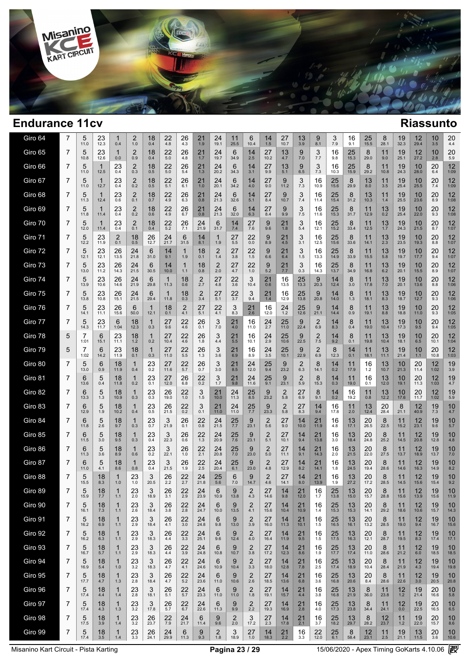

| Giro 65<br>7<br>5<br>2<br>6<br>8<br>20<br>23<br>22<br>26<br>$21$ <sub>1.7</sub><br>24<br>27<br>13<br>9<br>3<br>11<br>19<br>12<br>10<br>18<br>14<br>16<br>25<br>1<br>7.0<br>0.9<br>15.3<br>27.2<br>10.8<br>12.6<br>0.0<br>0.4<br>5.0<br>4.8<br>19.7<br>34.9<br>2.5<br>10.2<br>4.7<br>7.7<br>9.8<br>29.0<br>9.0<br>25.1<br>2.8<br>5.9<br>$\overline{2}$<br>12<br>Giro 66<br>7<br>5<br>23<br>22<br>26<br>21<br>24<br>6<br>13<br>3<br>20<br>18<br>27<br>9<br>16<br>25<br>8<br>11<br>19<br>10<br>1<br>14<br>34.3<br>11.0<br>12.5<br>0.3<br>0.5<br>5.0<br>5.4<br>1.3<br>20.2<br>3.1<br>9.9<br>5.1<br>6.5<br>7.3<br>10.3<br>15.9<br>29.2<br>10.8<br>24.3<br>28.0<br>6.4<br>1:09<br>0.4<br>$\overline{2}$<br>20<br>12<br>Giro 67<br>7<br>5<br>23<br>22<br>26<br>21<br>24<br>3<br>18<br>6<br>9<br>25<br>8<br>1<br>14<br>27<br>16<br>13<br>11<br>19<br>10<br>34.2<br>7.3<br>15.6<br>11.0<br>12.7<br>0.4<br>0.2<br>0.5<br>5.1<br>6.1<br>1.0<br>20.1<br>4.0<br>9.0<br>11.2<br>10.9<br>29.9<br>8.0<br>3.5<br>25.4<br>25.5<br>7.4<br>1:09<br>$\overline{2}$<br>20<br>12<br>Giro 68<br>7<br>5<br>23<br>22<br>26<br>$^{21}_{0.8}$<br>24<br>9<br>$\frac{3}{7.4}$<br>25<br>18<br>6<br>8<br>1<br>14<br>27<br>16<br>13<br>11<br>19<br>10<br>0.1<br>15.4<br>21.3<br>32.6<br>10.7<br>31.2<br>10.3<br>11.3<br>0.7<br>4.9<br>6.3<br>5.1<br>8.4<br>1.4<br>23.6<br>8.9<br>1:08<br>12.4<br>0.6<br>11.4<br>25.5<br>Giro 69<br>7<br>5<br>23<br>2<br>22<br>26<br>24<br>$\frac{3}{7.5}$<br>25<br>$^{20}_{9.3}$<br>12<br>$^{21}_{0.8}$<br>6<br>9<br>8<br>13<br>1<br>18<br>14<br>27<br>16<br>11<br>19<br>10<br>0.2<br>6.7<br>15.3<br>4.9<br>21.3<br>0.6<br>32.0<br>6.3<br>31.7<br>1:08<br>11.8<br>0.4<br>8.4<br>9.9<br>11.6<br>12.9<br>0.2<br>25.4<br>22.0<br>11.4<br>Giro 70<br>23<br>$\overline{2}$<br>26<br>20<br>12<br>7<br>5<br>22<br>24<br>27<br>21<br>3<br>25<br>18<br>6<br>9<br>16<br>8<br>13<br>19<br>1<br>14<br>11<br>10<br>5.2<br>21.9<br>7.4<br>15.2<br>8.7<br>12.0<br>0.4<br>0.1<br>0.4<br>7.1<br>31.7<br>7.6<br>9.6<br>1.8<br>5.4<br>12.1<br>33.4<br>12.5<br>1.7<br>21.5<br>1:07<br>11.4<br>24.3<br>20<br>Giro 71<br>7<br>5<br>24<br>21<br>3<br>25<br>12<br>23<br>2<br>18<br>26<br>6<br>27<br>22<br>13<br>14<br>9<br>16<br>8<br>19<br>10<br>11<br>12.7<br>8.1<br>8.9<br>15.6<br>8.8<br>11.9<br>0.1<br>0.5<br>21.7<br>31.5<br>5.5<br>$0.0\,$<br>4.5<br>3.1<br>33.6<br>2.3<br>1:07<br>12.2<br>1.9<br>12.5<br>14.1<br>23.5<br>19.3<br>Giro 72<br>12<br>7<br>5<br>23<br>26<br>27<br>22<br>21<br>3<br>25<br>20<br>24<br>6<br>$\overline{c}$<br>9<br>16<br>8<br>13<br>14<br>1<br>18<br>11<br>19<br>10<br>12.1<br>21.8<br>1.4<br>3.8<br>$1.5$<br>6.4<br>1.5<br>14.9<br>33.9<br>9.4<br>12.1<br>13.5<br>31.0<br>9.1<br>0.1<br>6.6<br>13.3<br>5.8<br>1:07<br>1.9<br>15.5<br>19.7<br>17.7<br>5<br>Giro 73<br>7<br>23<br>26<br>27<br>22<br>$21 \over 7.7$<br>3<br>25<br>20<br>12<br>24<br>6<br>$\overline{2}$<br>9<br>8<br>13<br>14<br>1<br>18<br>16<br>11<br>19<br>10<br>11.2<br>21.5<br>2.0<br>4.7<br>5.2<br>13.7<br>8.9<br>13.0<br>14.3<br>30.5<br>10.0<br>0.8<br>$1.0$<br>0.3<br>34.9<br>16.8<br>6.2<br>15.5<br>1:07<br>1.1<br>14.3<br>20.1<br>Giro 74<br>22<br>12<br>7<br>5<br>23<br>26<br>2<br>3<br>21<br>20<br>24<br>6<br>18<br>27<br>16<br>25<br>9<br>14<br>8<br>13<br>19<br>10<br>-1<br>11<br>13.9<br>10.6<br>14.6<br>21.9<br>29.8<br>2.7<br>4.8<br>3.6<br>10.4<br>0.6<br>13.5<br>13.3<br>20.3<br>12.4<br>3.0<br>7.0<br>8.8<br>1:06<br>11.3<br>0.6<br>17.8<br>20.1<br>13.6<br>12<br>Giro 75<br>7<br>5<br>23<br>26<br>$\frac{2}{3.4}$<br>22<br>20<br>24<br>6<br>27<br>3<br>21<br>16<br>25<br>9<br>8<br>13<br>-1<br>18<br>14<br>11<br>19<br>10<br>1.3<br>10.8<br>15.1<br>21.5<br>29.4<br>11.8<br>5.1<br>3.7<br>9.4<br>1.4<br>12.9<br>13.8<br>20.8<br>14.0<br>8.3<br>18.7<br>12.7<br>9.3<br>1:06<br>13.8<br>0.3<br>18.1<br>Giro 76<br>12<br>7<br>5<br>23<br>26<br>2<br>27<br>22<br>3<br>20<br>6<br>18<br>21<br>16<br>24<br>25<br>9<br>14<br>8<br>13<br>19<br>10<br>1<br>11<br>14.1<br>50.0<br>4.1<br>5.1<br>4.1<br>2.6<br>1.2<br>12.6<br>21.1<br>14.4<br>0.9<br>8.8<br>9.3<br>1:05<br>11.1<br>15.6<br>12.1<br>0.1<br>8.3<br>12.0<br>19.1<br>18.8<br>11.0<br>Giro 77<br>7<br>5<br>21<br>25<br>9<br>2<br>12<br>23<br>18<br>27<br>22<br>3<br>24<br>14<br>8<br>11<br>13<br>19<br>10<br>20<br>6<br>1<br>26<br>16<br>12.3<br>7.0<br>4.0<br>2.7<br>11.0<br>22.4<br>0.4<br>10.4<br>9.4<br>1:05<br>14.3<br>11.7<br>1:04<br>0.3<br>9.6<br>4.6<br>0.1<br>11.0<br>6.9<br>8.3<br>19.0<br>17.3<br>9.5<br>Giro 78<br>12<br>5<br>7<br>23<br>22<br>$25$ <sub>10.6</sub><br>$\overline{c}$<br>6<br>18<br>27<br>26<br>3<br>$21$ <sub>5.5</sub><br>$^{24}_{2.9}$<br>9<br>14<br>8<br>13<br>19<br>20<br>1<br>16<br>11<br>10<br>22.5<br>1.2<br>9.2<br>0.1<br>1:01<br>15.1<br>11.1<br>0.2<br>10.4<br>4.6<br>1.8<br>4.4<br>10.1<br>7.5<br>19.8<br>10.4<br>18.1<br>6.5<br>10.1<br>1:04<br>Giro 79<br>5<br>$^{21}_{6.9}$<br>$25$ <sub>10.1</sub><br>$\overline{c}$<br>12<br>7<br>6<br>23<br>18<br>27<br>22<br>26<br>3<br>9<br>8<br>11<br>13<br>19<br>10<br>20<br>16<br>24<br>14<br>22.9<br>0.1<br>1:02<br>14.2<br>11.9<br>0.1<br>0.3<br>11.0<br>5.5<br>1.3<br>3.6<br>8.9<br>3.5<br>6.9<br>12.3<br>18.1<br>11.1<br>21.4<br>1.1<br>10.8<br>1:03<br>7<br>Giro 80<br>22<br>$^{21}_{8.5}$<br>9<br>$^{2}_{6.3}$<br>19<br>5<br>6<br>1<br>$^{23}_{0.2}$<br>27<br>26<br>3<br>24<br>$^{25}_{9.4}$<br>8<br>14<br>16<br>13<br>10<br>20<br>12<br>18<br>11<br>23.2<br>5.7<br>0.7<br>12.0<br>10.7<br>21.3<br>13.0<br>0.9<br>11.9<br>0.4<br>11.6<br>3.0<br>14.1<br>0.2<br>17.9<br>1.2<br>11.4<br>1:02<br>3.9<br>$\overline{2}$<br>Giro 81<br>7<br>6<br>23<br>27<br>26<br>22<br>3<br>$^{21}_{9.8}$<br>24<br>9<br>13<br>20<br>12<br>19<br>5<br>18<br>25<br>8<br>14<br>16<br>10<br>1<br>11<br>0.2<br>0.1<br>9.1<br>23.1<br>5.9<br>0.3<br>12.0<br>19.1<br>13.6<br>0.4<br>11.8<br>0.2<br>12.0<br>6.8<br>1.7<br>11.6<br>15.3<br>19.0<br>0.1<br>11.3<br>1:03<br>4.7<br>Giro 82<br>7<br>$^{23}_{0.3}$<br>26<br>22<br>3<br>$25 \over 8.5$<br>2<br>12<br>19<br>6<br>5<br>18<br>1<br>21<br>$24$ <sub>11.3</sub><br>9<br>27<br>8<br>14<br>13<br>20<br>16<br>11<br>10<br>0.2<br>12.2<br>$1.5\,$<br>$1.0$<br>10.0<br>17.6<br>0.3<br>23.2<br>5.8<br>6.9<br>9.1<br>19.2<br>11.7<br>1:02<br>5.9<br>13.3<br>1.3<br>10.9<br>19.0<br>0.8<br>Giro 83<br>7<br>$^{23}_{0.5}$<br>26<br>22<br>3<br>2<br>10<br>6<br>5<br>18<br>1<br>$^{21}_{11.0}$<br>$24$ <sub>11.0</sub><br>$\frac{25}{7.7}$<br>9<br>27<br>$^{14}_{9.4}$<br>16<br>12<br>19<br>11<br>13<br>20<br>8<br>12.4<br>40.9<br>21.5<br>0.2<br>0.1<br>28.4<br>5.8<br>8.3<br>2.0<br>12.9<br>1.9<br>0.4<br>23.3<br>17.8<br>21.1<br>7.3<br>4.7<br>10.2<br>Giro 84<br>7<br>6<br>5<br>23<br>3<br>26<br>22<br>25<br>9<br>2<br>27<br>21<br>20<br>19<br>10<br>18<br>24<br>16<br>8<br>12<br>1<br>14<br>13<br>11<br>7.7<br>0.7<br>0.8<br>26.5<br>2.6<br>21.9<br>21.5<br>23.1<br>9.0<br>10.0<br>17.1<br>22.5<br>15.2<br>23.1<br>5.7<br>11.8<br>9.7<br>0.3<br>0.1<br>5.6<br>11.9<br>4.8<br>9.6<br>Giro 85<br>7<br>6<br>5<br>23<br>$\frac{25}{7.6}$<br>9<br>$\overline{2}$<br>20<br>18<br>3<br>26<br>22<br>24<br>27<br>21<br>16<br>8<br>12<br>19<br>10<br>1<br>14<br>13<br>11<br>0.4<br>1.3<br>20.8<br>3.0<br>22.3<br>0.6<br>20.9<br>23.1<br>10.1<br>9.4<br>13.8<br>18.4<br>24.8<br>25.2<br>14.5<br>12.8<br>0.3<br>5.1<br>3.0<br>4.8<br>11.5<br>9.5<br>Giro 86<br>7<br>6<br>5<br>23<br>3<br>26<br>22<br>25<br>$\overline{2}$<br>20<br>19<br>18<br>1<br>24<br>9<br>27<br>21<br>16<br>13<br>8<br>12<br>10<br>14<br>11<br>0.2<br>2.1<br>7.0<br>22.1<br>1.0<br>20.8<br>23.0<br>11.1<br>9.1<br>14.3<br>21.5<br>22.0<br>27.5<br>13.7<br>18.9<br>13.7<br>3.6<br>0.6<br>5.0<br>2.0<br>7.0<br>11.3<br>8.9<br>Giro 87<br>7<br>23<br>26<br>22<br>25<br>2<br>20<br>10<br>6<br>5<br>18<br>3<br>24<br>9<br>27<br>21<br>16<br>8<br>12<br>19<br>1<br>13<br>14<br>11<br>0.4<br>$2.5\,$<br>6.1<br>1.9<br>20.4<br>23.0<br>12.9<br>8.2<br>14.1<br>24.5<br>19.4<br>28.6<br>16.3<br>14.9<br>8.2<br>4.1<br>0.8<br>21.5<br>4.8<br>14.6<br>11.0<br>8.6<br>1.8<br>5<br>Giro 88<br>7<br>23<br>3<br>26<br>22<br>24<br>6<br>9<br>$\overline{2}$<br>27<br>20<br>19<br>10<br>18<br>25<br>21<br>16<br>13<br>8<br>12<br>1<br>14<br>11<br>8.3<br>20.5<br>2.7<br>21.8<br>8.0<br>13.9<br>15.5<br>1.0<br>2.2<br>5.6<br>7.0<br>14.7<br>14.1<br>1.9<br>27.2<br>17.2<br>28.5<br>14.5<br>15.6<br>15.4<br>9.2<br>1.0<br>4.6<br>$21$<br>12.0<br>24<br>14<br>$\frac{25}{13.8}$<br>13<br>10<br>26<br>22<br>6<br>$16 \atop 1.7$<br>$20$ <sub>15.7</sub><br>Giro 89<br>18<br>$^{23}_{2.0}$<br>9<br>$\underset{4.3}{2}$<br>27<br>8<br>12<br>5<br>3<br>19<br>7<br>11<br>3.1<br>23.9<br>$7.7\,$<br>18.9<br>2.9<br>10.9<br>13.8<br>14.6<br>9.8<br>15.0<br>28.8<br>15.6<br>13.9<br>15.6<br>11.9<br>15.9<br>1.1<br>Giro 90<br>25<br>7<br>5<br>23<br>3<br>26<br>22<br>24<br>9<br>$\overline{2}$<br>27<br>$14 \over 10.4$<br>21<br>20<br>12<br>19<br>18<br>6<br>16<br>13<br>8<br>10<br>11<br>$\mathbf{1}$<br>24.7<br>15.3<br>29.2<br>16.1<br>7.3<br>$1.1$<br>2.6<br>18.4<br>3.8<br>2.8<br>10.0<br>13.5<br>4.1<br>15.6<br>10.9<br>1.4<br>15.3<br>14.1<br>18.6<br>10.6<br>15.7<br>14.3<br>Giro 91<br>7<br>9<br>$\overline{2}$<br>25<br>19<br>5<br>23<br>3<br>26<br>22<br>24<br>6<br>27<br>14<br>21<br>16<br>20<br>8<br>12<br>10<br>18<br>13<br>11<br>$\mathbf{1}$<br>24.8<br>3.9<br>11.3<br>1.5<br>16.5<br>28.5<br>9.4<br>16.2<br>6.9<br>1.1<br>2.9<br>18.4<br>4.1<br>3.0<br>9.8<br>13.0<br>16.0<br>10.1<br>16.1<br>13.2<br>19.0<br>16.7<br>15.6<br>Giro 92<br>7<br>5<br>26<br>9<br>$\overline{\mathbf{c}}$<br>$25$ <sub>17.5</sub><br>20<br>23<br>3<br>22<br>$24_{25.1}$<br>6<br>27<br>$14$ <sub>11.9</sub><br>$^{21}_{9.5}$<br>16<br>8<br>$\frac{12}{8.3}$<br>19<br>10<br>18<br>13<br>$11$<br>$\mathbf{1}$<br>6.3<br>18.3<br>4.0<br>12.1<br>28.7<br>19.5<br>16.2<br>1.1<br>2.9<br>4.4<br>3.3<br>9.6<br>12.4<br>16.4<br>1.5<br>16.3<br>17.4<br>17.1<br>Giro 93<br>7<br>9<br>$25$ <sub>17.7</sub><br>5<br>23<br>3<br>26<br>22<br>6<br>$\frac{2}{3.8}$<br>$14$<br>12.3<br>$^{21}_{8.6}$<br>16<br>20<br>19<br>18<br>24<br>27<br>13<br>8<br>11<br>12<br>10<br>$\mathbf{1}$<br>5.7<br>17.4<br>6.0<br>16.7<br>1.1<br>2.9<br>18.3<br>4.4<br>3.9<br>24.8<br>10.8<br>10.7<br>17.2<br>1.9<br>11.0<br>28.6<br>21.2<br>18.5<br>18.5<br>Giro 94<br>7<br>5<br>3<br>26<br>22<br>9<br>$\frac{2}{3.3}$<br>$25$ <sub>17.4</sub><br>20<br>19<br>18<br>23<br>24<br>6<br>27<br>$14$<br>12.8<br>$^{21}_{7.8}$<br>16<br>13<br>8<br>$\frac{12}{4.3}$<br>10<br>11<br>$\mathbf{1}$<br>5.4<br>18.3<br>24.6<br>2.5<br>28.4<br>21.9<br>16.9<br>1.0<br>3.2<br>4.7<br>4.1<br>10.9<br>10.4<br>18.0<br>18.9<br>10.4<br>19.4<br>19.8<br>Giro 95<br>7<br>5<br>3<br>26<br>9<br>$\overline{2}$<br>25<br>23<br>22<br>24<br>6<br>27<br>14<br>21<br>16<br>20<br>8<br>12<br>19<br>10<br>18<br>13<br>11<br>$\mathbf{1}$<br>2.6<br>13.6<br>16.8<br>3.0<br>17.7<br>4.7<br>1.3<br>2.8<br>18.4<br>4.7<br>5.2<br>23.6<br>11.0<br>10.6<br>18.5<br>6.8<br>3.6<br>20.6<br>8.4<br>28.6<br>22.6<br>20.5<br>20.8<br>Giro 96<br>7<br>5<br>23<br>3<br>$^{26}_{\,5.1}$<br>22<br>9<br>$^{2}_{1.8}$<br>$25$<br>16.8<br>$20$<br>16.6<br>$24_{23.3}$<br>6<br>27<br>$14$ <sub>15.7</sub><br>$^{21}_{4.4}$<br>$\frac{16}{3.8}$<br>13<br>8<br>11<br>$12 \atop 1.2$<br>19<br>10<br>$\frac{18}{1}$<br>$\mathbf{1}$<br>23.8<br>21.4<br>18.1<br>5.7<br>11.0<br>11.0<br>21.9<br>17.4<br>4.4<br>1.4<br>2.8<br>19.1<br>36.0<br>5.8<br>Giro 97<br>7<br>5<br>$26$ <sub>5.7</sub><br>9<br>$25$ <sub>17.3</sub><br>8<br>$20$<br>16.5<br>23<br>3<br>22<br>6<br>$^{2}_{2.2}$<br>14<br>16<br>11<br>10<br>18<br>$\frac{24}{22.6}$<br>27<br>$^{21}_{2.8}$<br>13<br>12<br>19<br>$\mathbf{1}$<br>16.9<br>24.1<br>22.5<br>17.8<br>9.9<br>34.4<br>17.4<br>4.3<br>1.3<br>3.2<br>6.7<br>11.3<br>19.3<br>4.0<br>23.8<br>0.0<br>6.5<br>Giro 98<br>25<br>20<br>7<br>5<br>23<br>22<br>24<br>2<br>3<br>8<br>10<br>26<br>6<br>9<br>27<br>14<br>$21$ <sub>2.1</sub><br>12<br>18<br>16<br>13<br>11<br>19<br>$\mathbf{1}$<br>7.9<br>17.8<br>18.2<br>23.7<br>23.7<br>2.3<br>22.0<br>15.7<br>17.5<br>3.9<br>3.2<br>21.7<br>11.4<br>9.6<br>2.0<br>17.2<br>3.7<br>29.7<br>28.2<br>$1.2$<br>8.6<br>1.4<br>20<br>Giro 99<br>7<br>5<br>24<br>2<br>3<br>25<br>23<br>26<br>6<br>9<br>27<br>21<br>22<br>8<br>12<br>11<br>19<br>10<br>18<br>14<br>16<br>13<br>$\mathbf{1}$<br>6.1<br>3.3<br>29.9<br>$9.3\,$<br>2.2<br>3.3<br>12.0<br>$2.5\,$<br>3.6<br>3.5<br>$1.4$<br>24.1<br>11.3<br>1.8<br>58.4<br>23.1<br>10.6<br>17.4<br>18.9<br>1.0<br>18.3<br>21.1<br>11.5 | Giro 64 | 7 | 5<br>11.0 | 23<br>12.3 | 0.4 | 2<br>1.0 | 18<br>0.4 | 22<br>4.8 | 26<br>4.3 | 21<br>1.9 | 24<br>19.1 | 11<br>25.5 | 6<br>10.4 | $14 \atop 1.5$ | 27<br>10.7 | 13<br>3.9 | 9<br>8.1 | 3<br>7.9 | 16<br>9.1 | 25<br>15.5 | 8<br>28.1 | 19<br>32.3 | 12<br>29.4 | 10<br>3.5 | 20<br>4.4 |
|----------------------------------------------------------------------------------------------------------------------------------------------------------------------------------------------------------------------------------------------------------------------------------------------------------------------------------------------------------------------------------------------------------------------------------------------------------------------------------------------------------------------------------------------------------------------------------------------------------------------------------------------------------------------------------------------------------------------------------------------------------------------------------------------------------------------------------------------------------------------------------------------------------------------------------------------------------------------------------------------------------------------------------------------------------------------------------------------------------------------------------------------------------------------------------------------------------------------------------------------------------------------------------------------------------------------------------------------------------------------------------------------------------------------------------------------------------------------------------------------------------------------------------------------------------------------------------------------------------------------------------------------------------------------------------------------------------------------------------------------------------------------------------------------------------------------------------------------------------------------------------------------------------------------------------------------------------------------------------------------------------------------------------------------------------------------------------------------------------------------------------------------------------------------------------------------------------------------------------------------------------------------------------------------------------------------------------------------------------------------------------------------------------------------------------------------------------------------------------------------------------------------------------------------------------------------------------------------------------------------------------------------------------------------------------------------------------------------------------------------------------------------------------------------------------------------------------------------------------------------------------------------------------------------------------------------------------------------------------------------------------------------------------------------------------------------------------------------------------------------------------------------------------------------------------------------------------------------------------------------------------------------------------------------------------------------------------------------------------------------------------------------------------------------------------------------------------------------------------------------------------------------------------------------------------------------------------------------------------------------------------------------------------------------------------------------------------------------------------------------------------------------------------------------------------------------------------------------------------------------------------------------------------------------------------------------------------------------------------------------------------------------------------------------------------------------------------------------------------------------------------------------------------------------------------------------------------------------------------------------------------------------------------------------------------------------------------------------------------------------------------------------------------------------------------------------------------------------------------------------------------------------------------------------------------------------------------------------------------------------------------------------------------------------------------------------------------------------------------------------------------------------------------------------------------------------------------------------------------------------------------------------------------------------------------------------------------------------------------------------------------------------------------------------------------------------------------------------------------------------------------------------------------------------------------------------------------------------------------------------------------------------------------------------------------------------------------------------------------------------------------------------------------------------------------------------------------------------------------------------------------------------------------------------------------------------------------------------------------------------------------------------------------------------------------------------------------------------------------------------------------------------------------------------------------------------------------------------------------------------------------------------------------------------------------------------------------------------------------------------------------------------------------------------------------------------------------------------------------------------------------------------------------------------------------------------------------------------------------------------------------------------------------------------------------------------------------------------------------------------------------------------------------------------------------------------------------------------------------------------------------------------------------------------------------------------------------------------------------------------------------------------------------------------------------------------------------------------------------------------------------------------------------------------------------------------------------------------------------------------------------------------------------------------------------------------------------------------------------------------------------------------------------------------------------------------------------------------------------------------------------------------------------------------------------------------------------------------------------------------------------------------------------------------------------------------------------------------------------------------------------------------------------------------------------------------------------------------------------------------------------------------------------------------------------------------------------------------------------------------------------------------------------------------------------------------------------------------------------------------------------------------------------------------------------------------------------------------------------------------------------------------------------------------------------------------------------------------------------------------------------------------------------------------------------------------------------------------------------------------------------------------------------------------------------------------------------------------------------------------------------------------------------------------------------------------------------------------------------------------------------------------------------------------------------------------------------------------------------------------------------------------------------------------------------------------------------------------------------------------------------------------------------------------------------------------------------------------------------------------------------------------------------------------------------------------------------------------------------------------------------------------------------------------------------------------------------------------------------------------------------------------------------------------------------------------------------------------------------------------------------------------------------------------------------------------------------------------------------------------------------------------------------------------------------------------------------------------------------------------------------------------------------------------------------------------------------------------------------------------------------------------------------------------------------------------------------------------------------------------------------------------------------------------------------------------------------------------------------------------------------------------------------------------------------------------------------------------------------------------------------------------------------------------------------------------------------------------------------------------------------------------------------------------------------------------------------------------------------------------------------------------------------------------------------------------------------------------------------------------------------------------------------------------------------------------------------------------------------------------------------------------------------------------------------------------------------------------------------------------------------------------------------------------------------------------------------------------------------------------------------------------------------------------------------------------------------------------------------------------------------------------------------------------------------------------------------------------------------------------------------------------------------------------------------------------------------------------------------------------------------------------------------------------------------------------------------------------------------------------------------------------------------------------------------------------------------------------------------------------------------------------------------------------------------------------------------------------------------------------------------------------------------------------------------------------------------------------------------------------------------------------------------------------------------------------------------------------------------------------------------------------------------------------------------------------------------------------------------------------------------------------------------------------------------------------------------------------------------------------------------------------------------------------------------------------------------------------------------------------------------------------------------------------------------------------------------------------------------------------------------------------------------------------------------------------------------------------------------------------------------------------------------------------------------------------------------------------------------------------------------------------------------------------------------------------|---------|---|-----------|------------|-----|----------|-----------|-----------|-----------|-----------|------------|------------|-----------|----------------|------------|-----------|----------|----------|-----------|------------|-----------|------------|------------|-----------|-----------|
|                                                                                                                                                                                                                                                                                                                                                                                                                                                                                                                                                                                                                                                                                                                                                                                                                                                                                                                                                                                                                                                                                                                                                                                                                                                                                                                                                                                                                                                                                                                                                                                                                                                                                                                                                                                                                                                                                                                                                                                                                                                                                                                                                                                                                                                                                                                                                                                                                                                                                                                                                                                                                                                                                                                                                                                                                                                                                                                                                                                                                                                                                                                                                                                                                                                                                                                                                                                                                                                                                                                                                                                                                                                                                                                                                                                                                                                                                                                                                                                                                                                                                                                                                                                                                                                                                                                                                                                                                                                                                                                                                                                                                                                                                                                                                                                                                                                                                                                                                                                                                                                                                                                                                                                                                                                                                                                                                                                                                                                                                                                                                                                                                                                                                                                                                                                                                                                                                                                                                                                                                                                                                                                                                                                                                                                                                                                                                                                                                                                                                                                                                                                                                                                                                                                                                                                                                                                                                                                                                                                                                                                                                                                                                                                                                                                                                                                                                                                                                                                                                                                                                                                                                                                                                                                                                                                                                                                                                                                                                                                                                                                                                                                                                                                                                                                                                                                                                                                                                                                                                                                                                                                                                                                                                                                                                                                                                                                                                                                                                                                                                                                                                                                                                                                                                                                                                                                                                                                                                                                                                                                                                                                                                                                                                                                                                                                                                                                                                                                                                                                                                                                                                                                                                                                                                                                                                                                                                                                                                                                                                                                                                                                                                                                                                                                                                                                                                                                                                                                                                                                                                                                                                                                                                                                                                                                                                                                                                                                                                                                                                                                                                                                                                                                                                                                                                                                                                                                                                                                                                                                                                                                                                                                                                                                                                                                                                                                                                                                                                                              |         |   |           |            |     |          |           |           |           |           |            |            |           |                |            |           |          |          |           |            |           |            |            |           |           |
|                                                                                                                                                                                                                                                                                                                                                                                                                                                                                                                                                                                                                                                                                                                                                                                                                                                                                                                                                                                                                                                                                                                                                                                                                                                                                                                                                                                                                                                                                                                                                                                                                                                                                                                                                                                                                                                                                                                                                                                                                                                                                                                                                                                                                                                                                                                                                                                                                                                                                                                                                                                                                                                                                                                                                                                                                                                                                                                                                                                                                                                                                                                                                                                                                                                                                                                                                                                                                                                                                                                                                                                                                                                                                                                                                                                                                                                                                                                                                                                                                                                                                                                                                                                                                                                                                                                                                                                                                                                                                                                                                                                                                                                                                                                                                                                                                                                                                                                                                                                                                                                                                                                                                                                                                                                                                                                                                                                                                                                                                                                                                                                                                                                                                                                                                                                                                                                                                                                                                                                                                                                                                                                                                                                                                                                                                                                                                                                                                                                                                                                                                                                                                                                                                                                                                                                                                                                                                                                                                                                                                                                                                                                                                                                                                                                                                                                                                                                                                                                                                                                                                                                                                                                                                                                                                                                                                                                                                                                                                                                                                                                                                                                                                                                                                                                                                                                                                                                                                                                                                                                                                                                                                                                                                                                                                                                                                                                                                                                                                                                                                                                                                                                                                                                                                                                                                                                                                                                                                                                                                                                                                                                                                                                                                                                                                                                                                                                                                                                                                                                                                                                                                                                                                                                                                                                                                                                                                                                                                                                                                                                                                                                                                                                                                                                                                                                                                                                                                                                                                                                                                                                                                                                                                                                                                                                                                                                                                                                                                                                                                                                                                                                                                                                                                                                                                                                                                                                                                                                                                                                                                                                                                                                                                                                                                                                                                                                                                                                                                                              |         |   |           |            |     |          |           |           |           |           |            |            |           |                |            |           |          |          |           |            |           |            |            |           |           |
|                                                                                                                                                                                                                                                                                                                                                                                                                                                                                                                                                                                                                                                                                                                                                                                                                                                                                                                                                                                                                                                                                                                                                                                                                                                                                                                                                                                                                                                                                                                                                                                                                                                                                                                                                                                                                                                                                                                                                                                                                                                                                                                                                                                                                                                                                                                                                                                                                                                                                                                                                                                                                                                                                                                                                                                                                                                                                                                                                                                                                                                                                                                                                                                                                                                                                                                                                                                                                                                                                                                                                                                                                                                                                                                                                                                                                                                                                                                                                                                                                                                                                                                                                                                                                                                                                                                                                                                                                                                                                                                                                                                                                                                                                                                                                                                                                                                                                                                                                                                                                                                                                                                                                                                                                                                                                                                                                                                                                                                                                                                                                                                                                                                                                                                                                                                                                                                                                                                                                                                                                                                                                                                                                                                                                                                                                                                                                                                                                                                                                                                                                                                                                                                                                                                                                                                                                                                                                                                                                                                                                                                                                                                                                                                                                                                                                                                                                                                                                                                                                                                                                                                                                                                                                                                                                                                                                                                                                                                                                                                                                                                                                                                                                                                                                                                                                                                                                                                                                                                                                                                                                                                                                                                                                                                                                                                                                                                                                                                                                                                                                                                                                                                                                                                                                                                                                                                                                                                                                                                                                                                                                                                                                                                                                                                                                                                                                                                                                                                                                                                                                                                                                                                                                                                                                                                                                                                                                                                                                                                                                                                                                                                                                                                                                                                                                                                                                                                                                                                                                                                                                                                                                                                                                                                                                                                                                                                                                                                                                                                                                                                                                                                                                                                                                                                                                                                                                                                                                                                                                                                                                                                                                                                                                                                                                                                                                                                                                                                                                                              |         |   |           |            |     |          |           |           |           |           |            |            |           |                |            |           |          |          |           |            |           |            |            |           |           |
|                                                                                                                                                                                                                                                                                                                                                                                                                                                                                                                                                                                                                                                                                                                                                                                                                                                                                                                                                                                                                                                                                                                                                                                                                                                                                                                                                                                                                                                                                                                                                                                                                                                                                                                                                                                                                                                                                                                                                                                                                                                                                                                                                                                                                                                                                                                                                                                                                                                                                                                                                                                                                                                                                                                                                                                                                                                                                                                                                                                                                                                                                                                                                                                                                                                                                                                                                                                                                                                                                                                                                                                                                                                                                                                                                                                                                                                                                                                                                                                                                                                                                                                                                                                                                                                                                                                                                                                                                                                                                                                                                                                                                                                                                                                                                                                                                                                                                                                                                                                                                                                                                                                                                                                                                                                                                                                                                                                                                                                                                                                                                                                                                                                                                                                                                                                                                                                                                                                                                                                                                                                                                                                                                                                                                                                                                                                                                                                                                                                                                                                                                                                                                                                                                                                                                                                                                                                                                                                                                                                                                                                                                                                                                                                                                                                                                                                                                                                                                                                                                                                                                                                                                                                                                                                                                                                                                                                                                                                                                                                                                                                                                                                                                                                                                                                                                                                                                                                                                                                                                                                                                                                                                                                                                                                                                                                                                                                                                                                                                                                                                                                                                                                                                                                                                                                                                                                                                                                                                                                                                                                                                                                                                                                                                                                                                                                                                                                                                                                                                                                                                                                                                                                                                                                                                                                                                                                                                                                                                                                                                                                                                                                                                                                                                                                                                                                                                                                                                                                                                                                                                                                                                                                                                                                                                                                                                                                                                                                                                                                                                                                                                                                                                                                                                                                                                                                                                                                                                                                                                                                                                                                                                                                                                                                                                                                                                                                                                                                                                                              |         |   |           |            |     |          |           |           |           |           |            |            |           |                |            |           |          |          |           |            |           |            |            |           |           |
|                                                                                                                                                                                                                                                                                                                                                                                                                                                                                                                                                                                                                                                                                                                                                                                                                                                                                                                                                                                                                                                                                                                                                                                                                                                                                                                                                                                                                                                                                                                                                                                                                                                                                                                                                                                                                                                                                                                                                                                                                                                                                                                                                                                                                                                                                                                                                                                                                                                                                                                                                                                                                                                                                                                                                                                                                                                                                                                                                                                                                                                                                                                                                                                                                                                                                                                                                                                                                                                                                                                                                                                                                                                                                                                                                                                                                                                                                                                                                                                                                                                                                                                                                                                                                                                                                                                                                                                                                                                                                                                                                                                                                                                                                                                                                                                                                                                                                                                                                                                                                                                                                                                                                                                                                                                                                                                                                                                                                                                                                                                                                                                                                                                                                                                                                                                                                                                                                                                                                                                                                                                                                                                                                                                                                                                                                                                                                                                                                                                                                                                                                                                                                                                                                                                                                                                                                                                                                                                                                                                                                                                                                                                                                                                                                                                                                                                                                                                                                                                                                                                                                                                                                                                                                                                                                                                                                                                                                                                                                                                                                                                                                                                                                                                                                                                                                                                                                                                                                                                                                                                                                                                                                                                                                                                                                                                                                                                                                                                                                                                                                                                                                                                                                                                                                                                                                                                                                                                                                                                                                                                                                                                                                                                                                                                                                                                                                                                                                                                                                                                                                                                                                                                                                                                                                                                                                                                                                                                                                                                                                                                                                                                                                                                                                                                                                                                                                                                                                                                                                                                                                                                                                                                                                                                                                                                                                                                                                                                                                                                                                                                                                                                                                                                                                                                                                                                                                                                                                                                                                                                                                                                                                                                                                                                                                                                                                                                                                                                                                                              |         |   |           |            |     |          |           |           |           |           |            |            |           |                |            |           |          |          |           |            |           |            |            |           |           |
|                                                                                                                                                                                                                                                                                                                                                                                                                                                                                                                                                                                                                                                                                                                                                                                                                                                                                                                                                                                                                                                                                                                                                                                                                                                                                                                                                                                                                                                                                                                                                                                                                                                                                                                                                                                                                                                                                                                                                                                                                                                                                                                                                                                                                                                                                                                                                                                                                                                                                                                                                                                                                                                                                                                                                                                                                                                                                                                                                                                                                                                                                                                                                                                                                                                                                                                                                                                                                                                                                                                                                                                                                                                                                                                                                                                                                                                                                                                                                                                                                                                                                                                                                                                                                                                                                                                                                                                                                                                                                                                                                                                                                                                                                                                                                                                                                                                                                                                                                                                                                                                                                                                                                                                                                                                                                                                                                                                                                                                                                                                                                                                                                                                                                                                                                                                                                                                                                                                                                                                                                                                                                                                                                                                                                                                                                                                                                                                                                                                                                                                                                                                                                                                                                                                                                                                                                                                                                                                                                                                                                                                                                                                                                                                                                                                                                                                                                                                                                                                                                                                                                                                                                                                                                                                                                                                                                                                                                                                                                                                                                                                                                                                                                                                                                                                                                                                                                                                                                                                                                                                                                                                                                                                                                                                                                                                                                                                                                                                                                                                                                                                                                                                                                                                                                                                                                                                                                                                                                                                                                                                                                                                                                                                                                                                                                                                                                                                                                                                                                                                                                                                                                                                                                                                                                                                                                                                                                                                                                                                                                                                                                                                                                                                                                                                                                                                                                                                                                                                                                                                                                                                                                                                                                                                                                                                                                                                                                                                                                                                                                                                                                                                                                                                                                                                                                                                                                                                                                                                                                                                                                                                                                                                                                                                                                                                                                                                                                                                                                                              |         |   |           |            |     |          |           |           |           |           |            |            |           |                |            |           |          |          |           |            |           |            |            |           |           |
|                                                                                                                                                                                                                                                                                                                                                                                                                                                                                                                                                                                                                                                                                                                                                                                                                                                                                                                                                                                                                                                                                                                                                                                                                                                                                                                                                                                                                                                                                                                                                                                                                                                                                                                                                                                                                                                                                                                                                                                                                                                                                                                                                                                                                                                                                                                                                                                                                                                                                                                                                                                                                                                                                                                                                                                                                                                                                                                                                                                                                                                                                                                                                                                                                                                                                                                                                                                                                                                                                                                                                                                                                                                                                                                                                                                                                                                                                                                                                                                                                                                                                                                                                                                                                                                                                                                                                                                                                                                                                                                                                                                                                                                                                                                                                                                                                                                                                                                                                                                                                                                                                                                                                                                                                                                                                                                                                                                                                                                                                                                                                                                                                                                                                                                                                                                                                                                                                                                                                                                                                                                                                                                                                                                                                                                                                                                                                                                                                                                                                                                                                                                                                                                                                                                                                                                                                                                                                                                                                                                                                                                                                                                                                                                                                                                                                                                                                                                                                                                                                                                                                                                                                                                                                                                                                                                                                                                                                                                                                                                                                                                                                                                                                                                                                                                                                                                                                                                                                                                                                                                                                                                                                                                                                                                                                                                                                                                                                                                                                                                                                                                                                                                                                                                                                                                                                                                                                                                                                                                                                                                                                                                                                                                                                                                                                                                                                                                                                                                                                                                                                                                                                                                                                                                                                                                                                                                                                                                                                                                                                                                                                                                                                                                                                                                                                                                                                                                                                                                                                                                                                                                                                                                                                                                                                                                                                                                                                                                                                                                                                                                                                                                                                                                                                                                                                                                                                                                                                                                                                                                                                                                                                                                                                                                                                                                                                                                                                                                                                                              |         |   |           |            |     |          |           |           |           |           |            |            |           |                |            |           |          |          |           |            |           |            |            |           |           |
|                                                                                                                                                                                                                                                                                                                                                                                                                                                                                                                                                                                                                                                                                                                                                                                                                                                                                                                                                                                                                                                                                                                                                                                                                                                                                                                                                                                                                                                                                                                                                                                                                                                                                                                                                                                                                                                                                                                                                                                                                                                                                                                                                                                                                                                                                                                                                                                                                                                                                                                                                                                                                                                                                                                                                                                                                                                                                                                                                                                                                                                                                                                                                                                                                                                                                                                                                                                                                                                                                                                                                                                                                                                                                                                                                                                                                                                                                                                                                                                                                                                                                                                                                                                                                                                                                                                                                                                                                                                                                                                                                                                                                                                                                                                                                                                                                                                                                                                                                                                                                                                                                                                                                                                                                                                                                                                                                                                                                                                                                                                                                                                                                                                                                                                                                                                                                                                                                                                                                                                                                                                                                                                                                                                                                                                                                                                                                                                                                                                                                                                                                                                                                                                                                                                                                                                                                                                                                                                                                                                                                                                                                                                                                                                                                                                                                                                                                                                                                                                                                                                                                                                                                                                                                                                                                                                                                                                                                                                                                                                                                                                                                                                                                                                                                                                                                                                                                                                                                                                                                                                                                                                                                                                                                                                                                                                                                                                                                                                                                                                                                                                                                                                                                                                                                                                                                                                                                                                                                                                                                                                                                                                                                                                                                                                                                                                                                                                                                                                                                                                                                                                                                                                                                                                                                                                                                                                                                                                                                                                                                                                                                                                                                                                                                                                                                                                                                                                                                                                                                                                                                                                                                                                                                                                                                                                                                                                                                                                                                                                                                                                                                                                                                                                                                                                                                                                                                                                                                                                                                                                                                                                                                                                                                                                                                                                                                                                                                                                                                                              |         |   |           |            |     |          |           |           |           |           |            |            |           |                |            |           |          |          |           |            |           |            |            |           |           |
|                                                                                                                                                                                                                                                                                                                                                                                                                                                                                                                                                                                                                                                                                                                                                                                                                                                                                                                                                                                                                                                                                                                                                                                                                                                                                                                                                                                                                                                                                                                                                                                                                                                                                                                                                                                                                                                                                                                                                                                                                                                                                                                                                                                                                                                                                                                                                                                                                                                                                                                                                                                                                                                                                                                                                                                                                                                                                                                                                                                                                                                                                                                                                                                                                                                                                                                                                                                                                                                                                                                                                                                                                                                                                                                                                                                                                                                                                                                                                                                                                                                                                                                                                                                                                                                                                                                                                                                                                                                                                                                                                                                                                                                                                                                                                                                                                                                                                                                                                                                                                                                                                                                                                                                                                                                                                                                                                                                                                                                                                                                                                                                                                                                                                                                                                                                                                                                                                                                                                                                                                                                                                                                                                                                                                                                                                                                                                                                                                                                                                                                                                                                                                                                                                                                                                                                                                                                                                                                                                                                                                                                                                                                                                                                                                                                                                                                                                                                                                                                                                                                                                                                                                                                                                                                                                                                                                                                                                                                                                                                                                                                                                                                                                                                                                                                                                                                                                                                                                                                                                                                                                                                                                                                                                                                                                                                                                                                                                                                                                                                                                                                                                                                                                                                                                                                                                                                                                                                                                                                                                                                                                                                                                                                                                                                                                                                                                                                                                                                                                                                                                                                                                                                                                                                                                                                                                                                                                                                                                                                                                                                                                                                                                                                                                                                                                                                                                                                                                                                                                                                                                                                                                                                                                                                                                                                                                                                                                                                                                                                                                                                                                                                                                                                                                                                                                                                                                                                                                                                                                                                                                                                                                                                                                                                                                                                                                                                                                                                                                                              |         |   |           |            |     |          |           |           |           |           |            |            |           |                |            |           |          |          |           |            |           |            |            |           |           |
|                                                                                                                                                                                                                                                                                                                                                                                                                                                                                                                                                                                                                                                                                                                                                                                                                                                                                                                                                                                                                                                                                                                                                                                                                                                                                                                                                                                                                                                                                                                                                                                                                                                                                                                                                                                                                                                                                                                                                                                                                                                                                                                                                                                                                                                                                                                                                                                                                                                                                                                                                                                                                                                                                                                                                                                                                                                                                                                                                                                                                                                                                                                                                                                                                                                                                                                                                                                                                                                                                                                                                                                                                                                                                                                                                                                                                                                                                                                                                                                                                                                                                                                                                                                                                                                                                                                                                                                                                                                                                                                                                                                                                                                                                                                                                                                                                                                                                                                                                                                                                                                                                                                                                                                                                                                                                                                                                                                                                                                                                                                                                                                                                                                                                                                                                                                                                                                                                                                                                                                                                                                                                                                                                                                                                                                                                                                                                                                                                                                                                                                                                                                                                                                                                                                                                                                                                                                                                                                                                                                                                                                                                                                                                                                                                                                                                                                                                                                                                                                                                                                                                                                                                                                                                                                                                                                                                                                                                                                                                                                                                                                                                                                                                                                                                                                                                                                                                                                                                                                                                                                                                                                                                                                                                                                                                                                                                                                                                                                                                                                                                                                                                                                                                                                                                                                                                                                                                                                                                                                                                                                                                                                                                                                                                                                                                                                                                                                                                                                                                                                                                                                                                                                                                                                                                                                                                                                                                                                                                                                                                                                                                                                                                                                                                                                                                                                                                                                                                                                                                                                                                                                                                                                                                                                                                                                                                                                                                                                                                                                                                                                                                                                                                                                                                                                                                                                                                                                                                                                                                                                                                                                                                                                                                                                                                                                                                                                                                                                                                                              |         |   |           |            |     |          |           |           |           |           |            |            |           |                |            |           |          |          |           |            |           |            |            |           |           |
|                                                                                                                                                                                                                                                                                                                                                                                                                                                                                                                                                                                                                                                                                                                                                                                                                                                                                                                                                                                                                                                                                                                                                                                                                                                                                                                                                                                                                                                                                                                                                                                                                                                                                                                                                                                                                                                                                                                                                                                                                                                                                                                                                                                                                                                                                                                                                                                                                                                                                                                                                                                                                                                                                                                                                                                                                                                                                                                                                                                                                                                                                                                                                                                                                                                                                                                                                                                                                                                                                                                                                                                                                                                                                                                                                                                                                                                                                                                                                                                                                                                                                                                                                                                                                                                                                                                                                                                                                                                                                                                                                                                                                                                                                                                                                                                                                                                                                                                                                                                                                                                                                                                                                                                                                                                                                                                                                                                                                                                                                                                                                                                                                                                                                                                                                                                                                                                                                                                                                                                                                                                                                                                                                                                                                                                                                                                                                                                                                                                                                                                                                                                                                                                                                                                                                                                                                                                                                                                                                                                                                                                                                                                                                                                                                                                                                                                                                                                                                                                                                                                                                                                                                                                                                                                                                                                                                                                                                                                                                                                                                                                                                                                                                                                                                                                                                                                                                                                                                                                                                                                                                                                                                                                                                                                                                                                                                                                                                                                                                                                                                                                                                                                                                                                                                                                                                                                                                                                                                                                                                                                                                                                                                                                                                                                                                                                                                                                                                                                                                                                                                                                                                                                                                                                                                                                                                                                                                                                                                                                                                                                                                                                                                                                                                                                                                                                                                                                                                                                                                                                                                                                                                                                                                                                                                                                                                                                                                                                                                                                                                                                                                                                                                                                                                                                                                                                                                                                                                                                                                                                                                                                                                                                                                                                                                                                                                                                                                                                                                                              |         |   |           |            |     |          |           |           |           |           |            |            |           |                |            |           |          |          |           |            |           |            |            |           |           |
|                                                                                                                                                                                                                                                                                                                                                                                                                                                                                                                                                                                                                                                                                                                                                                                                                                                                                                                                                                                                                                                                                                                                                                                                                                                                                                                                                                                                                                                                                                                                                                                                                                                                                                                                                                                                                                                                                                                                                                                                                                                                                                                                                                                                                                                                                                                                                                                                                                                                                                                                                                                                                                                                                                                                                                                                                                                                                                                                                                                                                                                                                                                                                                                                                                                                                                                                                                                                                                                                                                                                                                                                                                                                                                                                                                                                                                                                                                                                                                                                                                                                                                                                                                                                                                                                                                                                                                                                                                                                                                                                                                                                                                                                                                                                                                                                                                                                                                                                                                                                                                                                                                                                                                                                                                                                                                                                                                                                                                                                                                                                                                                                                                                                                                                                                                                                                                                                                                                                                                                                                                                                                                                                                                                                                                                                                                                                                                                                                                                                                                                                                                                                                                                                                                                                                                                                                                                                                                                                                                                                                                                                                                                                                                                                                                                                                                                                                                                                                                                                                                                                                                                                                                                                                                                                                                                                                                                                                                                                                                                                                                                                                                                                                                                                                                                                                                                                                                                                                                                                                                                                                                                                                                                                                                                                                                                                                                                                                                                                                                                                                                                                                                                                                                                                                                                                                                                                                                                                                                                                                                                                                                                                                                                                                                                                                                                                                                                                                                                                                                                                                                                                                                                                                                                                                                                                                                                                                                                                                                                                                                                                                                                                                                                                                                                                                                                                                                                                                                                                                                                                                                                                                                                                                                                                                                                                                                                                                                                                                                                                                                                                                                                                                                                                                                                                                                                                                                                                                                                                                                                                                                                                                                                                                                                                                                                                                                                                                                                                                                              |         |   |           |            |     |          |           |           |           |           |            |            |           |                |            |           |          |          |           |            |           |            |            |           |           |
|                                                                                                                                                                                                                                                                                                                                                                                                                                                                                                                                                                                                                                                                                                                                                                                                                                                                                                                                                                                                                                                                                                                                                                                                                                                                                                                                                                                                                                                                                                                                                                                                                                                                                                                                                                                                                                                                                                                                                                                                                                                                                                                                                                                                                                                                                                                                                                                                                                                                                                                                                                                                                                                                                                                                                                                                                                                                                                                                                                                                                                                                                                                                                                                                                                                                                                                                                                                                                                                                                                                                                                                                                                                                                                                                                                                                                                                                                                                                                                                                                                                                                                                                                                                                                                                                                                                                                                                                                                                                                                                                                                                                                                                                                                                                                                                                                                                                                                                                                                                                                                                                                                                                                                                                                                                                                                                                                                                                                                                                                                                                                                                                                                                                                                                                                                                                                                                                                                                                                                                                                                                                                                                                                                                                                                                                                                                                                                                                                                                                                                                                                                                                                                                                                                                                                                                                                                                                                                                                                                                                                                                                                                                                                                                                                                                                                                                                                                                                                                                                                                                                                                                                                                                                                                                                                                                                                                                                                                                                                                                                                                                                                                                                                                                                                                                                                                                                                                                                                                                                                                                                                                                                                                                                                                                                                                                                                                                                                                                                                                                                                                                                                                                                                                                                                                                                                                                                                                                                                                                                                                                                                                                                                                                                                                                                                                                                                                                                                                                                                                                                                                                                                                                                                                                                                                                                                                                                                                                                                                                                                                                                                                                                                                                                                                                                                                                                                                                                                                                                                                                                                                                                                                                                                                                                                                                                                                                                                                                                                                                                                                                                                                                                                                                                                                                                                                                                                                                                                                                                                                                                                                                                                                                                                                                                                                                                                                                                                                                                                                              |         |   |           |            |     |          |           |           |           |           |            |            |           |                |            |           |          |          |           |            |           |            |            |           |           |
|                                                                                                                                                                                                                                                                                                                                                                                                                                                                                                                                                                                                                                                                                                                                                                                                                                                                                                                                                                                                                                                                                                                                                                                                                                                                                                                                                                                                                                                                                                                                                                                                                                                                                                                                                                                                                                                                                                                                                                                                                                                                                                                                                                                                                                                                                                                                                                                                                                                                                                                                                                                                                                                                                                                                                                                                                                                                                                                                                                                                                                                                                                                                                                                                                                                                                                                                                                                                                                                                                                                                                                                                                                                                                                                                                                                                                                                                                                                                                                                                                                                                                                                                                                                                                                                                                                                                                                                                                                                                                                                                                                                                                                                                                                                                                                                                                                                                                                                                                                                                                                                                                                                                                                                                                                                                                                                                                                                                                                                                                                                                                                                                                                                                                                                                                                                                                                                                                                                                                                                                                                                                                                                                                                                                                                                                                                                                                                                                                                                                                                                                                                                                                                                                                                                                                                                                                                                                                                                                                                                                                                                                                                                                                                                                                                                                                                                                                                                                                                                                                                                                                                                                                                                                                                                                                                                                                                                                                                                                                                                                                                                                                                                                                                                                                                                                                                                                                                                                                                                                                                                                                                                                                                                                                                                                                                                                                                                                                                                                                                                                                                                                                                                                                                                                                                                                                                                                                                                                                                                                                                                                                                                                                                                                                                                                                                                                                                                                                                                                                                                                                                                                                                                                                                                                                                                                                                                                                                                                                                                                                                                                                                                                                                                                                                                                                                                                                                                                                                                                                                                                                                                                                                                                                                                                                                                                                                                                                                                                                                                                                                                                                                                                                                                                                                                                                                                                                                                                                                                                                                                                                                                                                                                                                                                                                                                                                                                                                                                                                                              |         |   |           |            |     |          |           |           |           |           |            |            |           |                |            |           |          |          |           |            |           |            |            |           |           |
|                                                                                                                                                                                                                                                                                                                                                                                                                                                                                                                                                                                                                                                                                                                                                                                                                                                                                                                                                                                                                                                                                                                                                                                                                                                                                                                                                                                                                                                                                                                                                                                                                                                                                                                                                                                                                                                                                                                                                                                                                                                                                                                                                                                                                                                                                                                                                                                                                                                                                                                                                                                                                                                                                                                                                                                                                                                                                                                                                                                                                                                                                                                                                                                                                                                                                                                                                                                                                                                                                                                                                                                                                                                                                                                                                                                                                                                                                                                                                                                                                                                                                                                                                                                                                                                                                                                                                                                                                                                                                                                                                                                                                                                                                                                                                                                                                                                                                                                                                                                                                                                                                                                                                                                                                                                                                                                                                                                                                                                                                                                                                                                                                                                                                                                                                                                                                                                                                                                                                                                                                                                                                                                                                                                                                                                                                                                                                                                                                                                                                                                                                                                                                                                                                                                                                                                                                                                                                                                                                                                                                                                                                                                                                                                                                                                                                                                                                                                                                                                                                                                                                                                                                                                                                                                                                                                                                                                                                                                                                                                                                                                                                                                                                                                                                                                                                                                                                                                                                                                                                                                                                                                                                                                                                                                                                                                                                                                                                                                                                                                                                                                                                                                                                                                                                                                                                                                                                                                                                                                                                                                                                                                                                                                                                                                                                                                                                                                                                                                                                                                                                                                                                                                                                                                                                                                                                                                                                                                                                                                                                                                                                                                                                                                                                                                                                                                                                                                                                                                                                                                                                                                                                                                                                                                                                                                                                                                                                                                                                                                                                                                                                                                                                                                                                                                                                                                                                                                                                                                                                                                                                                                                                                                                                                                                                                                                                                                                                                                                                                              |         |   |           |            |     |          |           |           |           |           |            |            |           |                |            |           |          |          |           |            |           |            |            |           |           |
|                                                                                                                                                                                                                                                                                                                                                                                                                                                                                                                                                                                                                                                                                                                                                                                                                                                                                                                                                                                                                                                                                                                                                                                                                                                                                                                                                                                                                                                                                                                                                                                                                                                                                                                                                                                                                                                                                                                                                                                                                                                                                                                                                                                                                                                                                                                                                                                                                                                                                                                                                                                                                                                                                                                                                                                                                                                                                                                                                                                                                                                                                                                                                                                                                                                                                                                                                                                                                                                                                                                                                                                                                                                                                                                                                                                                                                                                                                                                                                                                                                                                                                                                                                                                                                                                                                                                                                                                                                                                                                                                                                                                                                                                                                                                                                                                                                                                                                                                                                                                                                                                                                                                                                                                                                                                                                                                                                                                                                                                                                                                                                                                                                                                                                                                                                                                                                                                                                                                                                                                                                                                                                                                                                                                                                                                                                                                                                                                                                                                                                                                                                                                                                                                                                                                                                                                                                                                                                                                                                                                                                                                                                                                                                                                                                                                                                                                                                                                                                                                                                                                                                                                                                                                                                                                                                                                                                                                                                                                                                                                                                                                                                                                                                                                                                                                                                                                                                                                                                                                                                                                                                                                                                                                                                                                                                                                                                                                                                                                                                                                                                                                                                                                                                                                                                                                                                                                                                                                                                                                                                                                                                                                                                                                                                                                                                                                                                                                                                                                                                                                                                                                                                                                                                                                                                                                                                                                                                                                                                                                                                                                                                                                                                                                                                                                                                                                                                                                                                                                                                                                                                                                                                                                                                                                                                                                                                                                                                                                                                                                                                                                                                                                                                                                                                                                                                                                                                                                                                                                                                                                                                                                                                                                                                                                                                                                                                                                                                                                                                              |         |   |           |            |     |          |           |           |           |           |            |            |           |                |            |           |          |          |           |            |           |            |            |           |           |
|                                                                                                                                                                                                                                                                                                                                                                                                                                                                                                                                                                                                                                                                                                                                                                                                                                                                                                                                                                                                                                                                                                                                                                                                                                                                                                                                                                                                                                                                                                                                                                                                                                                                                                                                                                                                                                                                                                                                                                                                                                                                                                                                                                                                                                                                                                                                                                                                                                                                                                                                                                                                                                                                                                                                                                                                                                                                                                                                                                                                                                                                                                                                                                                                                                                                                                                                                                                                                                                                                                                                                                                                                                                                                                                                                                                                                                                                                                                                                                                                                                                                                                                                                                                                                                                                                                                                                                                                                                                                                                                                                                                                                                                                                                                                                                                                                                                                                                                                                                                                                                                                                                                                                                                                                                                                                                                                                                                                                                                                                                                                                                                                                                                                                                                                                                                                                                                                                                                                                                                                                                                                                                                                                                                                                                                                                                                                                                                                                                                                                                                                                                                                                                                                                                                                                                                                                                                                                                                                                                                                                                                                                                                                                                                                                                                                                                                                                                                                                                                                                                                                                                                                                                                                                                                                                                                                                                                                                                                                                                                                                                                                                                                                                                                                                                                                                                                                                                                                                                                                                                                                                                                                                                                                                                                                                                                                                                                                                                                                                                                                                                                                                                                                                                                                                                                                                                                                                                                                                                                                                                                                                                                                                                                                                                                                                                                                                                                                                                                                                                                                                                                                                                                                                                                                                                                                                                                                                                                                                                                                                                                                                                                                                                                                                                                                                                                                                                                                                                                                                                                                                                                                                                                                                                                                                                                                                                                                                                                                                                                                                                                                                                                                                                                                                                                                                                                                                                                                                                                                                                                                                                                                                                                                                                                                                                                                                                                                                                                                                                              |         |   |           |            |     |          |           |           |           |           |            |            |           |                |            |           |          |          |           |            |           |            |            |           |           |
|                                                                                                                                                                                                                                                                                                                                                                                                                                                                                                                                                                                                                                                                                                                                                                                                                                                                                                                                                                                                                                                                                                                                                                                                                                                                                                                                                                                                                                                                                                                                                                                                                                                                                                                                                                                                                                                                                                                                                                                                                                                                                                                                                                                                                                                                                                                                                                                                                                                                                                                                                                                                                                                                                                                                                                                                                                                                                                                                                                                                                                                                                                                                                                                                                                                                                                                                                                                                                                                                                                                                                                                                                                                                                                                                                                                                                                                                                                                                                                                                                                                                                                                                                                                                                                                                                                                                                                                                                                                                                                                                                                                                                                                                                                                                                                                                                                                                                                                                                                                                                                                                                                                                                                                                                                                                                                                                                                                                                                                                                                                                                                                                                                                                                                                                                                                                                                                                                                                                                                                                                                                                                                                                                                                                                                                                                                                                                                                                                                                                                                                                                                                                                                                                                                                                                                                                                                                                                                                                                                                                                                                                                                                                                                                                                                                                                                                                                                                                                                                                                                                                                                                                                                                                                                                                                                                                                                                                                                                                                                                                                                                                                                                                                                                                                                                                                                                                                                                                                                                                                                                                                                                                                                                                                                                                                                                                                                                                                                                                                                                                                                                                                                                                                                                                                                                                                                                                                                                                                                                                                                                                                                                                                                                                                                                                                                                                                                                                                                                                                                                                                                                                                                                                                                                                                                                                                                                                                                                                                                                                                                                                                                                                                                                                                                                                                                                                                                                                                                                                                                                                                                                                                                                                                                                                                                                                                                                                                                                                                                                                                                                                                                                                                                                                                                                                                                                                                                                                                                                                                                                                                                                                                                                                                                                                                                                                                                                                                                                                                                              |         |   |           |            |     |          |           |           |           |           |            |            |           |                |            |           |          |          |           |            |           |            |            |           |           |
|                                                                                                                                                                                                                                                                                                                                                                                                                                                                                                                                                                                                                                                                                                                                                                                                                                                                                                                                                                                                                                                                                                                                                                                                                                                                                                                                                                                                                                                                                                                                                                                                                                                                                                                                                                                                                                                                                                                                                                                                                                                                                                                                                                                                                                                                                                                                                                                                                                                                                                                                                                                                                                                                                                                                                                                                                                                                                                                                                                                                                                                                                                                                                                                                                                                                                                                                                                                                                                                                                                                                                                                                                                                                                                                                                                                                                                                                                                                                                                                                                                                                                                                                                                                                                                                                                                                                                                                                                                                                                                                                                                                                                                                                                                                                                                                                                                                                                                                                                                                                                                                                                                                                                                                                                                                                                                                                                                                                                                                                                                                                                                                                                                                                                                                                                                                                                                                                                                                                                                                                                                                                                                                                                                                                                                                                                                                                                                                                                                                                                                                                                                                                                                                                                                                                                                                                                                                                                                                                                                                                                                                                                                                                                                                                                                                                                                                                                                                                                                                                                                                                                                                                                                                                                                                                                                                                                                                                                                                                                                                                                                                                                                                                                                                                                                                                                                                                                                                                                                                                                                                                                                                                                                                                                                                                                                                                                                                                                                                                                                                                                                                                                                                                                                                                                                                                                                                                                                                                                                                                                                                                                                                                                                                                                                                                                                                                                                                                                                                                                                                                                                                                                                                                                                                                                                                                                                                                                                                                                                                                                                                                                                                                                                                                                                                                                                                                                                                                                                                                                                                                                                                                                                                                                                                                                                                                                                                                                                                                                                                                                                                                                                                                                                                                                                                                                                                                                                                                                                                                                                                                                                                                                                                                                                                                                                                                                                                                                                                                                                              |         |   |           |            |     |          |           |           |           |           |            |            |           |                |            |           |          |          |           |            |           |            |            |           |           |
|                                                                                                                                                                                                                                                                                                                                                                                                                                                                                                                                                                                                                                                                                                                                                                                                                                                                                                                                                                                                                                                                                                                                                                                                                                                                                                                                                                                                                                                                                                                                                                                                                                                                                                                                                                                                                                                                                                                                                                                                                                                                                                                                                                                                                                                                                                                                                                                                                                                                                                                                                                                                                                                                                                                                                                                                                                                                                                                                                                                                                                                                                                                                                                                                                                                                                                                                                                                                                                                                                                                                                                                                                                                                                                                                                                                                                                                                                                                                                                                                                                                                                                                                                                                                                                                                                                                                                                                                                                                                                                                                                                                                                                                                                                                                                                                                                                                                                                                                                                                                                                                                                                                                                                                                                                                                                                                                                                                                                                                                                                                                                                                                                                                                                                                                                                                                                                                                                                                                                                                                                                                                                                                                                                                                                                                                                                                                                                                                                                                                                                                                                                                                                                                                                                                                                                                                                                                                                                                                                                                                                                                                                                                                                                                                                                                                                                                                                                                                                                                                                                                                                                                                                                                                                                                                                                                                                                                                                                                                                                                                                                                                                                                                                                                                                                                                                                                                                                                                                                                                                                                                                                                                                                                                                                                                                                                                                                                                                                                                                                                                                                                                                                                                                                                                                                                                                                                                                                                                                                                                                                                                                                                                                                                                                                                                                                                                                                                                                                                                                                                                                                                                                                                                                                                                                                                                                                                                                                                                                                                                                                                                                                                                                                                                                                                                                                                                                                                                                                                                                                                                                                                                                                                                                                                                                                                                                                                                                                                                                                                                                                                                                                                                                                                                                                                                                                                                                                                                                                                                                                                                                                                                                                                                                                                                                                                                                                                                                                                                                                              |         |   |           |            |     |          |           |           |           |           |            |            |           |                |            |           |          |          |           |            |           |            |            |           |           |
|                                                                                                                                                                                                                                                                                                                                                                                                                                                                                                                                                                                                                                                                                                                                                                                                                                                                                                                                                                                                                                                                                                                                                                                                                                                                                                                                                                                                                                                                                                                                                                                                                                                                                                                                                                                                                                                                                                                                                                                                                                                                                                                                                                                                                                                                                                                                                                                                                                                                                                                                                                                                                                                                                                                                                                                                                                                                                                                                                                                                                                                                                                                                                                                                                                                                                                                                                                                                                                                                                                                                                                                                                                                                                                                                                                                                                                                                                                                                                                                                                                                                                                                                                                                                                                                                                                                                                                                                                                                                                                                                                                                                                                                                                                                                                                                                                                                                                                                                                                                                                                                                                                                                                                                                                                                                                                                                                                                                                                                                                                                                                                                                                                                                                                                                                                                                                                                                                                                                                                                                                                                                                                                                                                                                                                                                                                                                                                                                                                                                                                                                                                                                                                                                                                                                                                                                                                                                                                                                                                                                                                                                                                                                                                                                                                                                                                                                                                                                                                                                                                                                                                                                                                                                                                                                                                                                                                                                                                                                                                                                                                                                                                                                                                                                                                                                                                                                                                                                                                                                                                                                                                                                                                                                                                                                                                                                                                                                                                                                                                                                                                                                                                                                                                                                                                                                                                                                                                                                                                                                                                                                                                                                                                                                                                                                                                                                                                                                                                                                                                                                                                                                                                                                                                                                                                                                                                                                                                                                                                                                                                                                                                                                                                                                                                                                                                                                                                                                                                                                                                                                                                                                                                                                                                                                                                                                                                                                                                                                                                                                                                                                                                                                                                                                                                                                                                                                                                                                                                                                                                                                                                                                                                                                                                                                                                                                                                                                                                                                                                              |         |   |           |            |     |          |           |           |           |           |            |            |           |                |            |           |          |          |           |            |           |            |            |           |           |
|                                                                                                                                                                                                                                                                                                                                                                                                                                                                                                                                                                                                                                                                                                                                                                                                                                                                                                                                                                                                                                                                                                                                                                                                                                                                                                                                                                                                                                                                                                                                                                                                                                                                                                                                                                                                                                                                                                                                                                                                                                                                                                                                                                                                                                                                                                                                                                                                                                                                                                                                                                                                                                                                                                                                                                                                                                                                                                                                                                                                                                                                                                                                                                                                                                                                                                                                                                                                                                                                                                                                                                                                                                                                                                                                                                                                                                                                                                                                                                                                                                                                                                                                                                                                                                                                                                                                                                                                                                                                                                                                                                                                                                                                                                                                                                                                                                                                                                                                                                                                                                                                                                                                                                                                                                                                                                                                                                                                                                                                                                                                                                                                                                                                                                                                                                                                                                                                                                                                                                                                                                                                                                                                                                                                                                                                                                                                                                                                                                                                                                                                                                                                                                                                                                                                                                                                                                                                                                                                                                                                                                                                                                                                                                                                                                                                                                                                                                                                                                                                                                                                                                                                                                                                                                                                                                                                                                                                                                                                                                                                                                                                                                                                                                                                                                                                                                                                                                                                                                                                                                                                                                                                                                                                                                                                                                                                                                                                                                                                                                                                                                                                                                                                                                                                                                                                                                                                                                                                                                                                                                                                                                                                                                                                                                                                                                                                                                                                                                                                                                                                                                                                                                                                                                                                                                                                                                                                                                                                                                                                                                                                                                                                                                                                                                                                                                                                                                                                                                                                                                                                                                                                                                                                                                                                                                                                                                                                                                                                                                                                                                                                                                                                                                                                                                                                                                                                                                                                                                                                                                                                                                                                                                                                                                                                                                                                                                                                                                                                                                              |         |   |           |            |     |          |           |           |           |           |            |            |           |                |            |           |          |          |           |            |           |            |            |           |           |
|                                                                                                                                                                                                                                                                                                                                                                                                                                                                                                                                                                                                                                                                                                                                                                                                                                                                                                                                                                                                                                                                                                                                                                                                                                                                                                                                                                                                                                                                                                                                                                                                                                                                                                                                                                                                                                                                                                                                                                                                                                                                                                                                                                                                                                                                                                                                                                                                                                                                                                                                                                                                                                                                                                                                                                                                                                                                                                                                                                                                                                                                                                                                                                                                                                                                                                                                                                                                                                                                                                                                                                                                                                                                                                                                                                                                                                                                                                                                                                                                                                                                                                                                                                                                                                                                                                                                                                                                                                                                                                                                                                                                                                                                                                                                                                                                                                                                                                                                                                                                                                                                                                                                                                                                                                                                                                                                                                                                                                                                                                                                                                                                                                                                                                                                                                                                                                                                                                                                                                                                                                                                                                                                                                                                                                                                                                                                                                                                                                                                                                                                                                                                                                                                                                                                                                                                                                                                                                                                                                                                                                                                                                                                                                                                                                                                                                                                                                                                                                                                                                                                                                                                                                                                                                                                                                                                                                                                                                                                                                                                                                                                                                                                                                                                                                                                                                                                                                                                                                                                                                                                                                                                                                                                                                                                                                                                                                                                                                                                                                                                                                                                                                                                                                                                                                                                                                                                                                                                                                                                                                                                                                                                                                                                                                                                                                                                                                                                                                                                                                                                                                                                                                                                                                                                                                                                                                                                                                                                                                                                                                                                                                                                                                                                                                                                                                                                                                                                                                                                                                                                                                                                                                                                                                                                                                                                                                                                                                                                                                                                                                                                                                                                                                                                                                                                                                                                                                                                                                                                                                                                                                                                                                                                                                                                                                                                                                                                                                                                                                              |         |   |           |            |     |          |           |           |           |           |            |            |           |                |            |           |          |          |           |            |           |            |            |           |           |
|                                                                                                                                                                                                                                                                                                                                                                                                                                                                                                                                                                                                                                                                                                                                                                                                                                                                                                                                                                                                                                                                                                                                                                                                                                                                                                                                                                                                                                                                                                                                                                                                                                                                                                                                                                                                                                                                                                                                                                                                                                                                                                                                                                                                                                                                                                                                                                                                                                                                                                                                                                                                                                                                                                                                                                                                                                                                                                                                                                                                                                                                                                                                                                                                                                                                                                                                                                                                                                                                                                                                                                                                                                                                                                                                                                                                                                                                                                                                                                                                                                                                                                                                                                                                                                                                                                                                                                                                                                                                                                                                                                                                                                                                                                                                                                                                                                                                                                                                                                                                                                                                                                                                                                                                                                                                                                                                                                                                                                                                                                                                                                                                                                                                                                                                                                                                                                                                                                                                                                                                                                                                                                                                                                                                                                                                                                                                                                                                                                                                                                                                                                                                                                                                                                                                                                                                                                                                                                                                                                                                                                                                                                                                                                                                                                                                                                                                                                                                                                                                                                                                                                                                                                                                                                                                                                                                                                                                                                                                                                                                                                                                                                                                                                                                                                                                                                                                                                                                                                                                                                                                                                                                                                                                                                                                                                                                                                                                                                                                                                                                                                                                                                                                                                                                                                                                                                                                                                                                                                                                                                                                                                                                                                                                                                                                                                                                                                                                                                                                                                                                                                                                                                                                                                                                                                                                                                                                                                                                                                                                                                                                                                                                                                                                                                                                                                                                                                                                                                                                                                                                                                                                                                                                                                                                                                                                                                                                                                                                                                                                                                                                                                                                                                                                                                                                                                                                                                                                                                                                                                                                                                                                                                                                                                                                                                                                                                                                                                                                                                              |         |   |           |            |     |          |           |           |           |           |            |            |           |                |            |           |          |          |           |            |           |            |            |           |           |
|                                                                                                                                                                                                                                                                                                                                                                                                                                                                                                                                                                                                                                                                                                                                                                                                                                                                                                                                                                                                                                                                                                                                                                                                                                                                                                                                                                                                                                                                                                                                                                                                                                                                                                                                                                                                                                                                                                                                                                                                                                                                                                                                                                                                                                                                                                                                                                                                                                                                                                                                                                                                                                                                                                                                                                                                                                                                                                                                                                                                                                                                                                                                                                                                                                                                                                                                                                                                                                                                                                                                                                                                                                                                                                                                                                                                                                                                                                                                                                                                                                                                                                                                                                                                                                                                                                                                                                                                                                                                                                                                                                                                                                                                                                                                                                                                                                                                                                                                                                                                                                                                                                                                                                                                                                                                                                                                                                                                                                                                                                                                                                                                                                                                                                                                                                                                                                                                                                                                                                                                                                                                                                                                                                                                                                                                                                                                                                                                                                                                                                                                                                                                                                                                                                                                                                                                                                                                                                                                                                                                                                                                                                                                                                                                                                                                                                                                                                                                                                                                                                                                                                                                                                                                                                                                                                                                                                                                                                                                                                                                                                                                                                                                                                                                                                                                                                                                                                                                                                                                                                                                                                                                                                                                                                                                                                                                                                                                                                                                                                                                                                                                                                                                                                                                                                                                                                                                                                                                                                                                                                                                                                                                                                                                                                                                                                                                                                                                                                                                                                                                                                                                                                                                                                                                                                                                                                                                                                                                                                                                                                                                                                                                                                                                                                                                                                                                                                                                                                                                                                                                                                                                                                                                                                                                                                                                                                                                                                                                                                                                                                                                                                                                                                                                                                                                                                                                                                                                                                                                                                                                                                                                                                                                                                                                                                                                                                                                                                                                                                              |         |   |           |            |     |          |           |           |           |           |            |            |           |                |            |           |          |          |           |            |           |            |            |           |           |
|                                                                                                                                                                                                                                                                                                                                                                                                                                                                                                                                                                                                                                                                                                                                                                                                                                                                                                                                                                                                                                                                                                                                                                                                                                                                                                                                                                                                                                                                                                                                                                                                                                                                                                                                                                                                                                                                                                                                                                                                                                                                                                                                                                                                                                                                                                                                                                                                                                                                                                                                                                                                                                                                                                                                                                                                                                                                                                                                                                                                                                                                                                                                                                                                                                                                                                                                                                                                                                                                                                                                                                                                                                                                                                                                                                                                                                                                                                                                                                                                                                                                                                                                                                                                                                                                                                                                                                                                                                                                                                                                                                                                                                                                                                                                                                                                                                                                                                                                                                                                                                                                                                                                                                                                                                                                                                                                                                                                                                                                                                                                                                                                                                                                                                                                                                                                                                                                                                                                                                                                                                                                                                                                                                                                                                                                                                                                                                                                                                                                                                                                                                                                                                                                                                                                                                                                                                                                                                                                                                                                                                                                                                                                                                                                                                                                                                                                                                                                                                                                                                                                                                                                                                                                                                                                                                                                                                                                                                                                                                                                                                                                                                                                                                                                                                                                                                                                                                                                                                                                                                                                                                                                                                                                                                                                                                                                                                                                                                                                                                                                                                                                                                                                                                                                                                                                                                                                                                                                                                                                                                                                                                                                                                                                                                                                                                                                                                                                                                                                                                                                                                                                                                                                                                                                                                                                                                                                                                                                                                                                                                                                                                                                                                                                                                                                                                                                                                                                                                                                                                                                                                                                                                                                                                                                                                                                                                                                                                                                                                                                                                                                                                                                                                                                                                                                                                                                                                                                                                                                                                                                                                                                                                                                                                                                                                                                                                                                                                                                                                              |         |   |           |            |     |          |           |           |           |           |            |            |           |                |            |           |          |          |           |            |           |            |            |           |           |
|                                                                                                                                                                                                                                                                                                                                                                                                                                                                                                                                                                                                                                                                                                                                                                                                                                                                                                                                                                                                                                                                                                                                                                                                                                                                                                                                                                                                                                                                                                                                                                                                                                                                                                                                                                                                                                                                                                                                                                                                                                                                                                                                                                                                                                                                                                                                                                                                                                                                                                                                                                                                                                                                                                                                                                                                                                                                                                                                                                                                                                                                                                                                                                                                                                                                                                                                                                                                                                                                                                                                                                                                                                                                                                                                                                                                                                                                                                                                                                                                                                                                                                                                                                                                                                                                                                                                                                                                                                                                                                                                                                                                                                                                                                                                                                                                                                                                                                                                                                                                                                                                                                                                                                                                                                                                                                                                                                                                                                                                                                                                                                                                                                                                                                                                                                                                                                                                                                                                                                                                                                                                                                                                                                                                                                                                                                                                                                                                                                                                                                                                                                                                                                                                                                                                                                                                                                                                                                                                                                                                                                                                                                                                                                                                                                                                                                                                                                                                                                                                                                                                                                                                                                                                                                                                                                                                                                                                                                                                                                                                                                                                                                                                                                                                                                                                                                                                                                                                                                                                                                                                                                                                                                                                                                                                                                                                                                                                                                                                                                                                                                                                                                                                                                                                                                                                                                                                                                                                                                                                                                                                                                                                                                                                                                                                                                                                                                                                                                                                                                                                                                                                                                                                                                                                                                                                                                                                                                                                                                                                                                                                                                                                                                                                                                                                                                                                                                                                                                                                                                                                                                                                                                                                                                                                                                                                                                                                                                                                                                                                                                                                                                                                                                                                                                                                                                                                                                                                                                                                                                                                                                                                                                                                                                                                                                                                                                                                                                                                                                              |         |   |           |            |     |          |           |           |           |           |            |            |           |                |            |           |          |          |           |            |           |            |            |           |           |
|                                                                                                                                                                                                                                                                                                                                                                                                                                                                                                                                                                                                                                                                                                                                                                                                                                                                                                                                                                                                                                                                                                                                                                                                                                                                                                                                                                                                                                                                                                                                                                                                                                                                                                                                                                                                                                                                                                                                                                                                                                                                                                                                                                                                                                                                                                                                                                                                                                                                                                                                                                                                                                                                                                                                                                                                                                                                                                                                                                                                                                                                                                                                                                                                                                                                                                                                                                                                                                                                                                                                                                                                                                                                                                                                                                                                                                                                                                                                                                                                                                                                                                                                                                                                                                                                                                                                                                                                                                                                                                                                                                                                                                                                                                                                                                                                                                                                                                                                                                                                                                                                                                                                                                                                                                                                                                                                                                                                                                                                                                                                                                                                                                                                                                                                                                                                                                                                                                                                                                                                                                                                                                                                                                                                                                                                                                                                                                                                                                                                                                                                                                                                                                                                                                                                                                                                                                                                                                                                                                                                                                                                                                                                                                                                                                                                                                                                                                                                                                                                                                                                                                                                                                                                                                                                                                                                                                                                                                                                                                                                                                                                                                                                                                                                                                                                                                                                                                                                                                                                                                                                                                                                                                                                                                                                                                                                                                                                                                                                                                                                                                                                                                                                                                                                                                                                                                                                                                                                                                                                                                                                                                                                                                                                                                                                                                                                                                                                                                                                                                                                                                                                                                                                                                                                                                                                                                                                                                                                                                                                                                                                                                                                                                                                                                                                                                                                                                                                                                                                                                                                                                                                                                                                                                                                                                                                                                                                                                                                                                                                                                                                                                                                                                                                                                                                                                                                                                                                                                                                                                                                                                                                                                                                                                                                                                                                                                                                                                                                                                              |         |   |           |            |     |          |           |           |           |           |            |            |           |                |            |           |          |          |           |            |           |            |            |           |           |
|                                                                                                                                                                                                                                                                                                                                                                                                                                                                                                                                                                                                                                                                                                                                                                                                                                                                                                                                                                                                                                                                                                                                                                                                                                                                                                                                                                                                                                                                                                                                                                                                                                                                                                                                                                                                                                                                                                                                                                                                                                                                                                                                                                                                                                                                                                                                                                                                                                                                                                                                                                                                                                                                                                                                                                                                                                                                                                                                                                                                                                                                                                                                                                                                                                                                                                                                                                                                                                                                                                                                                                                                                                                                                                                                                                                                                                                                                                                                                                                                                                                                                                                                                                                                                                                                                                                                                                                                                                                                                                                                                                                                                                                                                                                                                                                                                                                                                                                                                                                                                                                                                                                                                                                                                                                                                                                                                                                                                                                                                                                                                                                                                                                                                                                                                                                                                                                                                                                                                                                                                                                                                                                                                                                                                                                                                                                                                                                                                                                                                                                                                                                                                                                                                                                                                                                                                                                                                                                                                                                                                                                                                                                                                                                                                                                                                                                                                                                                                                                                                                                                                                                                                                                                                                                                                                                                                                                                                                                                                                                                                                                                                                                                                                                                                                                                                                                                                                                                                                                                                                                                                                                                                                                                                                                                                                                                                                                                                                                                                                                                                                                                                                                                                                                                                                                                                                                                                                                                                                                                                                                                                                                                                                                                                                                                                                                                                                                                                                                                                                                                                                                                                                                                                                                                                                                                                                                                                                                                                                                                                                                                                                                                                                                                                                                                                                                                                                                                                                                                                                                                                                                                                                                                                                                                                                                                                                                                                                                                                                                                                                                                                                                                                                                                                                                                                                                                                                                                                                                                                                                                                                                                                                                                                                                                                                                                                                                                                                                                                                              |         |   |           |            |     |          |           |           |           |           |            |            |           |                |            |           |          |          |           |            |           |            |            |           |           |
|                                                                                                                                                                                                                                                                                                                                                                                                                                                                                                                                                                                                                                                                                                                                                                                                                                                                                                                                                                                                                                                                                                                                                                                                                                                                                                                                                                                                                                                                                                                                                                                                                                                                                                                                                                                                                                                                                                                                                                                                                                                                                                                                                                                                                                                                                                                                                                                                                                                                                                                                                                                                                                                                                                                                                                                                                                                                                                                                                                                                                                                                                                                                                                                                                                                                                                                                                                                                                                                                                                                                                                                                                                                                                                                                                                                                                                                                                                                                                                                                                                                                                                                                                                                                                                                                                                                                                                                                                                                                                                                                                                                                                                                                                                                                                                                                                                                                                                                                                                                                                                                                                                                                                                                                                                                                                                                                                                                                                                                                                                                                                                                                                                                                                                                                                                                                                                                                                                                                                                                                                                                                                                                                                                                                                                                                                                                                                                                                                                                                                                                                                                                                                                                                                                                                                                                                                                                                                                                                                                                                                                                                                                                                                                                                                                                                                                                                                                                                                                                                                                                                                                                                                                                                                                                                                                                                                                                                                                                                                                                                                                                                                                                                                                                                                                                                                                                                                                                                                                                                                                                                                                                                                                                                                                                                                                                                                                                                                                                                                                                                                                                                                                                                                                                                                                                                                                                                                                                                                                                                                                                                                                                                                                                                                                                                                                                                                                                                                                                                                                                                                                                                                                                                                                                                                                                                                                                                                                                                                                                                                                                                                                                                                                                                                                                                                                                                                                                                                                                                                                                                                                                                                                                                                                                                                                                                                                                                                                                                                                                                                                                                                                                                                                                                                                                                                                                                                                                                                                                                                                                                                                                                                                                                                                                                                                                                                                                                                                                                                                              |         |   |           |            |     |          |           |           |           |           |            |            |           |                |            |           |          |          |           |            |           |            |            |           |           |
|                                                                                                                                                                                                                                                                                                                                                                                                                                                                                                                                                                                                                                                                                                                                                                                                                                                                                                                                                                                                                                                                                                                                                                                                                                                                                                                                                                                                                                                                                                                                                                                                                                                                                                                                                                                                                                                                                                                                                                                                                                                                                                                                                                                                                                                                                                                                                                                                                                                                                                                                                                                                                                                                                                                                                                                                                                                                                                                                                                                                                                                                                                                                                                                                                                                                                                                                                                                                                                                                                                                                                                                                                                                                                                                                                                                                                                                                                                                                                                                                                                                                                                                                                                                                                                                                                                                                                                                                                                                                                                                                                                                                                                                                                                                                                                                                                                                                                                                                                                                                                                                                                                                                                                                                                                                                                                                                                                                                                                                                                                                                                                                                                                                                                                                                                                                                                                                                                                                                                                                                                                                                                                                                                                                                                                                                                                                                                                                                                                                                                                                                                                                                                                                                                                                                                                                                                                                                                                                                                                                                                                                                                                                                                                                                                                                                                                                                                                                                                                                                                                                                                                                                                                                                                                                                                                                                                                                                                                                                                                                                                                                                                                                                                                                                                                                                                                                                                                                                                                                                                                                                                                                                                                                                                                                                                                                                                                                                                                                                                                                                                                                                                                                                                                                                                                                                                                                                                                                                                                                                                                                                                                                                                                                                                                                                                                                                                                                                                                                                                                                                                                                                                                                                                                                                                                                                                                                                                                                                                                                                                                                                                                                                                                                                                                                                                                                                                                                                                                                                                                                                                                                                                                                                                                                                                                                                                                                                                                                                                                                                                                                                                                                                                                                                                                                                                                                                                                                                                                                                                                                                                                                                                                                                                                                                                                                                                                                                                                                                                                              |         |   |           |            |     |          |           |           |           |           |            |            |           |                |            |           |          |          |           |            |           |            |            |           |           |
|                                                                                                                                                                                                                                                                                                                                                                                                                                                                                                                                                                                                                                                                                                                                                                                                                                                                                                                                                                                                                                                                                                                                                                                                                                                                                                                                                                                                                                                                                                                                                                                                                                                                                                                                                                                                                                                                                                                                                                                                                                                                                                                                                                                                                                                                                                                                                                                                                                                                                                                                                                                                                                                                                                                                                                                                                                                                                                                                                                                                                                                                                                                                                                                                                                                                                                                                                                                                                                                                                                                                                                                                                                                                                                                                                                                                                                                                                                                                                                                                                                                                                                                                                                                                                                                                                                                                                                                                                                                                                                                                                                                                                                                                                                                                                                                                                                                                                                                                                                                                                                                                                                                                                                                                                                                                                                                                                                                                                                                                                                                                                                                                                                                                                                                                                                                                                                                                                                                                                                                                                                                                                                                                                                                                                                                                                                                                                                                                                                                                                                                                                                                                                                                                                                                                                                                                                                                                                                                                                                                                                                                                                                                                                                                                                                                                                                                                                                                                                                                                                                                                                                                                                                                                                                                                                                                                                                                                                                                                                                                                                                                                                                                                                                                                                                                                                                                                                                                                                                                                                                                                                                                                                                                                                                                                                                                                                                                                                                                                                                                                                                                                                                                                                                                                                                                                                                                                                                                                                                                                                                                                                                                                                                                                                                                                                                                                                                                                                                                                                                                                                                                                                                                                                                                                                                                                                                                                                                                                                                                                                                                                                                                                                                                                                                                                                                                                                                                                                                                                                                                                                                                                                                                                                                                                                                                                                                                                                                                                                                                                                                                                                                                                                                                                                                                                                                                                                                                                                                                                                                                                                                                                                                                                                                                                                                                                                                                                                                                                                                              |         |   |           |            |     |          |           |           |           |           |            |            |           |                |            |           |          |          |           |            |           |            |            |           |           |
|                                                                                                                                                                                                                                                                                                                                                                                                                                                                                                                                                                                                                                                                                                                                                                                                                                                                                                                                                                                                                                                                                                                                                                                                                                                                                                                                                                                                                                                                                                                                                                                                                                                                                                                                                                                                                                                                                                                                                                                                                                                                                                                                                                                                                                                                                                                                                                                                                                                                                                                                                                                                                                                                                                                                                                                                                                                                                                                                                                                                                                                                                                                                                                                                                                                                                                                                                                                                                                                                                                                                                                                                                                                                                                                                                                                                                                                                                                                                                                                                                                                                                                                                                                                                                                                                                                                                                                                                                                                                                                                                                                                                                                                                                                                                                                                                                                                                                                                                                                                                                                                                                                                                                                                                                                                                                                                                                                                                                                                                                                                                                                                                                                                                                                                                                                                                                                                                                                                                                                                                                                                                                                                                                                                                                                                                                                                                                                                                                                                                                                                                                                                                                                                                                                                                                                                                                                                                                                                                                                                                                                                                                                                                                                                                                                                                                                                                                                                                                                                                                                                                                                                                                                                                                                                                                                                                                                                                                                                                                                                                                                                                                                                                                                                                                                                                                                                                                                                                                                                                                                                                                                                                                                                                                                                                                                                                                                                                                                                                                                                                                                                                                                                                                                                                                                                                                                                                                                                                                                                                                                                                                                                                                                                                                                                                                                                                                                                                                                                                                                                                                                                                                                                                                                                                                                                                                                                                                                                                                                                                                                                                                                                                                                                                                                                                                                                                                                                                                                                                                                                                                                                                                                                                                                                                                                                                                                                                                                                                                                                                                                                                                                                                                                                                                                                                                                                                                                                                                                                                                                                                                                                                                                                                                                                                                                                                                                                                                                                                                                              |         |   |           |            |     |          |           |           |           |           |            |            |           |                |            |           |          |          |           |            |           |            |            |           |           |
|                                                                                                                                                                                                                                                                                                                                                                                                                                                                                                                                                                                                                                                                                                                                                                                                                                                                                                                                                                                                                                                                                                                                                                                                                                                                                                                                                                                                                                                                                                                                                                                                                                                                                                                                                                                                                                                                                                                                                                                                                                                                                                                                                                                                                                                                                                                                                                                                                                                                                                                                                                                                                                                                                                                                                                                                                                                                                                                                                                                                                                                                                                                                                                                                                                                                                                                                                                                                                                                                                                                                                                                                                                                                                                                                                                                                                                                                                                                                                                                                                                                                                                                                                                                                                                                                                                                                                                                                                                                                                                                                                                                                                                                                                                                                                                                                                                                                                                                                                                                                                                                                                                                                                                                                                                                                                                                                                                                                                                                                                                                                                                                                                                                                                                                                                                                                                                                                                                                                                                                                                                                                                                                                                                                                                                                                                                                                                                                                                                                                                                                                                                                                                                                                                                                                                                                                                                                                                                                                                                                                                                                                                                                                                                                                                                                                                                                                                                                                                                                                                                                                                                                                                                                                                                                                                                                                                                                                                                                                                                                                                                                                                                                                                                                                                                                                                                                                                                                                                                                                                                                                                                                                                                                                                                                                                                                                                                                                                                                                                                                                                                                                                                                                                                                                                                                                                                                                                                                                                                                                                                                                                                                                                                                                                                                                                                                                                                                                                                                                                                                                                                                                                                                                                                                                                                                                                                                                                                                                                                                                                                                                                                                                                                                                                                                                                                                                                                                                                                                                                                                                                                                                                                                                                                                                                                                                                                                                                                                                                                                                                                                                                                                                                                                                                                                                                                                                                                                                                                                                                                                                                                                                                                                                                                                                                                                                                                                                                                                                                                              |         |   |           |            |     |          |           |           |           |           |            |            |           |                |            |           |          |          |           |            |           |            |            |           |           |
|                                                                                                                                                                                                                                                                                                                                                                                                                                                                                                                                                                                                                                                                                                                                                                                                                                                                                                                                                                                                                                                                                                                                                                                                                                                                                                                                                                                                                                                                                                                                                                                                                                                                                                                                                                                                                                                                                                                                                                                                                                                                                                                                                                                                                                                                                                                                                                                                                                                                                                                                                                                                                                                                                                                                                                                                                                                                                                                                                                                                                                                                                                                                                                                                                                                                                                                                                                                                                                                                                                                                                                                                                                                                                                                                                                                                                                                                                                                                                                                                                                                                                                                                                                                                                                                                                                                                                                                                                                                                                                                                                                                                                                                                                                                                                                                                                                                                                                                                                                                                                                                                                                                                                                                                                                                                                                                                                                                                                                                                                                                                                                                                                                                                                                                                                                                                                                                                                                                                                                                                                                                                                                                                                                                                                                                                                                                                                                                                                                                                                                                                                                                                                                                                                                                                                                                                                                                                                                                                                                                                                                                                                                                                                                                                                                                                                                                                                                                                                                                                                                                                                                                                                                                                                                                                                                                                                                                                                                                                                                                                                                                                                                                                                                                                                                                                                                                                                                                                                                                                                                                                                                                                                                                                                                                                                                                                                                                                                                                                                                                                                                                                                                                                                                                                                                                                                                                                                                                                                                                                                                                                                                                                                                                                                                                                                                                                                                                                                                                                                                                                                                                                                                                                                                                                                                                                                                                                                                                                                                                                                                                                                                                                                                                                                                                                                                                                                                                                                                                                                                                                                                                                                                                                                                                                                                                                                                                                                                                                                                                                                                                                                                                                                                                                                                                                                                                                                                                                                                                                                                                                                                                                                                                                                                                                                                                                                                                                                                                                                                              |         |   |           |            |     |          |           |           |           |           |            |            |           |                |            |           |          |          |           |            |           |            |            |           |           |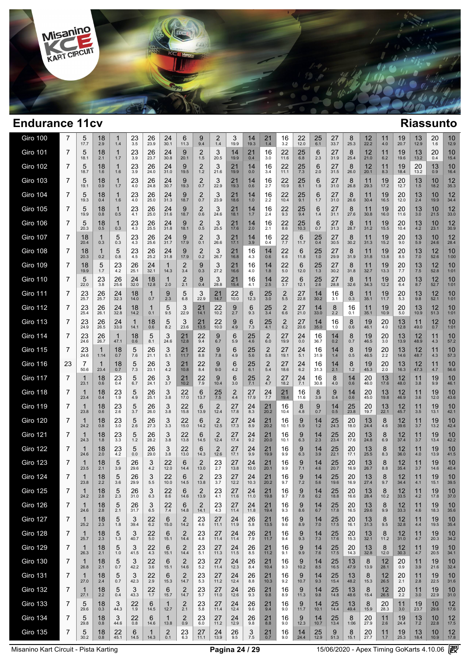

| Giro 100        | 7  | 5<br>17.7            | 18<br>2.9            | 1<br>1.4             | 23<br>3.5  | 26<br>23.9  | 24<br>30.1          | 6<br>11.3              | 9<br>9.4                  | 2<br>1.4         | 3<br>19.9    | 14<br>19.3    | 21<br>1.4             | 16<br>3.2                      | 22<br>12.0 | 25<br>6.1     | 27<br>33.7           | 8<br>25.3      | 12<br>22.2 | 11<br>4.0     | 19<br>20.7  | 13<br>12.9   | 20<br>1.6  | 10<br>12.9 |
|-----------------|----|----------------------|----------------------|----------------------|------------|-------------|---------------------|------------------------|---------------------------|------------------|--------------|---------------|-----------------------|--------------------------------|------------|---------------|----------------------|----------------|------------|---------------|-------------|--------------|------------|------------|
| <b>Giro 101</b> | 7  | 5<br>18.1            | 18<br>2.1            | $\mathbf{1}$<br>1.7  | 23<br>3.9  | 26<br>23.7  | 24<br>30.8          | 9<br>20.1              | 2<br>1.5                  | 3<br>20.5        | 14<br>19.9   | 21<br>0.4     | 16<br>3.0             | 22<br>11.6                     | 25<br>6.8  | 6<br>2.3      | 27<br>31.9           | 8<br>25.4      | 12<br>21.0 | 11<br>6.2     | 19<br>19.6  | 13<br>13.2   | 20<br>0.4  | 10<br>15.4 |
| <b>Giro 102</b> | 7  | 5<br>18.7            | 18<br>1.6            | 1<br>1.6             | 23<br>3.9  | 26<br>24.0  | 24<br>31.0          | 9<br>19.5              | $\overline{2}$<br>$1.2$   | 3<br>21.6        | 21<br>19.9   | 14<br>0.0     | 16<br>3.4             | 22<br>11.1                     | 25<br>7.3  | 6<br>2.0      | 27<br>31.5           | 8<br>26.0      | 12<br>20.1 | 11<br>8.3     | 19<br>18.4  | 20<br>13.2   | 13<br>0.9  | 10<br>16.4 |
| <b>Giro 103</b> | 7  | 5<br>19.1            | 18<br>0.9            | 1<br>1.7             | 23<br>4.0  | 26<br>24.8  | 24<br>30.7          | 9<br>19.3              | $\overline{2}$<br>0.7     | 3<br>22.9        | 21<br>19.3   | 14<br>0.6     | 16<br>2.7             | 22<br>10.9                     | 25<br>8.1  | 6<br>1.9      | 27<br>31.0           | 8<br>26.8      | 11<br>29.3 | 19<br>17.2    | 20<br>12.7  | 13<br>$1.5$  | 10<br>18.2 | 12<br>35.3 |
| <b>Giro 104</b> | 7  | 5<br>19.3            | 18<br>0.4            | -1<br>1.6            | 23<br>4.0  | 26<br>25.0  | 24<br>31.3          | 9<br>18.7              | $\overline{2}$<br>0.7     | 3<br>23.9        | 21<br>18.6   | 14<br>1.0     | 16<br>2.2             | 22<br>10.4                     | 25<br>9.1  | 6<br>1.7      | 27<br>31.0           | 8<br>26.6      | 11<br>30.4 | 19<br>16.5    | 20<br>12.0  | 13<br>2.4    | 10<br>19.9 | 12<br>34.4 |
| <b>Giro 105</b> | 7  | 5<br>19.9            | 18<br>0.8            | 1<br>0.5             | 23<br>4.1  | 26<br>25.0  | 24<br>31.6          | 9<br>18.7              | $\overline{2}$<br>0.6     | 3<br>24.6        | 21<br>18.1   | 14<br>1.7     | 16<br>2.4             | 22<br>9.3                      | 25<br>9.4  | 6<br>1.4      | 27<br>31.1           | 8<br>27.6      | 11<br>30.8 | 19<br>16.0    | 20<br>11.6  | 13<br>3.0    | 10<br>21.5 | 12<br>33.0 |
| <b>Giro 106</b> | 7  | 5<br>20.3            | 18<br>0.5            | 1<br>0.3             | 23<br>4.3  | 26<br>25.5  | 24<br>31.8          | 9<br>18.1              | $\overline{2}$<br>$0.5\,$ | 3<br>25.5        | 21<br>17.6   | 14<br>2.0     | 16<br>2.1             | 22<br>8.6                      | 25<br>10.3 | 6<br>0.7      | 27<br>31.3           | 8<br>28.7      | 11<br>31.2 | 19<br>15.5    | 20<br>10.4  | 13<br>4.2    | 10<br>23.1 | 12<br>30.9 |
| <b>Giro 107</b> | 7  | 18<br>20.4           | 1<br>0.3             | 5<br>0.3             | 23<br>4.3  | 26<br>25.6  | 24<br>31.7          | 9<br>17.9              | $\overline{2}$<br>0.1     | 3<br>26.6        | 21<br>17.1   | 14<br>3.9     | 16<br>0.4             | 22<br>7.7                      | 6<br>11.7  | 25<br>0.4     | 27<br>30.5           | 8<br>30.2      | 11<br>31.3 | 19<br>15.2    | 20<br>9.0   | 13<br>5.9    | 10<br>24.6 | 12<br>28.4 |
| <b>Giro 108</b> | 7  | 18<br>20.3           | 1<br>0.2             | 5<br>0.8             | 23<br>4.5  | 26<br>25.2  | 24<br>31.8          | 9<br>17.9              | $^{2}_{0.2}$              | 3<br>26.7        | 21<br>16.8   | 16<br>4.3     | 14<br>0.6             | 22<br>6.6                      | 6<br>11.8  | 25<br>$1.0$   | 27<br>29.9           | 8<br>31.9      | 11<br>31.8 | 19<br>13.8    | 20<br>8.5   | 13<br>7.0    | 12<br>52.6 | 10<br>1:00 |
| <b>Giro 109</b> | 7  | 18<br>19.9           | 5<br>1.7             | 23<br>4.2            | 26<br>25.1 | 24<br>32.1  | 14.3                | $\overline{2}$<br>3.4  | 9<br>0.3                  | 3<br>27.2        | 21<br>16.6   | 16<br>4.0     | 14<br>1.8             | 22<br>5.0                      | 6<br>12.0  | 25<br>1.3     | 27<br>30.2           | 8<br>31.8      | 11<br>32.7 | 19<br>13.3    | 20<br>7.7   | 13<br>7.5    | 12<br>52.8 | 10<br>1:01 |
| <b>Giro 110</b> | 7  | 5<br>22.0            | 23<br>3.8            | 26<br>25.6           | 24<br>32.0 | 18<br>12.8  | 2.0                 | 2<br>2.1               | 9<br>0.4                  | 3<br>28.8        | 21<br>15.4   | 16<br>4.1     | 14<br>2.5             | 22<br>3.7                      | 6<br>12.1  | 25<br>2.6     | 27<br>28.8           | 8<br>32.6      | 11<br>34.3 | 19<br>12.2    | 20<br>6.4   | 13<br>8.7    | 12<br>52.7 | 10<br>1:01 |
| <b>Giro 111</b> | 7  | 23<br>25.7           | 26<br>25.7           | 24<br>32.3           | 18<br>14.0 | 1<br>0.7    | 9<br>2.3            | 5<br>6.8               | 3<br>22.9                 | 21<br>14.7       | 22<br>10.0   | 6<br>12.3     | 25<br>3.0             | $\overline{\mathbf{c}}$<br>5.5 | 27<br>22.8 | 14<br>30.2    | 16<br>3.1            | 8<br>0.3       | 11<br>35.1 | 19<br>11.7    | 20<br>5.3   | 13<br>9.8    | 12<br>52.1 | 10<br>1:01 |
| <b>Giro 112</b> | 7  | 23<br>25.4           | 26<br>26.1           | 24<br>32.8           | 18<br>14.2 | 1<br>0.1    | 5<br>9.5            | 3<br>22.9              | 21<br>14.1                | 22<br>10.2       | 9<br>2.7     | 6<br>9.3      | 25<br>3.4             | $\overline{\mathbf{c}}$<br>6.6 | 27<br>21.0 | 14<br>33.0    | 8<br>2.2             | 16<br>0.1      | 11<br>35.1 | 19<br>10.9    | 20<br>5.0   | 13<br>10.9   | 12<br>51.3 | 10<br>1:01 |
| <b>Giro 113</b> | 7  | 23<br>24.9           | 26<br>26.5           | 24<br>33.0           | 1<br>14.1  | 18<br>0.6   | 5<br>8.2            | 3<br>23.6              | 21<br>13.5                | 22<br>10.0       | 9<br>4.9     | 6<br>7.3      | 25<br>4.1             | $\overline{2}$<br>6.2          | 27<br>20.6 | 14<br>35.0    | 16<br>1.0            | 8<br>0.6       | 19<br>46.1 | 20<br>4.0     | 13<br>12.8  | 11<br>49.0   | 12<br>0.7  | 10<br>1:01 |
| Giro 114        | 7  | 23<br>24.6           | 26<br>26.7           | $\mathbf 1$<br>47.1  | 18<br>0.6  | 5<br>8.1    | 3<br>24.6           | $21$<br>12.8           | 22<br>9.4                 | 9<br>6.7         | 6<br>5.9     | 25<br>4.6     | $\overline{2}$<br>6.0 | 27<br>19.9                     | 24<br>0.0  | 16<br>36.7    | 14<br>0.2            | 8<br>0.7       | 19<br>46.5 | 20<br>3.0     | 13<br>13.9  | 12<br>48.9   | 11<br>4.3  | 10<br>57.2 |
| <b>Giro 115</b> | 7  | 23<br>24.6           | 1<br>1:14            | 18<br>0.7            | 5<br>7.6   | 26<br>21.1  | 3<br>5.1            | $21$<br>11.7           | 22<br>8.8                 | 9<br>7.8         | 6<br>4.9     | 25<br>5.6     | 2<br>5.8              | 27<br>19.1                     | 24<br>5.1  | 16<br>31.9    | 14<br>1.4            | 8<br>0.5       | 19<br>46.5 | $^{20}_{2.2}$ | $13 \n14.6$ | $12$<br>48.7 | 11<br>4.3  | 10<br>57.3 |
| <b>Giro 116</b> | 23 | 7<br>50.6            | $\mathbf{1}$<br>23.4 | 18<br>0.7            | 5<br>7.3   | 26<br>23.1  | 3<br>4.2            | $21$<br>10.8           | 22<br>8.4                 | 9<br>9.0         | 6<br>4.2     | 25<br>6.1     | 2<br>5.4              | 27<br>18.6                     | 24<br>6.2  | 16<br>31.3    | 14<br>2.1            | 8<br>1.2       | 19<br>45.3 | 20<br>2.0     | 13<br>16.3  | $12$<br>47.3 | 11<br>4.7  | 10<br>56.6 |
| <b>Giro 117</b> | 7  | $\mathbf{1}$<br>23.1 | 18<br>0.6            | 23<br>0.4            | 5<br>6.7   | 26<br>24.1  | 3<br>3.7            | 21<br>10.2             | 22<br>7.9                 | 9<br>10.4        | 6<br>3.0     | 25<br>7.1     | 2<br>4.7              | 27<br>18.2                     | 24<br>7.1  | 16<br>30.8    | 8<br>4.0             | 14<br>0.6      | 20<br>46.0 | 13<br>17.6    | 12<br>48.0  | 11<br>3.8    | 19<br>9.9  | 10<br>46.1 |
| <b>Giro 118</b> | 7  | 1<br>23.4            | 18<br>0.4            | 23<br>1.9            | 5<br>4.9   | 26<br>25.1  | 3<br>3.8            | 22<br>17.0             | 6<br>13.7                 | $\frac{25}{7.5}$ | 2<br>4.4     | 27<br>17.9    | $^{24}_{7.7}$         | 21<br>19.4                     | 16<br>11.6 | 8<br>3.9      | 9<br>0.4             | 14<br>0.6      | 20<br>45.0 | 13<br>19.8    | 12<br>46.9  | 11<br>3.6    | 19<br>12.0 | 10<br>43.6 |
| <b>Giro 119</b> | 7  | 1<br>23.8            | 18<br>0.6            | 23<br>2.6            | 5<br>3.7   | 26<br>26.0  | 3<br>3.8            | 22<br>15.8             | 6<br>13.9                 | 2<br>12.4        | 27<br>17.8   | $^{24}_{8.3}$ | 21<br>20.2            | 16<br>10.4                     | 8<br>4.8   | 9<br>0.7      | 14<br>0.5            | 25<br>23.8     | 20<br>19.7 | 13<br>22.1    | 12<br>45.7  | 11<br>3.5    | 19<br>13.1 | 10<br>42.1 |
| <b>Giro 120</b> | 7  | 1<br>24.2            | 18<br>0.8            | 23<br>3.0            | 5<br>2.6   | 26<br>27.3  | 3<br>3.3            | 22<br>15.0             | 6<br>14.2                 | 2<br>12.5        | 27<br>17.3   | 24<br>8.9     | 21<br>20.2            | 16<br>10.1                     | 9<br>5.9   | 14<br>$1.2$   | 25<br>24.3           | 20<br>18.0     | 13<br>24.4 | 8<br>4.6      | 12<br>39.6  | 11<br>3.7    | 19<br>13.2 | 10<br>42.4 |
| <b>Giro 121</b> | 7  | 1<br>24.3            | 18<br>1.8            | 23<br>3.3            | 5<br>1.2   | 26<br>28.2  | 3<br>3.8            | 22<br>13.8             | 6<br>14.5                 | 2<br>12.4        | 27<br>17.4   | 24<br>9.2     | 21<br>20.0            | 16<br>10.1                     | 9<br>6.3   | 14<br>2.3     | 25<br>23.4           | 20<br>17.6     | 13<br>24.8 | 8<br>6.9      | 12<br>37.4  | 11<br>3.7    | 19<br>13.4 | 10<br>42.2 |
| <b>Giro 122</b> | 7  | 1<br>24.6            | 18<br>2.0            | 23<br>4.2            | 5<br>0.0   | 26<br>29.0  | 3<br>3.8            | 22<br>13.0             | 6<br>14.3                 | 2<br>12.6        | 27<br>17.1   | 24<br>9.9     | 21<br>19.9            | 16<br>9.9                      | 9<br>6.3   | 14<br>3.9     | 25<br>22.1           | 20<br>17.1     | 13<br>25.5 | 8<br>8.3      | 12<br>36.0  | 11<br>4.0    | 19<br>13.9 | 10<br>41.5 |
| <b>Giro 123</b> | 7  | 1<br>23.5            | 18<br>2.1            | 5<br>3.9             | 26<br>29.6 | 3<br>4.2    | 22<br>12.0          | 6<br>14.4              | 2<br>13.0                 | 23<br>2.7        | 27<br>13.8   | 24<br>10.0    | 21<br>20.1            | 16<br>9.9                      | 9<br>7.1   | 14<br>4.6     | 25<br>20.7           | 20<br>16.9     | 13<br>26.7 | 8<br>8.8      | 12<br>35.4  | 11<br>3.7    | 19<br>14.6 | 10<br>40.4 |
| <b>Giro 124</b> | 7  | 1<br>23.8            | 18<br>2.2            | 5<br>3.6             | 26<br>29.9 | 3<br>5.5    | 22<br>10.0          | 6<br>14.5              | $\overline{2}$<br>13.8    | 23<br>3.7        | 27<br>12.2   | 24<br>10.3    | 21<br>20.2            | 16<br>9.7                      | 9<br>7.2   | 14<br>5.6     | 25<br>19.6           | 20<br>16.9     | 13<br>27.4 | 8<br>9.7      | 12<br>34.4  | 11<br>4.1    | 19<br>15.1 | 10<br>39.5 |
| <b>Giro 125</b> | 7  | 24.2                 | 18<br>2.8            | 5<br>2.3             | 26<br>31.0 | 3<br>6.3    | 22<br>8.6           | 6<br>14.6              | 2<br>13.9                 | 23<br>4.1        | 27<br>11.6   | 24<br>11.0    | 21<br>19.8            | 16<br>9.7                      | 9<br>7.8   | 14<br>$6.2\,$ | 25<br>18.8           | $20\,$<br>16.6 | 13<br>28.4 | 8<br>10.2     | 12<br>33.5  | 11<br>4.2    | 19<br>17.8 | 10<br>37.0 |
| <b>Giro 126</b> | 7  | 1<br>24.6            | 18<br>2.8            | 5<br>2.1             | 26<br>31.7 | 3<br>6.5    | 22<br>$7.4$         | 6<br>14.8              | $\overline{2}$<br>14.1    | 23<br>4.3        | 27<br>11.4   | 24<br>11.8    | 21<br>19.4            | 16<br>9.3                      | 9<br>8.6   | 14<br>6.7     | 25<br>17.8           | 20<br>16.5     | 13<br>29.6 | 8<br>9.9      | 12<br>33.3  | 11<br>4.6    | 19<br>18.3 | 10<br>35.6 |
| Giro 127        | 7  | 1<br>25.2            | 18<br>2.3            | 5<br>1.8             | 3<br>39.4  | 22<br>6.2   | 6<br>15.0           | 2<br>14.2              | 23<br>4.6                 | 27<br>11.1       | 24<br>11.9   | 26<br>5.8     | 21<br>13.5            | 16<br>9.6                      | 9<br>8.9   | 14<br>7.0     | 25<br>17.5           | 20<br>16.1     | 13<br>31.3 | 8<br>9.5      | 12<br>32.8  | 11<br>4.4    | 19<br>19.5 | 10<br>35.4 |
| <b>Giro 128</b> | 7  | 1<br>25.7            | 18<br>2.3            | 5<br>1.3             | 3<br>40.7  | 22<br>5.0   | 6<br>15.1           | $\overline{2}$<br>14.4 | 23<br>4.8                 | 27<br>11.4       | 24<br>11.4   | 26<br>7.9     | 21<br>11.7            | 16<br>9.4                      | 9.3        | 14<br>7.3     | 25<br>17.6           | 20<br>15.3     | 13<br>32.1 | 8<br>11.2     | 12<br>31.0  | 11<br>4.7    | 19<br>20.3 | 10<br>34.2 |
| Giro 129        | 7  | 1<br>26.3            | 18<br>2.1            | 5<br>1.0             | 3<br>41.5  | 22<br>4.3   | 6<br>15.1           | $\overline{2}$<br>14.4 | 23<br>5.1                 | 27<br>11.3       | 24<br>11.5   | 26<br>8.5     | 21<br>11.2            | 16<br>9.1                      | 9<br>9.9   | 14<br>7.6     | 25<br>17.5           | 20<br>14.3     | 13<br>32.8 | 8<br>12.0     | 12<br>30.3  | 11<br>4.7    | 19<br>20.5 | 10<br>34.1 |
| <b>Giro 130</b> | 7  | 1<br>26.8            | 18<br>2.1            | 5<br>0.7             | 3<br>42.2  | 22<br>3.6   | 6<br>15.1           | $\overline{2}$<br>14.6 | 23<br>5.2                 | 27<br>11.4       | 24<br>12.3   | 26<br>8.4     | 21<br>10.4            | 16<br>9.3                      | 9<br>10.2  | 14<br>8.5     | 25<br>16.5           | 13<br>47.9     | 8<br>13.9  | 12<br>28.1    | 20<br>0.9   | 11<br>3.9    | 19<br>21.6 | 10<br>32.4 |
| <b>Giro 131</b> | 7  | 1<br>27.0            | 18<br>2.4            | 5<br>0.7             | 3<br>42.3  | 22<br>2.9   | 6<br>15.3           | 2<br>14.7              | 23<br>5.3                 | 27<br>11.2       | 24<br>12.4   | 26<br>8.8     | 21<br>10.3            | 16<br>9.2                      | 9<br>10.7  | 14<br>9.3     | 25<br>15.4           | 13<br>48.2     | 8<br>15.3  | 12<br>26.5    | 20<br>2.1   | 11<br>2.8    | 19<br>22.5 | 10<br>31.6 |
| <b>Giro 132</b> | 7  | 1<br>27.1            | 18<br>2.2            | 5<br>0.4             | 3<br>43.3  | $22$<br>1.7 | 6<br>15.7           | $\overline{2}$<br>14.7 | $23$ <sub>5.7</sub>       | 27<br>11.0       | $24$<br>12.6 | $^{26}_{9.3}$ | 21<br>9.8             | 16<br>8.9                      | 9<br>11.3  | 14<br>9.8     | $25$ <sub>14.8</sub> | 13<br>48.6     | 8<br>15.4  | 12<br>26.5    | 20<br>2.2   | 11<br>3.0    | 19<br>22.9 | 10<br>31.0 |
| <b>Giro 133</b> | 7  | 5<br>29.6            | 18<br>0.3            | $\mathbf{3}$<br>44.3 | 22<br>1.9  | 6<br>14.5   | -1<br>12.7          | 2<br>2.1               | $^{23}_{\,5.8}$           | 27<br>11.4       | 24<br>12.4   | 26<br>9.6     | 21<br>9.4             | 16<br>9.0                      | 9<br>11.7  | 14<br>10.1    | 25<br>14.4           | 13<br>49.4     | 8<br>15.9  | 20<br>28.3    | 11<br>3.0   | 19<br>23.7   | 10<br>29.6 | 12<br>17.6 |
| <b>Giro 134</b> | 7  | 5<br>29.8            | 18<br>0.8            | 3<br>44.6            | 22<br>0.8  | 6<br>14.6   | $\mathbf 1$<br>13.8 | $\overline{2}$<br>0.9  | 23<br>6.0                 | 27<br>11.2       | 24<br>12.9   | 26<br>9.8     | 21<br>8.8             | 16<br>9.0                      | 9<br>12.3  | 14<br>10.7    | 25<br>13.4           | 8<br>1:06      | 20<br>27.9 | 11<br>2.6     | 19<br>24.4  | 13<br>7.2    | 10<br>22.8 | 12<br>17.5 |
| <b>Giro 135</b> | 7  | 5<br>30.2            | 18<br>0.8            | 22<br>45.1           | 6<br>14.5  | 1<br>14.3   | 2<br>0.1            | 23<br>6.3              | 27<br>11.1                | 24<br>13.9       | 26<br>9.5    | 3<br>$7.5\,$  | 21<br>0.7             | 16<br>9.0                      | 14<br>24.4 | 25<br>12.9    | 9<br>51.3            | 8<br>15.1      | 20<br>27.7 | 11<br>1.7     | 19<br>25.3  | 13<br>18.4   | 10<br>10.9 | 12<br>17.8 |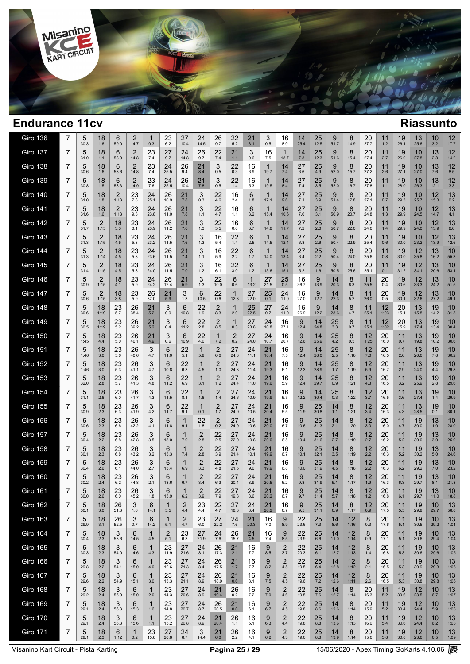

| <b>Giro 136</b> | 7 | 5<br>30.3 | 18<br>1.6              | 6<br>59.0     | $\overline{c}$<br>14.7 | 0.3                 | 23<br>6.2             | 27<br>10.4          | 24<br>14.5            | 26<br>9.7  | 22<br>5.2                      | 21<br>3.1     | 3<br>0.5             | 16<br>8.0             | 14<br>25.4       | 25<br>12.5           | 9<br>51.7        | 8<br>14.9       | 20<br>27.7       | 11<br>1.2   | 19<br>26.1  | 13<br>25.6                | 10<br>3.2  | 12<br>17.7 |  |
|-----------------|---|-----------|------------------------|---------------|------------------------|---------------------|-----------------------|---------------------|-----------------------|------------|--------------------------------|---------------|----------------------|-----------------------|------------------|----------------------|------------------|-----------------|------------------|-------------|-------------|---------------------------|------------|------------|--|
| <b>Giro 137</b> | 7 | 5<br>31.0 | 18<br>1.1              | 6<br>58.9     | $\overline{2}$<br>14.8 | 23<br>7.4           | 27<br>9.7             | 24<br>14.8          | 26<br>9.7             | 22<br>7.4  | $21$ <sub>1.1</sub>            | 3<br>0.6      | 16<br>7.5            | $\mathbf{1}$<br>18.7  | 14<br>7.3        | 25<br>12.3           | 9<br>51.6        | 8<br>15.4       | 20<br>27.4       | 11<br>2.7   | 19<br>26.0  | 10<br>27.8                | 13<br>2.8  | 12<br>14.2 |  |
| <b>Giro 138</b> | 7 | 5<br>30.6 | 18<br>1.6              | 6<br>58.6     | $\overline{2}$<br>14.8 | 23<br>7.4           | 24<br>25.5            | 26<br>9.4           | 21<br>8.4             | 3<br>0.5   | 22<br>0.3                      | 16<br>6.9     | $\mathbf{1}$<br>19.7 | 14<br>7.4             | 27<br>6.6        | 25<br>4.9            | 9<br>52.0        | 8<br>15.7       | 20<br>27.2       | 11<br>2.6   | 19<br>27.1  | 10<br>27.0                | 13<br>7.6  | 12<br>8.5  |  |
| <b>Giro 139</b> | 7 | 5<br>30.8 | 18<br>1.5              | 6<br>58.3     | $\overline{2}$<br>14.9 | 23<br>7.6           | 24<br>25.5            | 26<br>10.4          | 21<br>7.8             | 3<br>0.5   | 22<br>1.4                      | 16<br>5.3     | -1<br>19.5           | 14<br>8.4             | 27<br>7.4        | 25<br>3.5            | 9<br>52.0        | 8<br>16.7       | 20<br>27.8       | 11<br>1.1   | 19<br>28.0  | 10<br>26.3                | 13<br>12.1 | 12<br>3.3  |  |
| <b>Giro 140</b> | 7 | 5<br>31.0 | 18<br>1.8              | 2<br>1:13     | 23<br>7.8              | 24<br>25.1          | 26<br>10.9            | $^{21}_{7.8}$       | 3<br>0.3              | 22<br>4.6  | 16<br>2.4                      | 6<br>1.8      | 1<br>17.1            | 14<br>9.6             | $27 \atop 7.1$   | 25<br>3.9            | 9<br>51.4        | 8<br>17.8       | 20<br>27.1       | 11<br>0.7   | 19<br>29.3  | 10<br>25.7                | 12<br>15.3 | 13<br>0.2  |  |
| <b>Giro 141</b> | 7 | 5<br>31.6 | 18<br>1.6              | 2<br>1:13     | 23<br>9.3              | 24<br>23.8          | 26<br>11.0            | $^{21}_{7.8}$       | 3<br>1.1              | 22<br>4.7  | 16<br>1.1                      | 6<br>3.2      | -1<br>15.4           | 14<br>10.6            | $\frac{27}{7.6}$ | 25<br>3.1            | 9<br>50.9        | 8<br>20.7       | 20<br>24.8       | 11<br>1.3   | 19<br>29.9  | 10<br>24.5                | 12<br>14.7 | 13<br>4.1  |  |
| <b>Giro 142</b> | 7 | 5<br>31.7 | 2<br>1:15              | 18<br>3.3     | 23<br>6.1              | 24<br>23.9          | 26<br>11.2            | 21<br>7.6           | 3<br>1.3              | 22<br>5.5  | 16<br>0.0                      | 6<br>3.7      | -1<br>14.8           | 14<br>11.7            | 27<br>$7.2\,$    | 25<br>2.6            | 9<br>50.7        | 8<br>22.0       | 20<br>24.6       | 11<br>1.4   | 19<br>29.9  | 10<br>24.0                | 12<br>13.9 | 13<br>8.0  |  |
| <b>Giro 143</b> | 7 | 5<br>31.3 | $\overline{2}$<br>1:15 | 18<br>4.5     | 23<br>5.8              | 24<br>23.2          | 26<br>11.5            | $^{21}_{7.6}$       | 3<br>1.3              | 16<br>5.4  | 22<br>1.4                      | 6<br>2.5      | -1<br>14.5           | 14<br>12.4            | 27<br>6.8        | 25<br>2.6            | 9<br>50.4        | 8<br>22.9       | 20<br>25.4       | 11<br>0.6   | 19<br>30.0  | 10<br>23.2                | 12<br>13.9 | 13<br>12.6 |  |
| <b>Giro 144</b> | 7 | 5<br>31.3 | 2<br>1:14              | 18<br>4.5     | 23<br>5.8              | 24<br>23.6          | 26<br>11.5            | $^{21}_{7.4}$       | 3<br>1.1              | 16<br>5.9  | 22<br>2.2                      | 6<br>1.7      | 1<br>14.0            | 14<br>13.4            | 27<br>6.4        | 25<br>2.2            | 9<br>50.4        | 8<br>24.0       | 20<br>25.6       | 11<br>0.8   | 19<br>30.0  | 12<br>35.8                | 13<br>16.2 | 10<br>55.3 |  |
| <b>Giro 145</b> | 7 | 5<br>31.4 | 2<br>1:15              | 18<br>4.5     | 23<br>5.8              | 24<br>24.0          | 26<br>11.5            | $^{21}_{7.0}$       | 3<br>1.2              | 16<br>6.1  | 22<br>3.0                      | 6<br>1.2      | 1<br>13.6            | 14<br>15.1            | 27<br>5.2        | 25<br>1.6            | 9<br>50.5        | 8<br>25.6       | 20<br>25.1       | 11<br>0.1   | 19<br>31.2  | 12<br>34.1                | 13<br>20.6 | 10<br>53.1 |  |
| <b>Giro 146</b> | 7 | 5<br>30.9 | 2<br>1:15              | 18<br>4.1     | 23<br>5.9              | 24<br>24.2          | 26<br>12.4            | 21<br>5.9           | 3<br>1.3              | 22<br>10.0 | 6<br>0.6                       | 1<br>13.2     | 27<br>21.5           | 25<br>0.5             | 16<br>36.7       | 9<br>13.9            | 14<br>20.3       | 8<br>6.3        | 11<br>25.5       | 20<br>0.4   | 19<br>30.6  | 12<br>33.3                | 13<br>24.2 | 10<br>51.5 |  |
| <b>Giro 147</b> | 7 | 5<br>30.6 | 2<br>1:15              | 18<br>3.8     | 23<br>5.9              | 26<br>37.0          | 21<br>5.9             | 3<br>1.3            | 6<br>10.5             | 22<br>0.6  | 1<br>12.3                      | 27<br>22.0    | 25<br>0.1            | 24<br>11.0            | 16<br>27.0       | 9<br>12.7            | 14<br>22.3       | 8<br>5.2        | 11<br>26.0       | 20<br>0.5   | 19<br>30.1  | 12<br>32.6                | 13<br>27.2 | 10<br>49.1 |  |
| Giro 148        | 7 | 5<br>30.6 | 18<br>1:19             | 23<br>5.7     | 26<br>38.4             | 21<br>5.2           | 3<br>0.9              | 6<br>10.8           | 22<br>1.9             | 2<br>8.3   | 1<br>2.0                       | 25<br>22.5    | 27<br>0.7            | 24<br>11.0            | 16<br>26.9       | 9<br>12.2            | 14<br>23.6       | 8<br>4.7        | 11<br>25.1       | 12<br>1:03  | 20<br>15.1  | 13<br>15.8                | 19<br>14.2 | 10<br>31.5 |  |
| <b>Giro 149</b> | 7 | 5<br>30.5 | 18<br>1:19             | 23<br>5.2     | 26<br>39.2             | 21<br>5.2           | 3<br>0.4              | 6<br>11.2           | 22<br>2.8             | 2<br>8.5   | 1<br>0.3                       | 27<br>23.8    | 24<br>10.8           | 16<br>27.1            | 9<br>12.4        | 14<br>24.8           | 25<br>3.3        | 8<br>0.7        | 11<br>25.1       | 12<br>1:02  | 20<br>15.9  | 13<br>17.4                | 19<br>13.4 | 10<br>30.4 |  |
| <b>Giro 150</b> | 7 | 5<br>1:45 | 18<br>4.4              | 23<br>5.0     | 26<br>40.1             | 21<br>4.9           | 3<br>0.6              | 6<br>10.9           | 22<br>4.0             | 7.2        | $\overline{\mathbf{c}}$<br>0.2 | 27<br>24.0    | 24<br>10.7           | 16<br>26.7            | 9<br>12.6        | 14<br>25.9           | 25<br>4.2        | 8<br>0.5        | 12<br>1:25       | 20<br>16.0  | 11<br>0.7   | 13<br>19.8                | 19<br>10.2 | 10<br>30.6 |  |
| <b>Giro 151</b> | 7 | 5<br>1:46 | 18<br>3.0              | 23<br>5.6     | 26<br>40.6             | 3<br>4.7            | 6<br>11.0             | 22<br>5.1           | 1<br>5.9              | 2<br>0.6   | 27<br>24.3                     | 24<br>11.1    | 21<br>18.4           | 16<br>7.5             | 9<br>12.4        | 14<br>28.0           | $\frac{25}{2.5}$ | 8<br>1:18       | $\frac{12}{7.6}$ | 20<br>16.5  | $11$<br>2.6 | 13<br>20.6                | 19<br>7.8  | 10<br>30.2 |  |
| <b>Giro 152</b> | 7 | 5<br>1:46 | 18<br>3.0              | 23<br>5.3     | 26<br>41.1             | 3<br>4.7            | 6<br>10.8             | 22<br>6.3           | 1<br>4.5              | 2<br>1.0   | 27<br>24.3                     | 24<br>11.4    | 21<br>19.3           | 16<br>6.1             | 9<br>12.3        | 14<br>28.9           | 25<br>1.7        | 8<br>1:19       | 12<br>5.9        | 20<br>16.7  | 11<br>2.9   | 13<br>24.0                | 19<br>4.4  | 10<br>29.8 |  |
| <b>Giro 153</b> | 7 | 5<br>32.0 | 18<br>2.8              | 23<br>5.7     | 26<br>41.3             | 3<br>4.8            | 6<br>11.2             | 22<br>6.9           | 1<br>3.1              | 2<br>$1.2$ | 27<br>24.4                     | 24<br>11.0    | 21<br>19.6           | 16<br>5.9             | 9<br>12.4        | 14<br>29.7           | 25<br>0.9        | 8<br>1:21       | 12<br>4.3        | 20<br>16.5  | 11<br>3.2   | 13<br>25.9                | 19<br>2.8  | 10<br>29.6 |  |
| <b>Giro 154</b> | 7 | 5<br>31.1 | 18<br>2.6              | 23<br>6.0     | 26<br>41.7             | 3<br>4.3            | 6<br>11.5             | 22<br>8.1           | 1<br>1.6              | 2<br>1.4   | 27<br>24.6                     | 24<br>10.9    | 21<br>19.9           | 16<br>5.7             | 9<br>12.2        | 14<br>30.4           | 25<br>0.3        | 8<br>1:22       | 12<br>3.7        | 20<br>16.5  | 11<br>3.6   | 13<br>27.4                | 19<br>1.4  | 10<br>29.9 |  |
| <b>Giro 155</b> | 7 | 5<br>30.9 | 18<br>2.3              | $^{23}_{6.3}$ | 26<br>41.9             | 3<br>4.2            | 6<br>11.7             | 22<br>9.1           | 1<br>0.1              | 2<br>1.7   | 27<br>24.9                     | 24<br>10.5    | 21<br>20.4           | 16<br>5.5             | 9<br>11.9        | 25<br>30.8           | 14<br>$1.1$      | 8<br>1:21       | 12<br>3.4        | 20<br>16.3  | 11<br>4.3   | 13<br>28.5                | 19<br>0.1  | 10<br>30.1 |  |
| <b>Giro 156</b> | 7 | 5<br>30.6 | 18<br>2.3              | 23<br>6.6     | 26<br>42.2             | 3<br>4.1            | 6<br>11.8             | $\mathbf 1$<br>9.1  | 22<br>1.8             | 2<br>0.2   | 27<br>24.9                     | 24<br>10.6    | 21<br>20.0           | 16<br>6.7             | 9<br>10.6        | 25<br>31.3           | 14<br>2.1        | 8<br>1:20       | 12<br>3.0        | 20<br>16.0  | 11<br>4.7   | 19<br>30.0                | 13<br>1.0  | 10<br>28.0 |  |
| <b>Giro 157</b> | 7 | 5<br>30.4 | 18<br>2.2              | 23<br>6.8     | 26<br>42.8             | 3<br>3.5            | 6<br>13.0             | 1<br>7.9            | 2<br>2.8              | 22<br>2.5  | 27<br>22.0                     | 24<br>10.8    | 21<br>20.0           | 16<br>6.5             | 9<br>10.4        | 25<br>31.6           | 14<br>2.7        | 8<br>1:19       | 12<br>2.7        | 20<br>16.2  | 11<br>5.2   | 19<br>30.0                | 13<br>3.0  | 10<br>25.9 |  |
| <b>Giro 158</b> | 7 | 5<br>30.1 | 18<br>2.3              | 23<br>6.8     | 26<br>43.2             | 3<br>3.2            | 6<br>13.3             | 1<br>7.4            | $\overline{2}$<br>2.8 | 22<br>3.9  | 27<br>21.4                     | 24<br>10.1    | 21<br>19.9           | 16<br>6.7             | 9<br>10.1        | 25<br>32.1           | 14<br>3.5        | 8<br>1:19       | 12<br>2.2        | 20<br>16.3  | 11<br>5.2   | 19<br>30.2                | 13<br>5.0  | 10<br>24.6 |  |
| <b>Giro 159</b> | 7 | 5<br>30.4 | 18<br>2.6              | 23<br>6.1     | 26<br>44.0             | 3<br>2.7            | 6<br>13.4             | 1<br>6.9            | $\overline{2}$<br>3.3 | 22<br>4.8  | 27<br>21.6                     | 24<br>9.0     | 21<br>19.9           | 16<br>6.8             | 9<br>10.0        | 25<br>31.9           | 14<br>4.5        | 8<br>1:18       | 12<br>2.2        | 20<br>16.3  | 11<br>6.2   | 19<br>29.2                | 13<br>7.0  | 10<br>23.2 |  |
| Giro 160        | 7 | 5<br>30.2 | 18<br>2.4              | 23<br>6.2     | 26<br>44.8             | 3<br>2.1            | 6<br>13.6             | 1<br>6.7            | $\overline{2}$<br>3.4 | 22<br>6.3  | 27<br>20.4                     | 24<br>8.9     | 21<br>20.5           | 16<br>6.2             | 9<br>9.8         | 25<br>31.9           | 14<br>5.1        | 8<br>1:17       | 12<br>1.9        | 20<br>16.3  | 11<br>6.3   | 19<br>29.7                | 13<br>8.1  | 10<br>21.8 |  |
| Giro 161        | 7 | 5<br>30.0 | 18<br>2.6              | 23<br>6.0     | 26<br>45.2             | 3<br>$1.8$          | 6<br>13.9             | 6.2                 | 2<br>3.9              | 22<br>7.9  | 27<br>19.3                     | 24<br>8.6     | $\angle$<br>20.2     | 16<br>6.7             | 9<br>9.7         | 25<br>31.4           | 14<br>$5.7\,$    | 8<br>1:18       | 12<br>$1.2$      | 20<br>16.8  | 11<br>6.1   | 19<br>29.7                | 13<br>11.0 | 10<br>18.8 |  |
| <b>Giro 162</b> | 7 | 5<br>30.1 | 18<br>3.0              | 26<br>51.3    | 3<br>1.6               | 6<br>14.1           | $\mathbf 1$<br>$5.5$  | $\mathbf{2}$<br>4.4 | 23<br>4.4             | 22<br>4.7  | 27<br>18.3                     | 24<br>8.4     | 21<br>20.2           | 16<br>6.7             | 9.5              | $25$ <sub>31.1</sub> | 14<br>6.9        | 8<br>1:17       | 12<br>0.9        | 20<br>17.5  | 11<br>$5.5$ | 19<br>29.9                | 10<br>29.7 | 13<br>58.8 |  |
| <b>Giro 163</b> | 7 | 5<br>29.9 | 18<br>3.1              | 26<br>52.5    | 3<br>0.7               | 6<br>14.2           | -1<br>5.1             | 2<br>4.7            | 23<br>6.0             | 27<br>22.2 | 24<br>7.6                      | 21<br>20.3    | 16<br>7.0            | 9<br>8.9              | 22<br>23.6       | 25<br>7.3            | 14<br>8.6        | $12 \,$<br>1:16 | 8<br>0.3         | 20<br>17.6  | 11<br>5.1   | 19<br>30.5                | 10<br>29.2 | 13<br>1:01 |  |
| <b>Giro 164</b> | 7 | 5<br>30.4 | 18<br>2.3              | 3<br>53.6     | 6<br>14.5              | $\mathbf{1}$<br>4.5 | $\overline{2}$<br>5.1 | 23<br>6.3           | 27<br>21.9            | 24<br>7.6  | 26<br>15.7                     | $^{21}_{4.5}$ | 16<br>7.4            | 9<br>8.5              | 22<br>23.9       | 25<br>6.6            | 14<br>11.0       | 12<br>1:14      | 8<br>0.9         | 20<br>17.1  | 11<br>5.1   | 19<br>30.6                | 10<br>29.4 | 13<br>1:04 |  |
| <b>Giro 165</b> | 7 | 5<br>30.3 | 18<br>2.3              | 3<br>54.0     | 6<br>14.6              | $\mathbf{1}$<br>4.3 | 23<br>11.9            | 27<br>21.6          | 24<br>8.1             | 26<br>17.3 | 21<br>2.1                      | 16<br>7.7     | 9<br>8.5             | $\overline{2}$<br>3.7 | 22<br>20.3       | 25<br>6.1            | 14<br>12.7       | 12<br>1:13      | 8<br>1.4         | 20<br>16.8  | 11<br>5.3   | 19<br>30.6                | 10<br>29.6 | 13<br>1:05 |  |
| Giro 166        | 7 | 5<br>29.8 | 18<br>2.2              | 3<br>54.1     | 6<br>15.0              | 1<br>4.0            | 23<br>12.6            | 27<br>21.3          | 24<br>8.4             | 26<br>17.5 | 21<br>1.7                      | 16<br>7.7     | 9<br>8.2             | $\overline{2}$<br>4.5 | 22<br>19.5       | 25<br>6.4            | 14<br>12.8       | $12 \,$<br>1:12 | 8<br>2.1         | 20<br>16.5  | 11<br>5.3   | 19<br>30.9                | 10<br>29.3 | 13<br>1:06 |  |
| <b>Giro 167</b> | 7 | 5<br>29.6 | 18<br>2.2              | 3<br>54.9     | 6<br>15.1              | 1<br>3.0            | 23<br>13.3            | 27<br>21.1          | 24<br>8.9             | 26<br>18.0 | 21<br>0.6                      | 16<br>8.1     | 9<br>7.5             | $\overline{2}$<br>4.5 | 22<br>19.6       | 25<br>7.2            | 14<br>12.6       | 12<br>1:11      | 8<br>2.6         | 20<br>16.5  | 11<br>5.3   | 19<br>30.8                | 10<br>29.8 | 13<br>1:06 |  |
| Giro 168        | 7 | 5<br>29.2 | 18<br>2.4              | 3<br>55.9     | 6<br>15.0              | 1<br>2.0            | $23$<br>14.3          | 27<br>20.6          | $^{24}_{8.9}$         | 21<br>19.4 | 26<br>0.2                      | 16<br>7.2     | 9<br>7.0             | $\overline{2}$<br>4.6 | 22<br>19.5       | $\frac{25}{7.6}$     | 14<br>12.7       | 8<br>1:14       | 20<br>16.3       | 11<br>5.2   | 19<br>30.6  | 12<br>23.5                | 10<br>6.7  | 13<br>1:07 |  |
| <b>Giro 169</b> | 7 | 5<br>29.1 | 18<br>2.4              | 3<br>56.3     | 6<br>15.3              | 1<br>1.6            | 23<br>14.8            | 27<br>20.7          | $^{24}_{8.7}$         | 26<br>20.5 | $^{21}_{0.0}$                  | 16<br>6.1     | 9<br>6.7             | $\overline{2}$<br>4.5 | 22<br>19.8       | 25<br>8.6            | 14<br>12.6       | 8<br>1:14       | 20<br>15.9       | 11<br>5.2   | 19<br>30.4  | 12<br>24.4                | 10<br>5.9  | 13<br>1:08 |  |
| <b>Giro 170</b> | 7 | 5<br>29.1 | 18<br>2.4              | 3<br>56.3     | 6<br>15.6              | 1<br>1.1            | 23<br>15.2            | 27<br>20.8          | 24<br>8.9             | 21<br>20.4 | 26<br>1.1                      | 16<br>5.1     | 9<br>6.3             | $\overline{2}$<br>4.4 | 22<br>19.8       | 25<br>8.8            | 14<br>13.6       | 8<br>1:13       | 20<br>16.0       | 11<br>5.4   | 19<br>30.6  | 12<br>24.4                | 10<br>6.2  | 13<br>1:08 |  |
| <b>Giro 171</b> | 7 | 5<br>29.1 | 18<br>2.3              | 6<br>1:12     | 1<br>0.2               | 23<br>15.8          | 27<br>20.8            | 24<br>8.7           | 3<br>14.4             | 21<br>6.0  | 26<br>2.2                      | 16<br>4.1     | 9<br>6.2             | $\overline{2}$<br>4.3 | 22<br>19.6       | 25<br>8.8            | 14<br>13.9       | 8<br>1:14       | 20<br>15.6       | $11$<br>5.8 | 19<br>30.8  | $12 \overline{ }$<br>23.6 | 10<br>6.5  | 13<br>1:09 |  |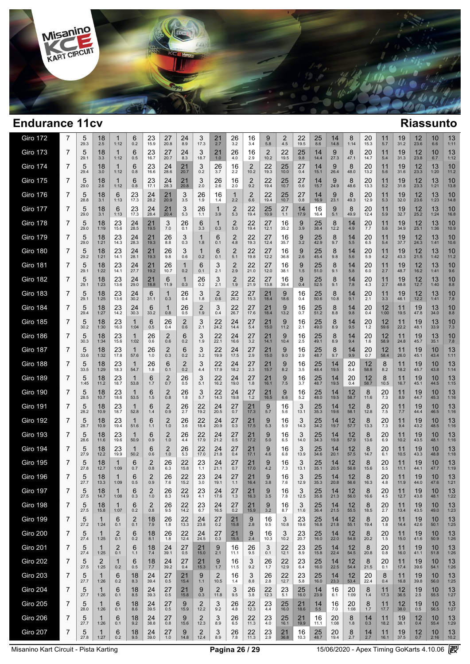

| 5<br><b>Giro 173</b><br>7<br>6<br>24<br>22<br>10<br>18<br>23<br>27<br>3<br>21<br>26<br>16<br>2<br>25<br>9<br>8<br>20<br>11<br>19<br>12<br>14<br>-1<br>9.8<br>27.3<br>23.8<br>29.1<br>3.3<br>1:12<br>0.5<br>16.7<br>20.7<br>8.3<br>18.7<br>1.0<br>4.0<br>2.9<br>10.2<br>19.5<br>14.4<br>47.1<br>14.7<br>5.4<br>31.3<br>6.7<br><b>Giro 174</b><br>7<br>5<br>6<br>23<br>24<br>21<br>3<br>2<br>22<br>25<br>27<br>18<br>26<br>16<br>14<br>9<br>8<br>20<br>11<br>19<br>12<br>13<br>-1<br>0.2<br>29.4<br>3.0<br>0.8<br>16.6<br>28.6<br>20.7<br>3.7<br>2.2<br>10.2<br>19.3<br>10.0<br>0.4<br>15.1<br>26.4<br>48.0<br>13.2<br>5.6<br>31.6<br>23.3<br>1:20<br>1:12<br><b>Giro 175</b><br>7<br>5<br>6<br>24<br>2<br>22<br>25<br>27<br>18<br>23<br>21<br>3<br>26<br>16<br>9<br>8<br>20<br>11<br>19<br>12<br>13<br>14<br>-1<br>20.8<br>2.0<br>10.7<br>29.0<br>2.6<br>1:12<br>0.8<br>17.1<br>28.3<br>2.6<br>2.0<br>9.2<br>19.4<br>0.6<br>15.7<br>24.9<br>48.6<br>13.3<br>5.2<br>31.8<br>23.3<br>1:21<br><b>Giro 176</b><br>3<br>25<br>7<br>5<br>23<br>2<br>22<br>27<br>18<br>24<br>21<br>26<br>16<br>$\mathbf{1}$<br>9<br>8<br>20<br>19<br>12<br>13<br>6<br>14<br>11<br>10.7<br>28.2<br>6.6<br>23.1<br>3.1<br>1:13<br>17.3<br>20.9<br>3.5<br>1.9<br>2.2<br>19.4<br>0.8<br>16.9<br>49.3<br>12.9<br>32.0<br>23.6<br>28.8<br>1.4<br>5.3<br>1:23<br>5<br>3<br>$\overline{2}$<br><b>Giro 177</b><br>7<br>23<br>18<br>24<br>21<br>26<br>22<br>25<br>27<br>9<br>8<br>20<br>12<br>13<br>6<br>14<br>16<br>11<br>19<br>-1<br>17.3<br>28.4<br>10.9<br>20.4<br>19.4<br>1.1<br>3.1<br>1:13<br>5.3<br>1.1<br>5.3<br>17.9<br>16.4<br>5.1<br>49.9<br>12.4<br>32.7<br>25.2<br>1:24<br>29.0<br>3.9<br>5.9<br>26<br>$\overline{2}$<br><b>Giro 178</b><br>7<br>5<br>23<br>24<br>21<br>3<br>22<br>16<br>8<br>20<br>12<br>18<br>6<br>27<br>9<br>25<br>11<br>19<br>13<br>14<br>28.5<br>3.9<br>19.5<br>19.4<br>35.2<br>38.4<br>12.2<br>1:19<br>3.3<br>5.0<br>12.1<br>7.7<br>34.9<br>25.1<br>1:36<br>29.0<br>15.6<br>7.0<br>0.1<br>0.3<br>4.9<br>5.6<br>$\overline{2}$<br><b>Giro 179</b><br>7<br>5<br>23<br>3<br>22<br>20<br>18<br>24<br>21<br>26<br>6<br>27<br>16<br>9<br>25<br>8<br>12<br>13<br>1<br>14<br>11<br>19<br>28.3<br>19.3<br>3.2<br>1:21<br>8.8<br>0.3<br>4.8<br>19.3<br>12.4<br>35.7<br>42.9<br>9.7<br>6.5<br>24.3<br>29.0<br>14.3<br>1.8<br>0.1<br>5.5<br>5.4<br>37.7<br>1:41<br>$\overline{2}$<br><b>Giro 180</b><br>7<br>5<br>23<br>24<br>21<br>26<br>3<br>22<br>9<br>8<br>20<br>18<br>6<br>27<br>16<br>25<br>19<br>12<br>13<br>1<br>14<br>11<br>28.1<br>19.3<br>2.6<br>1:21<br>14.1<br>9.8<br>0.6<br>5.1<br>19.8<br>12.2<br>36.8<br>45.4<br>9.8<br>5.9<br>43.3<br>21.5<br>1:42<br>29.2<br>0.2<br>0.1<br>5.6<br>4.2<br>$\overline{2}$<br><b>Giro 181</b><br>7<br>5<br>23<br>21<br>26<br>22<br>20<br>18<br>24<br>6<br>3<br>27<br>16<br>9<br>25<br>8<br>19<br>12<br>13<br>1<br>14<br>11<br>27.7<br>19.2<br>1.5<br>1:22<br>14.1<br>10.7<br>0.1<br>2.1<br>2.9<br>21.0<br>12.0<br>51.0<br>9.1<br>6.0<br>16.2<br>29.1<br>0.2<br>38.1<br>5.8<br>2.7<br>48.7<br>1:41<br>2<br><b>Giro 182</b><br>7<br>5<br>23<br>24<br>21<br>26<br>3<br>22<br>27<br>9<br>25<br>8<br>20<br>19<br>12<br>13<br>18<br>6<br>1<br>16<br>14<br>11<br>1:23<br>13.6<br>29.0<br>18.8<br>0.2<br>2.1<br>1.9<br>21.9<br>13.8<br>39.4<br>0.4<br>52.5<br>9.1<br>7.8<br>4.3<br>12.7<br>29.1<br>11.9<br>0.3<br>2.7<br>48.8<br>1:40<br><b>Giro 183</b><br>5<br>23<br>26<br>22<br>25<br>20<br>7<br>18<br>24<br>6<br>3<br>2<br>27<br>21<br>9<br>16<br>8<br>14<br>11<br>19<br>12<br>13<br>1<br>1:25<br>30.2<br>31.1<br>1.8<br>26.2<br>18.6<br>50.6<br>10.8<br>9.1<br>12.2<br>1:41<br>29.1<br>13.6<br>0.3<br>0.4<br>0.6<br>15.3<br>18.4<br>0.4<br>2.1<br>3.3<br>46.1<br><b>Giro 184</b><br>7<br>5<br>18<br>23<br>24<br>26<br>2<br>3<br>22<br>27<br>21<br>9<br>25<br>8<br>20<br>12<br>19<br>6<br>16<br>14<br>11<br>13<br>1:27<br>14.2<br>30.3<br>33.2<br>0.5<br>1.9<br>26.7<br>17.6<br>18.4<br>13.2<br>0.7<br>51.2<br>8.8<br>1:00<br>47.8<br>34.0<br>29.4<br>0.8<br>0.4<br>9.8<br>0.4<br>19.5<br><b>Giro 185</b><br>7<br>5<br>23<br>2<br>3<br>22<br>24<br>25<br>20<br>12<br>18<br>$\mathbf{1}$<br>6<br>26<br>27<br>21<br>9<br>16<br>8<br>14<br>11<br>19<br>13<br>1:30<br>2.1<br>24.2<br>14.4<br>11.2<br>33.9<br>30.2<br>16.0<br>1:04<br>0.5<br>0.4<br>0.6<br>5.4<br>15.0<br>2.1<br>49.0<br>8.9<br>9.5<br>$1.2$<br>59.6<br>22.2<br>48.1<br>Giro 186<br>7<br>23<br>6<br>3<br>20<br>5<br>18<br>$\mathbf{1}$<br>26<br>2<br>22<br>24<br>$\frac{27}{3.2}$<br>21<br>9<br>16<br>25<br>8<br>14<br>12<br>11<br>19<br>13<br>22.1<br>2.5<br>30.3<br>1:34<br>15.6<br>1:02<br>0.6<br>0.6<br>0.2<br>1.9<br>16.6<br>14.1<br>10.4<br>49.1<br>8.9<br>9.4<br>1.6<br>58.9<br>24.8<br>45.7<br>35.1<br><b>Giro 187</b><br>7<br>5<br>23<br>6<br>3<br>24<br>18<br>$\mathbf{1}$<br>26<br>2<br>22<br>$\frac{27}{2.9}$<br>21<br>9<br>16<br>25<br>8<br>14<br>20<br>12<br>19<br>10<br>11<br>1:32<br>3.2<br>19.9<br>17.5<br>9.0<br>48.7<br>9.9<br>58.4<br>33.6<br>17.8<br>57.6<br>1.0<br>0.3<br>0.2<br>15.0<br>2.9<br>9.7<br>0.7<br>26.0<br>45.1<br>43.4<br>Giro 188<br>7<br>18<br>23<br>26<br>2<br>3<br>24<br>$27 \over 2.3$<br>9<br>14<br>5<br>$\mathbf{1}$<br>6<br>22<br>21<br>16<br>25<br>20<br>12<br>8<br>11<br>19<br>10<br>1:29<br>0.2<br>33.5<br>18.3<br>54.7<br>1.8<br>0.1<br>4.4<br>17.9<br>18.2<br>15.7<br>8.2<br>3.5<br>48.4<br>19.5<br>0.4<br>58.8<br>8.2<br>18.2<br>45.7<br>43.8<br><b>Giro 189</b><br>7<br>5<br>23<br>2<br>26<br>22<br>24<br>9<br>18<br>$\mathbf{1}$<br>6<br>3<br>27<br>21<br>16<br>25<br>14<br>20<br>12<br>8<br>11<br>19<br>10<br>58.7<br>1:45<br>11.2<br>18.7<br>53.8<br>1.7<br>0.7<br>0.5<br>5.1<br>16.2<br>19.0<br>1.8<br>16.1<br>7.5<br>3.7<br>48.7<br>19.5<br>0.4<br>10.5<br>16.7<br>45.1<br>44.5<br><b>Giro 190</b><br>23<br>7<br>18<br>2<br>26<br>3<br>22<br>24<br>9<br>8<br>5<br>$\mathbf{1}$<br>6<br>27<br>21<br>16<br>25<br>14<br>12<br>20<br>11<br>19<br>10<br>1.2<br>5.7<br>14.3<br>19.8<br>10.7<br>53.5<br>16.5<br>48.0<br>19.5<br>58.7<br>7.3<br>44.7<br>45.3<br>28.5<br>18.6<br>1.5<br>1.8<br>6.6<br>5.2<br>8.9<br>0.8<br>11.6<br><b>Giro 191</b><br>7<br>5<br>23<br>26<br>22<br>27<br>3<br>8<br>20<br>18<br>1<br>6<br>2<br>24<br>21<br>9<br>16<br>25<br>14<br>12<br>11<br>19<br>10<br>35.3<br>7.7<br>2.7<br>19.2<br>20.5<br>17.3<br>7.5<br>10.9<br>52.8<br>0.7<br>19.6<br>58.1<br>44.4<br>46.5<br>28.2<br>18.7<br>1.4<br>5.7<br>5.6<br>13.1<br>0.9<br>12.8<br><b>Giro 192</b><br>7<br>23<br>26<br>22<br>5<br>18<br>2<br>27<br>21<br>9<br>16<br>3<br>25<br>8<br>20<br>1<br>6<br>24<br>14<br>12<br>11<br>19<br>10<br>3.6<br>18.4<br>34.2<br>19.7<br>28.7<br>10.9<br>51.6<br>20.9<br>0.3<br>17.5<br>14.3<br>57.7<br>7.3<br>9.4<br>43.2<br>48.5<br>19.4<br>1.1<br>1.0<br>5.3<br>5.9<br>13.3<br><b>Giro 193</b><br>7<br>5<br>23<br>2<br>26<br>22<br>27<br>9<br>20<br>18<br>6<br>24<br>21<br>16<br>3<br>25<br>8<br>19<br>10<br>1<br>14<br>12<br>11<br>34.3<br>28.6<br>50.9<br>4.4<br>17.9<br>21.2<br>0.5<br>17.2<br>14.0<br>19.8<br>57.9<br>6.9<br>10.2<br>43.5<br>48.1<br>11.6<br>0.9<br>5.0<br>6.5<br>13.6<br>19.6<br>1.0<br><b>Giro 194</b><br>7<br>5<br>18<br>23<br>2<br>26<br>22<br>27<br>9<br>3<br>8<br>20<br>6<br>24<br>21<br>16<br>25<br>14<br>12<br>19<br>10<br>1<br>11<br>5.3<br>17.1<br>27.9<br>12.2<br>50.2<br>17.0<br>21.8<br>0.4<br>34.6<br>20.1<br>57.5<br>6.1<br>10.5<br>43.3<br>48.8<br>19.9<br>0.6<br>1.0<br>6.8<br>13.9<br>14.7<br>4.6<br>22<br><b>Giro 195</b><br>7<br>5<br>18<br>6<br>2<br>26<br>23<br>27<br>3<br>20<br>24<br>21<br>9<br>16<br>25<br>14<br>12<br>8<br>19<br>10<br>11<br>1<br>12.7<br>0.8<br>15.8<br>1.1<br>0.7<br>17.0<br>35.1<br>20.5<br>5.5<br>11.1<br>47.7<br>27.8<br>0.7<br>21.1<br>4.2<br>7.3<br>13.1<br>56.8<br>15.6<br>44.1<br>1:09<br>6.3<br>$\overline{7}$<br>22<br><b>Giro 196</b><br>5<br>18<br>6<br>2<br>26<br>23<br>24<br>27<br>21<br>9<br>3<br>25<br>12<br>8<br>20<br>10<br>16<br>14<br>11<br>19<br>1<br>27.7<br>13.3<br>0.5<br>0.9<br>7.6<br>15.2<br>3.0<br>19.1<br>1.1<br>16.4<br>7.6<br>12.9<br>35.3<br>20.8<br>4.8<br>11.9<br>44.0<br>47.6<br>1:09<br>3.8<br>56.6<br>16.3<br>Giro 197<br>22<br>27<br>21<br>26<br>23<br>24<br>25<br>18<br>16<br>3<br>14<br>12<br>8<br>20<br>11<br>7<br>6<br>2<br>9<br>19<br>10<br>$\circ$<br>35.8<br>27.5<br>14.7<br>$1.0$<br>8.3<br>14.9<br>4.1<br>17.6<br>1.3<br>16.3<br>$3.5\,$<br>12.5<br>21.3<br>12.7<br>43.8<br>48.1<br>1:08<br>0.3<br>7.8<br>56.0<br>16.6<br>4.5<br>Giro 198<br>7<br>5<br>2<br>26<br>22<br>23<br>27<br>21<br>9<br>3<br>25<br>8<br>20<br>19<br>10<br>18<br>6<br>24<br>16<br>14<br>12<br>11<br>1<br>$3.2\,$<br>11.6<br>36.4<br>21.5<br>27.5<br>15.8<br>0.8<br>9.5<br>14.2<br>6.7<br>16.5<br>0.2<br>15.9<br>8.7<br>55.5<br>18.5<br>2.7<br>13.4<br>43.5<br>49.0<br>1:07<br>0.2<br><b>Giro 199</b><br>7<br>2<br>26<br>22<br>8<br>5<br>18<br>24<br>27<br>21<br>9<br>16<br>3<br>23<br>25<br>14<br>12<br>20<br>11<br>19<br>10<br>1<br>6<br>23.8<br>0.2<br>15.8<br>21.8<br>27.2<br>1:24<br>0.1<br>0.1<br>7.9<br>1.8<br>13.3<br>2.8<br>9.5<br>10.8<br>19.6<br>16.8<br>55.1<br>19.4<br>1.8<br>14.4<br>42.6<br>50.1<br><b>Giro 200</b><br>7<br>5<br>$\overline{2}$<br>26<br>22<br>8<br>6<br>18<br>24<br>27<br>$21$<br>15.5<br>$\frac{9}{2.4}$<br>16<br>3<br>23<br>25<br>$14$<br>$22.0$<br>20<br>11<br>19<br>10<br>1<br>12<br>27.4<br>1:25<br>8.1<br>24.5<br>0.3<br>10.2<br>16.0<br>0.1<br>0.2<br>1.8<br>12.4<br>10.3<br>20.7<br>54.8<br>20.2<br>1.5<br>15.0<br>41.6<br>50.9<br><b>Giro 201</b><br>7<br>24<br>5<br>$\overline{2}$<br>6<br>27<br>9<br>26<br>22<br>$^{23}_{8.9}$<br>$25$ <sub>15.8</sub><br>14<br>8<br>20<br>19<br>10<br>1<br>18<br>21<br>16<br>3<br>12<br>11<br>15.0<br>2.1<br>22.4<br>27.4<br>1:25<br>0.1<br>1.1<br>7.4<br>39.1<br>0.5<br>11.1<br>9.5<br>0.1<br>12.1<br>54.5<br>20.8<br>0.8<br>16.0<br>41.1<br>51.8<br><b>Giro 202</b><br>7<br>5<br>24<br>9<br>$3\atop{9.2}$<br>22<br>8<br>20<br>2<br>6<br>$^{18}_{7.7}$<br>27<br>$21$ <sub>15.3</sub><br>16<br>26<br>23<br>25<br>14<br>12<br>11<br>19<br>10<br>-1<br>22.5<br>1:25<br>39.2<br>16.0<br>21.5<br>39.6<br>27.5<br>0.2<br>0.5<br>0.4<br>1.7<br>11.5<br>1.7<br>12.9<br>6.4<br>54.4<br>0.1<br>17.4<br>54.1<br><b>Giro 203</b><br>7<br>5<br>27<br>$\overline{2}$<br>3<br>22<br>6<br>18<br>24<br>21<br>9<br>16<br>26<br>23<br>25<br>14<br>20<br>8<br>19<br>10<br>12<br>11<br>1<br>0.2<br>1.1<br>5.8<br>23.3<br>27.7<br>1:26<br>8.3<br>39.4<br>0.5<br>15.4<br>10.5<br>1.4<br>8.8<br>2.8<br>12.7<br>16.0<br>53.4<br>22.4<br>0.4<br>16.8<br>39.8<br>56.0<br>3 | 13<br>1:11 |
|------------------------------------------------------------------------------------------------------------------------------------------------------------------------------------------------------------------------------------------------------------------------------------------------------------------------------------------------------------------------------------------------------------------------------------------------------------------------------------------------------------------------------------------------------------------------------------------------------------------------------------------------------------------------------------------------------------------------------------------------------------------------------------------------------------------------------------------------------------------------------------------------------------------------------------------------------------------------------------------------------------------------------------------------------------------------------------------------------------------------------------------------------------------------------------------------------------------------------------------------------------------------------------------------------------------------------------------------------------------------------------------------------------------------------------------------------------------------------------------------------------------------------------------------------------------------------------------------------------------------------------------------------------------------------------------------------------------------------------------------------------------------------------------------------------------------------------------------------------------------------------------------------------------------------------------------------------------------------------------------------------------------------------------------------------------------------------------------------------------------------------------------------------------------------------------------------------------------------------------------------------------------------------------------------------------------------------------------------------------------------------------------------------------------------------------------------------------------------------------------------------------------------------------------------------------------------------------------------------------------------------------------------------------------------------------------------------------------------------------------------------------------------------------------------------------------------------------------------------------------------------------------------------------------------------------------------------------------------------------------------------------------------------------------------------------------------------------------------------------------------------------------------------------------------------------------------------------------------------------------------------------------------------------------------------------------------------------------------------------------------------------------------------------------------------------------------------------------------------------------------------------------------------------------------------------------------------------------------------------------------------------------------------------------------------------------------------------------------------------------------------------------------------------------------------------------------------------------------------------------------------------------------------------------------------------------------------------------------------------------------------------------------------------------------------------------------------------------------------------------------------------------------------------------------------------------------------------------------------------------------------------------------------------------------------------------------------------------------------------------------------------------------------------------------------------------------------------------------------------------------------------------------------------------------------------------------------------------------------------------------------------------------------------------------------------------------------------------------------------------------------------------------------------------------------------------------------------------------------------------------------------------------------------------------------------------------------------------------------------------------------------------------------------------------------------------------------------------------------------------------------------------------------------------------------------------------------------------------------------------------------------------------------------------------------------------------------------------------------------------------------------------------------------------------------------------------------------------------------------------------------------------------------------------------------------------------------------------------------------------------------------------------------------------------------------------------------------------------------------------------------------------------------------------------------------------------------------------------------------------------------------------------------------------------------------------------------------------------------------------------------------------------------------------------------------------------------------------------------------------------------------------------------------------------------------------------------------------------------------------------------------------------------------------------------------------------------------------------------------------------------------------------------------------------------------------------------------------------------------------------------------------------------------------------------------------------------------------------------------------------------------------------------------------------------------------------------------------------------------------------------------------------------------------------------------------------------------------------------------------------------------------------------------------------------------------------------------------------------------------------------------------------------------------------------------------------------------------------------------------------------------------------------------------------------------------------------------------------------------------------------------------------------------------------------------------------------------------------------------------------------------------------------------------------------------------------------------------------------------------------------------------------------------------------------------------------------------------------------------------------------------------------------------------------------------------------------------------------------------------------------------------------------------------------------------------------------------------------------------------------------------------------------------------------------------------------------------------------------------------------------------------------------------------------------------------------------------------------------------------------------------------------------------------------------------------------------------------------------------------------------------------------------------------------------------------------------------------------------------------------------------------------------------------------------------------------------------------------------------------------------------------------------------------------------------------------------------------------------------------------------------------------------------------------------------------------------------------------------------------------------------------------------------------------------------------------------------------------------------------------------------------------------------------------------------------------------------------------------------------------------------------------------------------------------------------------------------------------------------------------------------------------------------------------------------------------------------------------------------------------------------------------------------------------------------------------------------------------------------------------------------------------------------------------------------------------------------------------------------------------------------------------------------------------------------------------------------------------------------------------------------------------------------------------------------------------------------------------------------------------------------------------------------------------------------------------------------------------------------------------------------------------------------------------------------------------------------------------------------------------------------------------------------------------------------------------------------------------------------------------------------------------------------------------------------------------------------------------------------------------------------------------------------------------------------------------------------------------------------------------------------------------------------------------------------------------------------------|------------|
|                                                                                                                                                                                                                                                                                                                                                                                                                                                                                                                                                                                                                                                                                                                                                                                                                                                                                                                                                                                                                                                                                                                                                                                                                                                                                                                                                                                                                                                                                                                                                                                                                                                                                                                                                                                                                                                                                                                                                                                                                                                                                                                                                                                                                                                                                                                                                                                                                                                                                                                                                                                                                                                                                                                                                                                                                                                                                                                                                                                                                                                                                                                                                                                                                                                                                                                                                                                                                                                                                                                                                                                                                                                                                                                                                                                                                                                                                                                                                                                                                                                                                                                                                                                                                                                                                                                                                                                                                                                                                                                                                                                                                                                                                                                                                                                                                                                                                                                                                                                                                                                                                                                                                                                                                                                                                                                                                                                                                                                                                                                                                                                                                                                                                                                                                                                                                                                                                                                                                                                                                                                                                                                                                                                                                                                                                                                                                                                                                                                                                                                                                                                                                                                                                                                                                                                                                                                                                                                                                                                                                                                                                                                                                                                                                                                                                                                                                                                                                                                                                                                                                                                                                                                                                                                                                                                                                                                                                                                                                                                                                                                                                                                                                                                                                                                                                                                                                                                                                                                                                                                                                                                                                                                                                                                                                                                                                                                                                                                                                                                                                                                                                                                                                                                                                                                                                                                                                                                                                                                                                                                                                                                                                                                                                                                                                                                                                                                                                                                                                                                                                                                                                                                                                                                                                                                                                                                                                                                                                                                                        | 13<br>1:12 |
|                                                                                                                                                                                                                                                                                                                                                                                                                                                                                                                                                                                                                                                                                                                                                                                                                                                                                                                                                                                                                                                                                                                                                                                                                                                                                                                                                                                                                                                                                                                                                                                                                                                                                                                                                                                                                                                                                                                                                                                                                                                                                                                                                                                                                                                                                                                                                                                                                                                                                                                                                                                                                                                                                                                                                                                                                                                                                                                                                                                                                                                                                                                                                                                                                                                                                                                                                                                                                                                                                                                                                                                                                                                                                                                                                                                                                                                                                                                                                                                                                                                                                                                                                                                                                                                                                                                                                                                                                                                                                                                                                                                                                                                                                                                                                                                                                                                                                                                                                                                                                                                                                                                                                                                                                                                                                                                                                                                                                                                                                                                                                                                                                                                                                                                                                                                                                                                                                                                                                                                                                                                                                                                                                                                                                                                                                                                                                                                                                                                                                                                                                                                                                                                                                                                                                                                                                                                                                                                                                                                                                                                                                                                                                                                                                                                                                                                                                                                                                                                                                                                                                                                                                                                                                                                                                                                                                                                                                                                                                                                                                                                                                                                                                                                                                                                                                                                                                                                                                                                                                                                                                                                                                                                                                                                                                                                                                                                                                                                                                                                                                                                                                                                                                                                                                                                                                                                                                                                                                                                                                                                                                                                                                                                                                                                                                                                                                                                                                                                                                                                                                                                                                                                                                                                                                                                                                                                                                                                                                                                                        | 10<br>11.2 |
|                                                                                                                                                                                                                                                                                                                                                                                                                                                                                                                                                                                                                                                                                                                                                                                                                                                                                                                                                                                                                                                                                                                                                                                                                                                                                                                                                                                                                                                                                                                                                                                                                                                                                                                                                                                                                                                                                                                                                                                                                                                                                                                                                                                                                                                                                                                                                                                                                                                                                                                                                                                                                                                                                                                                                                                                                                                                                                                                                                                                                                                                                                                                                                                                                                                                                                                                                                                                                                                                                                                                                                                                                                                                                                                                                                                                                                                                                                                                                                                                                                                                                                                                                                                                                                                                                                                                                                                                                                                                                                                                                                                                                                                                                                                                                                                                                                                                                                                                                                                                                                                                                                                                                                                                                                                                                                                                                                                                                                                                                                                                                                                                                                                                                                                                                                                                                                                                                                                                                                                                                                                                                                                                                                                                                                                                                                                                                                                                                                                                                                                                                                                                                                                                                                                                                                                                                                                                                                                                                                                                                                                                                                                                                                                                                                                                                                                                                                                                                                                                                                                                                                                                                                                                                                                                                                                                                                                                                                                                                                                                                                                                                                                                                                                                                                                                                                                                                                                                                                                                                                                                                                                                                                                                                                                                                                                                                                                                                                                                                                                                                                                                                                                                                                                                                                                                                                                                                                                                                                                                                                                                                                                                                                                                                                                                                                                                                                                                                                                                                                                                                                                                                                                                                                                                                                                                                                                                                                                                                                                                        | 10<br>13.8 |
|                                                                                                                                                                                                                                                                                                                                                                                                                                                                                                                                                                                                                                                                                                                                                                                                                                                                                                                                                                                                                                                                                                                                                                                                                                                                                                                                                                                                                                                                                                                                                                                                                                                                                                                                                                                                                                                                                                                                                                                                                                                                                                                                                                                                                                                                                                                                                                                                                                                                                                                                                                                                                                                                                                                                                                                                                                                                                                                                                                                                                                                                                                                                                                                                                                                                                                                                                                                                                                                                                                                                                                                                                                                                                                                                                                                                                                                                                                                                                                                                                                                                                                                                                                                                                                                                                                                                                                                                                                                                                                                                                                                                                                                                                                                                                                                                                                                                                                                                                                                                                                                                                                                                                                                                                                                                                                                                                                                                                                                                                                                                                                                                                                                                                                                                                                                                                                                                                                                                                                                                                                                                                                                                                                                                                                                                                                                                                                                                                                                                                                                                                                                                                                                                                                                                                                                                                                                                                                                                                                                                                                                                                                                                                                                                                                                                                                                                                                                                                                                                                                                                                                                                                                                                                                                                                                                                                                                                                                                                                                                                                                                                                                                                                                                                                                                                                                                                                                                                                                                                                                                                                                                                                                                                                                                                                                                                                                                                                                                                                                                                                                                                                                                                                                                                                                                                                                                                                                                                                                                                                                                                                                                                                                                                                                                                                                                                                                                                                                                                                                                                                                                                                                                                                                                                                                                                                                                                                                                                                                                                        | 10<br>14.8 |
|                                                                                                                                                                                                                                                                                                                                                                                                                                                                                                                                                                                                                                                                                                                                                                                                                                                                                                                                                                                                                                                                                                                                                                                                                                                                                                                                                                                                                                                                                                                                                                                                                                                                                                                                                                                                                                                                                                                                                                                                                                                                                                                                                                                                                                                                                                                                                                                                                                                                                                                                                                                                                                                                                                                                                                                                                                                                                                                                                                                                                                                                                                                                                                                                                                                                                                                                                                                                                                                                                                                                                                                                                                                                                                                                                                                                                                                                                                                                                                                                                                                                                                                                                                                                                                                                                                                                                                                                                                                                                                                                                                                                                                                                                                                                                                                                                                                                                                                                                                                                                                                                                                                                                                                                                                                                                                                                                                                                                                                                                                                                                                                                                                                                                                                                                                                                                                                                                                                                                                                                                                                                                                                                                                                                                                                                                                                                                                                                                                                                                                                                                                                                                                                                                                                                                                                                                                                                                                                                                                                                                                                                                                                                                                                                                                                                                                                                                                                                                                                                                                                                                                                                                                                                                                                                                                                                                                                                                                                                                                                                                                                                                                                                                                                                                                                                                                                                                                                                                                                                                                                                                                                                                                                                                                                                                                                                                                                                                                                                                                                                                                                                                                                                                                                                                                                                                                                                                                                                                                                                                                                                                                                                                                                                                                                                                                                                                                                                                                                                                                                                                                                                                                                                                                                                                                                                                                                                                                                                                                                                        | 10<br>16.8 |
|                                                                                                                                                                                                                                                                                                                                                                                                                                                                                                                                                                                                                                                                                                                                                                                                                                                                                                                                                                                                                                                                                                                                                                                                                                                                                                                                                                                                                                                                                                                                                                                                                                                                                                                                                                                                                                                                                                                                                                                                                                                                                                                                                                                                                                                                                                                                                                                                                                                                                                                                                                                                                                                                                                                                                                                                                                                                                                                                                                                                                                                                                                                                                                                                                                                                                                                                                                                                                                                                                                                                                                                                                                                                                                                                                                                                                                                                                                                                                                                                                                                                                                                                                                                                                                                                                                                                                                                                                                                                                                                                                                                                                                                                                                                                                                                                                                                                                                                                                                                                                                                                                                                                                                                                                                                                                                                                                                                                                                                                                                                                                                                                                                                                                                                                                                                                                                                                                                                                                                                                                                                                                                                                                                                                                                                                                                                                                                                                                                                                                                                                                                                                                                                                                                                                                                                                                                                                                                                                                                                                                                                                                                                                                                                                                                                                                                                                                                                                                                                                                                                                                                                                                                                                                                                                                                                                                                                                                                                                                                                                                                                                                                                                                                                                                                                                                                                                                                                                                                                                                                                                                                                                                                                                                                                                                                                                                                                                                                                                                                                                                                                                                                                                                                                                                                                                                                                                                                                                                                                                                                                                                                                                                                                                                                                                                                                                                                                                                                                                                                                                                                                                                                                                                                                                                                                                                                                                                                                                                                                                        | 10<br>10.9 |
|                                                                                                                                                                                                                                                                                                                                                                                                                                                                                                                                                                                                                                                                                                                                                                                                                                                                                                                                                                                                                                                                                                                                                                                                                                                                                                                                                                                                                                                                                                                                                                                                                                                                                                                                                                                                                                                                                                                                                                                                                                                                                                                                                                                                                                                                                                                                                                                                                                                                                                                                                                                                                                                                                                                                                                                                                                                                                                                                                                                                                                                                                                                                                                                                                                                                                                                                                                                                                                                                                                                                                                                                                                                                                                                                                                                                                                                                                                                                                                                                                                                                                                                                                                                                                                                                                                                                                                                                                                                                                                                                                                                                                                                                                                                                                                                                                                                                                                                                                                                                                                                                                                                                                                                                                                                                                                                                                                                                                                                                                                                                                                                                                                                                                                                                                                                                                                                                                                                                                                                                                                                                                                                                                                                                                                                                                                                                                                                                                                                                                                                                                                                                                                                                                                                                                                                                                                                                                                                                                                                                                                                                                                                                                                                                                                                                                                                                                                                                                                                                                                                                                                                                                                                                                                                                                                                                                                                                                                                                                                                                                                                                                                                                                                                                                                                                                                                                                                                                                                                                                                                                                                                                                                                                                                                                                                                                                                                                                                                                                                                                                                                                                                                                                                                                                                                                                                                                                                                                                                                                                                                                                                                                                                                                                                                                                                                                                                                                                                                                                                                                                                                                                                                                                                                                                                                                                                                                                                                                                                                                        | 10<br>10.6 |
|                                                                                                                                                                                                                                                                                                                                                                                                                                                                                                                                                                                                                                                                                                                                                                                                                                                                                                                                                                                                                                                                                                                                                                                                                                                                                                                                                                                                                                                                                                                                                                                                                                                                                                                                                                                                                                                                                                                                                                                                                                                                                                                                                                                                                                                                                                                                                                                                                                                                                                                                                                                                                                                                                                                                                                                                                                                                                                                                                                                                                                                                                                                                                                                                                                                                                                                                                                                                                                                                                                                                                                                                                                                                                                                                                                                                                                                                                                                                                                                                                                                                                                                                                                                                                                                                                                                                                                                                                                                                                                                                                                                                                                                                                                                                                                                                                                                                                                                                                                                                                                                                                                                                                                                                                                                                                                                                                                                                                                                                                                                                                                                                                                                                                                                                                                                                                                                                                                                                                                                                                                                                                                                                                                                                                                                                                                                                                                                                                                                                                                                                                                                                                                                                                                                                                                                                                                                                                                                                                                                                                                                                                                                                                                                                                                                                                                                                                                                                                                                                                                                                                                                                                                                                                                                                                                                                                                                                                                                                                                                                                                                                                                                                                                                                                                                                                                                                                                                                                                                                                                                                                                                                                                                                                                                                                                                                                                                                                                                                                                                                                                                                                                                                                                                                                                                                                                                                                                                                                                                                                                                                                                                                                                                                                                                                                                                                                                                                                                                                                                                                                                                                                                                                                                                                                                                                                                                                                                                                                                                                        | 10<br>11.2 |
|                                                                                                                                                                                                                                                                                                                                                                                                                                                                                                                                                                                                                                                                                                                                                                                                                                                                                                                                                                                                                                                                                                                                                                                                                                                                                                                                                                                                                                                                                                                                                                                                                                                                                                                                                                                                                                                                                                                                                                                                                                                                                                                                                                                                                                                                                                                                                                                                                                                                                                                                                                                                                                                                                                                                                                                                                                                                                                                                                                                                                                                                                                                                                                                                                                                                                                                                                                                                                                                                                                                                                                                                                                                                                                                                                                                                                                                                                                                                                                                                                                                                                                                                                                                                                                                                                                                                                                                                                                                                                                                                                                                                                                                                                                                                                                                                                                                                                                                                                                                                                                                                                                                                                                                                                                                                                                                                                                                                                                                                                                                                                                                                                                                                                                                                                                                                                                                                                                                                                                                                                                                                                                                                                                                                                                                                                                                                                                                                                                                                                                                                                                                                                                                                                                                                                                                                                                                                                                                                                                                                                                                                                                                                                                                                                                                                                                                                                                                                                                                                                                                                                                                                                                                                                                                                                                                                                                                                                                                                                                                                                                                                                                                                                                                                                                                                                                                                                                                                                                                                                                                                                                                                                                                                                                                                                                                                                                                                                                                                                                                                                                                                                                                                                                                                                                                                                                                                                                                                                                                                                                                                                                                                                                                                                                                                                                                                                                                                                                                                                                                                                                                                                                                                                                                                                                                                                                                                                                                                                                                                        | 10<br>9.6  |
|                                                                                                                                                                                                                                                                                                                                                                                                                                                                                                                                                                                                                                                                                                                                                                                                                                                                                                                                                                                                                                                                                                                                                                                                                                                                                                                                                                                                                                                                                                                                                                                                                                                                                                                                                                                                                                                                                                                                                                                                                                                                                                                                                                                                                                                                                                                                                                                                                                                                                                                                                                                                                                                                                                                                                                                                                                                                                                                                                                                                                                                                                                                                                                                                                                                                                                                                                                                                                                                                                                                                                                                                                                                                                                                                                                                                                                                                                                                                                                                                                                                                                                                                                                                                                                                                                                                                                                                                                                                                                                                                                                                                                                                                                                                                                                                                                                                                                                                                                                                                                                                                                                                                                                                                                                                                                                                                                                                                                                                                                                                                                                                                                                                                                                                                                                                                                                                                                                                                                                                                                                                                                                                                                                                                                                                                                                                                                                                                                                                                                                                                                                                                                                                                                                                                                                                                                                                                                                                                                                                                                                                                                                                                                                                                                                                                                                                                                                                                                                                                                                                                                                                                                                                                                                                                                                                                                                                                                                                                                                                                                                                                                                                                                                                                                                                                                                                                                                                                                                                                                                                                                                                                                                                                                                                                                                                                                                                                                                                                                                                                                                                                                                                                                                                                                                                                                                                                                                                                                                                                                                                                                                                                                                                                                                                                                                                                                                                                                                                                                                                                                                                                                                                                                                                                                                                                                                                                                                                                                                                                        | 10<br>8.8  |
|                                                                                                                                                                                                                                                                                                                                                                                                                                                                                                                                                                                                                                                                                                                                                                                                                                                                                                                                                                                                                                                                                                                                                                                                                                                                                                                                                                                                                                                                                                                                                                                                                                                                                                                                                                                                                                                                                                                                                                                                                                                                                                                                                                                                                                                                                                                                                                                                                                                                                                                                                                                                                                                                                                                                                                                                                                                                                                                                                                                                                                                                                                                                                                                                                                                                                                                                                                                                                                                                                                                                                                                                                                                                                                                                                                                                                                                                                                                                                                                                                                                                                                                                                                                                                                                                                                                                                                                                                                                                                                                                                                                                                                                                                                                                                                                                                                                                                                                                                                                                                                                                                                                                                                                                                                                                                                                                                                                                                                                                                                                                                                                                                                                                                                                                                                                                                                                                                                                                                                                                                                                                                                                                                                                                                                                                                                                                                                                                                                                                                                                                                                                                                                                                                                                                                                                                                                                                                                                                                                                                                                                                                                                                                                                                                                                                                                                                                                                                                                                                                                                                                                                                                                                                                                                                                                                                                                                                                                                                                                                                                                                                                                                                                                                                                                                                                                                                                                                                                                                                                                                                                                                                                                                                                                                                                                                                                                                                                                                                                                                                                                                                                                                                                                                                                                                                                                                                                                                                                                                                                                                                                                                                                                                                                                                                                                                                                                                                                                                                                                                                                                                                                                                                                                                                                                                                                                                                                                                                                                                                        | 10<br>7.8  |
|                                                                                                                                                                                                                                                                                                                                                                                                                                                                                                                                                                                                                                                                                                                                                                                                                                                                                                                                                                                                                                                                                                                                                                                                                                                                                                                                                                                                                                                                                                                                                                                                                                                                                                                                                                                                                                                                                                                                                                                                                                                                                                                                                                                                                                                                                                                                                                                                                                                                                                                                                                                                                                                                                                                                                                                                                                                                                                                                                                                                                                                                                                                                                                                                                                                                                                                                                                                                                                                                                                                                                                                                                                                                                                                                                                                                                                                                                                                                                                                                                                                                                                                                                                                                                                                                                                                                                                                                                                                                                                                                                                                                                                                                                                                                                                                                                                                                                                                                                                                                                                                                                                                                                                                                                                                                                                                                                                                                                                                                                                                                                                                                                                                                                                                                                                                                                                                                                                                                                                                                                                                                                                                                                                                                                                                                                                                                                                                                                                                                                                                                                                                                                                                                                                                                                                                                                                                                                                                                                                                                                                                                                                                                                                                                                                                                                                                                                                                                                                                                                                                                                                                                                                                                                                                                                                                                                                                                                                                                                                                                                                                                                                                                                                                                                                                                                                                                                                                                                                                                                                                                                                                                                                                                                                                                                                                                                                                                                                                                                                                                                                                                                                                                                                                                                                                                                                                                                                                                                                                                                                                                                                                                                                                                                                                                                                                                                                                                                                                                                                                                                                                                                                                                                                                                                                                                                                                                                                                                                                                                        | 10<br>8.8  |
|                                                                                                                                                                                                                                                                                                                                                                                                                                                                                                                                                                                                                                                                                                                                                                                                                                                                                                                                                                                                                                                                                                                                                                                                                                                                                                                                                                                                                                                                                                                                                                                                                                                                                                                                                                                                                                                                                                                                                                                                                                                                                                                                                                                                                                                                                                                                                                                                                                                                                                                                                                                                                                                                                                                                                                                                                                                                                                                                                                                                                                                                                                                                                                                                                                                                                                                                                                                                                                                                                                                                                                                                                                                                                                                                                                                                                                                                                                                                                                                                                                                                                                                                                                                                                                                                                                                                                                                                                                                                                                                                                                                                                                                                                                                                                                                                                                                                                                                                                                                                                                                                                                                                                                                                                                                                                                                                                                                                                                                                                                                                                                                                                                                                                                                                                                                                                                                                                                                                                                                                                                                                                                                                                                                                                                                                                                                                                                                                                                                                                                                                                                                                                                                                                                                                                                                                                                                                                                                                                                                                                                                                                                                                                                                                                                                                                                                                                                                                                                                                                                                                                                                                                                                                                                                                                                                                                                                                                                                                                                                                                                                                                                                                                                                                                                                                                                                                                                                                                                                                                                                                                                                                                                                                                                                                                                                                                                                                                                                                                                                                                                                                                                                                                                                                                                                                                                                                                                                                                                                                                                                                                                                                                                                                                                                                                                                                                                                                                                                                                                                                                                                                                                                                                                                                                                                                                                                                                                                                                                                                        | 10<br>7.3  |
|                                                                                                                                                                                                                                                                                                                                                                                                                                                                                                                                                                                                                                                                                                                                                                                                                                                                                                                                                                                                                                                                                                                                                                                                                                                                                                                                                                                                                                                                                                                                                                                                                                                                                                                                                                                                                                                                                                                                                                                                                                                                                                                                                                                                                                                                                                                                                                                                                                                                                                                                                                                                                                                                                                                                                                                                                                                                                                                                                                                                                                                                                                                                                                                                                                                                                                                                                                                                                                                                                                                                                                                                                                                                                                                                                                                                                                                                                                                                                                                                                                                                                                                                                                                                                                                                                                                                                                                                                                                                                                                                                                                                                                                                                                                                                                                                                                                                                                                                                                                                                                                                                                                                                                                                                                                                                                                                                                                                                                                                                                                                                                                                                                                                                                                                                                                                                                                                                                                                                                                                                                                                                                                                                                                                                                                                                                                                                                                                                                                                                                                                                                                                                                                                                                                                                                                                                                                                                                                                                                                                                                                                                                                                                                                                                                                                                                                                                                                                                                                                                                                                                                                                                                                                                                                                                                                                                                                                                                                                                                                                                                                                                                                                                                                                                                                                                                                                                                                                                                                                                                                                                                                                                                                                                                                                                                                                                                                                                                                                                                                                                                                                                                                                                                                                                                                                                                                                                                                                                                                                                                                                                                                                                                                                                                                                                                                                                                                                                                                                                                                                                                                                                                                                                                                                                                                                                                                                                                                                                                                                        | 10<br>7.8  |
|                                                                                                                                                                                                                                                                                                                                                                                                                                                                                                                                                                                                                                                                                                                                                                                                                                                                                                                                                                                                                                                                                                                                                                                                                                                                                                                                                                                                                                                                                                                                                                                                                                                                                                                                                                                                                                                                                                                                                                                                                                                                                                                                                                                                                                                                                                                                                                                                                                                                                                                                                                                                                                                                                                                                                                                                                                                                                                                                                                                                                                                                                                                                                                                                                                                                                                                                                                                                                                                                                                                                                                                                                                                                                                                                                                                                                                                                                                                                                                                                                                                                                                                                                                                                                                                                                                                                                                                                                                                                                                                                                                                                                                                                                                                                                                                                                                                                                                                                                                                                                                                                                                                                                                                                                                                                                                                                                                                                                                                                                                                                                                                                                                                                                                                                                                                                                                                                                                                                                                                                                                                                                                                                                                                                                                                                                                                                                                                                                                                                                                                                                                                                                                                                                                                                                                                                                                                                                                                                                                                                                                                                                                                                                                                                                                                                                                                                                                                                                                                                                                                                                                                                                                                                                                                                                                                                                                                                                                                                                                                                                                                                                                                                                                                                                                                                                                                                                                                                                                                                                                                                                                                                                                                                                                                                                                                                                                                                                                                                                                                                                                                                                                                                                                                                                                                                                                                                                                                                                                                                                                                                                                                                                                                                                                                                                                                                                                                                                                                                                                                                                                                                                                                                                                                                                                                                                                                                                                                                                                                                        | 13<br>1:11 |
|                                                                                                                                                                                                                                                                                                                                                                                                                                                                                                                                                                                                                                                                                                                                                                                                                                                                                                                                                                                                                                                                                                                                                                                                                                                                                                                                                                                                                                                                                                                                                                                                                                                                                                                                                                                                                                                                                                                                                                                                                                                                                                                                                                                                                                                                                                                                                                                                                                                                                                                                                                                                                                                                                                                                                                                                                                                                                                                                                                                                                                                                                                                                                                                                                                                                                                                                                                                                                                                                                                                                                                                                                                                                                                                                                                                                                                                                                                                                                                                                                                                                                                                                                                                                                                                                                                                                                                                                                                                                                                                                                                                                                                                                                                                                                                                                                                                                                                                                                                                                                                                                                                                                                                                                                                                                                                                                                                                                                                                                                                                                                                                                                                                                                                                                                                                                                                                                                                                                                                                                                                                                                                                                                                                                                                                                                                                                                                                                                                                                                                                                                                                                                                                                                                                                                                                                                                                                                                                                                                                                                                                                                                                                                                                                                                                                                                                                                                                                                                                                                                                                                                                                                                                                                                                                                                                                                                                                                                                                                                                                                                                                                                                                                                                                                                                                                                                                                                                                                                                                                                                                                                                                                                                                                                                                                                                                                                                                                                                                                                                                                                                                                                                                                                                                                                                                                                                                                                                                                                                                                                                                                                                                                                                                                                                                                                                                                                                                                                                                                                                                                                                                                                                                                                                                                                                                                                                                                                                                                                                                        | 13<br>1:14 |
|                                                                                                                                                                                                                                                                                                                                                                                                                                                                                                                                                                                                                                                                                                                                                                                                                                                                                                                                                                                                                                                                                                                                                                                                                                                                                                                                                                                                                                                                                                                                                                                                                                                                                                                                                                                                                                                                                                                                                                                                                                                                                                                                                                                                                                                                                                                                                                                                                                                                                                                                                                                                                                                                                                                                                                                                                                                                                                                                                                                                                                                                                                                                                                                                                                                                                                                                                                                                                                                                                                                                                                                                                                                                                                                                                                                                                                                                                                                                                                                                                                                                                                                                                                                                                                                                                                                                                                                                                                                                                                                                                                                                                                                                                                                                                                                                                                                                                                                                                                                                                                                                                                                                                                                                                                                                                                                                                                                                                                                                                                                                                                                                                                                                                                                                                                                                                                                                                                                                                                                                                                                                                                                                                                                                                                                                                                                                                                                                                                                                                                                                                                                                                                                                                                                                                                                                                                                                                                                                                                                                                                                                                                                                                                                                                                                                                                                                                                                                                                                                                                                                                                                                                                                                                                                                                                                                                                                                                                                                                                                                                                                                                                                                                                                                                                                                                                                                                                                                                                                                                                                                                                                                                                                                                                                                                                                                                                                                                                                                                                                                                                                                                                                                                                                                                                                                                                                                                                                                                                                                                                                                                                                                                                                                                                                                                                                                                                                                                                                                                                                                                                                                                                                                                                                                                                                                                                                                                                                                                                                                        | 13<br>1:15 |
|                                                                                                                                                                                                                                                                                                                                                                                                                                                                                                                                                                                                                                                                                                                                                                                                                                                                                                                                                                                                                                                                                                                                                                                                                                                                                                                                                                                                                                                                                                                                                                                                                                                                                                                                                                                                                                                                                                                                                                                                                                                                                                                                                                                                                                                                                                                                                                                                                                                                                                                                                                                                                                                                                                                                                                                                                                                                                                                                                                                                                                                                                                                                                                                                                                                                                                                                                                                                                                                                                                                                                                                                                                                                                                                                                                                                                                                                                                                                                                                                                                                                                                                                                                                                                                                                                                                                                                                                                                                                                                                                                                                                                                                                                                                                                                                                                                                                                                                                                                                                                                                                                                                                                                                                                                                                                                                                                                                                                                                                                                                                                                                                                                                                                                                                                                                                                                                                                                                                                                                                                                                                                                                                                                                                                                                                                                                                                                                                                                                                                                                                                                                                                                                                                                                                                                                                                                                                                                                                                                                                                                                                                                                                                                                                                                                                                                                                                                                                                                                                                                                                                                                                                                                                                                                                                                                                                                                                                                                                                                                                                                                                                                                                                                                                                                                                                                                                                                                                                                                                                                                                                                                                                                                                                                                                                                                                                                                                                                                                                                                                                                                                                                                                                                                                                                                                                                                                                                                                                                                                                                                                                                                                                                                                                                                                                                                                                                                                                                                                                                                                                                                                                                                                                                                                                                                                                                                                                                                                                                                                        | 13<br>1:16 |
|                                                                                                                                                                                                                                                                                                                                                                                                                                                                                                                                                                                                                                                                                                                                                                                                                                                                                                                                                                                                                                                                                                                                                                                                                                                                                                                                                                                                                                                                                                                                                                                                                                                                                                                                                                                                                                                                                                                                                                                                                                                                                                                                                                                                                                                                                                                                                                                                                                                                                                                                                                                                                                                                                                                                                                                                                                                                                                                                                                                                                                                                                                                                                                                                                                                                                                                                                                                                                                                                                                                                                                                                                                                                                                                                                                                                                                                                                                                                                                                                                                                                                                                                                                                                                                                                                                                                                                                                                                                                                                                                                                                                                                                                                                                                                                                                                                                                                                                                                                                                                                                                                                                                                                                                                                                                                                                                                                                                                                                                                                                                                                                                                                                                                                                                                                                                                                                                                                                                                                                                                                                                                                                                                                                                                                                                                                                                                                                                                                                                                                                                                                                                                                                                                                                                                                                                                                                                                                                                                                                                                                                                                                                                                                                                                                                                                                                                                                                                                                                                                                                                                                                                                                                                                                                                                                                                                                                                                                                                                                                                                                                                                                                                                                                                                                                                                                                                                                                                                                                                                                                                                                                                                                                                                                                                                                                                                                                                                                                                                                                                                                                                                                                                                                                                                                                                                                                                                                                                                                                                                                                                                                                                                                                                                                                                                                                                                                                                                                                                                                                                                                                                                                                                                                                                                                                                                                                                                                                                                                                                        | 13<br>1:16 |
|                                                                                                                                                                                                                                                                                                                                                                                                                                                                                                                                                                                                                                                                                                                                                                                                                                                                                                                                                                                                                                                                                                                                                                                                                                                                                                                                                                                                                                                                                                                                                                                                                                                                                                                                                                                                                                                                                                                                                                                                                                                                                                                                                                                                                                                                                                                                                                                                                                                                                                                                                                                                                                                                                                                                                                                                                                                                                                                                                                                                                                                                                                                                                                                                                                                                                                                                                                                                                                                                                                                                                                                                                                                                                                                                                                                                                                                                                                                                                                                                                                                                                                                                                                                                                                                                                                                                                                                                                                                                                                                                                                                                                                                                                                                                                                                                                                                                                                                                                                                                                                                                                                                                                                                                                                                                                                                                                                                                                                                                                                                                                                                                                                                                                                                                                                                                                                                                                                                                                                                                                                                                                                                                                                                                                                                                                                                                                                                                                                                                                                                                                                                                                                                                                                                                                                                                                                                                                                                                                                                                                                                                                                                                                                                                                                                                                                                                                                                                                                                                                                                                                                                                                                                                                                                                                                                                                                                                                                                                                                                                                                                                                                                                                                                                                                                                                                                                                                                                                                                                                                                                                                                                                                                                                                                                                                                                                                                                                                                                                                                                                                                                                                                                                                                                                                                                                                                                                                                                                                                                                                                                                                                                                                                                                                                                                                                                                                                                                                                                                                                                                                                                                                                                                                                                                                                                                                                                                                                                                                                                        | 13<br>1:16 |
|                                                                                                                                                                                                                                                                                                                                                                                                                                                                                                                                                                                                                                                                                                                                                                                                                                                                                                                                                                                                                                                                                                                                                                                                                                                                                                                                                                                                                                                                                                                                                                                                                                                                                                                                                                                                                                                                                                                                                                                                                                                                                                                                                                                                                                                                                                                                                                                                                                                                                                                                                                                                                                                                                                                                                                                                                                                                                                                                                                                                                                                                                                                                                                                                                                                                                                                                                                                                                                                                                                                                                                                                                                                                                                                                                                                                                                                                                                                                                                                                                                                                                                                                                                                                                                                                                                                                                                                                                                                                                                                                                                                                                                                                                                                                                                                                                                                                                                                                                                                                                                                                                                                                                                                                                                                                                                                                                                                                                                                                                                                                                                                                                                                                                                                                                                                                                                                                                                                                                                                                                                                                                                                                                                                                                                                                                                                                                                                                                                                                                                                                                                                                                                                                                                                                                                                                                                                                                                                                                                                                                                                                                                                                                                                                                                                                                                                                                                                                                                                                                                                                                                                                                                                                                                                                                                                                                                                                                                                                                                                                                                                                                                                                                                                                                                                                                                                                                                                                                                                                                                                                                                                                                                                                                                                                                                                                                                                                                                                                                                                                                                                                                                                                                                                                                                                                                                                                                                                                                                                                                                                                                                                                                                                                                                                                                                                                                                                                                                                                                                                                                                                                                                                                                                                                                                                                                                                                                                                                                                                                        | 13<br>1:16 |
|                                                                                                                                                                                                                                                                                                                                                                                                                                                                                                                                                                                                                                                                                                                                                                                                                                                                                                                                                                                                                                                                                                                                                                                                                                                                                                                                                                                                                                                                                                                                                                                                                                                                                                                                                                                                                                                                                                                                                                                                                                                                                                                                                                                                                                                                                                                                                                                                                                                                                                                                                                                                                                                                                                                                                                                                                                                                                                                                                                                                                                                                                                                                                                                                                                                                                                                                                                                                                                                                                                                                                                                                                                                                                                                                                                                                                                                                                                                                                                                                                                                                                                                                                                                                                                                                                                                                                                                                                                                                                                                                                                                                                                                                                                                                                                                                                                                                                                                                                                                                                                                                                                                                                                                                                                                                                                                                                                                                                                                                                                                                                                                                                                                                                                                                                                                                                                                                                                                                                                                                                                                                                                                                                                                                                                                                                                                                                                                                                                                                                                                                                                                                                                                                                                                                                                                                                                                                                                                                                                                                                                                                                                                                                                                                                                                                                                                                                                                                                                                                                                                                                                                                                                                                                                                                                                                                                                                                                                                                                                                                                                                                                                                                                                                                                                                                                                                                                                                                                                                                                                                                                                                                                                                                                                                                                                                                                                                                                                                                                                                                                                                                                                                                                                                                                                                                                                                                                                                                                                                                                                                                                                                                                                                                                                                                                                                                                                                                                                                                                                                                                                                                                                                                                                                                                                                                                                                                                                                                                                                                        | 13<br>1:18 |
|                                                                                                                                                                                                                                                                                                                                                                                                                                                                                                                                                                                                                                                                                                                                                                                                                                                                                                                                                                                                                                                                                                                                                                                                                                                                                                                                                                                                                                                                                                                                                                                                                                                                                                                                                                                                                                                                                                                                                                                                                                                                                                                                                                                                                                                                                                                                                                                                                                                                                                                                                                                                                                                                                                                                                                                                                                                                                                                                                                                                                                                                                                                                                                                                                                                                                                                                                                                                                                                                                                                                                                                                                                                                                                                                                                                                                                                                                                                                                                                                                                                                                                                                                                                                                                                                                                                                                                                                                                                                                                                                                                                                                                                                                                                                                                                                                                                                                                                                                                                                                                                                                                                                                                                                                                                                                                                                                                                                                                                                                                                                                                                                                                                                                                                                                                                                                                                                                                                                                                                                                                                                                                                                                                                                                                                                                                                                                                                                                                                                                                                                                                                                                                                                                                                                                                                                                                                                                                                                                                                                                                                                                                                                                                                                                                                                                                                                                                                                                                                                                                                                                                                                                                                                                                                                                                                                                                                                                                                                                                                                                                                                                                                                                                                                                                                                                                                                                                                                                                                                                                                                                                                                                                                                                                                                                                                                                                                                                                                                                                                                                                                                                                                                                                                                                                                                                                                                                                                                                                                                                                                                                                                                                                                                                                                                                                                                                                                                                                                                                                                                                                                                                                                                                                                                                                                                                                                                                                                                                                                                        | 13<br>1:19 |
|                                                                                                                                                                                                                                                                                                                                                                                                                                                                                                                                                                                                                                                                                                                                                                                                                                                                                                                                                                                                                                                                                                                                                                                                                                                                                                                                                                                                                                                                                                                                                                                                                                                                                                                                                                                                                                                                                                                                                                                                                                                                                                                                                                                                                                                                                                                                                                                                                                                                                                                                                                                                                                                                                                                                                                                                                                                                                                                                                                                                                                                                                                                                                                                                                                                                                                                                                                                                                                                                                                                                                                                                                                                                                                                                                                                                                                                                                                                                                                                                                                                                                                                                                                                                                                                                                                                                                                                                                                                                                                                                                                                                                                                                                                                                                                                                                                                                                                                                                                                                                                                                                                                                                                                                                                                                                                                                                                                                                                                                                                                                                                                                                                                                                                                                                                                                                                                                                                                                                                                                                                                                                                                                                                                                                                                                                                                                                                                                                                                                                                                                                                                                                                                                                                                                                                                                                                                                                                                                                                                                                                                                                                                                                                                                                                                                                                                                                                                                                                                                                                                                                                                                                                                                                                                                                                                                                                                                                                                                                                                                                                                                                                                                                                                                                                                                                                                                                                                                                                                                                                                                                                                                                                                                                                                                                                                                                                                                                                                                                                                                                                                                                                                                                                                                                                                                                                                                                                                                                                                                                                                                                                                                                                                                                                                                                                                                                                                                                                                                                                                                                                                                                                                                                                                                                                                                                                                                                                                                                                                                        | 13<br>1:21 |
|                                                                                                                                                                                                                                                                                                                                                                                                                                                                                                                                                                                                                                                                                                                                                                                                                                                                                                                                                                                                                                                                                                                                                                                                                                                                                                                                                                                                                                                                                                                                                                                                                                                                                                                                                                                                                                                                                                                                                                                                                                                                                                                                                                                                                                                                                                                                                                                                                                                                                                                                                                                                                                                                                                                                                                                                                                                                                                                                                                                                                                                                                                                                                                                                                                                                                                                                                                                                                                                                                                                                                                                                                                                                                                                                                                                                                                                                                                                                                                                                                                                                                                                                                                                                                                                                                                                                                                                                                                                                                                                                                                                                                                                                                                                                                                                                                                                                                                                                                                                                                                                                                                                                                                                                                                                                                                                                                                                                                                                                                                                                                                                                                                                                                                                                                                                                                                                                                                                                                                                                                                                                                                                                                                                                                                                                                                                                                                                                                                                                                                                                                                                                                                                                                                                                                                                                                                                                                                                                                                                                                                                                                                                                                                                                                                                                                                                                                                                                                                                                                                                                                                                                                                                                                                                                                                                                                                                                                                                                                                                                                                                                                                                                                                                                                                                                                                                                                                                                                                                                                                                                                                                                                                                                                                                                                                                                                                                                                                                                                                                                                                                                                                                                                                                                                                                                                                                                                                                                                                                                                                                                                                                                                                                                                                                                                                                                                                                                                                                                                                                                                                                                                                                                                                                                                                                                                                                                                                                                                                                                        | 13<br>1:22 |
|                                                                                                                                                                                                                                                                                                                                                                                                                                                                                                                                                                                                                                                                                                                                                                                                                                                                                                                                                                                                                                                                                                                                                                                                                                                                                                                                                                                                                                                                                                                                                                                                                                                                                                                                                                                                                                                                                                                                                                                                                                                                                                                                                                                                                                                                                                                                                                                                                                                                                                                                                                                                                                                                                                                                                                                                                                                                                                                                                                                                                                                                                                                                                                                                                                                                                                                                                                                                                                                                                                                                                                                                                                                                                                                                                                                                                                                                                                                                                                                                                                                                                                                                                                                                                                                                                                                                                                                                                                                                                                                                                                                                                                                                                                                                                                                                                                                                                                                                                                                                                                                                                                                                                                                                                                                                                                                                                                                                                                                                                                                                                                                                                                                                                                                                                                                                                                                                                                                                                                                                                                                                                                                                                                                                                                                                                                                                                                                                                                                                                                                                                                                                                                                                                                                                                                                                                                                                                                                                                                                                                                                                                                                                                                                                                                                                                                                                                                                                                                                                                                                                                                                                                                                                                                                                                                                                                                                                                                                                                                                                                                                                                                                                                                                                                                                                                                                                                                                                                                                                                                                                                                                                                                                                                                                                                                                                                                                                                                                                                                                                                                                                                                                                                                                                                                                                                                                                                                                                                                                                                                                                                                                                                                                                                                                                                                                                                                                                                                                                                                                                                                                                                                                                                                                                                                                                                                                                                                                                                                                                        | 13<br>1:23 |
|                                                                                                                                                                                                                                                                                                                                                                                                                                                                                                                                                                                                                                                                                                                                                                                                                                                                                                                                                                                                                                                                                                                                                                                                                                                                                                                                                                                                                                                                                                                                                                                                                                                                                                                                                                                                                                                                                                                                                                                                                                                                                                                                                                                                                                                                                                                                                                                                                                                                                                                                                                                                                                                                                                                                                                                                                                                                                                                                                                                                                                                                                                                                                                                                                                                                                                                                                                                                                                                                                                                                                                                                                                                                                                                                                                                                                                                                                                                                                                                                                                                                                                                                                                                                                                                                                                                                                                                                                                                                                                                                                                                                                                                                                                                                                                                                                                                                                                                                                                                                                                                                                                                                                                                                                                                                                                                                                                                                                                                                                                                                                                                                                                                                                                                                                                                                                                                                                                                                                                                                                                                                                                                                                                                                                                                                                                                                                                                                                                                                                                                                                                                                                                                                                                                                                                                                                                                                                                                                                                                                                                                                                                                                                                                                                                                                                                                                                                                                                                                                                                                                                                                                                                                                                                                                                                                                                                                                                                                                                                                                                                                                                                                                                                                                                                                                                                                                                                                                                                                                                                                                                                                                                                                                                                                                                                                                                                                                                                                                                                                                                                                                                                                                                                                                                                                                                                                                                                                                                                                                                                                                                                                                                                                                                                                                                                                                                                                                                                                                                                                                                                                                                                                                                                                                                                                                                                                                                                                                                                                                        | 13<br>1:25 |
|                                                                                                                                                                                                                                                                                                                                                                                                                                                                                                                                                                                                                                                                                                                                                                                                                                                                                                                                                                                                                                                                                                                                                                                                                                                                                                                                                                                                                                                                                                                                                                                                                                                                                                                                                                                                                                                                                                                                                                                                                                                                                                                                                                                                                                                                                                                                                                                                                                                                                                                                                                                                                                                                                                                                                                                                                                                                                                                                                                                                                                                                                                                                                                                                                                                                                                                                                                                                                                                                                                                                                                                                                                                                                                                                                                                                                                                                                                                                                                                                                                                                                                                                                                                                                                                                                                                                                                                                                                                                                                                                                                                                                                                                                                                                                                                                                                                                                                                                                                                                                                                                                                                                                                                                                                                                                                                                                                                                                                                                                                                                                                                                                                                                                                                                                                                                                                                                                                                                                                                                                                                                                                                                                                                                                                                                                                                                                                                                                                                                                                                                                                                                                                                                                                                                                                                                                                                                                                                                                                                                                                                                                                                                                                                                                                                                                                                                                                                                                                                                                                                                                                                                                                                                                                                                                                                                                                                                                                                                                                                                                                                                                                                                                                                                                                                                                                                                                                                                                                                                                                                                                                                                                                                                                                                                                                                                                                                                                                                                                                                                                                                                                                                                                                                                                                                                                                                                                                                                                                                                                                                                                                                                                                                                                                                                                                                                                                                                                                                                                                                                                                                                                                                                                                                                                                                                                                                                                                                                                                                                        | 13<br>1:26 |
|                                                                                                                                                                                                                                                                                                                                                                                                                                                                                                                                                                                                                                                                                                                                                                                                                                                                                                                                                                                                                                                                                                                                                                                                                                                                                                                                                                                                                                                                                                                                                                                                                                                                                                                                                                                                                                                                                                                                                                                                                                                                                                                                                                                                                                                                                                                                                                                                                                                                                                                                                                                                                                                                                                                                                                                                                                                                                                                                                                                                                                                                                                                                                                                                                                                                                                                                                                                                                                                                                                                                                                                                                                                                                                                                                                                                                                                                                                                                                                                                                                                                                                                                                                                                                                                                                                                                                                                                                                                                                                                                                                                                                                                                                                                                                                                                                                                                                                                                                                                                                                                                                                                                                                                                                                                                                                                                                                                                                                                                                                                                                                                                                                                                                                                                                                                                                                                                                                                                                                                                                                                                                                                                                                                                                                                                                                                                                                                                                                                                                                                                                                                                                                                                                                                                                                                                                                                                                                                                                                                                                                                                                                                                                                                                                                                                                                                                                                                                                                                                                                                                                                                                                                                                                                                                                                                                                                                                                                                                                                                                                                                                                                                                                                                                                                                                                                                                                                                                                                                                                                                                                                                                                                                                                                                                                                                                                                                                                                                                                                                                                                                                                                                                                                                                                                                                                                                                                                                                                                                                                                                                                                                                                                                                                                                                                                                                                                                                                                                                                                                                                                                                                                                                                                                                                                                                                                                                                                                                                                                                        | 13<br>1:26 |
|                                                                                                                                                                                                                                                                                                                                                                                                                                                                                                                                                                                                                                                                                                                                                                                                                                                                                                                                                                                                                                                                                                                                                                                                                                                                                                                                                                                                                                                                                                                                                                                                                                                                                                                                                                                                                                                                                                                                                                                                                                                                                                                                                                                                                                                                                                                                                                                                                                                                                                                                                                                                                                                                                                                                                                                                                                                                                                                                                                                                                                                                                                                                                                                                                                                                                                                                                                                                                                                                                                                                                                                                                                                                                                                                                                                                                                                                                                                                                                                                                                                                                                                                                                                                                                                                                                                                                                                                                                                                                                                                                                                                                                                                                                                                                                                                                                                                                                                                                                                                                                                                                                                                                                                                                                                                                                                                                                                                                                                                                                                                                                                                                                                                                                                                                                                                                                                                                                                                                                                                                                                                                                                                                                                                                                                                                                                                                                                                                                                                                                                                                                                                                                                                                                                                                                                                                                                                                                                                                                                                                                                                                                                                                                                                                                                                                                                                                                                                                                                                                                                                                                                                                                                                                                                                                                                                                                                                                                                                                                                                                                                                                                                                                                                                                                                                                                                                                                                                                                                                                                                                                                                                                                                                                                                                                                                                                                                                                                                                                                                                                                                                                                                                                                                                                                                                                                                                                                                                                                                                                                                                                                                                                                                                                                                                                                                                                                                                                                                                                                                                                                                                                                                                                                                                                                                                                                                                                                                                                                                                        | 13<br>1:26 |
|                                                                                                                                                                                                                                                                                                                                                                                                                                                                                                                                                                                                                                                                                                                                                                                                                                                                                                                                                                                                                                                                                                                                                                                                                                                                                                                                                                                                                                                                                                                                                                                                                                                                                                                                                                                                                                                                                                                                                                                                                                                                                                                                                                                                                                                                                                                                                                                                                                                                                                                                                                                                                                                                                                                                                                                                                                                                                                                                                                                                                                                                                                                                                                                                                                                                                                                                                                                                                                                                                                                                                                                                                                                                                                                                                                                                                                                                                                                                                                                                                                                                                                                                                                                                                                                                                                                                                                                                                                                                                                                                                                                                                                                                                                                                                                                                                                                                                                                                                                                                                                                                                                                                                                                                                                                                                                                                                                                                                                                                                                                                                                                                                                                                                                                                                                                                                                                                                                                                                                                                                                                                                                                                                                                                                                                                                                                                                                                                                                                                                                                                                                                                                                                                                                                                                                                                                                                                                                                                                                                                                                                                                                                                                                                                                                                                                                                                                                                                                                                                                                                                                                                                                                                                                                                                                                                                                                                                                                                                                                                                                                                                                                                                                                                                                                                                                                                                                                                                                                                                                                                                                                                                                                                                                                                                                                                                                                                                                                                                                                                                                                                                                                                                                                                                                                                                                                                                                                                                                                                                                                                                                                                                                                                                                                                                                                                                                                                                                                                                                                                                                                                                                                                                                                                                                                                                                                                                                                                                                                                                        | 13<br>1:25 |
| <b>Giro 204</b><br>7<br>5<br>6<br>$^{27}_{0.5}$<br>$\overline{2}$<br>$22$<br>12.3<br>$^{23}_{\,5.1}$<br>8<br>18<br>24<br>$21$<br>15.8<br>9<br>$\frac{26}{3.8}$<br>25<br>14<br>16<br>20<br>$11$<br>12<br>19<br>10<br>1<br>39.3<br>0.3<br>11.8<br>17.3<br>$2.\overline{5}$<br>16.0<br>1:26<br>0.1<br>9.5<br>27.7<br>8.5<br>23.9<br>1:09<br>1.4<br>36.5<br>55.5<br>6.1                                                                                                                                                                                                                                                                                                                                                                                                                                                                                                                                                                                                                                                                                                                                                                                                                                                                                                                                                                                                                                                                                                                                                                                                                                                                                                                                                                                                                                                                                                                                                                                                                                                                                                                                                                                                                                                                                                                                                                                                                                                                                                                                                                                                                                                                                                                                                                                                                                                                                                                                                                                                                                                                                                                                                                                                                                                                                                                                                                                                                                                                                                                                                                                                                                                                                                                                                                                                                                                                                                                                                                                                                                                                                                                                                                                                                                                                                                                                                                                                                                                                                                                                                                                                                                                                                                                                                                                                                                                                                                                                                                                                                                                                                                                                                                                                                                                                                                                                                                                                                                                                                                                                                                                                                                                                                                                                                                                                                                                                                                                                                                                                                                                                                                                                                                                                                                                                                                                                                                                                                                                                                                                                                                                                                                                                                                                                                                                                                                                                                                                                                                                                                                                                                                                                                                                                                                                                                                                                                                                                                                                                                                                                                                                                                                                                                                                                                                                                                                                                                                                                                                                                                                                                                                                                                                                                                                                                                                                                                                                                                                                                                                                                                                                                                                                                                                                                                                                                                                                                                                                                                                                                                                                                                                                                                                                                                                                                                                                                                                                                                                                                                                                                                                                                                                                                                                                                                                                                                                                                                                                                                                                                                                                                                                                                                                                                                                                                                                                                                                                                                                                                                                    | 13<br>1:27 |
| <b>Giro 205</b><br>7<br>27<br>$\overline{2}$<br>3<br>5<br>6<br>18<br>24<br>9<br>26<br>22<br>$^{23}_{4.4}$<br>25<br>16<br>8<br>11<br>10<br>21<br>14<br>20<br>12<br>19<br>1<br>16.0<br>0.5<br>0.1<br>39.5<br>12.2<br>12.3<br>17.7<br>28.0<br>1:26<br>0.5<br>15.9<br>9.2<br>4.8<br>18.6<br>5.5<br>7.0<br>1:08<br>1.7<br>38.0<br>56.5<br>8.6                                                                                                                                                                                                                                                                                                                                                                                                                                                                                                                                                                                                                                                                                                                                                                                                                                                                                                                                                                                                                                                                                                                                                                                                                                                                                                                                                                                                                                                                                                                                                                                                                                                                                                                                                                                                                                                                                                                                                                                                                                                                                                                                                                                                                                                                                                                                                                                                                                                                                                                                                                                                                                                                                                                                                                                                                                                                                                                                                                                                                                                                                                                                                                                                                                                                                                                                                                                                                                                                                                                                                                                                                                                                                                                                                                                                                                                                                                                                                                                                                                                                                                                                                                                                                                                                                                                                                                                                                                                                                                                                                                                                                                                                                                                                                                                                                                                                                                                                                                                                                                                                                                                                                                                                                                                                                                                                                                                                                                                                                                                                                                                                                                                                                                                                                                                                                                                                                                                                                                                                                                                                                                                                                                                                                                                                                                                                                                                                                                                                                                                                                                                                                                                                                                                                                                                                                                                                                                                                                                                                                                                                                                                                                                                                                                                                                                                                                                                                                                                                                                                                                                                                                                                                                                                                                                                                                                                                                                                                                                                                                                                                                                                                                                                                                                                                                                                                                                                                                                                                                                                                                                                                                                                                                                                                                                                                                                                                                                                                                                                                                                                                                                                                                                                                                                                                                                                                                                                                                                                                                                                                                                                                                                                                                                                                                                                                                                                                                                                                                                                                                                                                                                                               | 13<br>1:27 |
| <b>Giro 206</b><br>25<br>7<br>5<br>6<br>18<br>27<br>9<br>$\overline{2}$<br>3<br>26<br>22<br>23<br>20<br>24<br>21<br>16<br>8<br>$11$<br>12<br>10<br>14<br>19<br>1<br>12.3<br>6.5<br>11.3<br>4.0<br>16.1<br>18.2<br>27.7<br>1:26<br>0.1<br>38.8<br>0.8<br>15.6<br>8.9<br>19.9<br>11.1<br>1:08<br>1.8<br>0.3<br>0.4<br>55.4<br>9.2<br>38.1                                                                                                                                                                                                                                                                                                                                                                                                                                                                                                                                                                                                                                                                                                                                                                                                                                                                                                                                                                                                                                                                                                                                                                                                                                                                                                                                                                                                                                                                                                                                                                                                                                                                                                                                                                                                                                                                                                                                                                                                                                                                                                                                                                                                                                                                                                                                                                                                                                                                                                                                                                                                                                                                                                                                                                                                                                                                                                                                                                                                                                                                                                                                                                                                                                                                                                                                                                                                                                                                                                                                                                                                                                                                                                                                                                                                                                                                                                                                                                                                                                                                                                                                                                                                                                                                                                                                                                                                                                                                                                                                                                                                                                                                                                                                                                                                                                                                                                                                                                                                                                                                                                                                                                                                                                                                                                                                                                                                                                                                                                                                                                                                                                                                                                                                                                                                                                                                                                                                                                                                                                                                                                                                                                                                                                                                                                                                                                                                                                                                                                                                                                                                                                                                                                                                                                                                                                                                                                                                                                                                                                                                                                                                                                                                                                                                                                                                                                                                                                                                                                                                                                                                                                                                                                                                                                                                                                                                                                                                                                                                                                                                                                                                                                                                                                                                                                                                                                                                                                                                                                                                                                                                                                                                                                                                                                                                                                                                                                                                                                                                                                                                                                                                                                                                                                                                                                                                                                                                                                                                                                                                                                                                                                                                                                                                                                                                                                                                                                                                                                                                                                                                                                                                | 13<br>1:29 |
| <b>Giro 207</b><br>7<br>6<br>27<br>9<br>$\overline{2}$<br>3<br>22<br>23<br>21<br>5<br>18<br>24<br>26<br>25<br>20<br>8<br>10<br>16<br>14<br>11<br>19<br>12<br>1<br>0.2<br>12.4<br>7.8<br>2.9<br>36.8<br>2.7<br>16.1<br>39.0<br>$1.0$<br>14.8<br>8.9<br>11.3<br>48.7<br>2:16<br>27.8<br>1:27<br>9.5<br>10.3<br>19.4<br>2.7<br>37.5<br>0.7                                                                                                                                                                                                                                                                                                                                                                                                                                                                                                                                                                                                                                                                                                                                                                                                                                                                                                                                                                                                                                                                                                                                                                                                                                                                                                                                                                                                                                                                                                                                                                                                                                                                                                                                                                                                                                                                                                                                                                                                                                                                                                                                                                                                                                                                                                                                                                                                                                                                                                                                                                                                                                                                                                                                                                                                                                                                                                                                                                                                                                                                                                                                                                                                                                                                                                                                                                                                                                                                                                                                                                                                                                                                                                                                                                                                                                                                                                                                                                                                                                                                                                                                                                                                                                                                                                                                                                                                                                                                                                                                                                                                                                                                                                                                                                                                                                                                                                                                                                                                                                                                                                                                                                                                                                                                                                                                                                                                                                                                                                                                                                                                                                                                                                                                                                                                                                                                                                                                                                                                                                                                                                                                                                                                                                                                                                                                                                                                                                                                                                                                                                                                                                                                                                                                                                                                                                                                                                                                                                                                                                                                                                                                                                                                                                                                                                                                                                                                                                                                                                                                                                                                                                                                                                                                                                                                                                                                                                                                                                                                                                                                                                                                                                                                                                                                                                                                                                                                                                                                                                                                                                                                                                                                                                                                                                                                                                                                                                                                                                                                                                                                                                                                                                                                                                                                                                                                                                                                                                                                                                                                                                                                                                                                                                                                                                                                                                                                                                                                                                                                                                                                                                                                | 13<br>10.2 |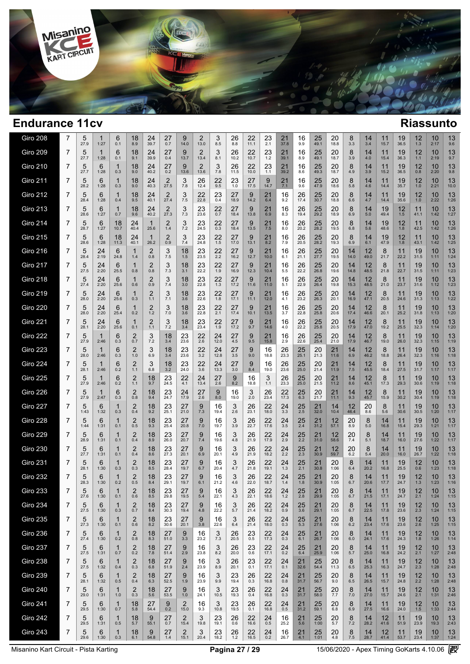

| Giro 208        | 7              | 5<br>27.9            | 1:27       | 6<br>0.1            | 18<br>8.9             | 24<br>39.7 | 27<br>0.7             | 9<br>14.0              | 2<br>13.0     | 3<br>8.5      | 26<br>8.8    | 22<br>11.1    | 23<br>2.1     | $\frac{21}{37.8}$    | 16<br>9.9              | 25<br>49.1           | 20<br>18.8           | 8<br>3.3              | 14<br>3.4    | 11<br>15.7   | 19<br>36.5 | 12<br>1.3        | 10<br>2:17 | 13<br>9.6  |
|-----------------|----------------|----------------------|------------|---------------------|-----------------------|------------|-----------------------|------------------------|---------------|---------------|--------------|---------------|---------------|----------------------|------------------------|----------------------|----------------------|-----------------------|--------------|--------------|------------|------------------|------------|------------|
| <b>Giro 209</b> | $\overline{7}$ | 5<br>27.7            | 1<br>1:28  | 6<br>0.1            | 18<br>9.1             | 24<br>39.9 | 27<br>0.4             | 9<br>13.7              | 2<br>13.4     | 3<br>8.1      | 26<br>10.2   | 22<br>10.7    | 23<br>1.2     | $21$ <sub>39.1</sub> | 16<br>8.9              | 25<br>49.1           | 20<br>18.7           | 8<br>3.9              | 14<br>4.0    | 11<br>15.4   | 19<br>36.3 | 12<br>1.1        | 10<br>2:19 | 13<br>9.7  |
| <b>Giro 210</b> | $\overline{7}$ | 5<br>27.7            | 6<br>1:28  | 1<br>0.3            | 18<br>9.0             | 24<br>40.2 | 27<br>0.2             | 9<br>13.6              | 2<br>13.6     | 3<br>7.8      | 26<br>11.5   | 22<br>10.0    | 23<br>1.1     | 21<br>39.2           | 16<br>8.6              | 25<br>49.3           | 20<br>18.7           | 8<br>4.9              | 14<br>3.9    | 11<br>15.2   | 19<br>36.5 | 12<br>0.8        | 10<br>2:20 | 13<br>9.8  |
| <b>Giro 211</b> | 7              | 5<br>28.2            | 6<br>1:28  | -1<br>0.3           | 18<br>9.0             | 24<br>40.3 | 2<br>27.5             | 3<br>7.8               | 26<br>12.4    | 22<br>9.5     | 23<br>1.0    | 27<br>17.5    | 9<br>14.7     | 21<br>7.1            | 16<br>9.6              | 25<br>47.9           | 20<br>18.6           | 8<br>5.8              | 14<br>4.6    | 11<br>14.4   | 19<br>35.7 | 12<br>1.0        | 10<br>2:21 | 13<br>10.0 |
| <b>Giro 212</b> | $\overline{7}$ | 5<br>28.4            | 6<br>1:28  | 1<br>0.4            | 18<br>9.5             | 24<br>40.1 | 2<br>27.4             | 3<br>$7.5$             | 22<br>22.8    | 23<br>0.4     | 27<br>18.9   | 9<br>14.2     | 21<br>6.4     | 16<br>9.2            | 26<br>17.4             | 25<br>30.7           | 20<br>18.8           | 8<br>6.6              | 14<br>4.7    | 11<br>14.4   | 19<br>35.6 | 12<br>1.0        | 10<br>2:22 | 13<br>1:26 |
| <b>Giro 213</b> | 7              | 5<br>28.6            | 6<br>1:27  | 1<br>0.7            | 18<br>9.6             | 24<br>40.2 | 2<br>27.3             | 3<br>7.3               | 23<br>23.6    | 22<br>0.7     | 27<br>18.4   | 9<br>13.8     | 21<br>6.9     | 16<br>8.3            | 26<br>19.4             | 25<br>29.2           | 20<br>18.9           | 8<br>6.9              | 14<br>5.0    | 19<br>49.4   | 12<br>1.5  | 11<br>41.1       | 10<br>1:42 | 13<br>1:27 |
| Giro 214        | $\overline{7}$ | 5<br>28.7            | 6<br>1:27  | 18<br>10.7          | 24<br>40.4            | 1<br>25.6  | 2<br>1.4              | 3<br>7.2               | 23<br>24.5    | 22<br>0.3     | 27<br>18.4   | 9<br>13.5     | 21<br>7.5     | 16<br>8.0            | 26<br>20.2             | 25<br>28.2           | 20<br>19.5           | 8<br>6.8              | 14<br>5.6    | 19<br>48.6   | 12<br>1.8  | 11<br>42.5       | 10<br>1:42 | 13<br>1:26 |
| <b>Giro 215</b> | 7              | 5<br>28.6            | 6<br>1:28  | 18<br>11.3          | 24<br>40.1            | 1<br>26.2  | $\overline{2}$<br>0.9 | 3<br>7.4               | 23<br>24.8    | 22<br>$1.5\,$ | 27<br>17.0   | 9<br>13.1     | 21<br>8.2     | 16<br>7.9            | 26<br>20.5             | 25<br>28.2           | 20<br>19.3           | 8<br>6.9              | 14<br>6.1    | 19<br>47.9   | 12<br>1.8  | 11<br>43.1       | 10<br>1:42 | 13<br>1:25 |
| <b>Giro 216</b> | 7              | 5<br>28.4            | 24<br>2:19 | 6<br>24.8           | 1<br>1.4              | 2<br>0.8   | 3<br>7.5              | 18<br>1.5              | 23<br>23.5    | 22<br>2.2     | 27<br>16.2   | 9<br>12.7     | 21<br>10.0    | 16<br>6.1            | 26<br>21.1             | 25<br>27.7           | 20<br>19.5           | 14<br>14.0            | 12<br>49.0   | 8<br>21.7    | 11<br>22.2 | 19<br>31.5       | 10<br>1:11 | 13<br>1:24 |
| <b>Giro 217</b> | 7              | 5<br>27.5            | 24<br>2:20 | 6<br>25.5           | 1<br>0.8              | 2<br>0.8   | 3<br>7.3              | 18<br>3.1              | 23<br>22.2    | 22<br>1.9     | 27<br>16.9   | 9<br>12.3     | 21<br>10.4    | 16<br>5.5            | 26<br>22.2             | 25<br>26.8           | 20<br>19.6           | 14<br>14.8            | 12<br>48.5   | 8<br>21.8    | 11<br>22.7 | 19<br>31.5       | 10<br>1:11 | 13<br>1:23 |
| <b>Giro 218</b> | 7              | 5<br>27.4            | 24<br>2:20 | 6<br>25.6           | 1<br>0.6              | 2<br>0.9   | 3<br>7.4              | 18<br>3.0              | 23<br>22.8    | 22<br>1.3     | 27<br>17.2   | 9<br>11.6     | 21<br>11.0    | 16<br>5.1            | 26<br>22.9             | 25<br>26.4           | 20<br>19.8           | 14<br>15.3            | 12<br>48.5   | 8<br>21.0    | 11<br>23.7 | 19<br>31.6       | 10<br>1:12 | 13<br>1:23 |
| <b>Giro 219</b> | 7              | 5<br>28.0            | 24<br>2:20 | 6<br>25.6           | 1<br>0.3              | 2<br>1.1   | 3<br>7.1              | 18<br>3.6              | 23<br>22.6    | 22<br>1.8     | 27<br>17.1   | 9<br>11.1     | 21<br>12.0    | 16<br>4.1            | 26<br>23.2             | 25<br>26.3           | 20<br>20.1           | 14<br>16.9            | 12<br>47.1   | 8<br>20.5    | 11<br>24.6 | 19<br>31.3       | 10<br>1:13 | 13<br>1:22 |
| <b>Giro 220</b> | 7              | 5<br>28.0            | 24<br>2:20 | 6<br>25.4           | 1<br>0.2              | 2<br>1.2   | 3<br>7.0              | 18<br>3.6              | 23<br>22.8    | 22<br>2.1     | 27<br>17.4   | 9<br>10.1     | 21<br>13.5    | 16<br>3.7            | 26<br>22.8             | 25<br>25.8           | 20<br>20.6           | 14<br>17.4            | 12<br>46.6   | 8<br>20.1    | 11<br>25.2 | 19<br>31.8       | 10<br>1:13 | 13<br>1:20 |
| <b>Giro 221</b> | 7              | 5<br>28.1            | 24<br>2:20 | 6<br>25.6           | 1<br>0.1              | 2<br>1.1   | 3<br>7.2              | 18<br>3.4              | 23<br>23.4    | 22<br>1.9     | 27<br>17.2   | 9<br>9.7      | 21<br>14.6    | 16<br>4.0            | 26<br>22.2             | 25<br>25.8           | 20<br>20.5           | 14<br>17.9            | 12<br>47.0   | 8<br>19.2    | 11<br>25.5 | 19<br>32.3       | 10<br>1:14 | 13<br>1:20 |
| Giro 222        | 7              | 5<br>27.9            | 1<br>2:46  | 6<br>0.3            | 2<br>0.7              | 3<br>7.2   | 18<br>3.4             | 23<br>23.6             | 22<br>2.6     | 24<br>12.0    | 27<br>4.5    | 9<br>9.5      | 21<br>15.8    | 16<br>2.9            | 26<br>22.6             | $25$ <sub>25.4</sub> | 20<br>21.0           | 14<br>17.9            | 12<br>46.7   | 8<br>19.0    | 11<br>26.0 | 19<br>32.3       | 10<br>1:15 | 13<br>1:19 |
| <b>Giro 223</b> | 7              | 5<br>28.0            | 2:46       | 6<br>0.3            | $\overline{2}$<br>1.0 | 3<br>6.9   | 18<br>3.4             | $^{23}_{23.6}$         | $22$<br>$3.2$ | 24<br>12.8    | 27<br>3.5    | 9<br>9.0      | 16<br>18.8    | 26<br>23.3           | 25<br>25.1             | 20<br>21.3           | $21$ <sub>11.6</sub> | 14<br>6.9             | $12$<br>46.2 | 8<br>18.8    | 11<br>26.4 | 19<br>32.3       | 10<br>1:16 | 13<br>1:18 |
| <b>Giro 224</b> | 7              | 5<br>28.1            | 1<br>2:46  | 6<br>0.2            | $\overline{2}$<br>1.1 | 3<br>6.8   | 18<br>3.2             | 23<br>24.0             | 22<br>3.6     | 24<br>13.3    | 27<br>3.0    | 9<br>8.4      | 16<br>19.0    | 26<br>23.6           | 25<br>25.0             | 20<br>21.4           | $21$<br>11.9         | $14 \atop 7.5$        | 12<br>45.5   | 8<br>18.4    | 11<br>27.5 | 19<br>31.7       | 10<br>1:17 | 13<br>1:17 |
| <b>Giro 225</b> | 7              | 5<br>27.9            | 1<br>2:46  | 6<br>0.2            | $\overline{2}$<br>1.1 | 18<br>9.7  | 23<br>24.5            | 22<br>4.1              | 24<br>13.4    | 27<br>2.6     | 9<br>8.2     | 16<br>18.8    | 3<br>1.1      | 26<br>23.3           | 25<br>25.0             | 20<br>21.5           | 21<br>11.2           | 14<br>8.6             | 12<br>45.1   | 8<br>17.3    | 11<br>29.3 | 19<br>30.6       | 10<br>1:19 | 13<br>1:18 |
| <b>Giro 226</b> | 7              | 5<br>27.9            | 1<br>2:47  | 6<br>0.3            | 2<br>0.8              | 18<br>9.4  | 23<br>24.7            | 24<br>17.9             | 27<br>2.6     | 9<br>8.0      | 16<br>19.0   | 3<br>2.0      | 26<br>23.4    | 22<br>17.3           | 25<br>$6.\overline{3}$ | 20<br>21.7           | 21<br>11.1           | 14<br>9.3             | 12<br>45.7   | 8<br>15.9    | 11<br>30.2 | 19<br>30.4       | 10<br>1:19 | 13<br>1:18 |
| <b>Giro 227</b> | 7              | 5<br>1:43            | 6<br>1:32  | 1<br>0.3            | 2<br>0.4              | 18<br>9.2  | $23$ <sub>25.1</sub>  | 27<br>21.0             | 9<br>7.3      | 16<br>19.4    | 3<br>2.6     | 26<br>23.1    | 22<br>18.0    | 24<br>3.3            | $\frac{25}{2.5}$       | 21<br>32.0           | 14<br>10.4           | 12<br>46.4            | 20<br>8.6    | 8<br>5.6     | 11<br>30.6 | 19<br>30.5       | 10<br>1:20 | 13<br>1:17 |
| <b>Giro 228</b> | 7              | 5<br>1:44            | 6<br>1:31  | 1<br>0.1            | $\overline{2}$<br>0.5 | 18<br>9.3  | 23<br>25.4            | 27<br>20.8             | 9<br>7.0      | 16<br>19.7    | 3<br>3.9     | 26<br>22.7    | 22<br>17.6    | 24<br>3.5            | 25<br>2.4              | 21<br>31.2           | 12<br>57.1           | 20<br>8.9             | 8<br>5.0     | 14<br>16.8   | 11<br>15.4 | 19<br>29.3       | 10<br>1:21 | 13<br>1:17 |
| <b>Giro 229</b> | 7              | 5<br>28.9            | 6<br>1:31  | 1<br>0.1            | 2<br>0.4              | 18<br>8.9  | 23<br>26.0            | 27<br>20.7             | 9<br>7.4      | 16<br>19.6    | 3<br>4.8     | 26<br>21.9    | 22<br>17.9    | 24<br>2.9            | 25<br>2.2              | 21<br>31.0           | 12<br>58.6           | 20<br>7.4             | 8<br>5.1     | 14<br>18.7   | 11<br>16.0 | 19<br>27.6       | 10<br>1:22 | 13<br>1:17 |
| <b>Giro 230</b> | 7              | 5<br>27.7            | 6<br>1:31  | 1<br>0.1            | 2<br>0.4              | 18<br>8.6  | 23<br>27.3            | 27<br>20.1             | 9<br>6.9      | 16<br>20.1    | 3<br>4.9     | 26<br>21.9    | 22<br>18.2    | 24<br>2.2            | 25<br>2.3              | 21<br>30.9           | 12<br>59.7           | 20<br>6.2             | 8<br>5.4     | 14<br>20.0   | 11<br>16.0 | 19<br>26.7       | 10<br>1:22 | 13<br>1:18 |
| <b>Giro 231</b> | 7              | 5<br>28.1            | 6<br>1:30  | 1<br>0.3            | 2<br>0.3              | 18<br>8.5  | 23<br>28.4            | 27<br>19.7             | 9<br>6.7      | 16<br>20.4    | 3<br>4.7     | 26<br>21.8    | 22<br>19.1    | 24<br>1.3            | 25<br>2.1              | 21<br>30.8           | 20<br>1:06           | 8<br>6.4              | 14<br>20.2   | 11<br>16.8   | 19<br>25.5 | 12<br>0.6        | 10<br>1:23 | 13<br>1:18 |
| <b>Giro 232</b> | $\overline{7}$ | 5<br>28.3            | 6<br>1:30  | 1<br>0.2            | $\overline{2}$<br>0.5 | 18<br>8.4  | 23<br>29.1            | 27<br>19.7             | 9<br>6.1      | 16<br>21.2    | 3<br>4.6     | 26<br>22.0    | 22<br>18.7    | 24<br>1.4            | 25<br>1.8              | 21<br>30.9           | 20<br>1:05           | 8<br>6.7              | 14<br>20.6   | 11<br>17.7   | 19<br>24.7 | 12<br>1.3        | 10<br>1:23 | 13<br>1:16 |
| <b>Giro 233</b> | 7              | $\mathbf{b}$<br>27.6 | 6<br>1:30  | 0.1                 | 2<br>0.6              | 18<br>8.5  | 23<br>29.8            | 27<br>19.5             | 9<br>$5.4$    | 16<br>22.1    | 3<br>$4.3$   | 26<br>22.1    | 22<br>18.6    | 24<br>$1.2$          | $25$ <sub>2.8</sub>    | 21<br>29.9           | 20<br>1:05           | $8\!\!\phantom{0}6.7$ | 14<br>21.5   | 11<br>17.1   | 19<br>24.7 | 12<br>2.1        | 10<br>1:24 | 13<br>1:15 |
| <b>Giro 234</b> | 7              | 5<br>27.5            | 6<br>1:30  | 1<br>0.3            | 2<br>0.7              | 18<br>8.4  | 23<br>30.3            | 27<br>19.4             | 9<br>4.8      | 16<br>22.2    | 3<br>5.7     | 26<br>21.4    | 22<br>18.2    | 24<br>0.9            | 25<br>3.6              | 21<br>29.1           | 20<br>1:05           | 86.7                  | 14<br>22.5   | 11<br>17.8   | 19<br>23.6 | $12 \n2.3$       | 10<br>1:24 | 13<br>1:15 |
| <b>Giro 235</b> | 7              | 5<br>27.3            | 6<br>1:30  | -1<br>0.1           | $\overline{2}$<br>0.6 | 18<br>8.2  | 23<br>30.6            | 27<br>20.1             | 9<br>3.8      | 16<br>22.6    | 3<br>6.4     | 26<br>21.4    | 22<br>18.0    | 24<br>0.3            | 25<br>5.3              | 21<br>27.6           | 20<br>1:06           | 8<br>6.2              | 14<br>23.4   | 11<br>17.6   | 19<br>23.6 | 12<br>2.6        | 10<br>1:25 | 13<br>1:15 |
| <b>Giro 236</b> | 7              | 5<br>27.4            | 6<br>1:30  | -1<br>0.2           | $\overline{2}$<br>0.8 | 18<br>8.3  | 27<br>51.0            | 9<br>3.3               | 16<br>23.2    | 3<br>7.3      | 26<br>20.5   | 23<br>0.5     | 22<br>17.3    | 24<br>0.3            | $25$ <sub>6.1</sub>    | 21<br>26.7           | 20<br>1:06           | $8_{6.0}$             | 14<br>24.1   | $11$<br>17.6 | 19<br>24.3 | $^{12}_{1.8}$    | 10<br>1:26 | 13<br>1:14 |
| <b>Giro 237</b> | 7              | 5<br>27.5            | 6<br>1:31  | 1<br>0.7            | $\overline{2}$<br>0.2 | 18<br>7.8  | 27<br>51.4            | 9<br>2.9               | 16<br>23.8    | 3<br>8.2      | 26<br>20.0   | 23<br>0.6     | 22<br>17.1    | 24<br>0.2            | 25<br>6.4              | 21<br>25.9           | 20<br>1:06           | 8,5.7                 | 14<br>25.0   | 11<br>16.8   | 19<br>24.2 | 12<br>2.1        | 10<br>1:27 | 13<br>2:48 |
| <b>Giro 238</b> | 7              | 5<br>27.5            | 6<br>1:32  | -1<br>0.4           | $\overline{2}$<br>0.3 | 18<br>6.8  | 27<br>51.9            | 9<br>2.4               | 16<br>23.9    | 3<br>8.9      | 26<br>20.1   | 23<br>0.1     | 22<br>17.1    | 24<br>0.1            | $21$ <sub>32.6</sub>   | 25<br>54.4           | 20<br>11.3           | 86.5                  | 14<br>25.3   | $11$<br>16.3 | 19<br>24.7 | $\frac{12}{2.3}$ | 10<br>1:28 | 13<br>2:48 |
| <b>Giro 239</b> | 7              | 5<br>28.1            | 6<br>1:32  | $\mathbf 1$<br>0.5  | $\overline{2}$<br>0.4 | 18<br>6.3  | 27<br>52.5            | 9<br>1.9               | 16<br>23.9    | 3<br>9.9      | 23<br>19.4   | 26<br>0.3     | 22<br>16.8    | 24<br>0.8            | 21<br>31.7             | 25<br>56.7           | 20<br>9.0            | 8<br>6.5              | 14<br>26.5   | 11<br>15.7   | 19<br>24.8 | 12<br>2.2        | 10<br>1:28 | 13<br>2:48 |
| <b>Giro 240</b> | 7              | 5<br>29.0            | 6<br>1:31  | 1<br>1.0            | $\overline{2}$<br>0.3 | 18<br>5.6  | 27<br>53.5            | 9<br>1.0               | 16<br>24.1    | 3<br>10.5     | $23$<br>19.3 | $^{26}_{0.4}$ | $22$<br>16.8  | $^{24}_{0.3}$        | $21$ <sub>31.7</sub>   | 25<br>58.0           | $^{20}_{7.7}$        | $^{8}_{7.0}$          | 14<br>27.0   | $11$<br>15.7 | 19<br>24.6 | $12 \n2.1$       | 10<br>1:31 | 13<br>2:46 |
| <b>Giro 241</b> | 7              | 5<br>29.5            | 6<br>1:30  | $\mathbf 1$<br>0.7  | 18<br>5.8             | 27<br>54.4 | 9<br>0.2              | $\overline{2}$<br>15.0 | 16<br>9.3     | 3<br>10.8     | 23<br>19.5   | 26<br>0.1     | 22<br>16.8    | 24<br>0.5            | 21<br>31.2             | 25<br>59.1           | 20<br>6.8            | 8<br>6.9              | 14<br>27.5   | 11<br>16.6   | 19<br>24.0 | $^{12}_{1.5}$    | 10<br>1:33 | 13<br>2:44 |
| <b>Giro 242</b> | 7              | 5<br>29.5            | 6<br>1:31  | $\mathbf{1}$<br>0.5 | 18<br>5.7             | 9<br>55.1  | 27<br>0.7             | 2<br>15.4              | 3<br>19.8     | 23<br>19.1    | 26<br>0.6    | 22<br>16.6    | 24<br>0.5     | 16<br>25.2           | 21<br>5.6              | 25<br>1:00           | 20<br>5.7            | 8<br>7.2              | 14<br>28.2   | 12<br>41.6   | 11<br>51.9 | 19<br>23.9       | 10<br>19.3 | 13<br>2:43 |
| <b>Giro 243</b> | 7              | 5<br>29.6            | 6<br>1:30  | 1<br>0.3            | 18<br>6.1             | 9<br>54.8  | 27<br>$1.4$           | 2<br>15.1              | 3<br>20.4     | 23<br>18.2    | 26<br>$1.2$  | 22<br>16.5    | 24<br>$0.2\,$ | 16<br>26.7           | 21<br>4.1              | 25<br>1:01           | 20<br>4.8            | 8<br>$7.5\,$          | 14<br>28.7   | 12<br>41.4   | 11<br>53.7 | 19<br>23.4       | 10<br>1:37 | 13<br>1:24 |
|                 |                |                      |            |                     |                       |            |                       |                        |               |               |              |               |               |                      |                        |                      |                      |                       |              |              |            |                  |            |            |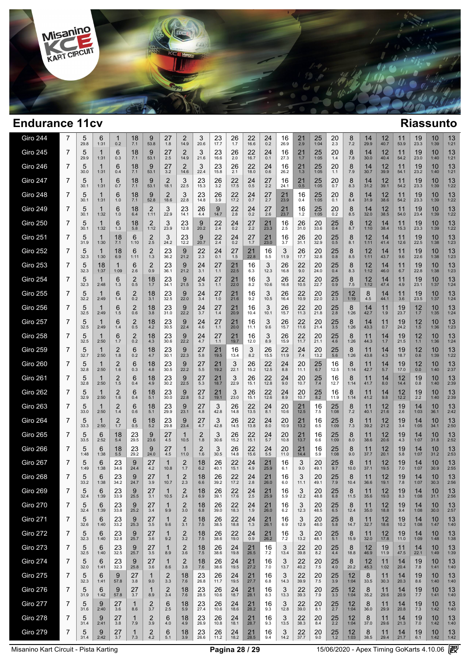

| <b>Giro 244</b> | 7              | 5<br>29.8 | 6<br>1:31  | 1<br>0.2   | 18<br>7.1             | 9<br>53.8              | 27<br>1.8              | 2<br>14.9             | 3<br>20.6        | 23<br>17.7        | 26<br>1.7            | 22<br>16.6        | 24<br>0.2         | 16<br>26.9 | 21<br>2.9            | 25<br>1:04     | 20<br>2.3              | 8<br>7.2   | 14<br>29.9           | 12<br>40.7   | 11<br>53.9    | 19<br>23.3           | 10<br>1:39        | 13<br>1:21 |
|-----------------|----------------|-----------|------------|------------|-----------------------|------------------------|------------------------|-----------------------|------------------|-------------------|----------------------|-------------------|-------------------|------------|----------------------|----------------|------------------------|------------|----------------------|--------------|---------------|----------------------|-------------------|------------|
| <b>Giro 245</b> | 7              | 5<br>29.9 | 1<br>1:31  | 6<br>0.3   | 18<br>7.1             | 9<br>53.1              | 27<br>2.5              | 2<br>14.9             | 3<br>21.6        | 23<br>16.6        | 26<br>2.0            | 22<br>16.7        | 24<br>0.1         | 16<br>27.3 | 21<br>1.7            | 25<br>1:05     | 20<br>1.4              | 8<br>7.8   | 14<br>30.0           | 12<br>40.4   | 11<br>54.2    | 19<br>23.0           | 10<br>1:40        | 13<br>1:21 |
| <b>Giro 246</b> | 7              | 5<br>30.0 | 1<br>1:31  | 6<br>0.4   | 18<br>7.1             | 9<br>53.1              | 27<br>3.2              | 2<br>14.6             | 3<br>22.4        | 23<br>15.8        | 26<br>2.1            | 22<br>18.0        | 24<br>0.6         | 16<br>26.2 | 21<br>1.3            | 25<br>1:05     | 20<br>1.1              | 8<br>7.9   | 14<br>30.7           | 12<br>39.9   | 11<br>54.1    | 19<br>23.2           | 10<br>1:40        | 13<br>1:21 |
| <b>Giro 247</b> | 7              | 5<br>30.1 | 1<br>1:31  | 6<br>0.7   | 18<br>7.1             | 9<br>53.1              | $\overline{2}$<br>18.1 | 3<br>22.5             | 23<br>15.3       | 26<br>3.2         | 22<br>17.5           | 24<br>0.5         | 27<br>2.2         | 16<br>24.1 | 21<br>0.5            | 25<br>1:05     | 20<br>0.7              | 8<br>8.3   | 14<br>31.2           | 12<br>39.1   | 11<br>54.2    | 19<br>23.3           | 10<br>1:39        | 13<br>1:22 |
| <b>Giro 248</b> | 7              | 5<br>30.1 | 1<br>1:31  | 6<br>1.0   | 18<br>7.1             | 9<br>52.8              | $\overline{2}$<br>18.6 | 3<br>22.8             | 23<br>14.8       | 26<br>3.9         | 22<br>17.2           | 24<br>0.7         | 27<br>2.7         | 21<br>23.9 | 16<br>0.4            | 25<br>1:05     | 20<br>0.1              | 8<br>8.4   | 14<br>31.9           | 12<br>38.6   | 11<br>54.2    | 19<br>23.3           | 10<br>1:39        | 13<br>1:22 |
| <b>Giro 249</b> | 7              | 5<br>30.1 | 1<br>1:32  | 6<br>1.0   | 18<br>6.4             | $\overline{2}$<br>1:11 | 3<br>22.9              | 23<br>14.1            | 26<br>4.4        | 9<br>14.7         | 22<br>2.8            | 24<br>0.2         | 27<br>2.6         | 21<br>23.7 | 16<br>1.2            | 25<br>1:05     | 20<br>0.2              | 8<br>8.5   | 14<br>32.0           | 12<br>38.5   | 11<br>54.0    | 19<br>23.4           | 10<br>1:39        | 13<br>1:22 |
| <b>Giro 250</b> | 7              | 5<br>30.1 | 1<br>1:32  | 6<br>1.3   | 18<br>5.8             | 2<br>1:12              | 3<br>23.9              | 23<br>12.8            | 9<br>20.2        | 22<br>2.4         | 24<br>0.2            | 27<br>2.2         | 21<br>23.3        | 16<br>2.5  | 26<br>31.0           | 20<br>33.6     | 25<br>0.4              | 8<br>8.7   | 12<br>1:10           | 14<br>38.4   | 11<br>15.3    | 19<br>23.3           | 10<br>1:39        | 13<br>1:22 |
| <b>Giro 251</b> | 7              | 5<br>31.9 | 1<br>1:30  | 18<br>7.1  | 6<br>1:10             | 2<br>2.5               | 3<br>24.2              | 23<br>12.2            | 9<br>20.7        | 22<br>2.4         | 24<br>0.2            | 27<br>1.7         | 21<br>23.0        | 16<br>3.7  | 26<br>31.1           | 20<br>32.9     | 25<br>0.5              | 8<br>8.1   | 12<br>1:11           | 14<br>41.4   | 11<br>12.6    | 19<br>22.5           | 10<br>1:38        | 13<br>1:23 |
| <b>Giro 252</b> | $\overline{7}$ | 5<br>32.3 | 1<br>1:30  | 18<br>6.9  | 6<br>1:11             | 2<br>1.3               | 23<br>36.2             | 9<br>21.2             | 22<br>2.3        | 24<br>0.1         | 27<br>1.5            | 21<br>22.8        | 16<br>5.5         | 3<br>11.9  | 26<br>17.7           | 20<br>32.8     | 25<br>0.8              | 8<br>8.5   | 12<br>1:11           | 14<br>43.7   | 11<br>9.6     | 19<br>22.6           | 10<br>1:38        | 13<br>1:23 |
| <b>Giro 253</b> | 7              | 5<br>32.3 | 18<br>1:37 | 1<br>1:09  | 6<br>2.6              | 2<br>0.9               | 23<br>36.1             | 9<br>21.2             | 24<br>3.1        | 27<br>1.1         | $21$ <sub>22.5</sub> | 16<br>6.3         | 3<br>12.3         | 26<br>16.8 | 22<br>9.0            | 20<br>24.0     | 25<br>0.4              | 8<br>8.3   | 12<br>1:12           | 14<br>46.0   | 11<br>6.7     | 19<br>22.8           | 10<br>1:38        | 13<br>1:23 |
| <b>Giro 254</b> | $\overline{7}$ | 5<br>32.3 | 1<br>2:48  | 6<br>1.3   | $\overline{2}$<br>0.5 | 18<br>1.7              | 23<br>34.1             | 9<br>21.5             | 24<br>3.3        | 27<br>1.1         | 21<br>22.0           | 16<br>8.2         | 3<br>10.6         | 26<br>16.8 | 22<br>10.5           | 20<br>22.7     | 25<br>0.9              | 8<br>7.5   | 12<br>1:12           | 14<br>47.4   | 11<br>4.9     | 19<br>23.1           | 10<br>1:37        | 13<br>1:24 |
| <b>Giro 255</b> | 7              | 5<br>32.2 | 2:49       | 6<br>1.4   | $\overline{2}$<br>0.2 | 18<br>3.1              | 23<br>32.5             | 9<br>22.0             | $^{24}_{3.4}$    | 27<br>$1.0$       | 21<br>21.6           | 16<br>9.2         | 3<br>10.5         | 26<br>16.4 | 22<br>10.9           | 20<br>22.0     | 25<br>$2.\overline{3}$ | 12<br>1:19 | 8<br>4.5             | 14<br>44.1   | 11<br>3.6     | 19<br>23.5           | 10<br>1:37        | 13<br>1:24 |
| <b>Giro 256</b> | $\overline{7}$ | 5<br>32.5 | 1<br>2:49  | 6<br>1.5   | $\overline{2}$<br>0.6 | 18<br>3.8              | 23<br>31.0             | 9<br>22.2             | $\frac{24}{3.7}$ | 27<br>1.4         | 21<br>20.9           | 16<br>10.4        | 3<br>10.1         | 26<br>15.7 | 22<br>11.3           | 20<br>21.8     | 25<br>2.8              | 8<br>1:26  | 14<br>42.7           | 11<br>1.9    | 19<br>23.7    | 12<br>1.7            | 10<br>1:35        | 13<br>1:24 |
| <b>Giro 257</b> | 7              | 5<br>32.5 | 1<br>2:49  | 6<br>1.4   | $\overline{2}$<br>0.5 | 18<br>4.2              | 23<br>30.5             | 9<br>22.4             | 24<br>$4.6\,$    | 27<br>1.1         | 21<br>20.0           | 16<br>11.1        | 3<br>9.6          | 26<br>15.7 | 22<br>11.6           | 20<br>21.4     | 25<br>3.5              | 8<br>1:26  | 14<br>43.3           | 11<br>0.7    | 19<br>24.2    | 12<br>1.5            | 10<br>1:36        | 13<br>1:23 |
| <b>Giro 258</b> | $\overline{7}$ | 5<br>32.5 | 2:50       | 6<br>1.7   | $\overline{2}$<br>0.2 | 18<br>4.3              | 23<br>30.6             | 9<br>22.2             | 24<br>4.7        | 27<br>1.1         | 21<br>19.7           | 16<br>12.0        | 3<br>8.9          | 26<br>15.9 | 22<br>11.7           | 20<br>21.1     | 25<br>4.6              | 8<br>1:26  | 11<br>44.3           | 14<br>1.7    | 19<br>21.5    | 12<br>1.1            | 10<br>1:36        | 13<br>1:24 |
| <b>Giro 259</b> | 7              | 5<br>32.7 | 2:50       | 2<br>1.8   | 6<br>0.2              | 18<br>4.7              | 23<br>30.1             | 9<br>22.3             | 27<br>5.8        | 21<br>19.5        | 16<br>13.4           | 3<br>8.2          | 26<br>15.5        | 22<br>11.9 | $^{24}_{7.4}$        | 20<br>13.2     | 25<br>5.6              | 8<br>1:26  | 11<br>43.8           | 14<br>4.3    | 19<br>18.7    | 12<br>0.6            | 10<br>1:39        | 13<br>1:22 |
| <b>Giro 260</b> | $\overline{7}$ | 5<br>32.8 | 2:50       | 2<br>1.6   | 6<br>0.3              | 18<br>4.8              | 23<br>30.5             | 9<br>22.2             | 27<br>5.5        | 21<br>19.2        | 3<br>22.1            | 26<br>15.2        | 22<br>12.5        | 24<br>8.8  | 20<br>11.1           | 25<br>6.7      | 16<br>12.5             | 8<br>1:14  | 11<br>42.7           | 14<br>5.7    | 19<br>17.0    | 12<br>0.0            | 10<br>1:40        | 13<br>2:37 |
| <b>Giro 261</b> | 7              | 5<br>32.8 | 1<br>2:50  | 2<br>1.5   | 6<br>0.4              | 18<br>4.9              | 23<br>30.2             | 9<br>22.5             | 27<br>5.3        | 21<br>18.7        | 3<br>22.9            | 26<br>15.1        | 22<br>12.8        | 24<br>9.0  | 20<br>10.7           | 25<br>7.4      | 16<br>12.7             | 8<br>1:14  | 11<br>41.7           | 14<br>8.0    | 12<br>14.4    | 19<br>0.8            | 10<br>1:40        | 13<br>2:39 |
| <b>Giro 262</b> | 7              | 5<br>32.9 | 2:50       | 2<br>1.6   | 6<br>0.4              | 18<br>5.1              | 23<br>30.0             | 9<br>22.8             | 27<br>5.2        | 21<br>19.1        | 3<br>23.0            | 26<br>15.1        | 22<br>12.6        | 24<br>8.9  | 20<br>10.7           | 25<br>8.2      | 16<br>11.9             | 8<br>1:14  | 11<br>41.2           | 14<br>9.8    | 12<br>12.2    | 19<br>2.2            | 10<br>1:40        | 13<br>2:39 |
| <b>Giro 263</b> | 7              | 5<br>33.0 | 2:50       | 2<br>1.4   | 6<br>0.6              | 18<br>5.1              | 23<br>29.9             | 9<br>23.1             | 27<br>4.8        | 3<br>42.8         | 26<br>14.8           | 22<br>13.5        | 24<br>8.1         | 20<br>10.6 | 21<br>12.5           | 16<br>7.5      | 25<br>1:08             | 8<br>7.2   | 11<br>40.1           | 12<br>21.6   | 19<br>2.6     | 14<br>1:03           | 10<br>36.1        | 13<br>2:42 |
| <b>Giro 264</b> | $\overline{7}$ | 5<br>33.3 | 1<br>2:50  | 2<br>1.7   | 6<br>0.5              | 18<br>5.2              | 23<br>29.8             | 9<br>23.4             | 27<br>4.7        | 3<br>42.8         | 26<br>14.5           | 22<br>13.8        | 24<br>8.0         | 20<br>10.9 | 21<br>13.2           | 16<br>6.5      | 25<br>1:09             | 8<br>7.3   | 11<br>39.2           | 12<br>21.2   | 19<br>3.4     | 14<br>1:05           | 10<br>34.1        | 13<br>2:50 |
| <b>Giro 265</b> | 7              | 5<br>33.5 | 6<br>2:52  | 18<br>5.4  | 23<br>29.5            | $\frac{9}{23.6}$       | 27<br>4.5              | 1<br>10.5             | $2_{1.8}$        | 3<br>30.6         | 26<br>15.2           | 22<br>15.1        | 24<br>5.7         | 20<br>10.8 | $21$ <sub>13.7</sub> | 16<br>6.6      | 25<br>1:09             | 8<br>8.0   | 11<br>38.6           | 12<br>20.6   | 19<br>4.3     | 14<br>1:07           | 10<br>31.8        | 13<br>2:52 |
| <b>Giro 266</b> | $\overline{7}$ | 5<br>1:48 | 6<br>1:38  | 18<br>5.5  | 23<br>29.2            | 9<br>24.0              | 27<br>4.5              | 1<br>11.0             | $^{2}_{1.6}$     | 3<br>30.5         | 26<br>14.8           | 22<br>15.6        | 24<br>5.5         | 20<br>11.0 | 21<br>14.4           | 16<br>5.9      | 25<br>1:08             | 8<br>9.0   | 11<br>37.7           | 12<br>20.1   | 19<br>5.8     | 14<br>1:07           | 10<br>31.2        | 13<br>2:53 |
| <b>Giro 267</b> | 7              | 5<br>1:49 | 6<br>1:38  | 23<br>34.6 | 9<br>24.4             | 27<br>4.2              | 10.8                   | 2<br>1.7              | 18<br>6.2        | 26<br>40.1        | 22<br>15.1           | 24<br>4.9         | 21<br>25.9        | 16<br>6.1  | 3<br>9.0             | 20<br>49.1     | 25<br>9.7              | 8<br>10.0  | 11<br>37.1           | 12<br>19.5   | 19<br>7.0     | 14<br>1:07           | 10<br>30.9        | 13<br>2:55 |
| <b>Giro 268</b> | 7              | 5<br>33.2 | 6<br>1:38  | 23<br>34.2 | 9<br>24.7             | 27<br>3.9              | 1<br>10.7              | $\overline{2}$<br>2.3 | 18<br>6.6        | 26<br>39.2        | 22<br>17.2           | 24<br>2.8         | 21<br>26.0        | 16<br>6.0  | 3<br>11.1            | 20<br>49.1     | 25<br>7.9              | 8<br>10.4  | 11<br>36.6           | 12<br>19.1   | 19<br>7.8     | 14<br>1:07           | 10<br>30.3        | 13<br>2:56 |
| Giro 269        | 7              | 5<br>32.4 | 6<br>1:39  | 23<br>33.9 | 9<br>25.5             | $27_{3.1}$             | 10.5                   | 2<br>2.4              | 18<br>6.9        | $\frac{26}{39.1}$ | $^{22}_{17.6}$       | $^{24}_{2.5}$     | $\frac{21}{25.9}$ | 16<br>5.9  | 3<br>12.2            | $^{20}_{48.8}$ | $25$ <sub>6.8</sub>    | 8<br>11.5  | $\frac{11}{35.6}$    | 12<br>19.0   | $^{19}_{8.3}$ | $14$ <sub>1:08</sub> | $\frac{10}{31.1}$ | 13<br>2:56 |
| <b>Giro 270</b> | 7              | 5<br>32.4 | 6<br>1:39  | 23<br>33.8 | $9$ 25.2 $\,$         | $27_{3.4}$             | 9.9                    | 2<br>3.0              | 18<br>6.8        | $\frac{26}{39.0}$ | $22$ <sub>18.3</sub> | $^{24}_{1.9}$     | $\frac{21}{26.0}$ | 16<br>6.2  | 3<br>12.3            | $^{20}_{48.5}$ | $25$ <sub>6.5</sub>    | 8<br>12.4  | $11$ <sub>35.0</sub> | $12$<br>18.8 | $^{19}_{9.4}$ | $14$ <sub>1:08</sub> | 10<br>30.0        | 13<br>2:57 |
| <b>Giro 271</b> | 7              | 5<br>32.6 | 6<br>1:40  | 23<br>33.2 | 9<br>25.3             | 27<br>3.5              | -1<br>9.6              | 2<br>3.1              | 18<br>7.5        | 26<br>38.5        | 22<br>18.8           | 24<br>1.3         | 21<br>26.1        | 16<br>6.9  | 3<br>12.9            | 20<br>48.0     | 25<br>5.8              | 8<br>14.7  | 11<br>32.7           | 12<br>18.6   | 19<br>10.2    | 14<br>1:08           | 10<br>1:47        | 13<br>1:40 |
| <b>Giro 272</b> | 7              | 5<br>32.3 | 6<br>1:40  | 23<br>32.8 | 9<br>25.7             | 27<br>3.6              | 9.2                    | 2<br>3.2              | 18<br>7.5        | 26<br>38.6        | 22<br>19.0           | $^{24}_{0.9}$     | $^{21}_{26.2}$    | 16<br>7.2  | 3<br>13.2            | 20<br>48.1     | 25<br>5.1              | 8<br>15.9  | 11<br>32.0           | 12<br>17.8   | 19<br>11.0    | 14<br>1:09           | 10<br>1:48        | 13<br>1:38 |
| <b>Giro 273</b> | 7              | 5<br>32.5 | 6<br>1:40  | 23<br>32.5 | 9<br>25.7             | 27<br>3.5              | 1<br>8.9               | 2<br>3.6              | 18<br>7.5        | 26<br>38.6        | 24<br>19.8           | 21<br>26.5        | 16<br>7.2         | 3<br>13.4  | 22<br>39.8           | 20<br>8.2      | 25<br>4.4              | 8<br>18.8  | 12<br>46.9           | 19<br>11.9   | 11<br>47.5    | 14<br>22.1           | 10<br>1:49        | 13<br>1:39 |
| <b>Giro 274</b> | 7              | 5<br>32.0 | 6<br>1:41  | 23<br>32.3 | 9<br>25.8             | 27<br>3.6              | 1<br>8.6               | 2<br>3.8              | 18<br>7.6        | 26<br>38.6        | 24<br>19.5           | $\frac{21}{27.2}$ | 16<br>7.0         | 3<br>13.7  | 22<br>40.2           | $^{20}_{7.5}$  | 25<br>4.0              | 8<br>20.2  | 12<br>45.3           | 11<br>1:02   | 14<br>20.4    | 19<br>$7.8$          | 10<br>1:41        | 13<br>1:40 |
| <b>Giro 275</b> | 7              | 5<br>32.3 | 6<br>1:41  | 9<br>57.8  | 27<br>3.8             | 1<br>9.0               | 2<br>3.3               | 18<br>7.6             | 23<br>26.8       | 26<br>11.7        | 24<br>19.5           | 21<br>27.7        | 16<br>6.8         | 3<br>14.3  | 22<br>39.9           | 20<br>7.5      | 25<br>3.9              | 12<br>1:04 | 8<br>33.5            | 11<br>30.3   | 14<br>20.3    | 19<br>8.6            | 10<br>1:40        | 13<br>1:40 |
| <b>Giro 276</b> | 7              | 5<br>31.9 | 6<br>1:42  | 9<br>57.8  | 27<br>3.7             | 8.9                    | $\overline{2}$<br>3.4  | 18<br>7.6             | 23<br>28.5       | 26<br>10.6        | 24<br>18.7           | 21<br>28.1        | 16<br>8.3         | 3<br>13.3  | 22<br>39.3           | 20<br>7.9      | 25<br>3.3              | 12<br>1:04 | 8<br>35.2            | 11<br>29.6   | 14<br>20.9    | 19<br>7.7            | 10<br>1:41        | 13<br>1:40 |
| <b>Giro 277</b> | 7              | 5<br>31.6 | 9<br>2:40  | 27<br>3.6  | 1<br>8.6              | 2<br>3.7               | 6<br>2.5               | 18<br>5.9             | 23<br>27.4       | 26<br>10.6        | 24<br>18.6           | 21<br>28.2        | 16<br>9.3         | 3<br>12.8  | 22<br>39.0           | 20<br>8.1      | 25<br>2.7              | 12<br>1:04 | 8<br>36.0            | 11<br>29.9   | 14<br>20.8    | 19<br>7.3            | 10<br>1:42        | 13<br>1:40 |
| <b>Giro 278</b> | 7              | 5<br>31.4 | 9<br>2:41  | 27<br>3.8  | 1<br>7.9              | 2<br>3.9               | 6<br>4.0               | 18<br>4.9             | 23<br>26.9       | 26<br>10.8        | 24<br>18.1           | 21<br>28.7        | 16<br>9.3         | 3<br>13.5  | 22<br>38.3           | 20<br>8.4      | 25<br>2.2              | 12<br>1:04 | 8<br>37.0            | 11<br>29.6   | 14<br>21.3    | 19<br>7.0            | 10<br>1:42        | 13<br>1:40 |
| <b>Giro 279</b> | 7              | 5<br>31.4 | 9<br>2:42  | 27<br>3.7  | 1<br>7.3              | 2<br>4.2               | 6<br>5.1               | 18<br>3.9             | 23<br>26.6       | 26<br>11.2        | 24<br>18.2           | 21<br>28.5        | 16<br>9.4         | 3<br>14.2  | 22<br>37.7           | 20<br>9.0      | 25<br>$1.2$            | 12<br>1:03 | 8<br>38.5            | 11<br>29.4   | 14<br>21.7    | 19<br>6.1            | 10<br>1:42        | 13<br>1:42 |